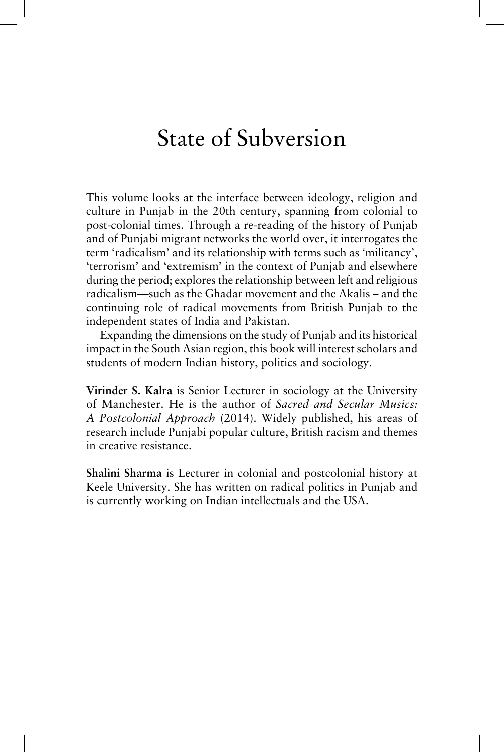# State of Subversion

This volume looks at the interface between ideology, religion and culture in Punjab in the 20th century, spanning from colonial to post-colonial times. Through a re-reading of the history of Punjab and of Punjabi migrant networks the world over, it interrogates the term 'radicalism' and its relationship with terms such as 'militancy', 'terrorism' and 'extremism' in the context of Punjab and elsewhere during the period; explores the relationship between left and religious radicalism—such as the Ghadar movement and the Akalis – and the continuing role of radical movements from British Punjab to the independent states of India and Pakistan.

Expanding the dimensions on the study of Punjab and its historical impact in the South Asian region, this book will interest scholars and students of modern Indian history, politics and sociology.

**Virinder S. Kalra** is Senior Lecturer in sociology at the University of Manchester. He is the author of *Sacred and Secular Musics: A Postcolonial Approach* (2014). Widely published, his areas of research include Punjabi popular culture, British racism and themes in creative resistance.

**Shalini Sharma** is Lecturer in colonial and postcolonial history at Keele University. She has written on radical politics in Punjab and is currently working on Indian intellectuals and the USA.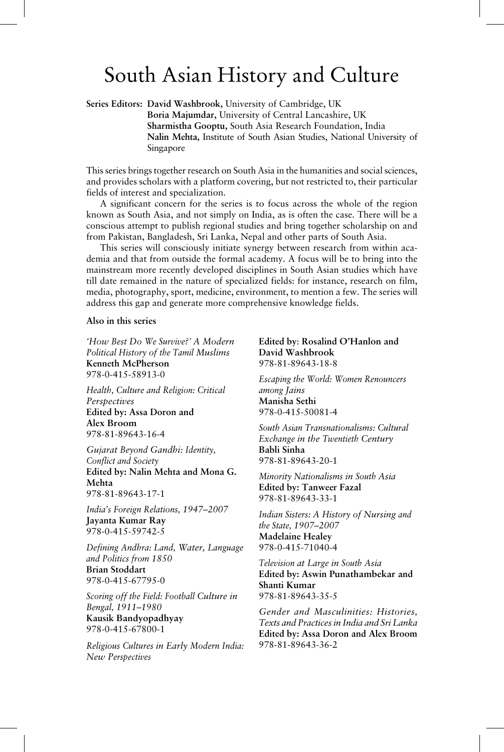## South Asian History and Culture

**Series Editors: David Washbrook,** University of Cambridge, UK  **Boria Majumdar,** University of Central Lancashire, UK  **Sharmistha Gooptu,** South Asia Research Foundation, India  **Nalin Mehta,** Institute of South Asian Studies, National University of Singapore

This series brings together research on South Asia in the humanities and social sciences, and provides scholars with a platform covering, but not restricted to, their particular fields of interest and specialization.

A significant concern for the series is to focus across the whole of the region known as South Asia, and not simply on India, as is often the case. There will be a conscious attempt to publish regional studies and bring together scholarship on and from Pakistan, Bangladesh, Sri Lanka, Nepal and other parts of South Asia.

This series will consciously initiate synergy between research from within academia and that from outside the formal academy. A focus will be to bring into the mainstream more recently developed disciplines in South Asian studies which have till date remained in the nature of specialized fields: for instance, research on film, media, photography, sport, medicine, environment, to mention a few. The series will address this gap and generate more comprehensive knowledge fields.

#### **Also in this series**

*'How Best Do We Survive?' A Modern Political History of the Tamil Muslims* **Kenneth McPherson** 978-0-415-58913-0

*Health, Culture and Religion: Critical Perspectives* **Edited by: Assa Doron and Alex Broom** 978-81-89643-16-4

*Gujarat Beyond Gandhi: Identity, Conflict and Society* **Edited by: Nalin Mehta and Mona G. Mehta** 978-81-89643-17-1

*India's Foreign Relations, 1947–2007* **Jayanta Kumar Ray** 978-0-415-59742-5

*Defining Andhra: Land, Water, Language and Politics from 1850* **Brian Stoddart** 978-0-415-67795-0

*Scoring off the Field: Football Culture in Bengal, 1911–1980* **Kausik Bandyopadhyay** 978-0-415-67800-1

**New Perspectives** *Religious Cultures in Early Modern India:* 

**Edited by**: **Rosalind O'Hanlon and David Washbrook** 978-81-89643-18-8

*Escaping the World: Women Renouncers among Jains* **Manisha Sethi** 978-0-415-50081-4

*South Asian Transnationalisms: Cultural Exchange in the Twentieth Century* **Babli Sinha** 978-81-89643-20-1

*Minority Nationalisms in South Asia* **Edited by: Tanweer Fazal** 978-81-89643-33-1

*Indian Sisters: A History of Nursing and the State, 1907–2007* **Madelaine Healey** 978-0-415-71040-4

*Television at Large in South Asia* **Edited by: Aswin Punathambekar and Shanti Kumar** 978-81-89643-35-5

*Gender and Masculinities: Histories, Texts and Practices in India and Sri Lanka* **Edited by: Assa Doron and Alex Broom** 978-81-89643-36-2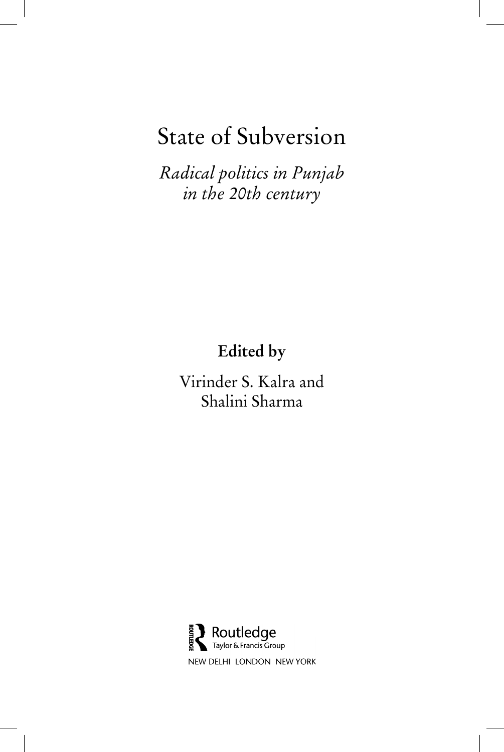# State of Subversion

*Radical politics in Punjab in the 20th century*

## **Edited by**

Virinder S. Kalra and Shalini Sharma

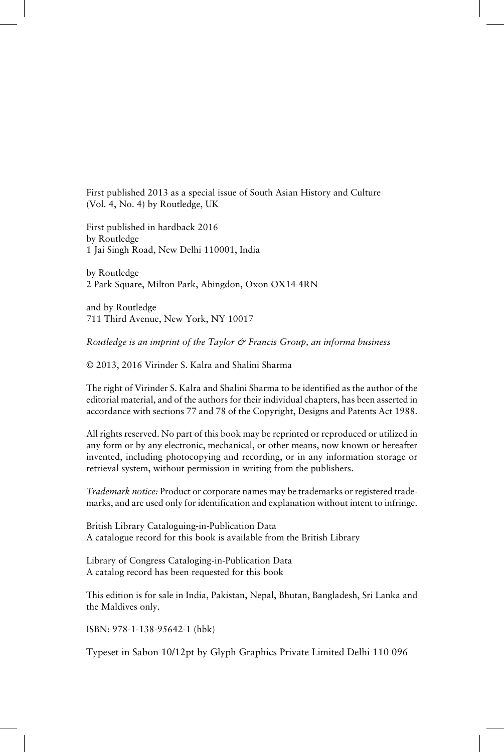First published 2013 as a special issue of South Asian History and Culture (Vol. 4, No. 4) by Routledge, UK

First published in hardback 2016 by Routledge 1 Jai Singh Road, New Delhi 110001, India

by Routledge 2 Park Square, Milton Park, Abingdon, Oxon OX14 4RN

and by Routledge 711 Third Avenue, New York, NY 10017

*Routledge is an imprint of the Taylor & Francis Group, an informa business*

© 2013, 2016 Virinder S. Kalra and Shalini Sharma

The right of Virinder S. Kalra and Shalini Sharma to be identified as the author of the editorial material, and of the authors for their individual chapters, has been asserted in accordance with sections 77 and 78 of the Copyright, Designs and Patents Act 1988.

All rights reserved. No part of this book may be reprinted or reproduced or utilized in any form or by any electronic, mechanical, or other means, now known or hereafter invented, including photocopying and recording, or in any information storage or retrieval system, without permission in writing from the publishers.

*Trademark notice:* Product or corporate names may be trademarks or registered trademarks, and are used only for identification and explanation without intent to infringe.

British Library Cataloguing-in-Publication Data A catalogue record for this book is available from the British Library

Library of Congress Cataloging-in-Publication Data A catalog record has been requested for this book

This edition is for sale in India, Pakistan, Nepal, Bhutan, Bangladesh, Sri Lanka and the Maldives only.

ISBN: 978-1-138-95642-1 (hbk)

Typeset in Sabon 10/12pt by Glyph Graphics Private Limited Delhi 110 096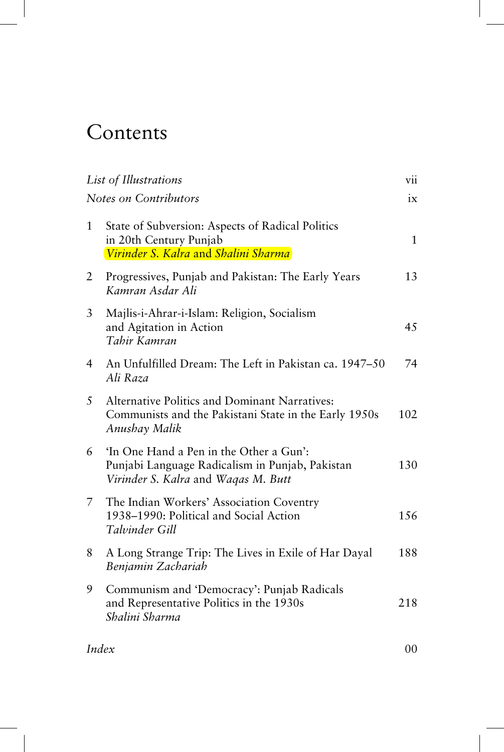# Contents

| List of Illustrations |                                                                                                                                   | V11 |
|-----------------------|-----------------------------------------------------------------------------------------------------------------------------------|-----|
| Notes on Contributors |                                                                                                                                   | ix  |
| 1                     | State of Subversion: Aspects of Radical Politics<br>in 20th Century Punjab<br>Virinder S. Kalra and Shalini Sharma                | 1   |
| 2                     | Progressives, Punjab and Pakistan: The Early Years<br>Kamran Asdar Ali                                                            | 13  |
| 3                     | Majlis-i-Ahrar-i-Islam: Religion, Socialism<br>and Agitation in Action<br>Tahir Kamran                                            | 45  |
| $\overline{4}$        | An Unfulfilled Dream: The Left in Pakistan ca. 1947–50<br>Ali Raza                                                                | 74  |
| 5                     | Alternative Politics and Dominant Narratives:<br>Communists and the Pakistani State in the Early 1950s<br>Anushay Malik           | 102 |
| 6                     | 'In One Hand a Pen in the Other a Gun':<br>Punjabi Language Radicalism in Punjab, Pakistan<br>Virinder S. Kalra and Waqas M. Butt | 130 |
| 7                     | The Indian Workers' Association Coventry<br>1938–1990: Political and Social Action<br>Talvinder Gill                              | 156 |
| 8                     | A Long Strange Trip: The Lives in Exile of Har Dayal<br>Benjamin Zachariah                                                        | 188 |
| 9                     | Communism and 'Democracy': Punjab Radicals<br>and Representative Politics in the 1930s<br>Shalini Sharma                          | 218 |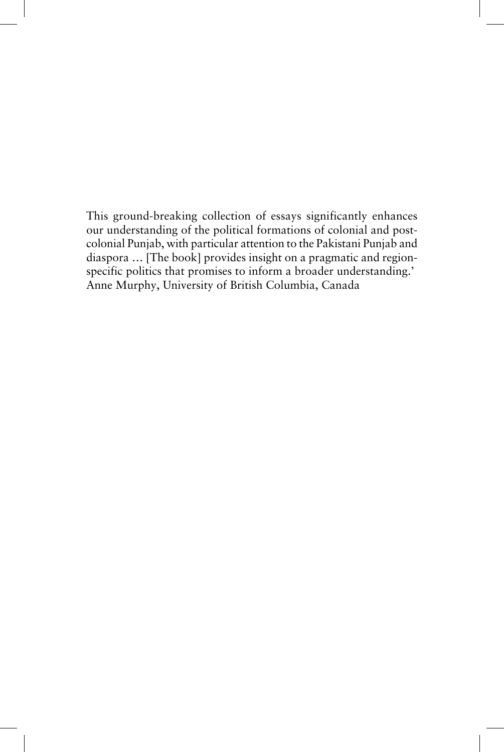This ground-breaking collection of essays significantly enhances our understanding of the political formations of colonial and postcolonial Punjab, with particular attention to the Pakistani Punjab and diaspora … [The book] provides insight on a pragmatic and regionspecific politics that promises to inform a broader understanding.' Anne Murphy, University of British Columbia, Canada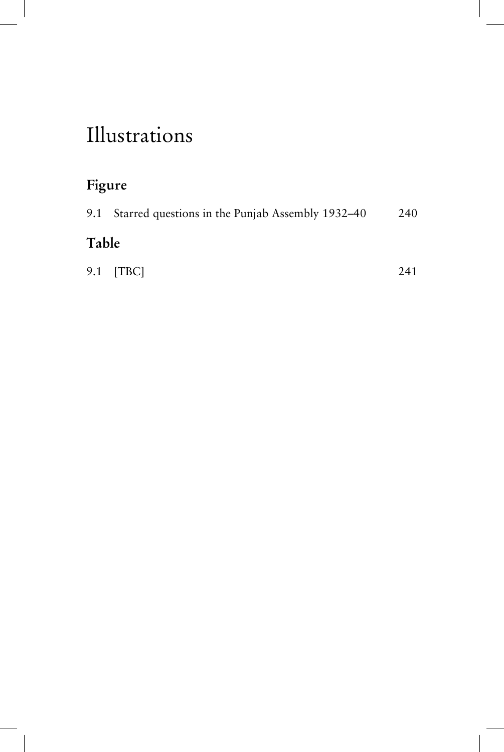# Illustrations

## **Figure**

|       | 9.1 Starred questions in the Punjab Assembly 1932–40 | 240 |
|-------|------------------------------------------------------|-----|
| Table |                                                      |     |
|       | 9.1 [TBC]                                            | 241 |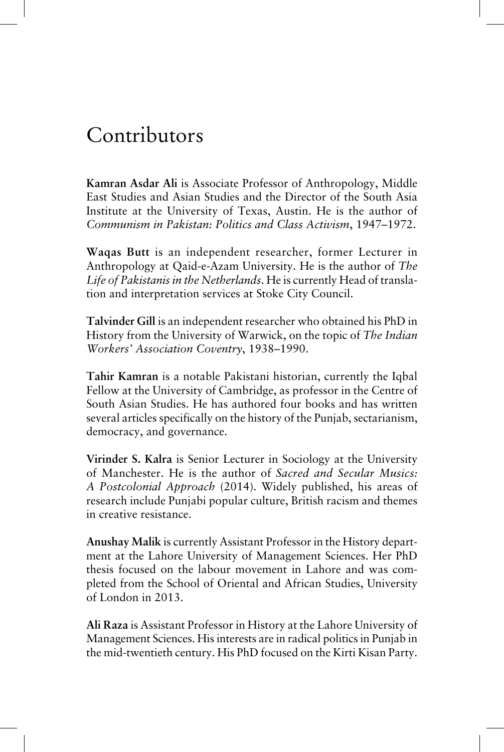## Contributors

**Kamran Asdar Ali** is Associate Professor of Anthropology, Middle East Studies and Asian Studies and the Director of the South Asia Institute at the University of Texas, Austin. He is the author of *Communism in Pakistan: Politics and Class Activism*, 1947–1972.

**Waqas Butt** is an independent researcher, former Lecturer in Anthropology at Qaid-e-Azam University. He is the author of *The Life of Pakistanis in the Netherlands*. He is currently Head of translation and interpretation services at Stoke City Council.

**Talvinder Gill** is an independent researcher who obtained his PhD in History from the University of Warwick, on the topic of *The Indian Workers' Association Coventry*, 1938–1990.

**Tahir Kamran** is a notable Pakistani historian, currently the Iqbal Fellow at the University of Cambridge, as professor in the Centre of South Asian Studies. He has authored four books and has written several articles specifically on the history of the Punjab, sectarianism, democracy, and governance.

**Virinder S. Kalra** is Senior Lecturer in Sociology at the University of Manchester. He is the author of *Sacred and Secular Musics: A Postcolonial Approach* (2014). Widely published, his areas of research include Punjabi popular culture, British racism and themes in creative resistance.

**Anushay Malik** is currently Assistant Professor in the History department at the Lahore University of Management Sciences. Her PhD thesis focused on the labour movement in Lahore and was completed from the School of Oriental and African Studies, University of London in 2013.

the mid-twentieth century. His PhD focused on the Kirti Kisan Party. **Ali Raza** is Assistant Professor in History at the Lahore University of Management Sciences. His interests are in radical politics in Punjab in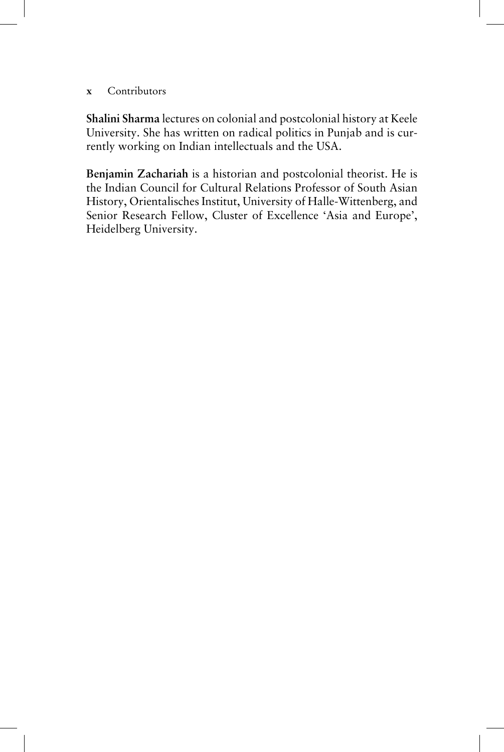#### **x** Contributors

**Shalini Sharma** lectures on colonial and postcolonial history at Keele University. She has written on radical politics in Punjab and is currently working on Indian intellectuals and the USA.

**Benjamin Zachariah** is a historian and postcolonial theorist. He is the Indian Council for Cultural Relations Professor of South Asian History, Orientalisches Institut, University of Halle-Wittenberg, and Senior Research Fellow, Cluster of Excellence 'Asia and Europe', Heidelberg University.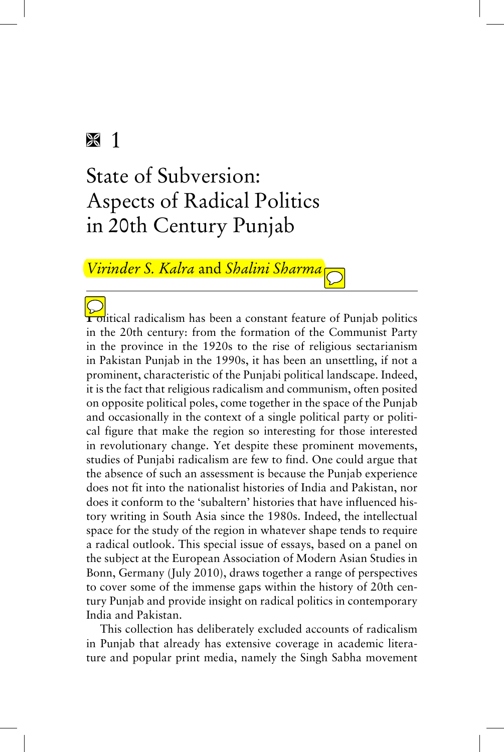## **1**

# State of Subversion: Aspects of Radical Politics in 20th Century Punjab

*Virinder S. Kalra* and *Shalini Sharma*

Political radicalism has been a constant feature of Punjab politics in the 20th century: from the formation of the Communist Party in the province in the 1920s to the rise of religious sectarianism in Pakistan Punjab in the 1990s, it has been an unsettling, if not a prominent, characteristic of the Punjabi political landscape. Indeed, it is the fact that religious radicalism and communism, often posited on opposite political poles, come together in the space of the Punjab and occasionally in the context of a single political party or political figure that make the region so interesting for those interested in revolutionary change. Yet despite these prominent movements, studies of Punjabi radicalism are few to find. One could argue that the absence of such an assessment is because the Punjab experience does not fit into the nationalist histories of India and Pakistan, nor does it conform to the 'subaltern' histories that have influenced history writing in South Asia since the 1980s. Indeed, the intellectual space for the study of the region in whatever shape tends to require a radical outlook. This special issue of essays, based on a panel on the subject at the European Association of Modern Asian Studies in Bonn, Germany (July 2010), draws together a range of perspectives to cover some of the immense gaps within the history of 20th century Punjab and provide insight on radical politics in contemporary India and Pakistan.

ture and popular print media, namely the Singh Sabha movement This collection has deliberately excluded accounts of radicalism in Punjab that already has extensive coverage in academic litera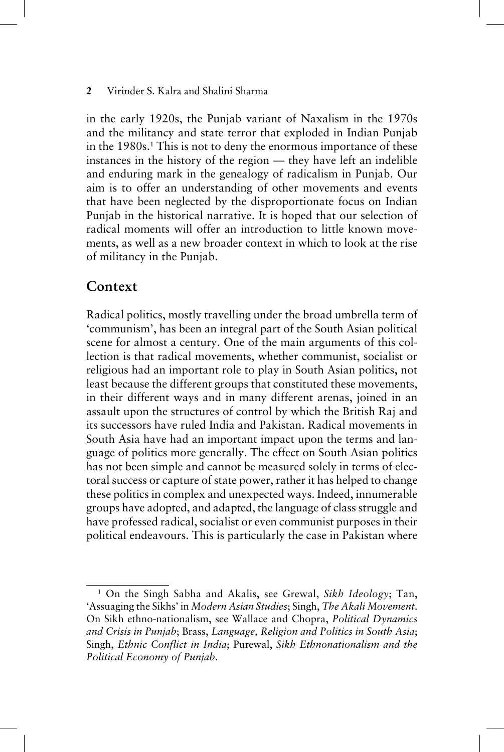**2** Virinder S. Kalra and Shalini Sharma

in the early 1920s, the Punjab variant of Naxalism in the 1970s and the militancy and state terror that exploded in Indian Punjab in the 1980s.<sup>1</sup> This is not to deny the enormous importance of these instances in the history of the region — they have left an indelible and enduring mark in the genealogy of radicalism in Punjab. Our aim is to offer an understanding of other movements and events that have been neglected by the disproportionate focus on Indian Punjab in the historical narrative. It is hoped that our selection of radical moments will offer an introduction to little known movements, as well as a new broader context in which to look at the rise of militancy in the Punjab.

### **Context**

Radical politics, mostly travelling under the broad umbrella term of 'communism', has been an integral part of the South Asian political scene for almost a century. One of the main arguments of this collection is that radical movements, whether communist, socialist or religious had an important role to play in South Asian politics, not least because the different groups that constituted these movements, in their different ways and in many different arenas, joined in an assault upon the structures of control by which the British Raj and its successors have ruled India and Pakistan. Radical movements in South Asia have had an important impact upon the terms and language of politics more generally. The effect on South Asian politics has not been simple and cannot be measured solely in terms of electoral success or capture of state power, rather it has helped to change these politics in complex and unexpected ways. Indeed, innumerable groups have adopted, and adapted, the language of class struggle and have professed radical, socialist or even communist purposes in their political endeavours. This is particularly the case in Pakistan where

<sup>1</sup> On the Singh Sabha and Akalis, see Grewal, *Sikh Ideology*; Tan, 'Assuaging the Sikhs' in *Modern Asian Studies*; Singh, *The Akali Movement*. On Sikh ethno-nationalism, see Wallace and Chopra, *Political Dynamics and Crisis in Punjab*; Brass, *Language, Religion and Politics in South Asia*; Singh, *Ethnic Conflict in India*; Purewal, *Sikh Ethnonationalism and the Political Economy of Punjab*.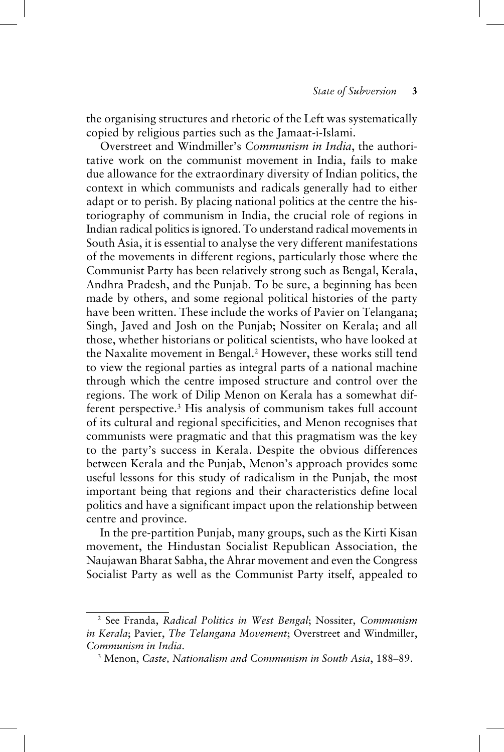the organising structures and rhetoric of the Left was systematically copied by religious parties such as the Jamaat-i-Islami.

Overstreet and Windmiller's *Communism in India*, the authoritative work on the communist movement in India, fails to make due allowance for the extraordinary diversity of Indian politics, the context in which communists and radicals generally had to either adapt or to perish. By placing national politics at the centre the historiography of communism in India, the crucial role of regions in Indian radical politics is ignored. To understand radical movements in South Asia, it is essential to analyse the very different manifestations of the movements in different regions, particularly those where the Communist Party has been relatively strong such as Bengal, Kerala, Andhra Pradesh, and the Punjab. To be sure, a beginning has been made by others, and some regional political histories of the party have been written. These include the works of Pavier on Telangana; Singh, Javed and Josh on the Punjab; Nossiter on Kerala; and all those, whether historians or political scientists, who have looked at the Naxalite movement in Bengal.2 However, these works still tend to view the regional parties as integral parts of a national machine through which the centre imposed structure and control over the regions. The work of Dilip Menon on Kerala has a somewhat different perspective.<sup>3</sup> His analysis of communism takes full account of its cultural and regional specificities, and Menon recognises that communists were pragmatic and that this pragmatism was the key to the party's success in Kerala. Despite the obvious differences between Kerala and the Punjab, Menon's approach provides some useful lessons for this study of radicalism in the Punjab, the most important being that regions and their characteristics define local politics and have a significant impact upon the relationship between centre and province.

In the pre-partition Punjab, many groups, such as the Kirti Kisan movement, the Hindustan Socialist Republican Association, the Naujawan Bharat Sabha, the Ahrar movement and even the Congress Socialist Party as well as the Communist Party itself, appealed to

<sup>2</sup> See Franda, *Radical Politics in West Bengal*; Nossiter, *Communism in Kerala*; Pavier, *The Telangana Movement*; Overstreet and Windmiller, *Communism in India*.

<sup>3</sup> Menon, *Caste, Nationalism and Communism in South Asia*, 188–89.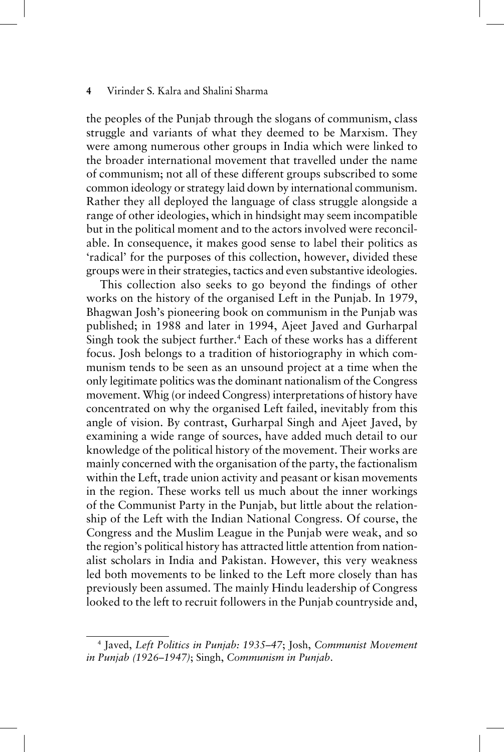#### **4** Virinder S. Kalra and Shalini Sharma

the peoples of the Punjab through the slogans of communism, class struggle and variants of what they deemed to be Marxism. They were among numerous other groups in India which were linked to the broader international movement that travelled under the name of communism; not all of these different groups subscribed to some common ideology or strategy laid down by international communism. Rather they all deployed the language of class struggle alongside a range of other ideologies, which in hindsight may seem incompatible but in the political moment and to the actors involved were reconcilable. In consequence, it makes good sense to label their politics as 'radical' for the purposes of this collection, however, divided these groups were in their strategies, tactics and even substantive ideologies.

This collection also seeks to go beyond the findings of other works on the history of the organised Left in the Punjab. In 1979, Bhagwan Josh's pioneering book on communism in the Punjab was published; in 1988 and later in 1994, Ajeet Javed and Gurharpal Singh took the subject further.<sup>4</sup> Each of these works has a different focus. Josh belongs to a tradition of historiography in which communism tends to be seen as an unsound project at a time when the only legitimate politics was the dominant nationalism of the Congress movement. Whig (or indeed Congress) interpretations of history have concentrated on why the organised Left failed, inevitably from this angle of vision. By contrast, Gurharpal Singh and Ajeet Javed, by examining a wide range of sources, have added much detail to our knowledge of the political history of the movement. Their works are mainly concerned with the organisation of the party, the factionalism within the Left, trade union activity and peasant or kisan movements in the region. These works tell us much about the inner workings of the Communist Party in the Punjab, but little about the relationship of the Left with the Indian National Congress. Of course, the Congress and the Muslim League in the Punjab were weak, and so the region's political history has attracted little attention from nationalist scholars in India and Pakistan. However, this very weakness led both movements to be linked to the Left more closely than has previously been assumed. The mainly Hindu leadership of Congress looked to the left to recruit followers in the Punjab countryside and,

<sup>4</sup> Javed, *Left Politics in Punjab: 1935–47*; Josh, *Communist Movement in Punjab (1926–1947)*; Singh, *Communism in Punjab*.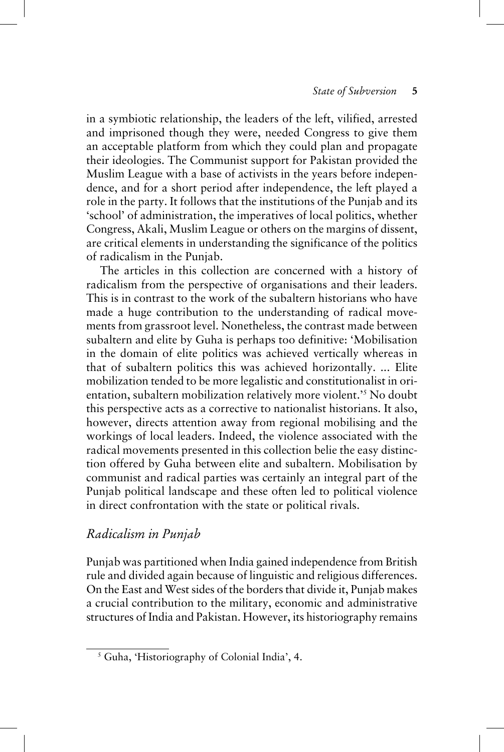in a symbiotic relationship, the leaders of the left, vilified, arrested and imprisoned though they were, needed Congress to give them an acceptable platform from which they could plan and propagate their ideologies. The Communist support for Pakistan provided the Muslim League with a base of activists in the years before independence, and for a short period after independence, the left played a role in the party. It follows that the institutions of the Punjab and its 'school' of administration, the imperatives of local politics, whether Congress, Akali, Muslim League or others on the margins of dissent, are critical elements in understanding the significance of the politics of radicalism in the Punjab.

The articles in this collection are concerned with a history of radicalism from the perspective of organisations and their leaders. This is in contrast to the work of the subaltern historians who have made a huge contribution to the understanding of radical movements from grassroot level. Nonetheless, the contrast made between subaltern and elite by Guha is perhaps too definitive: 'Mobilisation in the domain of elite politics was achieved vertically whereas in that of subaltern politics this was achieved horizontally. *...* Elite mobilization tended to be more legalistic and constitutionalist in orientation, subaltern mobilization relatively more violent.'5 No doubt this perspective acts as a corrective to nationalist historians. It also, however, directs attention away from regional mobilising and the workings of local leaders. Indeed, the violence associated with the radical movements presented in this collection belie the easy distinction offered by Guha between elite and subaltern. Mobilisation by communist and radical parties was certainly an integral part of the Punjab political landscape and these often led to political violence in direct confrontation with the state or political rivals.

#### *Radicalism in Punjab*

Punjab was partitioned when India gained independence from British rule and divided again because of linguistic and religious differences. On the East and West sides of the borders that divide it, Punjab makes a crucial contribution to the military, economic and administrative structures of India and Pakistan. However, its historiography remains

<sup>5</sup> Guha, 'Historiography of Colonial India', 4.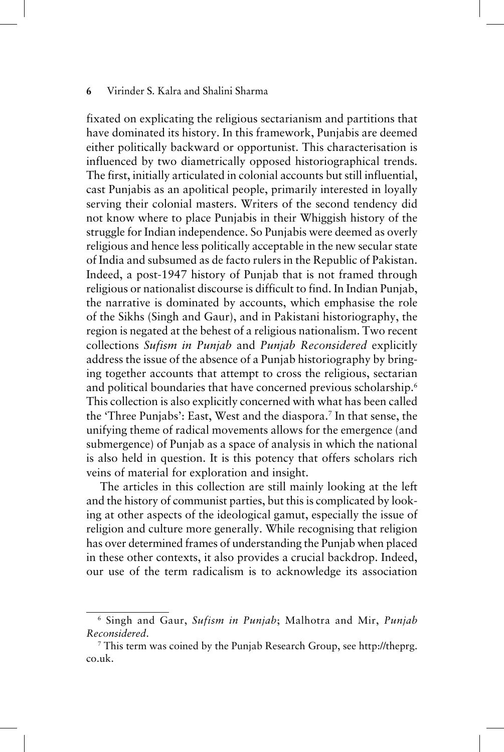#### **6** Virinder S. Kalra and Shalini Sharma

fixated on explicating the religious sectarianism and partitions that have dominated its history. In this framework, Punjabis are deemed either politically backward or opportunist. This characterisation is influenced by two diametrically opposed historiographical trends. The first, initially articulated in colonial accounts but still influential, cast Punjabis as an apolitical people, primarily interested in loyally serving their colonial masters. Writers of the second tendency did not know where to place Punjabis in their Whiggish history of the struggle for Indian independence. So Punjabis were deemed as overly religious and hence less politically acceptable in the new secular state of India and subsumed as de facto rulers in the Republic of Pakistan. Indeed, a post-1947 history of Punjab that is not framed through religious or nationalist discourse is difficult to find. In Indian Punjab, the narrative is dominated by accounts, which emphasise the role of the Sikhs (Singh and Gaur), and in Pakistani historiography, the region is negated at the behest of a religious nationalism. Two recent collections *Sufism in Punjab* and *Punjab Reconsidered* explicitly address the issue of the absence of a Punjab historiography by bringing together accounts that attempt to cross the religious, sectarian and political boundaries that have concerned previous scholarship.<sup>6</sup> This collection is also explicitly concerned with what has been called the 'Three Punjabs': East, West and the diaspora.7 In that sense, the unifying theme of radical movements allows for the emergence (and submergence) of Punjab as a space of analysis in which the national is also held in question. It is this potency that offers scholars rich veins of material for exploration and insight.

The articles in this collection are still mainly looking at the left and the history of communist parties, but this is complicated by looking at other aspects of the ideological gamut, especially the issue of religion and culture more generally. While recognising that religion has over determined frames of understanding the Punjab when placed in these other contexts, it also provides a crucial backdrop. Indeed, our use of the term radicalism is to acknowledge its association

<sup>6</sup> Singh and Gaur, *Sufism in Punjab*; Malhotra and Mir, *Punjab Reconsidered*.

<sup>7</sup> This term was coined by the Punjab Research Group, see http://theprg. co.uk.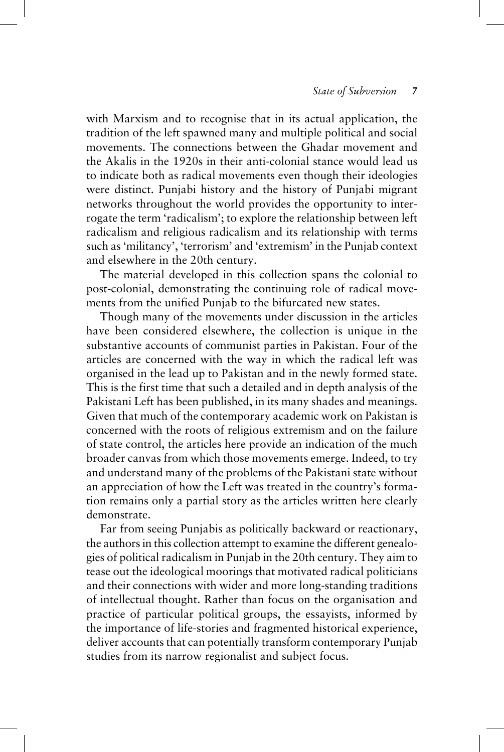with Marxism and to recognise that in its actual application, the tradition of the left spawned many and multiple political and social movements. The connections between the Ghadar movement and the Akalis in the 1920s in their anti-colonial stance would lead us to indicate both as radical movements even though their ideologies were distinct. Punjabi history and the history of Punjabi migrant networks throughout the world provides the opportunity to interrogate the term 'radicalism'; to explore the relationship between left radicalism and religious radicalism and its relationship with terms such as 'militancy', 'terrorism' and 'extremism' in the Punjab context and elsewhere in the 20th century.

The material developed in this collection spans the colonial to post-colonial, demonstrating the continuing role of radical movements from the unified Punjab to the bifurcated new states.

Though many of the movements under discussion in the articles have been considered elsewhere, the collection is unique in the substantive accounts of communist parties in Pakistan. Four of the articles are concerned with the way in which the radical left was organised in the lead up to Pakistan and in the newly formed state. This is the first time that such a detailed and in depth analysis of the Pakistani Left has been published, in its many shades and meanings. Given that much of the contemporary academic work on Pakistan is concerned with the roots of religious extremism and on the failure of state control, the articles here provide an indication of the much broader canvas from which those movements emerge. Indeed, to try and understand many of the problems of the Pakistani state without an appreciation of how the Left was treated in the country's formation remains only a partial story as the articles written here clearly demonstrate.

Far from seeing Punjabis as politically backward or reactionary, the authors in this collection attempt to examine the different genealogies of political radicalism in Punjab in the 20th century. They aim to tease out the ideological moorings that motivated radical politicians and their connections with wider and more long-standing traditions of intellectual thought. Rather than focus on the organisation and practice of particular political groups, the essayists, informed by the importance of life-stories and fragmented historical experience, deliver accounts that can potentially transform contemporary Punjab studies from its narrow regionalist and subject focus.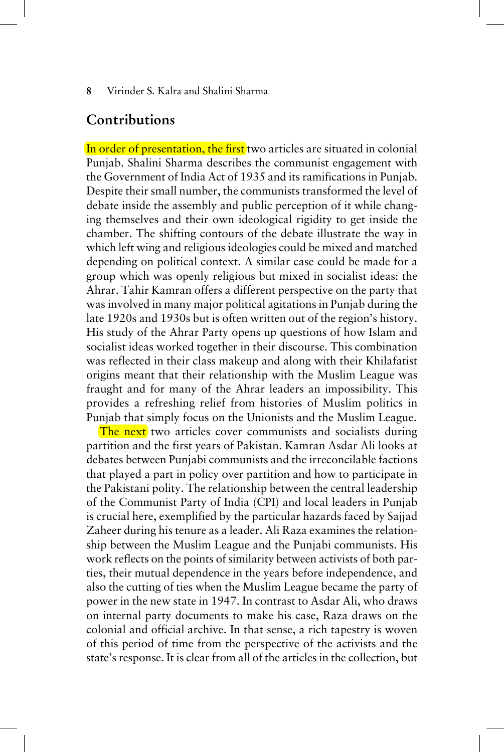### **Contributions**

In order of presentation, the first two articles are situated in colonial Punjab. Shalini Sharma describes the communist engagement with the Government of India Act of 1935 and its ramifications in Punjab. Despite their small number, the communists transformed the level of debate inside the assembly and public perception of it while changing themselves and their own ideological rigidity to get inside the chamber. The shifting contours of the debate illustrate the way in which left wing and religious ideologies could be mixed and matched depending on political context. A similar case could be made for a group which was openly religious but mixed in socialist ideas: the Ahrar. Tahir Kamran offers a different perspective on the party that was involved in many major political agitations in Punjab during the late 1920s and 1930s but is often written out of the region's history. His study of the Ahrar Party opens up questions of how Islam and socialist ideas worked together in their discourse. This combination was reflected in their class makeup and along with their Khilafatist origins meant that their relationship with the Muslim League was fraught and for many of the Ahrar leaders an impossibility. This provides a refreshing relief from histories of Muslim politics in Punjab that simply focus on the Unionists and the Muslim League.

The next two articles cover communists and socialists during partition and the first years of Pakistan. Kamran Asdar Ali looks at debates between Punjabi communists and the irreconcilable factions that played a part in policy over partition and how to participate in the Pakistani polity. The relationship between the central leadership of the Communist Party of India (CPI) and local leaders in Punjab is crucial here, exemplified by the particular hazards faced by Sajjad Zaheer during his tenure as a leader. Ali Raza examines the relationship between the Muslim League and the Punjabi communists. His work reflects on the points of similarity between activists of both parties, their mutual dependence in the years before independence, and also the cutting of ties when the Muslim League became the party of power in the new state in 1947. In contrast to Asdar Ali, who draws on internal party documents to make his case, Raza draws on the colonial and official archive. In that sense, a rich tapestry is woven of this period of time from the perspective of the activists and the state's response. It is clear from all of the articles in the collection, but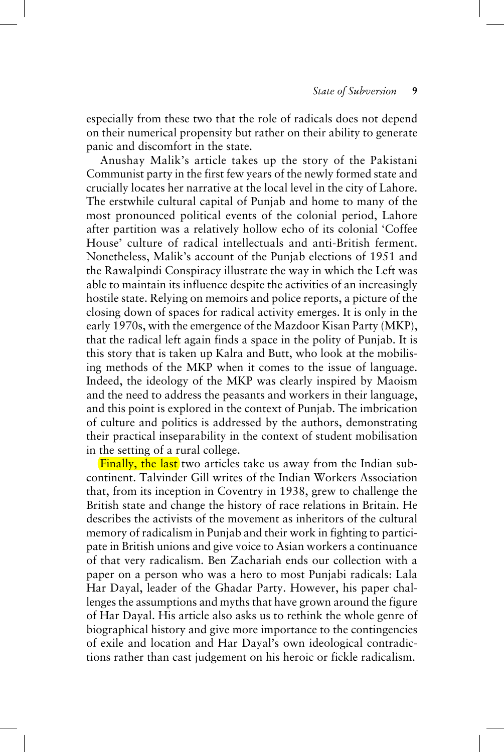especially from these two that the role of radicals does not depend on their numerical propensity but rather on their ability to generate panic and discomfort in the state.

Anushay Malik's article takes up the story of the Pakistani Communist party in the first few years of the newly formed state and crucially locates her narrative at the local level in the city of Lahore. The erstwhile cultural capital of Punjab and home to many of the most pronounced political events of the colonial period, Lahore after partition was a relatively hollow echo of its colonial 'Coffee House' culture of radical intellectuals and anti-British ferment. Nonetheless, Malik's account of the Punjab elections of 1951 and the Rawalpindi Conspiracy illustrate the way in which the Left was able to maintain its influence despite the activities of an increasingly hostile state. Relying on memoirs and police reports, a picture of the closing down of spaces for radical activity emerges. It is only in the early 1970s, with the emergence of the Mazdoor Kisan Party (MKP), that the radical left again finds a space in the polity of Punjab. It is this story that is taken up Kalra and Butt, who look at the mobilising methods of the MKP when it comes to the issue of language. Indeed, the ideology of the MKP was clearly inspired by Maoism and the need to address the peasants and workers in their language, and this point is explored in the context of Punjab. The imbrication of culture and politics is addressed by the authors, demonstrating their practical inseparability in the context of student mobilisation in the setting of a rural college.

Finally, the last two articles take us away from the Indian subcontinent. Talvinder Gill writes of the Indian Workers Association that, from its inception in Coventry in 1938, grew to challenge the British state and change the history of race relations in Britain. He describes the activists of the movement as inheritors of the cultural memory of radicalism in Punjab and their work in fighting to participate in British unions and give voice to Asian workers a continuance of that very radicalism. Ben Zachariah ends our collection with a paper on a person who was a hero to most Punjabi radicals: Lala Har Dayal, leader of the Ghadar Party. However, his paper challenges the assumptions and myths that have grown around the figure of Har Dayal. His article also asks us to rethink the whole genre of biographical history and give more importance to the contingencies of exile and location and Har Dayal's own ideological contradictions rather than cast judgement on his heroic or fickle radicalism.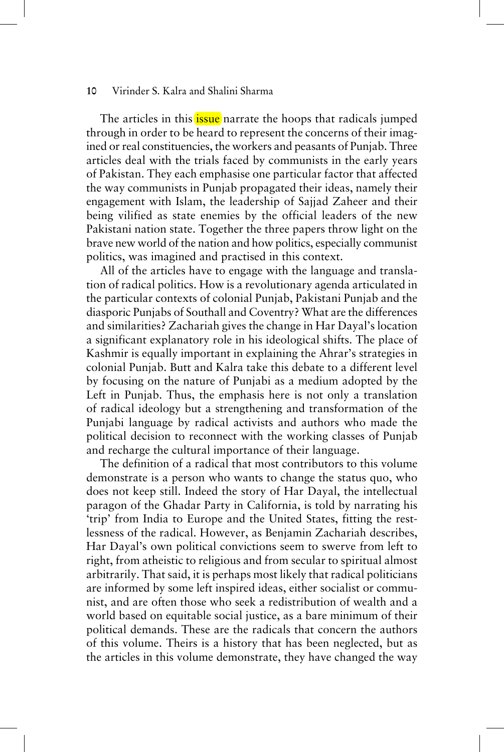#### **10** Virinder S. Kalra and Shalini Sharma

The articles in this **issue** narrate the hoops that radicals jumped through in order to be heard to represent the concerns of their imagined or real constituencies, the workers and peasants of Punjab. Three articles deal with the trials faced by communists in the early years of Pakistan. They each emphasise one particular factor that affected the way communists in Punjab propagated their ideas, namely their engagement with Islam, the leadership of Sajjad Zaheer and their being vilified as state enemies by the official leaders of the new Pakistani nation state. Together the three papers throw light on the brave new world of the nation and how politics, especially communist politics, was imagined and practised in this context.

All of the articles have to engage with the language and translation of radical politics. How is a revolutionary agenda articulated in the particular contexts of colonial Punjab, Pakistani Punjab and the diasporic Punjabs of Southall and Coventry? What are the differences and similarities? Zachariah gives the change in Har Dayal's location a significant explanatory role in his ideological shifts. The place of Kashmir is equally important in explaining the Ahrar's strategies in colonial Punjab. Butt and Kalra take this debate to a different level by focusing on the nature of Punjabi as a medium adopted by the Left in Punjab. Thus, the emphasis here is not only a translation of radical ideology but a strengthening and transformation of the Punjabi language by radical activists and authors who made the political decision to reconnect with the working classes of Punjab and recharge the cultural importance of their language.

The definition of a radical that most contributors to this volume demonstrate is a person who wants to change the status quo, who does not keep still. Indeed the story of Har Dayal, the intellectual paragon of the Ghadar Party in California, is told by narrating his 'trip' from India to Europe and the United States, fitting the restlessness of the radical. However, as Benjamin Zachariah describes, Har Dayal's own political convictions seem to swerve from left to right, from atheistic to religious and from secular to spiritual almost arbitrarily. That said, it is perhaps most likely that radical politicians are informed by some left inspired ideas, either socialist or communist, and are often those who seek a redistribution of wealth and a world based on equitable social justice, as a bare minimum of their political demands. These are the radicals that concern the authors of this volume. Theirs is a history that has been neglected, but as the articles in this volume demonstrate, they have changed the way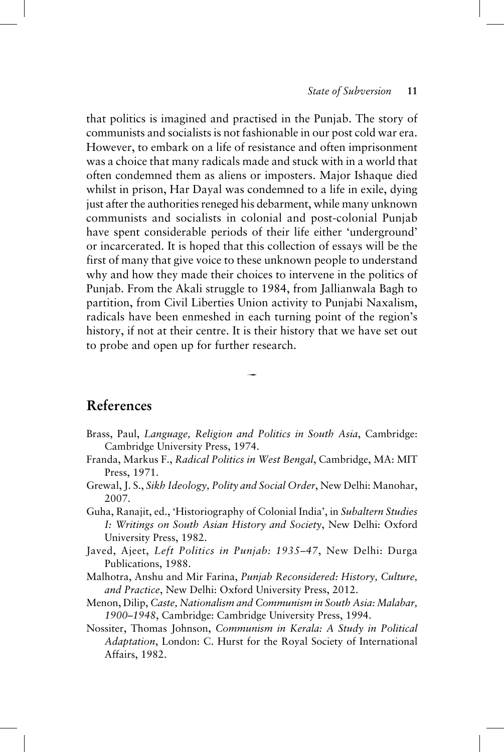that politics is imagined and practised in the Punjab. The story of communists and socialists is not fashionable in our post cold war era. However, to embark on a life of resistance and often imprisonment was a choice that many radicals made and stuck with in a world that often condemned them as aliens or imposters. Major Ishaque died whilst in prison, Har Dayal was condemned to a life in exile, dying just after the authorities reneged his debarment, while many unknown communists and socialists in colonial and post-colonial Punjab have spent considerable periods of their life either 'underground' or incarcerated. It is hoped that this collection of essays will be the first of many that give voice to these unknown people to understand why and how they made their choices to intervene in the politics of Punjab. From the Akali struggle to 1984, from Jallianwala Bagh to partition, from Civil Liberties Union activity to Punjabi Naxalism, radicals have been enmeshed in each turning point of the region's history, if not at their centre. It is their history that we have set out to probe and open up for further research.

### **References**

Brass, Paul, *Language, Religion and Politics in South Asia*, Cambridge: Cambridge University Press, 1974.

-

- Franda, Markus F., *Radical Politics in West Bengal*, Cambridge, MA: MIT Press, 1971.
- Grewal, J. S., *Sikh Ideology, Polity and Social Order*, New Delhi: Manohar, 2007.
- Guha, Ranajit, ed., 'Historiography of Colonial India', in *Subaltern Studies I: Writings on South Asian History and Society*, New Delhi: Oxford University Press, 1982.
- Javed, Ajeet, *Left Politics in Punjab: 1935–47*, New Delhi: Durga Publications, 1988.
- Malhotra, Anshu and Mir Farina, *Punjab Reconsidered: History, Culture, and Practice*, New Delhi: Oxford University Press, 2012.
- Menon, Dilip, *Caste, Nationalism and Communism in South Asia: Malabar, 1900–1948*, Cambridge: Cambridge University Press, 1994.
- Nossiter, Thomas Johnson, *Communism in Kerala: A Study in Political Adaptation*, London: C. Hurst for the Royal Society of International Affairs, 1982.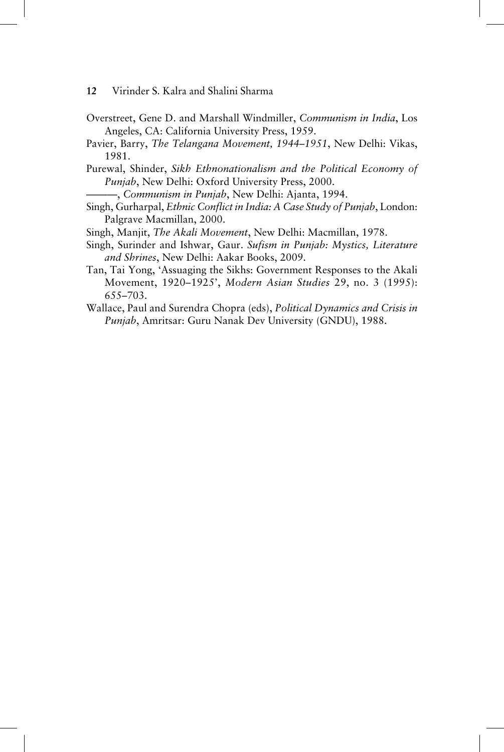- **12** Virinder S. Kalra and Shalini Sharma
- Overstreet, Gene D. and Marshall Windmiller, *Communism in India*, Los Angeles, CA: California University Press, 1959.
- Pavier, Barry, *The Telangana Movement, 1944–1951*, New Delhi: Vikas, 1981.
- Purewal, Shinder, *Sikh Ethnonationalism and the Political Economy of Punjab*, New Delhi: Oxford University Press, 2000.

———, *Communism in Punjab*, New Delhi: Ajanta, 1994.

- Singh, Gurharpal, *Ethnic Conflict in India: A Case Study of Punjab*, London: Palgrave Macmillan, 2000.
- Singh, Manjit, *The Akali Movement*, New Delhi: Macmillan, 1978.
- Singh, Surinder and Ishwar, Gaur. *Sufism in Punjab: Mystics, Literature and Shrines*, New Delhi: Aakar Books, 2009.
- Tan, Tai Yong, 'Assuaging the Sikhs: Government Responses to the Akali Movement, 1920–1925', *Modern Asian Studies* 29, no. 3 (1995): 655–703.
- Wallace, Paul and Surendra Chopra (eds), *Political Dynamics and Crisis in Punjab*, Amritsar: Guru Nanak Dev University (GNDU), 1988.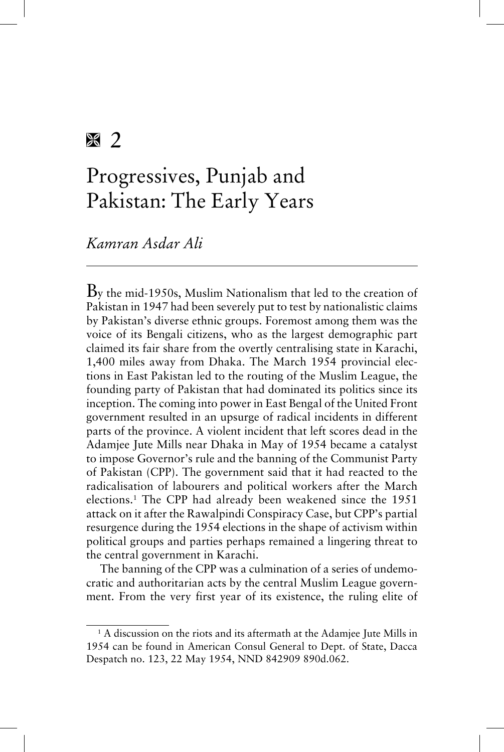## $\Re$  2

# Progressives, Punjab and Pakistan: The Early Years

*Kamran Asdar Ali*

By the mid-1950s, Muslim Nationalism that led to the creation of Pakistan in 1947 had been severely put to test by nationalistic claims by Pakistan's diverse ethnic groups. Foremost among them was the voice of its Bengali citizens, who as the largest demographic part claimed its fair share from the overtly centralising state in Karachi, 1,400 miles away from Dhaka. The March 1954 provincial elections in East Pakistan led to the routing of the Muslim League, the founding party of Pakistan that had dominated its politics since its inception. The coming into power in East Bengal of the United Front government resulted in an upsurge of radical incidents in different parts of the province. A violent incident that left scores dead in the Adamjee Jute Mills near Dhaka in May of 1954 became a catalyst to impose Governor's rule and the banning of the Communist Party of Pakistan (CPP). The government said that it had reacted to the radicalisation of labourers and political workers after the March elections.1 The CPP had already been weakened since the 1951 attack on it after the Rawalpindi Conspiracy Case, but CPP's partial resurgence during the 1954 elections in the shape of activism within political groups and parties perhaps remained a lingering threat to the central government in Karachi.

The banning of the CPP was a culmination of a series of undemocratic and authoritarian acts by the central Muslim League government. From the very first year of its existence, the ruling elite of

Introduction 13 Despatch no. 123, 22 May 1954, NND 842909 890d.062.<sup>1</sup> A discussion on the riots and its aftermath at the Adamjee Jute Mills in 1954 can be found in American Consul General to Dept. of State, Dacca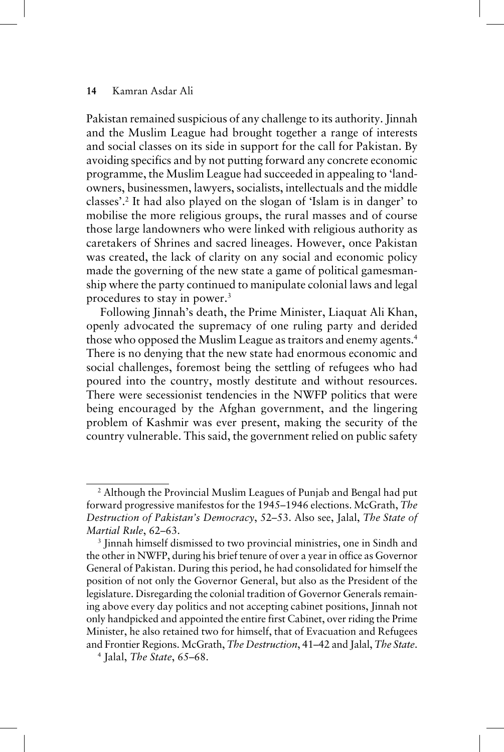Pakistan remained suspicious of any challenge to its authority. Jinnah and the Muslim League had brought together a range of interests and social classes on its side in support for the call for Pakistan. By avoiding specifics and by not putting forward any concrete economic programme, the Muslim League had succeeded in appealing to 'landowners, businessmen, lawyers, socialists, intellectuals and the middle classes'.2 It had also played on the slogan of 'Islam is in danger' to mobilise the more religious groups, the rural masses and of course those large landowners who were linked with religious authority as caretakers of Shrines and sacred lineages. However, once Pakistan was created, the lack of clarity on any social and economic policy made the governing of the new state a game of political gamesmanship where the party continued to manipulate colonial laws and legal procedures to stay in power.3

Following Jinnah's death, the Prime Minister, Liaquat Ali Khan, openly advocated the supremacy of one ruling party and derided those who opposed the Muslim League as traitors and enemy agents.4 There is no denying that the new state had enormous economic and social challenges, foremost being the settling of refugees who had poured into the country, mostly destitute and without resources. There were secessionist tendencies in the NWFP politics that were being encouraged by the Afghan government, and the lingering problem of Kashmir was ever present, making the security of the country vulnerable. This said, the government relied on public safety

<sup>2</sup> Although the Provincial Muslim Leagues of Punjab and Bengal had put forward progressive manifestos for the 1945–1946 elections. McGrath, *The Destruction of Pakistan's Democracy*, 52–53. Also see, Jalal, *The State of Martial Rule*, 62–63.

<sup>&</sup>lt;sup>3</sup> Jinnah himself dismissed to two provincial ministries, one in Sindh and the other in NWFP, during his brief tenure of over a year in office as Governor General of Pakistan. During this period, he had consolidated for himself the position of not only the Governor General, but also as the President of the legislature. Disregarding the colonial tradition of Governor Generals remaining above every day politics and not accepting cabinet positions, Jinnah not only handpicked and appointed the entire first Cabinet, over riding the Prime Minister, he also retained two for himself, that of Evacuation and Refugees and Frontier Regions. McGrath, *The Destruction*, 41–42 and Jalal, *The State*.

<sup>4</sup> Jalal, *The State*, 65–68.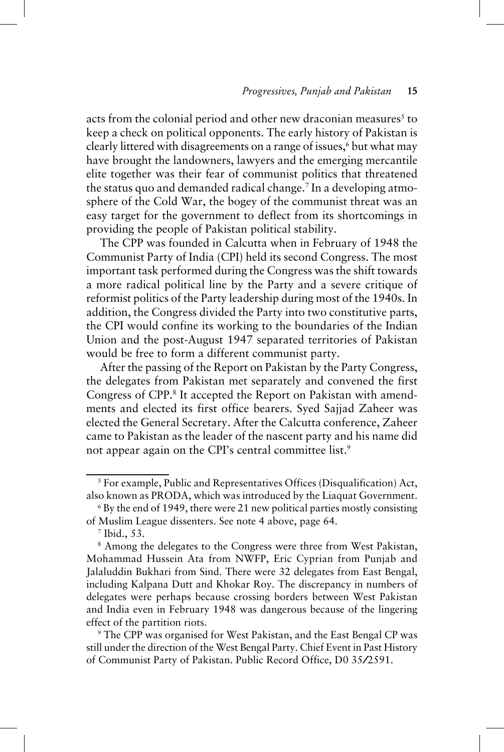acts from the colonial period and other new draconian measures<sup>5</sup> to keep a check on political opponents. The early history of Pakistan is clearly littered with disagreements on a range of issues,<sup>6</sup> but what may have brought the landowners, lawyers and the emerging mercantile elite together was their fear of communist politics that threatened the status quo and demanded radical change.7 In a developing atmosphere of the Cold War, the bogey of the communist threat was an easy target for the government to deflect from its shortcomings in providing the people of Pakistan political stability.

The CPP was founded in Calcutta when in February of 1948 the Communist Party of India (CPI) held its second Congress. The most important task performed during the Congress was the shift towards a more radical political line by the Party and a severe critique of reformist politics of the Party leadership during most of the 1940s. In addition, the Congress divided the Party into two constitutive parts, the CPI would confine its working to the boundaries of the Indian Union and the post-August 1947 separated territories of Pakistan would be free to form a different communist party.

After the passing of the Report on Pakistan by the Party Congress, the delegates from Pakistan met separately and convened the first Congress of CPP.<sup>8</sup> It accepted the Report on Pakistan with amendments and elected its first office bearers. Syed Sajjad Zaheer was elected the General Secretary. After the Calcutta conference, Zaheer came to Pakistan as the leader of the nascent party and his name did not appear again on the CPI's central committee list.<sup>9</sup>

9 The CPP was organised for West Pakistan, and the East Bengal CP was still under the direction of the West Bengal Party. Chief Event in Past History of Communist Party of Pakistan. Public Record Office, D0 35*/*2591.

<sup>5</sup> For example, Public and Representatives Offices (Disqualification) Act, also known as PRODA, which was introduced by the Liaquat Government.

<sup>6</sup> By the end of 1949, there were 21 new political parties mostly consisting of Muslim League dissenters. See note 4 above, page 64.

<sup>7</sup> Ibid., 53.

<sup>8</sup> Among the delegates to the Congress were three from West Pakistan, Mohammad Hussein Ata from NWFP, Eric Cyprian from Punjab and Jalaluddin Bukhari from Sind. There were 32 delegates from East Bengal, including Kalpana Dutt and Khokar Roy. The discrepancy in numbers of delegates were perhaps because crossing borders between West Pakistan and India even in February 1948 was dangerous because of the lingering effect of the partition riots.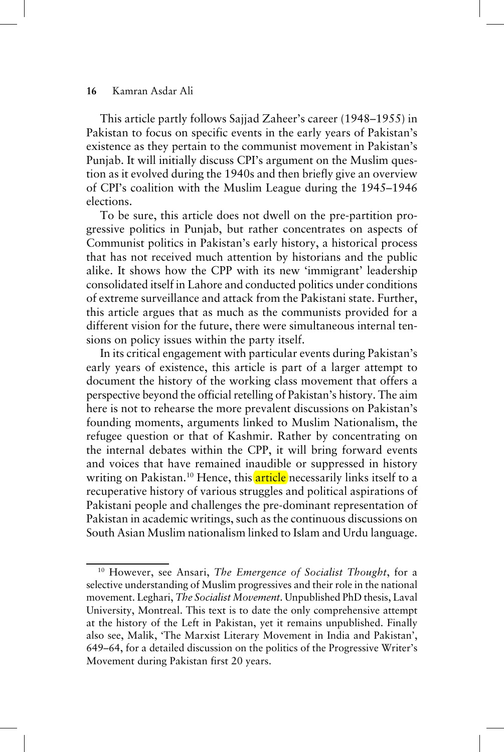This article partly follows Sajjad Zaheer's career (1948–1955) in Pakistan to focus on specific events in the early years of Pakistan's existence as they pertain to the communist movement in Pakistan's Punjab. It will initially discuss CPI's argument on the Muslim question as it evolved during the 1940s and then briefly give an overview of CPI's coalition with the Muslim League during the 1945–1946 elections.

To be sure, this article does not dwell on the pre-partition progressive politics in Punjab, but rather concentrates on aspects of Communist politics in Pakistan's early history, a historical process that has not received much attention by historians and the public alike. It shows how the CPP with its new 'immigrant' leadership consolidated itself in Lahore and conducted politics under conditions of extreme surveillance and attack from the Pakistani state. Further, this article argues that as much as the communists provided for a different vision for the future, there were simultaneous internal tensions on policy issues within the party itself.

In its critical engagement with particular events during Pakistan's early years of existence, this article is part of a larger attempt to document the history of the working class movement that offers a perspective beyond the official retelling of Pakistan's history. The aim here is not to rehearse the more prevalent discussions on Pakistan's founding moments, arguments linked to Muslim Nationalism, the refugee question or that of Kashmir. Rather by concentrating on the internal debates within the CPP, it will bring forward events and voices that have remained inaudible or suppressed in history writing on Pakistan.<sup>10</sup> Hence, this **article** necessarily links itself to a recuperative history of various struggles and political aspirations of Pakistani people and challenges the pre-dominant representation of Pakistan in academic writings, such as the continuous discussions on South Asian Muslim nationalism linked to Islam and Urdu language.

<sup>10</sup> However, see Ansari, *The Emergence of Socialist Thought*, for a selective understanding of Muslim progressives and their role in the national movement. Leghari, *The Socialist Movement*. Unpublished PhD thesis, Laval University, Montreal. This text is to date the only comprehensive attempt at the history of the Left in Pakistan, yet it remains unpublished. Finally also see, Malik, 'The Marxist Literary Movement in India and Pakistan', 649–64, for a detailed discussion on the politics of the Progressive Writer's Movement during Pakistan first 20 years.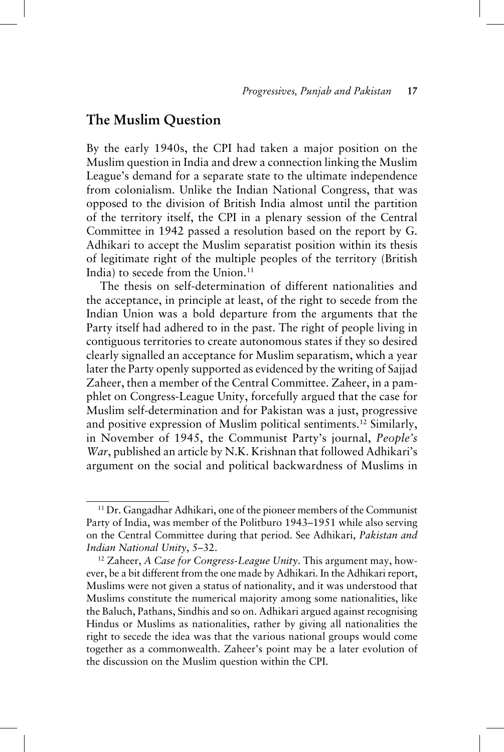### **The Muslim Question**

By the early 1940s, the CPI had taken a major position on the Muslim question in India and drew a connection linking the Muslim League's demand for a separate state to the ultimate independence from colonialism. Unlike the Indian National Congress, that was opposed to the division of British India almost until the partition of the territory itself, the CPI in a plenary session of the Central Committee in 1942 passed a resolution based on the report by G. Adhikari to accept the Muslim separatist position within its thesis of legitimate right of the multiple peoples of the territory (British India) to secede from the Union. $11$ 

The thesis on self-determination of different nationalities and the acceptance, in principle at least, of the right to secede from the Indian Union was a bold departure from the arguments that the Party itself had adhered to in the past. The right of people living in contiguous territories to create autonomous states if they so desired clearly signalled an acceptance for Muslim separatism, which a year later the Party openly supported as evidenced by the writing of Sajjad Zaheer, then a member of the Central Committee. Zaheer, in a pamphlet on Congress-League Unity, forcefully argued that the case for Muslim self-determination and for Pakistan was a just, progressive and positive expression of Muslim political sentiments.12 Similarly, in November of 1945, the Communist Party's journal, *People's War*, published an article by N.K. Krishnan that followed Adhikari's argument on the social and political backwardness of Muslims in

<sup>&</sup>lt;sup>11</sup> Dr. Gangadhar Adhikari, one of the pioneer members of the Communist Party of India, was member of the Politburo 1943–1951 while also serving on the Central Committee during that period. See Adhikari, *Pakistan and Indian National Unity*, 5–32.

<sup>12</sup> Zaheer, *A Case for Congress-League Unity*. This argument may, however, be a bit different from the one made by Adhikari. In the Adhikari report, Muslims were not given a status of nationality, and it was understood that Muslims constitute the numerical majority among some nationalities, like the Baluch, Pathans, Sindhis and so on. Adhikari argued against recognising Hindus or Muslims as nationalities, rather by giving all nationalities the right to secede the idea was that the various national groups would come together as a commonwealth. Zaheer's point may be a later evolution of the discussion on the Muslim question within the CPI.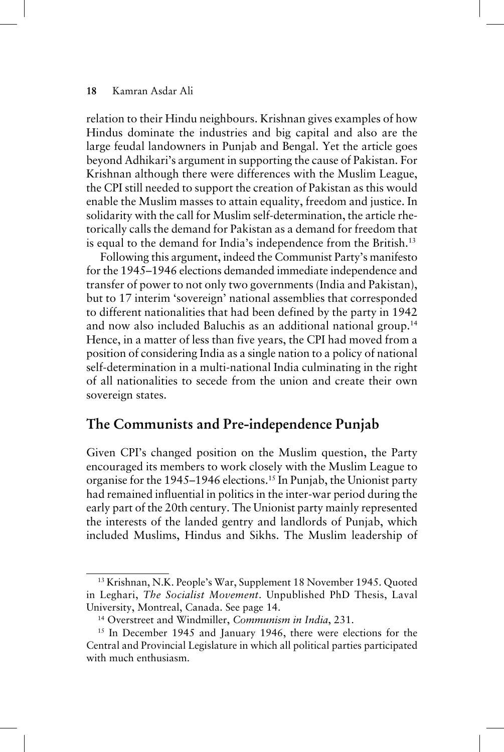relation to their Hindu neighbours. Krishnan gives examples of how Hindus dominate the industries and big capital and also are the large feudal landowners in Punjab and Bengal. Yet the article goes beyond Adhikari's argument in supporting the cause of Pakistan. For Krishnan although there were differences with the Muslim League, the CPI still needed to support the creation of Pakistan as this would enable the Muslim masses to attain equality, freedom and justice. In solidarity with the call for Muslim self-determination, the article rhetorically calls the demand for Pakistan as a demand for freedom that is equal to the demand for India's independence from the British.<sup>13</sup>

Following this argument, indeed the Communist Party's manifesto for the 1945–1946 elections demanded immediate independence and transfer of power to not only two governments (India and Pakistan), but to 17 interim 'sovereign' national assemblies that corresponded to different nationalities that had been defined by the party in 1942 and now also included Baluchis as an additional national group.<sup>14</sup> Hence, in a matter of less than five years, the CPI had moved from a position of considering India as a single nation to a policy of national self-determination in a multi-national India culminating in the right of all nationalities to secede from the union and create their own sovereign states.

### **The Communists and Pre-independence Punjab**

Given CPI's changed position on the Muslim question, the Party encouraged its members to work closely with the Muslim League to organise for the 1945–1946 elections.<sup>15</sup> In Punjab, the Unionist party had remained influential in politics in the inter-war period during the early part of the 20th century. The Unionist party mainly represented the interests of the landed gentry and landlords of Punjab, which included Muslims, Hindus and Sikhs. The Muslim leadership of

<sup>13</sup> Krishnan, N.K. People's War, Supplement 18 November 1945. Quoted in Leghari, *The Socialist Movement*. Unpublished PhD Thesis, Laval University, Montreal, Canada. See page 14.

<sup>14</sup> Overstreet and Windmiller, *Communism in India*, 231.

<sup>&</sup>lt;sup>15</sup> In December 1945 and January 1946, there were elections for the Central and Provincial Legislature in which all political parties participated with much enthusiasm.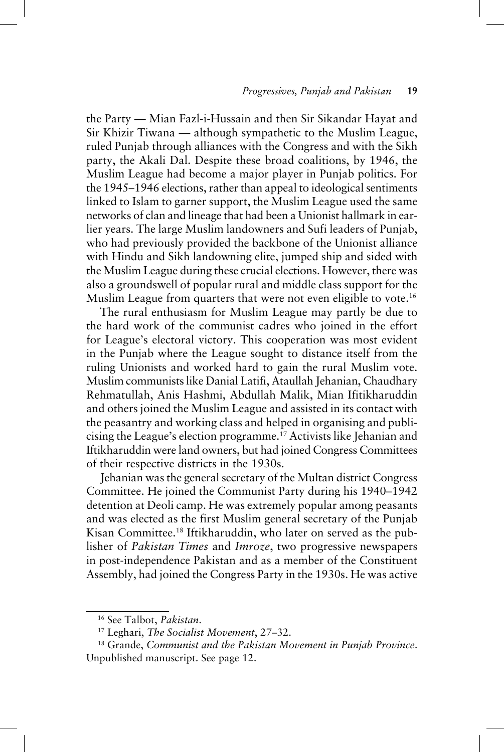the Party — Mian Fazl-i-Hussain and then Sir Sikandar Hayat and Sir Khizir Tiwana — although sympathetic to the Muslim League, ruled Punjab through alliances with the Congress and with the Sikh party, the Akali Dal. Despite these broad coalitions, by 1946, the Muslim League had become a major player in Punjab politics. For the 1945–1946 elections, rather than appeal to ideological sentiments linked to Islam to garner support, the Muslim League used the same networks of clan and lineage that had been a Unionist hallmark in earlier years. The large Muslim landowners and Sufi leaders of Punjab, who had previously provided the backbone of the Unionist alliance with Hindu and Sikh landowning elite, jumped ship and sided with the Muslim League during these crucial elections. However, there was also a groundswell of popular rural and middle class support for the Muslim League from quarters that were not even eligible to vote.<sup>16</sup>

The rural enthusiasm for Muslim League may partly be due to the hard work of the communist cadres who joined in the effort for League's electoral victory. This cooperation was most evident in the Punjab where the League sought to distance itself from the ruling Unionists and worked hard to gain the rural Muslim vote. Muslim communists like Danial Latifi, Ataullah Jehanian, Chaudhary Rehmatullah, Anis Hashmi, Abdullah Malik, Mian Ifitikharuddin and others joined the Muslim League and assisted in its contact with the peasantry and working class and helped in organising and publicising the League's election programme.17 Activists like Jehanian and Iftikharuddin were land owners, but had joined Congress Committees of their respective districts in the 1930s.

Jehanian was the general secretary of the Multan district Congress Committee. He joined the Communist Party during his 1940–1942 detention at Deoli camp. He was extremely popular among peasants and was elected as the first Muslim general secretary of the Punjab Kisan Committee.18 Iftikharuddin, who later on served as the publisher of *Pakistan Times* and *Imroze*, two progressive newspapers in post-independence Pakistan and as a member of the Constituent Assembly, had joined the Congress Party in the 1930s. He was active

<sup>16</sup> See Talbot, *Pakistan*.

<sup>17</sup> Leghari, *The Socialist Movement*, 27–32.

<sup>18</sup> Grande, *Communist and the Pakistan Movement in Punjab Province*. Unpublished manuscript. See page 12.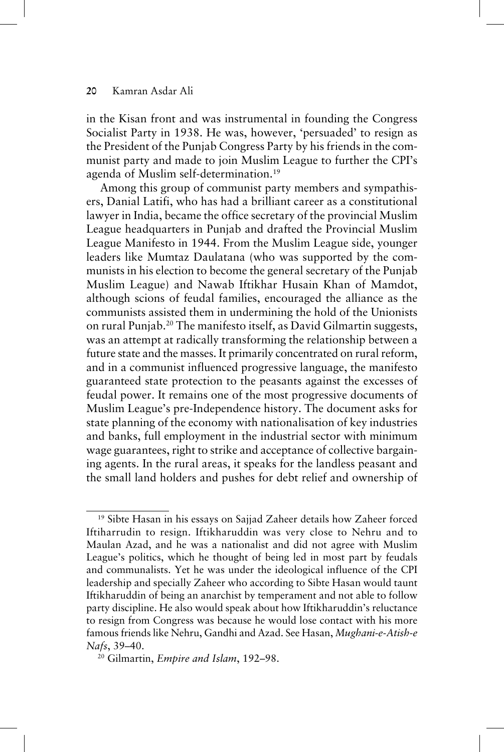in the Kisan front and was instrumental in founding the Congress Socialist Party in 1938. He was, however, 'persuaded' to resign as the President of the Punjab Congress Party by his friends in the communist party and made to join Muslim League to further the CPI's agenda of Muslim self-determination.19

Among this group of communist party members and sympathisers, Danial Latifi, who has had a brilliant career as a constitutional lawyer in India, became the office secretary of the provincial Muslim League headquarters in Punjab and drafted the Provincial Muslim League Manifesto in 1944. From the Muslim League side, younger leaders like Mumtaz Daulatana (who was supported by the communists in his election to become the general secretary of the Punjab Muslim League) and Nawab Iftikhar Husain Khan of Mamdot, although scions of feudal families, encouraged the alliance as the communists assisted them in undermining the hold of the Unionists on rural Punjab.20 The manifesto itself, as David Gilmartin suggests, was an attempt at radically transforming the relationship between a future state and the masses. It primarily concentrated on rural reform, and in a communist influenced progressive language, the manifesto guaranteed state protection to the peasants against the excesses of feudal power. It remains one of the most progressive documents of Muslim League's pre-Independence history. The document asks for state planning of the economy with nationalisation of key industries and banks, full employment in the industrial sector with minimum wage guarantees, right to strike and acceptance of collective bargaining agents. In the rural areas, it speaks for the landless peasant and the small land holders and pushes for debt relief and ownership of

<sup>19</sup> Sibte Hasan in his essays on Sajjad Zaheer details how Zaheer forced Iftiharrudin to resign. Iftikharuddin was very close to Nehru and to Maulan Azad, and he was a nationalist and did not agree with Muslim League's politics, which he thought of being led in most part by feudals and communalists. Yet he was under the ideological influence of the CPI leadership and specially Zaheer who according to Sibte Hasan would taunt Iftikharuddin of being an anarchist by temperament and not able to follow party discipline. He also would speak about how Iftikharuddin's reluctance to resign from Congress was because he would lose contact with his more famous friends like Nehru, Gandhi and Azad. See Hasan, *Mughani-e-Atish-e Nafs*, 39–40.

<sup>20</sup> Gilmartin, *Empire and Islam*, 192–98.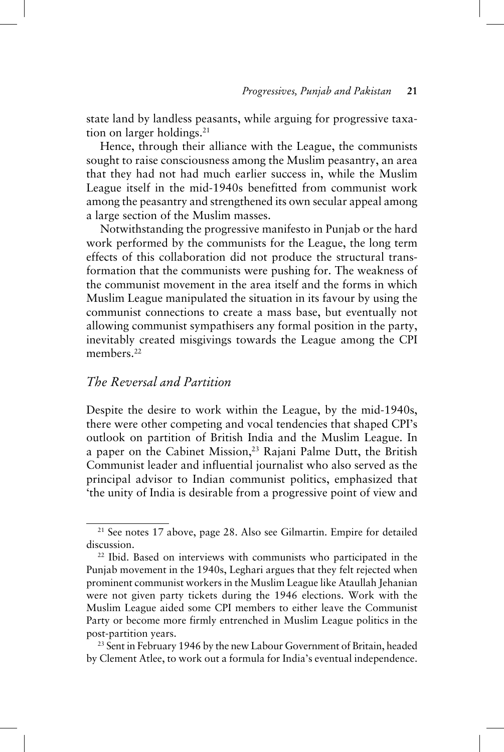state land by landless peasants, while arguing for progressive taxation on larger holdings.<sup>21</sup>

Hence, through their alliance with the League, the communists sought to raise consciousness among the Muslim peasantry, an area that they had not had much earlier success in, while the Muslim League itself in the mid-1940s benefitted from communist work among the peasantry and strengthened its own secular appeal among a large section of the Muslim masses.

Notwithstanding the progressive manifesto in Punjab or the hard work performed by the communists for the League, the long term effects of this collaboration did not produce the structural transformation that the communists were pushing for. The weakness of the communist movement in the area itself and the forms in which Muslim League manipulated the situation in its favour by using the communist connections to create a mass base, but eventually not allowing communist sympathisers any formal position in the party, inevitably created misgivings towards the League among the CPI members<sup>22</sup>

### *The Reversal and Partition*

Despite the desire to work within the League, by the mid-1940s, there were other competing and vocal tendencies that shaped CPI's outlook on partition of British India and the Muslim League. In a paper on the Cabinet Mission,<sup>23</sup> Rajani Palme Dutt, the British Communist leader and influential journalist who also served as the principal advisor to Indian communist politics, emphasized that 'the unity of India is desirable from a progressive point of view and

<sup>21</sup> See notes 17 above, page 28. Also see Gilmartin. Empire for detailed discussion.

<sup>&</sup>lt;sup>22</sup> Ibid. Based on interviews with communists who participated in the Punjab movement in the 1940s, Leghari argues that they felt rejected when prominent communist workers in the Muslim League like Ataullah Jehanian were not given party tickets during the 1946 elections. Work with the Muslim League aided some CPI members to either leave the Communist Party or become more firmly entrenched in Muslim League politics in the post-partition years.

<sup>&</sup>lt;sup>23</sup> Sent in February 1946 by the new Labour Government of Britain, headed by Clement Atlee, to work out a formula for India's eventual independence.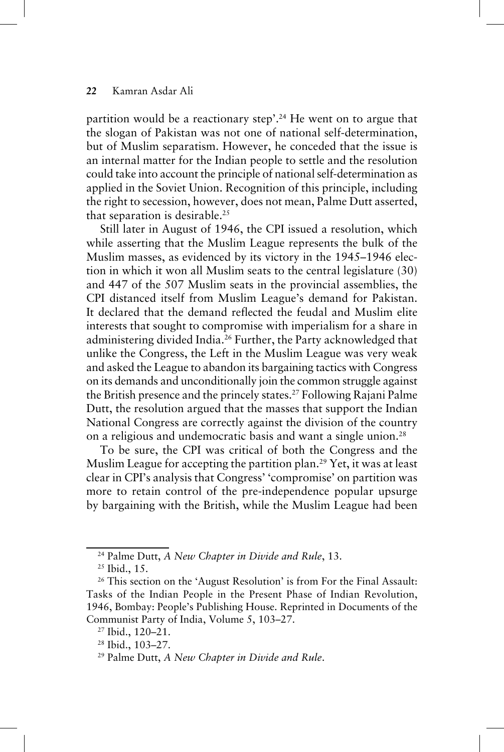partition would be a reactionary step'.24 He went on to argue that the slogan of Pakistan was not one of national self-determination, but of Muslim separatism. However, he conceded that the issue is an internal matter for the Indian people to settle and the resolution could take into account the principle of national self-determination as applied in the Soviet Union. Recognition of this principle, including the right to secession, however, does not mean, Palme Dutt asserted, that separation is desirable.<sup>25</sup>

Still later in August of 1946, the CPI issued a resolution, which while asserting that the Muslim League represents the bulk of the Muslim masses, as evidenced by its victory in the 1945–1946 election in which it won all Muslim seats to the central legislature (30) and 447 of the 507 Muslim seats in the provincial assemblies, the CPI distanced itself from Muslim League's demand for Pakistan. It declared that the demand reflected the feudal and Muslim elite interests that sought to compromise with imperialism for a share in administering divided India.26 Further, the Party acknowledged that unlike the Congress, the Left in the Muslim League was very weak and asked the League to abandon its bargaining tactics with Congress on its demands and unconditionally join the common struggle against the British presence and the princely states.27 Following Rajani Palme Dutt, the resolution argued that the masses that support the Indian National Congress are correctly against the division of the country on a religious and undemocratic basis and want a single union.28

To be sure, the CPI was critical of both the Congress and the Muslim League for accepting the partition plan.<sup>29</sup> Yet, it was at least clear in CPI's analysis that Congress' 'compromise' on partition was more to retain control of the pre-independence popular upsurge by bargaining with the British, while the Muslim League had been

<sup>24</sup> Palme Dutt, *A New Chapter in Divide and Rule*, 13.

<sup>&</sup>lt;sup>25</sup> Ibid., 15.

<sup>&</sup>lt;sup>26</sup> This section on the 'August Resolution' is from For the Final Assault: Tasks of the Indian People in the Present Phase of Indian Revolution, 1946, Bombay: People's Publishing House. Reprinted in Documents of the Communist Party of India, Volume 5, 103–27.

<sup>27</sup> Ibid., 120–21.

<sup>28</sup> Ibid., 103–27.

<sup>29</sup> Palme Dutt, *A New Chapter in Divide and Rule*.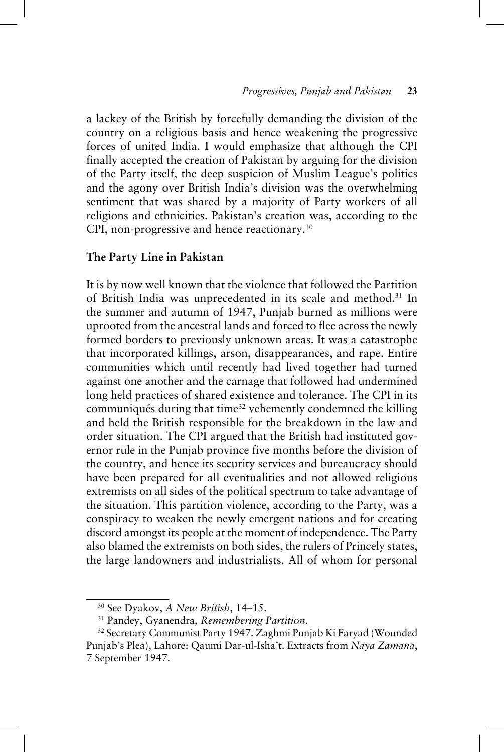a lackey of the British by forcefully demanding the division of the country on a religious basis and hence weakening the progressive forces of united India. I would emphasize that although the CPI finally accepted the creation of Pakistan by arguing for the division of the Party itself, the deep suspicion of Muslim League's politics and the agony over British India's division was the overwhelming sentiment that was shared by a majority of Party workers of all religions and ethnicities. Pakistan's creation was, according to the CPI, non-progressive and hence reactionary.30

#### **The Party Line in Pakistan**

It is by now well known that the violence that followed the Partition of British India was unprecedented in its scale and method.31 In the summer and autumn of 1947, Punjab burned as millions were uprooted from the ancestral lands and forced to flee across the newly formed borders to previously unknown areas. It was a catastrophe that incorporated killings, arson, disappearances, and rape. Entire communities which until recently had lived together had turned against one another and the carnage that followed had undermined long held practices of shared existence and tolerance. The CPI in its communiqués during that time<sup>32</sup> vehemently condemned the killing and held the British responsible for the breakdown in the law and order situation. The CPI argued that the British had instituted governor rule in the Punjab province five months before the division of the country, and hence its security services and bureaucracy should have been prepared for all eventualities and not allowed religious extremists on all sides of the political spectrum to take advantage of the situation. This partition violence, according to the Party, was a conspiracy to weaken the newly emergent nations and for creating discord amongst its people at the moment of independence. The Party also blamed the extremists on both sides, the rulers of Princely states, the large landowners and industrialists. All of whom for personal

<sup>30</sup> See Dyakov, *A New British*, 14–15.

<sup>31</sup> Pandey, Gyanendra, *Remembering Partition*.

<sup>32</sup> Secretary Communist Party 1947. Zaghmi Punjab Ki Faryad (Wounded Punjab's Plea), Lahore: Qaumi Dar-ul-Isha't. Extracts from *Naya Zamana*, 7 September 1947.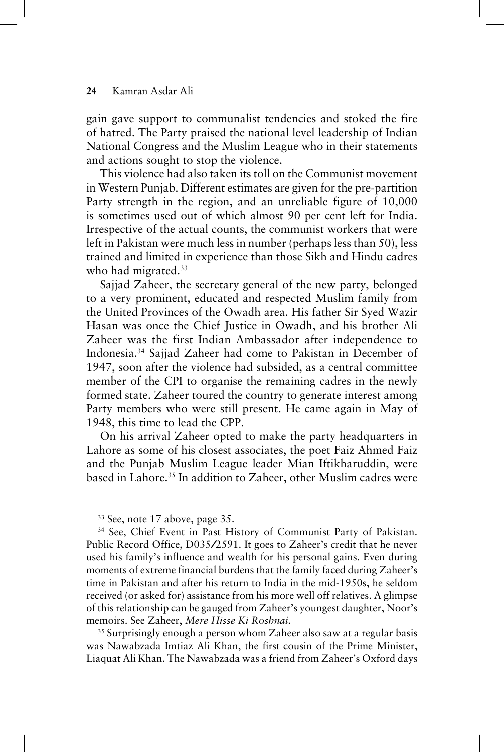gain gave support to communalist tendencies and stoked the fire of hatred. The Party praised the national level leadership of Indian National Congress and the Muslim League who in their statements and actions sought to stop the violence.

This violence had also taken its toll on the Communist movement in Western Punjab. Different estimates are given for the pre-partition Party strength in the region, and an unreliable figure of 10,000 is sometimes used out of which almost 90 per cent left for India. Irrespective of the actual counts, the communist workers that were left in Pakistan were much less in number (perhaps less than 50), less trained and limited in experience than those Sikh and Hindu cadres who had migrated.<sup>33</sup>

Sajjad Zaheer, the secretary general of the new party, belonged to a very prominent, educated and respected Muslim family from the United Provinces of the Owadh area. His father Sir Syed Wazir Hasan was once the Chief Justice in Owadh, and his brother Ali Zaheer was the first Indian Ambassador after independence to Indonesia.34 Sajjad Zaheer had come to Pakistan in December of 1947, soon after the violence had subsided, as a central committee member of the CPI to organise the remaining cadres in the newly formed state. Zaheer toured the country to generate interest among Party members who were still present. He came again in May of 1948, this time to lead the CPP.

On his arrival Zaheer opted to make the party headquarters in Lahore as some of his closest associates, the poet Faiz Ahmed Faiz and the Punjab Muslim League leader Mian Iftikharuddin, were based in Lahore.<sup>35</sup> In addition to Zaheer, other Muslim cadres were

<sup>35</sup> Surprisingly enough a person whom Zaheer also saw at a regular basis was Nawabzada Imtiaz Ali Khan, the first cousin of the Prime Minister, Liaquat Ali Khan. The Nawabzada was a friend from Zaheer's Oxford days

<sup>&</sup>lt;sup>33</sup> See, note 17 above, page 35.

<sup>34</sup> See, Chief Event in Past History of Communist Party of Pakistan. Public Record Office, D035*/*2591. It goes to Zaheer's credit that he never used his family's influence and wealth for his personal gains. Even during moments of extreme financial burdens that the family faced during Zaheer's time in Pakistan and after his return to India in the mid-1950s, he seldom received (or asked for) assistance from his more well off relatives. A glimpse of this relationship can be gauged from Zaheer's youngest daughter, Noor's memoirs. See Zaheer, *Mere Hisse Ki Roshnai*.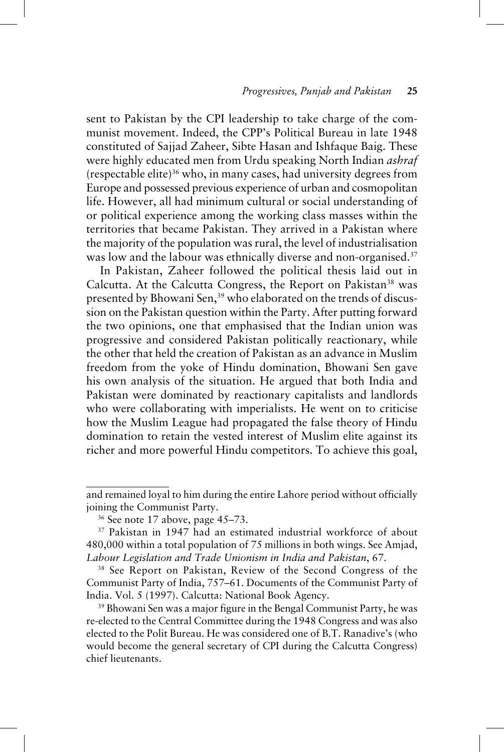sent to Pakistan by the CPI leadership to take charge of the communist movement. Indeed, the CPP's Political Bureau in late 1948 constituted of Sajjad Zaheer, Sibte Hasan and Ishfaque Baig. These were highly educated men from Urdu speaking North Indian *ashraf*  (respectable elite)36 who, in many cases, had university degrees from Europe and possessed previous experience of urban and cosmopolitan life. However, all had minimum cultural or social understanding of or political experience among the working class masses within the territories that became Pakistan. They arrived in a Pakistan where the majority of the population was rural, the level of industrialisation was low and the labour was ethnically diverse and non-organised.<sup>37</sup>

In Pakistan, Zaheer followed the political thesis laid out in Calcutta. At the Calcutta Congress, the Report on Pakistan<sup>38</sup> was presented by Bhowani Sen,<sup>39</sup> who elaborated on the trends of discussion on the Pakistan question within the Party. After putting forward the two opinions, one that emphasised that the Indian union was progressive and considered Pakistan politically reactionary, while the other that held the creation of Pakistan as an advance in Muslim freedom from the yoke of Hindu domination, Bhowani Sen gave his own analysis of the situation. He argued that both India and Pakistan were dominated by reactionary capitalists and landlords who were collaborating with imperialists. He went on to criticise how the Muslim League had propagated the false theory of Hindu domination to retain the vested interest of Muslim elite against its richer and more powerful Hindu competitors. To achieve this goal,

and remained loyal to him during the entire Lahore period without officially joining the Communist Party.

<sup>36</sup> See note 17 above, page 45–73.

<sup>37</sup> Pakistan in 1947 had an estimated industrial workforce of about 480,000 within a total population of 75 millions in both wings. See Amjad, *Labour Legislation and Trade Unionism in India and Pakistan*, 67.

<sup>38</sup> See Report on Pakistan, Review of the Second Congress of the Communist Party of India, 757–61. Documents of the Communist Party of India. Vol. 5 (1997). Calcutta: National Book Agency.

<sup>39</sup> Bhowani Sen was a major figure in the Bengal Communist Party, he was re-elected to the Central Committee during the 1948 Congress and was also elected to the Polit Bureau. He was considered one of B.T. Ranadive's (who would become the general secretary of CPI during the Calcutta Congress) chief lieutenants.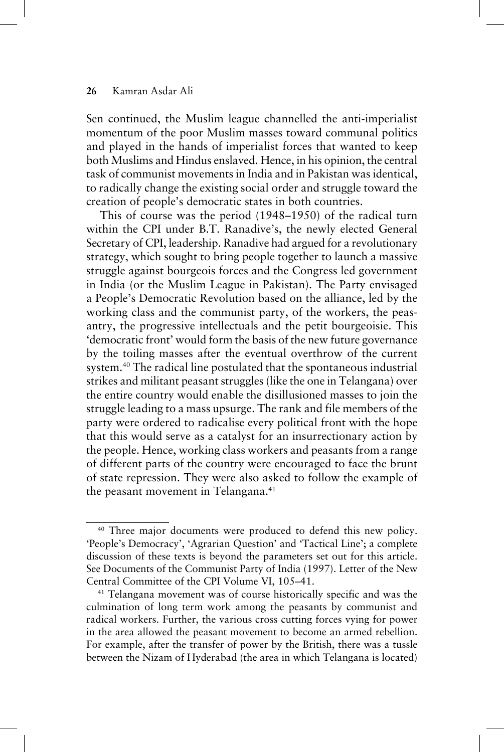Sen continued, the Muslim league channelled the anti-imperialist momentum of the poor Muslim masses toward communal politics and played in the hands of imperialist forces that wanted to keep both Muslims and Hindus enslaved. Hence, in his opinion, the central task of communist movements in India and in Pakistan was identical, to radically change the existing social order and struggle toward the creation of people's democratic states in both countries.

This of course was the period (1948–1950) of the radical turn within the CPI under B.T. Ranadive's, the newly elected General Secretary of CPI, leadership. Ranadive had argued for a revolutionary strategy, which sought to bring people together to launch a massive struggle against bourgeois forces and the Congress led government in India (or the Muslim League in Pakistan). The Party envisaged a People's Democratic Revolution based on the alliance, led by the working class and the communist party, of the workers, the peasantry, the progressive intellectuals and the petit bourgeoisie. This 'democratic front' would form the basis of the new future governance by the toiling masses after the eventual overthrow of the current system.40 The radical line postulated that the spontaneous industrial strikes and militant peasant struggles (like the one in Telangana) over the entire country would enable the disillusioned masses to join the struggle leading to a mass upsurge. The rank and file members of the party were ordered to radicalise every political front with the hope that this would serve as a catalyst for an insurrectionary action by the people. Hence, working class workers and peasants from a range of different parts of the country were encouraged to face the brunt of state repression. They were also asked to follow the example of the peasant movement in Telangana.<sup>41</sup>

<sup>&</sup>lt;sup>40</sup> Three major documents were produced to defend this new policy. 'People's Democracy', 'Agrarian Question' and 'Tactical Line'; a complete discussion of these texts is beyond the parameters set out for this article. See Documents of the Communist Party of India (1997). Letter of the New Central Committee of the CPI Volume VI, 105–41.

<sup>&</sup>lt;sup>41</sup> Telangana movement was of course historically specific and was the culmination of long term work among the peasants by communist and radical workers. Further, the various cross cutting forces vying for power in the area allowed the peasant movement to become an armed rebellion. For example, after the transfer of power by the British, there was a tussle between the Nizam of Hyderabad (the area in which Telangana is located)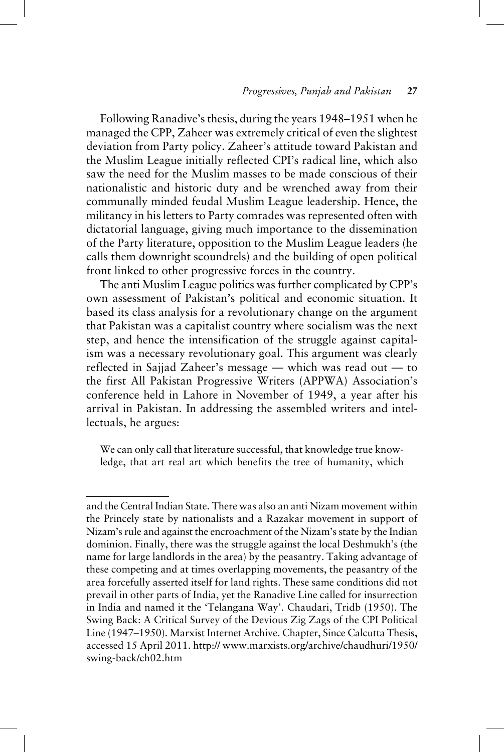### *Progressives, Punjab and Pakistan* **27**

Following Ranadive's thesis, during the years 1948–1951 when he managed the CPP, Zaheer was extremely critical of even the slightest deviation from Party policy. Zaheer's attitude toward Pakistan and the Muslim League initially reflected CPI's radical line, which also saw the need for the Muslim masses to be made conscious of their nationalistic and historic duty and be wrenched away from their communally minded feudal Muslim League leadership. Hence, the militancy in his letters to Party comrades was represented often with dictatorial language, giving much importance to the dissemination of the Party literature, opposition to the Muslim League leaders (he calls them downright scoundrels) and the building of open political front linked to other progressive forces in the country.

The anti Muslim League politics was further complicated by CPP's own assessment of Pakistan's political and economic situation. It based its class analysis for a revolutionary change on the argument that Pakistan was a capitalist country where socialism was the next step, and hence the intensification of the struggle against capitalism was a necessary revolutionary goal. This argument was clearly reflected in Sajjad Zaheer's message — which was read out — to the first All Pakistan Progressive Writers (APPWA) Association's conference held in Lahore in November of 1949, a year after his arrival in Pakistan. In addressing the assembled writers and intellectuals, he argues:

We can only call that literature successful, that knowledge true knowledge, that art real art which benefits the tree of humanity, which

and the Central Indian State. There was also an anti Nizam movement within the Princely state by nationalists and a Razakar movement in support of Nizam's rule and against the encroachment of the Nizam's state by the Indian dominion. Finally, there was the struggle against the local Deshmukh's (the name for large landlords in the area) by the peasantry. Taking advantage of these competing and at times overlapping movements, the peasantry of the area forcefully asserted itself for land rights. These same conditions did not prevail in other parts of India, yet the Ranadive Line called for insurrection in India and named it the 'Telangana Way'. Chaudari, Tridb (1950). The Swing Back: A Critical Survey of the Devious Zig Zags of the CPI Political Line (1947–1950). Marxist Internet Archive. Chapter, Since Calcutta Thesis, accessed 15 April 2011. http:// www.marxists.org/archive/chaudhuri/1950/ swing-back/ch02.htm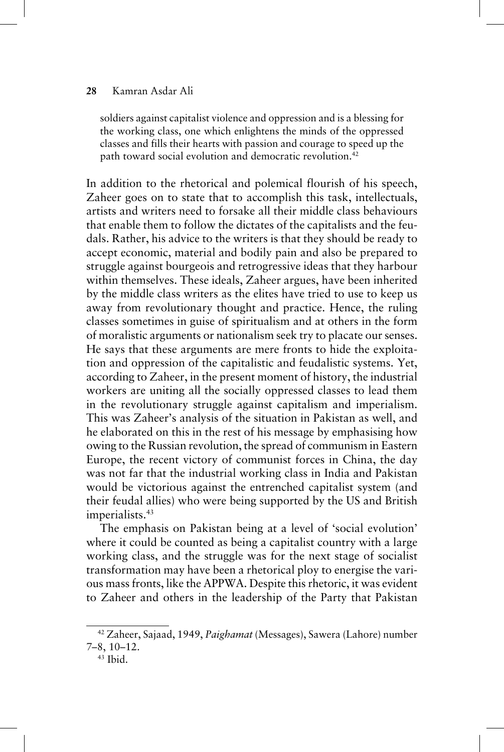soldiers against capitalist violence and oppression and is a blessing for the working class, one which enlightens the minds of the oppressed classes and fills their hearts with passion and courage to speed up the path toward social evolution and democratic revolution.<sup>42</sup>

In addition to the rhetorical and polemical flourish of his speech, Zaheer goes on to state that to accomplish this task, intellectuals, artists and writers need to forsake all their middle class behaviours that enable them to follow the dictates of the capitalists and the feudals. Rather, his advice to the writers is that they should be ready to accept economic, material and bodily pain and also be prepared to struggle against bourgeois and retrogressive ideas that they harbour within themselves. These ideals, Zaheer argues, have been inherited by the middle class writers as the elites have tried to use to keep us away from revolutionary thought and practice. Hence, the ruling classes sometimes in guise of spiritualism and at others in the form of moralistic arguments or nationalism seek try to placate our senses. He says that these arguments are mere fronts to hide the exploitation and oppression of the capitalistic and feudalistic systems. Yet, according to Zaheer, in the present moment of history, the industrial workers are uniting all the socially oppressed classes to lead them in the revolutionary struggle against capitalism and imperialism. This was Zaheer's analysis of the situation in Pakistan as well, and he elaborated on this in the rest of his message by emphasising how owing to the Russian revolution, the spread of communism in Eastern Europe, the recent victory of communist forces in China, the day was not far that the industrial working class in India and Pakistan would be victorious against the entrenched capitalist system (and their feudal allies) who were being supported by the US and British imperialists.<sup>43</sup>

The emphasis on Pakistan being at a level of 'social evolution' where it could be counted as being a capitalist country with a large working class, and the struggle was for the next stage of socialist transformation may have been a rhetorical ploy to energise the various mass fronts, like the APPWA. Despite this rhetoric, it was evident to Zaheer and others in the leadership of the Party that Pakistan

<sup>42</sup> Zaheer, Sajaad, 1949, *Paighamat* (Messages), Sawera (Lahore) number 7–8, 10–12.

 $43$  Ibid.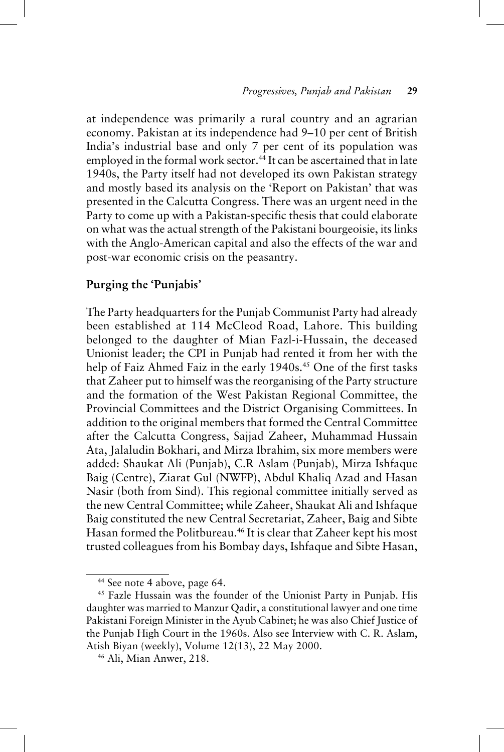at independence was primarily a rural country and an agrarian economy. Pakistan at its independence had 9–10 per cent of British India's industrial base and only 7 per cent of its population was employed in the formal work sector.<sup>44</sup> It can be ascertained that in late 1940s, the Party itself had not developed its own Pakistan strategy and mostly based its analysis on the 'Report on Pakistan' that was presented in the Calcutta Congress. There was an urgent need in the Party to come up with a Pakistan-specific thesis that could elaborate on what was the actual strength of the Pakistani bourgeoisie, its links with the Anglo-American capital and also the effects of the war and post-war economic crisis on the peasantry.

### **Purging the 'Punjabis'**

The Party headquarters for the Punjab Communist Party had already been established at 114 McCleod Road, Lahore. This building belonged to the daughter of Mian Fazl-i-Hussain, the deceased Unionist leader; the CPI in Punjab had rented it from her with the help of Faiz Ahmed Faiz in the early 1940s.<sup>45</sup> One of the first tasks that Zaheer put to himself was the reorganising of the Party structure and the formation of the West Pakistan Regional Committee, the Provincial Committees and the District Organising Committees. In addition to the original members that formed the Central Committee after the Calcutta Congress, Sajjad Zaheer, Muhammad Hussain Ata, Jalaludin Bokhari, and Mirza Ibrahim, six more members were added: Shaukat Ali (Punjab), C.R Aslam (Punjab), Mirza Ishfaque Baig (Centre), Ziarat Gul (NWFP), Abdul Khaliq Azad and Hasan Nasir (both from Sind). This regional committee initially served as the new Central Committee; while Zaheer, Shaukat Ali and Ishfaque Baig constituted the new Central Secretariat, Zaheer, Baig and Sibte Hasan formed the Politbureau.<sup>46</sup> It is clear that Zaheer kept his most trusted colleagues from his Bombay days, Ishfaque and Sibte Hasan,

<sup>44</sup> See note 4 above, page 64.

<sup>45</sup> Fazle Hussain was the founder of the Unionist Party in Punjab. His daughter was married to Manzur Qadir, a constitutional lawyer and one time Pakistani Foreign Minister in the Ayub Cabinet; he was also Chief Justice of the Punjab High Court in the 1960s. Also see Interview with C. R. Aslam, Atish Biyan (weekly), Volume 12(13), 22 May 2000.

<sup>46</sup> Ali, Mian Anwer, 218.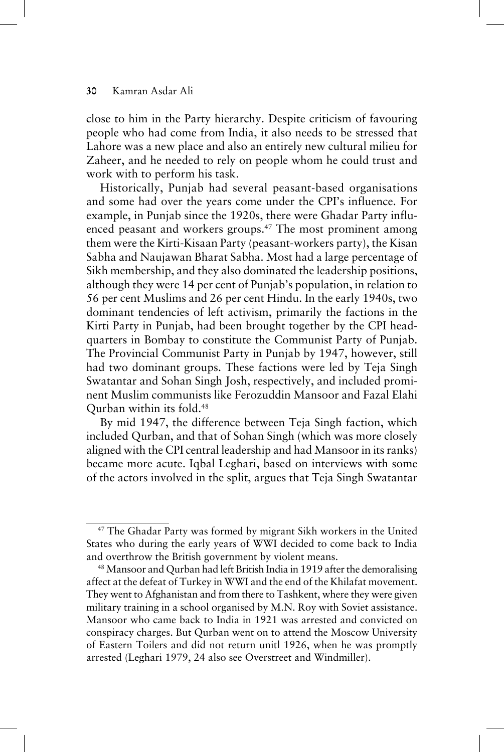close to him in the Party hierarchy. Despite criticism of favouring people who had come from India, it also needs to be stressed that Lahore was a new place and also an entirely new cultural milieu for Zaheer, and he needed to rely on people whom he could trust and work with to perform his task.

Historically, Punjab had several peasant-based organisations and some had over the years come under the CPI's influence. For example, in Punjab since the 1920s, there were Ghadar Party influenced peasant and workers groups.<sup>47</sup> The most prominent among them were the Kirti-Kisaan Party (peasant-workers party), the Kisan Sabha and Naujawan Bharat Sabha. Most had a large percentage of Sikh membership, and they also dominated the leadership positions, although they were 14 per cent of Punjab's population, in relation to 56 per cent Muslims and 26 per cent Hindu. In the early 1940s, two dominant tendencies of left activism, primarily the factions in the Kirti Party in Punjab, had been brought together by the CPI headquarters in Bombay to constitute the Communist Party of Punjab. The Provincial Communist Party in Punjab by 1947, however, still had two dominant groups. These factions were led by Teja Singh Swatantar and Sohan Singh Josh, respectively, and included prominent Muslim communists like Ferozuddin Mansoor and Fazal Elahi Qurban within its fold.48

By mid 1947, the difference between Teja Singh faction, which included Qurban, and that of Sohan Singh (which was more closely aligned with the CPI central leadership and had Mansoor in its ranks) became more acute. Iqbal Leghari, based on interviews with some of the actors involved in the split, argues that Teja Singh Swatantar

<sup>&</sup>lt;sup>47</sup> The Ghadar Party was formed by migrant Sikh workers in the United States who during the early years of WWI decided to come back to India and overthrow the British government by violent means.

<sup>48</sup> Mansoor and Qurban had left British India in 1919 after the demoralising affect at the defeat of Turkey in WWI and the end of the Khilafat movement. They went to Afghanistan and from there to Tashkent, where they were given military training in a school organised by M.N. Roy with Soviet assistance. Mansoor who came back to India in 1921 was arrested and convicted on conspiracy charges. But Qurban went on to attend the Moscow University of Eastern Toilers and did not return unitl 1926, when he was promptly arrested (Leghari 1979, 24 also see Overstreet and Windmiller).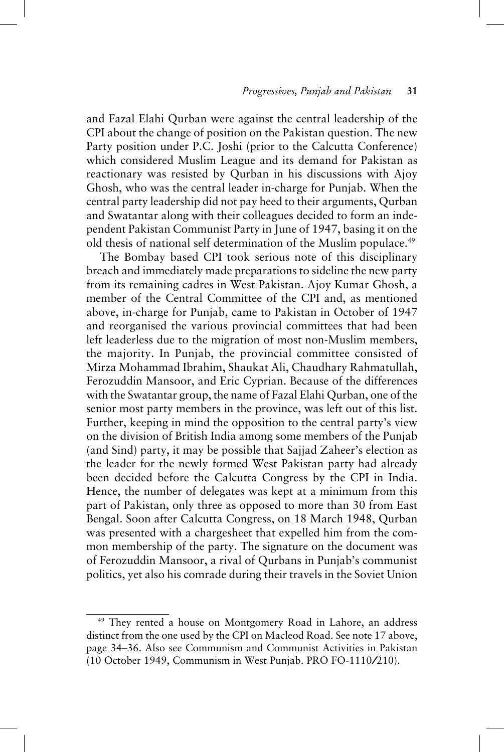and Fazal Elahi Qurban were against the central leadership of the CPI about the change of position on the Pakistan question. The new Party position under P.C. Joshi (prior to the Calcutta Conference) which considered Muslim League and its demand for Pakistan as reactionary was resisted by Qurban in his discussions with Ajoy Ghosh, who was the central leader in-charge for Punjab. When the central party leadership did not pay heed to their arguments, Qurban and Swatantar along with their colleagues decided to form an independent Pakistan Communist Party in June of 1947, basing it on the old thesis of national self determination of the Muslim populace.49

The Bombay based CPI took serious note of this disciplinary breach and immediately made preparations to sideline the new party from its remaining cadres in West Pakistan. Ajoy Kumar Ghosh, a member of the Central Committee of the CPI and, as mentioned above, in-charge for Punjab, came to Pakistan in October of 1947 and reorganised the various provincial committees that had been left leaderless due to the migration of most non-Muslim members, the majority. In Punjab, the provincial committee consisted of Mirza Mohammad Ibrahim, Shaukat Ali, Chaudhary Rahmatullah, Ferozuddin Mansoor, and Eric Cyprian. Because of the differences with the Swatantar group, the name of Fazal Elahi Qurban, one of the senior most party members in the province, was left out of this list. Further, keeping in mind the opposition to the central party's view on the division of British India among some members of the Punjab (and Sind) party, it may be possible that Sajjad Zaheer's election as the leader for the newly formed West Pakistan party had already been decided before the Calcutta Congress by the CPI in India. Hence, the number of delegates was kept at a minimum from this part of Pakistan, only three as opposed to more than 30 from East Bengal. Soon after Calcutta Congress, on 18 March 1948, Qurban was presented with a chargesheet that expelled him from the common membership of the party. The signature on the document was of Ferozuddin Mansoor, a rival of Qurbans in Punjab's communist politics, yet also his comrade during their travels in the Soviet Union

<sup>49</sup> They rented a house on Montgomery Road in Lahore, an address distinct from the one used by the CPI on Macleod Road. See note 17 above, page 34–36. Also see Communism and Communist Activities in Pakistan (10 October 1949, Communism in West Punjab. PRO FO-1110*/*210).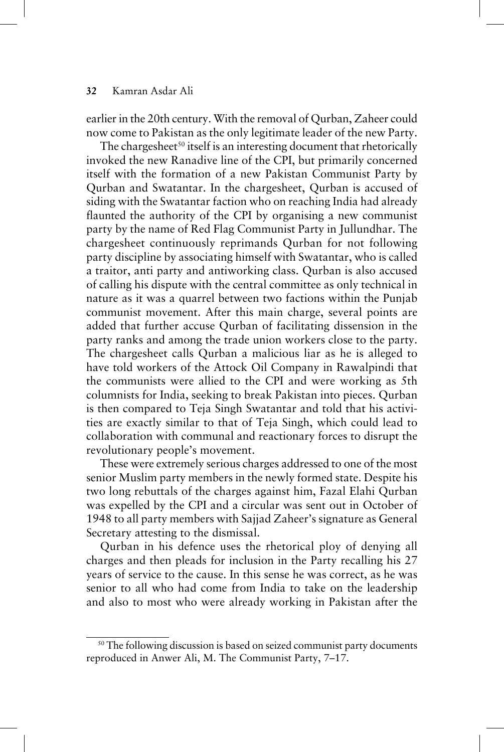earlier in the 20th century. With the removal of Qurban, Zaheer could now come to Pakistan as the only legitimate leader of the new Party.

The chargesheet<sup>50</sup> itself is an interesting document that rhetorically invoked the new Ranadive line of the CPI, but primarily concerned itself with the formation of a new Pakistan Communist Party by Qurban and Swatantar. In the chargesheet, Qurban is accused of siding with the Swatantar faction who on reaching India had already flaunted the authority of the CPI by organising a new communist party by the name of Red Flag Communist Party in Jullundhar. The chargesheet continuously reprimands Qurban for not following party discipline by associating himself with Swatantar, who is called a traitor, anti party and antiworking class. Qurban is also accused of calling his dispute with the central committee as only technical in nature as it was a quarrel between two factions within the Punjab communist movement. After this main charge, several points are added that further accuse Qurban of facilitating dissension in the party ranks and among the trade union workers close to the party. The chargesheet calls Qurban a malicious liar as he is alleged to have told workers of the Attock Oil Company in Rawalpindi that the communists were allied to the CPI and were working as 5th columnists for India, seeking to break Pakistan into pieces. Qurban is then compared to Teja Singh Swatantar and told that his activities are exactly similar to that of Teja Singh, which could lead to collaboration with communal and reactionary forces to disrupt the revolutionary people's movement.

These were extremely serious charges addressed to one of the most senior Muslim party members in the newly formed state. Despite his two long rebuttals of the charges against him, Fazal Elahi Qurban was expelled by the CPI and a circular was sent out in October of 1948 to all party members with Sajjad Zaheer's signature as General Secretary attesting to the dismissal.

Qurban in his defence uses the rhetorical ploy of denying all charges and then pleads for inclusion in the Party recalling his 27 years of service to the cause. In this sense he was correct, as he was senior to all who had come from India to take on the leadership and also to most who were already working in Pakistan after the

<sup>&</sup>lt;sup>50</sup> The following discussion is based on seized communist party documents reproduced in Anwer Ali, M. The Communist Party, 7–17.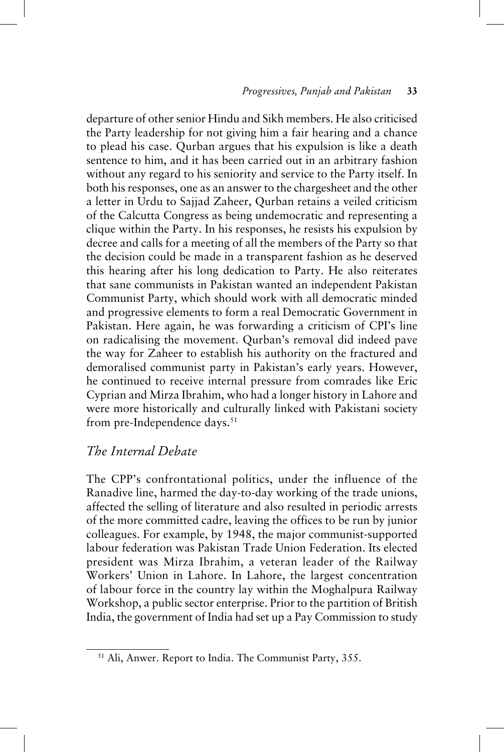### *Progressives, Punjab and Pakistan* **33**

departure of other senior Hindu and Sikh members. He also criticised the Party leadership for not giving him a fair hearing and a chance to plead his case. Qurban argues that his expulsion is like a death sentence to him, and it has been carried out in an arbitrary fashion without any regard to his seniority and service to the Party itself. In both his responses, one as an answer to the chargesheet and the other a letter in Urdu to Sajjad Zaheer, Qurban retains a veiled criticism of the Calcutta Congress as being undemocratic and representing a clique within the Party. In his responses, he resists his expulsion by decree and calls for a meeting of all the members of the Party so that the decision could be made in a transparent fashion as he deserved this hearing after his long dedication to Party. He also reiterates that sane communists in Pakistan wanted an independent Pakistan Communist Party, which should work with all democratic minded and progressive elements to form a real Democratic Government in Pakistan. Here again, he was forwarding a criticism of CPI's line on radicalising the movement. Qurban's removal did indeed pave the way for Zaheer to establish his authority on the fractured and demoralised communist party in Pakistan's early years. However, he continued to receive internal pressure from comrades like Eric Cyprian and Mirza Ibrahim, who had a longer history in Lahore and were more historically and culturally linked with Pakistani society from pre-Independence days.<sup>51</sup>

## *The Internal Debate*

The CPP's confrontational politics, under the influence of the Ranadive line, harmed the day-to-day working of the trade unions, affected the selling of literature and also resulted in periodic arrests of the more committed cadre, leaving the offices to be run by junior colleagues. For example, by 1948, the major communist-supported labour federation was Pakistan Trade Union Federation. Its elected president was Mirza Ibrahim, a veteran leader of the Railway Workers' Union in Lahore. In Lahore, the largest concentration of labour force in the country lay within the Moghalpura Railway Workshop, a public sector enterprise. Prior to the partition of British India, the government of India had set up a Pay Commission to study

<sup>51</sup> Ali, Anwer. Report to India. The Communist Party, 355.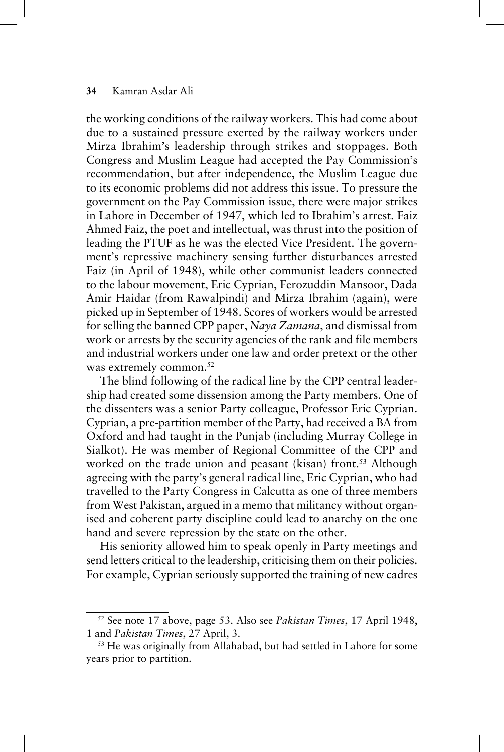the working conditions of the railway workers. This had come about due to a sustained pressure exerted by the railway workers under Mirza Ibrahim's leadership through strikes and stoppages. Both Congress and Muslim League had accepted the Pay Commission's recommendation, but after independence, the Muslim League due to its economic problems did not address this issue. To pressure the government on the Pay Commission issue, there were major strikes in Lahore in December of 1947, which led to Ibrahim's arrest. Faiz Ahmed Faiz, the poet and intellectual, was thrust into the position of leading the PTUF as he was the elected Vice President. The government's repressive machinery sensing further disturbances arrested Faiz (in April of 1948), while other communist leaders connected to the labour movement, Eric Cyprian, Ferozuddin Mansoor, Dada Amir Haidar (from Rawalpindi) and Mirza Ibrahim (again), were picked up in September of 1948. Scores of workers would be arrested for selling the banned CPP paper, *Naya Zamana*, and dismissal from work or arrests by the security agencies of the rank and file members and industrial workers under one law and order pretext or the other was extremely common.<sup>52</sup>

The blind following of the radical line by the CPP central leadership had created some dissension among the Party members. One of the dissenters was a senior Party colleague, Professor Eric Cyprian. Cyprian, a pre-partition member of the Party, had received a BA from Oxford and had taught in the Punjab (including Murray College in Sialkot). He was member of Regional Committee of the CPP and worked on the trade union and peasant (kisan) front.<sup>53</sup> Although agreeing with the party's general radical line, Eric Cyprian, who had travelled to the Party Congress in Calcutta as one of three members from West Pakistan, argued in a memo that militancy without organised and coherent party discipline could lead to anarchy on the one hand and severe repression by the state on the other.

His seniority allowed him to speak openly in Party meetings and send letters critical to the leadership, criticising them on their policies. For example, Cyprian seriously supported the training of new cadres

<sup>52</sup> See note 17 above, page 53. Also see *Pakistan Times*, 17 April 1948, 1 and *Pakistan Times*, 27 April, 3.

<sup>53</sup> He was originally from Allahabad, but had settled in Lahore for some years prior to partition.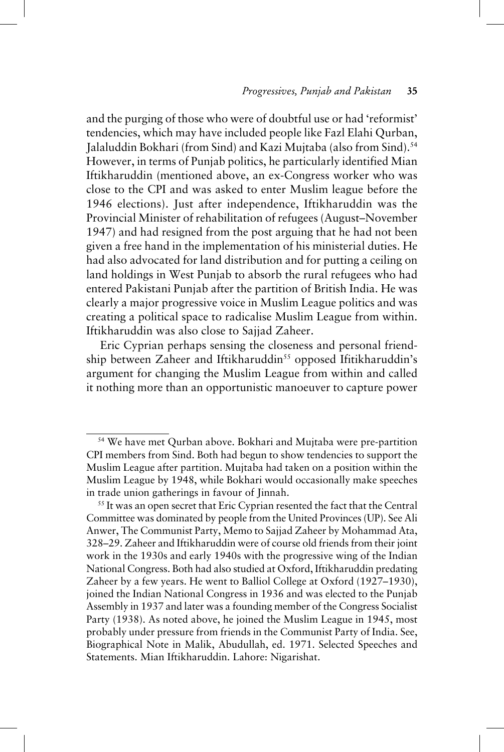and the purging of those who were of doubtful use or had 'reformist' tendencies, which may have included people like Fazl Elahi Qurban, Jalaluddin Bokhari (from Sind) and Kazi Mujtaba (also from Sind).<sup>54</sup> However, in terms of Punjab politics, he particularly identified Mian Iftikharuddin (mentioned above, an ex-Congress worker who was close to the CPI and was asked to enter Muslim league before the 1946 elections). Just after independence, Iftikharuddin was the Provincial Minister of rehabilitation of refugees (August–November 1947) and had resigned from the post arguing that he had not been given a free hand in the implementation of his ministerial duties. He had also advocated for land distribution and for putting a ceiling on land holdings in West Punjab to absorb the rural refugees who had entered Pakistani Punjab after the partition of British India. He was clearly a major progressive voice in Muslim League politics and was creating a political space to radicalise Muslim League from within. Iftikharuddin was also close to Sajjad Zaheer.

Eric Cyprian perhaps sensing the closeness and personal friendship between Zaheer and Iftikharuddin<sup>55</sup> opposed Ifitikharuddin's argument for changing the Muslim League from within and called it nothing more than an opportunistic manoeuver to capture power

<sup>54</sup> We have met Qurban above. Bokhari and Mujtaba were pre-partition CPI members from Sind. Both had begun to show tendencies to support the Muslim League after partition. Mujtaba had taken on a position within the Muslim League by 1948, while Bokhari would occasionally make speeches in trade union gatherings in favour of Jinnah.

<sup>&</sup>lt;sup>55</sup> It was an open secret that Eric Cyprian resented the fact that the Central Committee was dominated by people from the United Provinces (UP). See Ali Anwer, The Communist Party, Memo to Sajjad Zaheer by Mohammad Ata, 328–29. Zaheer and Iftikharuddin were of course old friends from their joint work in the 1930s and early 1940s with the progressive wing of the Indian National Congress. Both had also studied at Oxford, Iftikharuddin predating Zaheer by a few years. He went to Balliol College at Oxford (1927–1930), joined the Indian National Congress in 1936 and was elected to the Punjab Assembly in 1937 and later was a founding member of the Congress Socialist Party (1938). As noted above, he joined the Muslim League in 1945, most probably under pressure from friends in the Communist Party of India. See, Biographical Note in Malik, Abudullah, ed. 1971. Selected Speeches and Statements. Mian Iftikharuddin. Lahore: Nigarishat.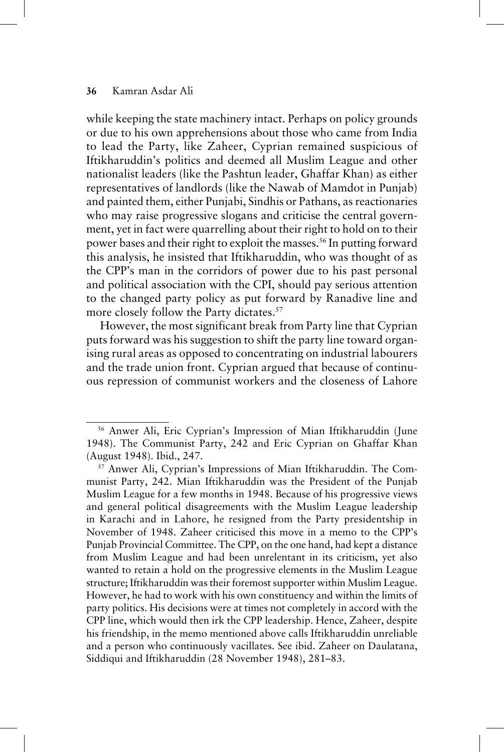while keeping the state machinery intact. Perhaps on policy grounds or due to his own apprehensions about those who came from India to lead the Party, like Zaheer, Cyprian remained suspicious of Iftikharuddin's politics and deemed all Muslim League and other nationalist leaders (like the Pashtun leader, Ghaffar Khan) as either representatives of landlords (like the Nawab of Mamdot in Punjab) and painted them, either Punjabi, Sindhis or Pathans, as reactionaries who may raise progressive slogans and criticise the central government, yet in fact were quarrelling about their right to hold on to their power bases and their right to exploit the masses.<sup>56</sup> In putting forward this analysis, he insisted that Iftikharuddin, who was thought of as the CPP's man in the corridors of power due to his past personal and political association with the CPI, should pay serious attention to the changed party policy as put forward by Ranadive line and more closely follow the Party dictates.<sup>57</sup>

However, the most significant break from Party line that Cyprian puts forward was his suggestion to shift the party line toward organising rural areas as opposed to concentrating on industrial labourers and the trade union front. Cyprian argued that because of continuous repression of communist workers and the closeness of Lahore

<sup>56</sup> Anwer Ali, Eric Cyprian's Impression of Mian Iftikharuddin (June 1948). The Communist Party, 242 and Eric Cyprian on Ghaffar Khan (August 1948). Ibid., 247.

<sup>57</sup> Anwer Ali, Cyprian's Impressions of Mian Iftikharuddin. The Communist Party, 242. Mian Iftikharuddin was the President of the Punjab Muslim League for a few months in 1948. Because of his progressive views and general political disagreements with the Muslim League leadership in Karachi and in Lahore, he resigned from the Party presidentship in November of 1948. Zaheer criticised this move in a memo to the CPP's Punjab Provincial Committee. The CPP, on the one hand, had kept a distance from Muslim League and had been unrelentant in its criticism, yet also wanted to retain a hold on the progressive elements in the Muslim League structure; Iftikharuddin was their foremost supporter within Muslim League. However, he had to work with his own constituency and within the limits of party politics. His decisions were at times not completely in accord with the CPP line, which would then irk the CPP leadership. Hence, Zaheer, despite his friendship, in the memo mentioned above calls Iftikharuddin unreliable and a person who continuously vacillates. See ibid. Zaheer on Daulatana, Siddiqui and Iftikharuddin (28 November 1948), 281–83.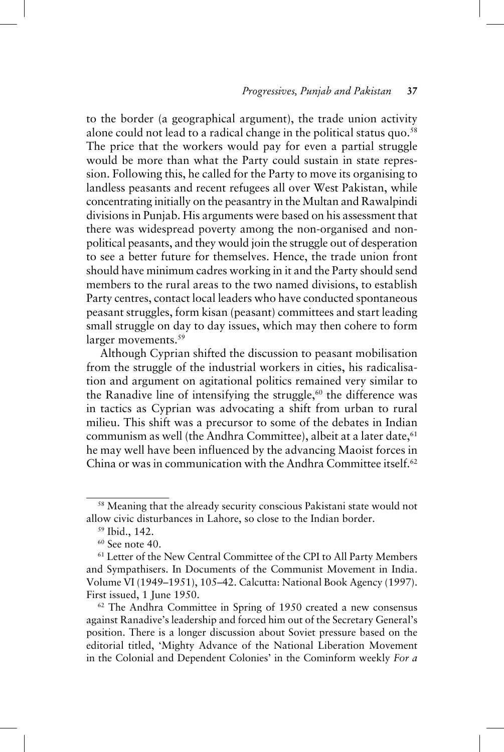to the border (a geographical argument), the trade union activity alone could not lead to a radical change in the political status quo.<sup>58</sup> The price that the workers would pay for even a partial struggle would be more than what the Party could sustain in state repression. Following this, he called for the Party to move its organising to landless peasants and recent refugees all over West Pakistan, while concentrating initially on the peasantry in the Multan and Rawalpindi divisions in Punjab. His arguments were based on his assessment that there was widespread poverty among the non-organised and nonpolitical peasants, and they would join the struggle out of desperation to see a better future for themselves. Hence, the trade union front should have minimum cadres working in it and the Party should send members to the rural areas to the two named divisions, to establish Party centres, contact local leaders who have conducted spontaneous peasant struggles, form kisan (peasant) committees and start leading small struggle on day to day issues, which may then cohere to form larger movements.<sup>59</sup>

Although Cyprian shifted the discussion to peasant mobilisation from the struggle of the industrial workers in cities, his radicalisation and argument on agitational politics remained very similar to the Ranadive line of intensifying the struggle,  $60$  the difference was in tactics as Cyprian was advocating a shift from urban to rural milieu. This shift was a precursor to some of the debates in Indian communism as well (the Andhra Committee), albeit at a later date, <sup>61</sup> he may well have been influenced by the advancing Maoist forces in China or was in communication with the Andhra Committee itself.62

<sup>58</sup> Meaning that the already security conscious Pakistani state would not allow civic disturbances in Lahore, so close to the Indian border.

<sup>59</sup> Ibid., 142.

 $60$  See note 40.

<sup>61</sup> Letter of the New Central Committee of the CPI to All Party Members and Sympathisers. In Documents of the Communist Movement in India. Volume VI (1949–1951), 105–42. Calcutta: National Book Agency (1997). First issued, 1 June 1950.

 $62$  The Andhra Committee in Spring of 1950 created a new consensus against Ranadive's leadership and forced him out of the Secretary General's position. There is a longer discussion about Soviet pressure based on the editorial titled, 'Mighty Advance of the National Liberation Movement in the Colonial and Dependent Colonies' in the Cominform weekly *For a*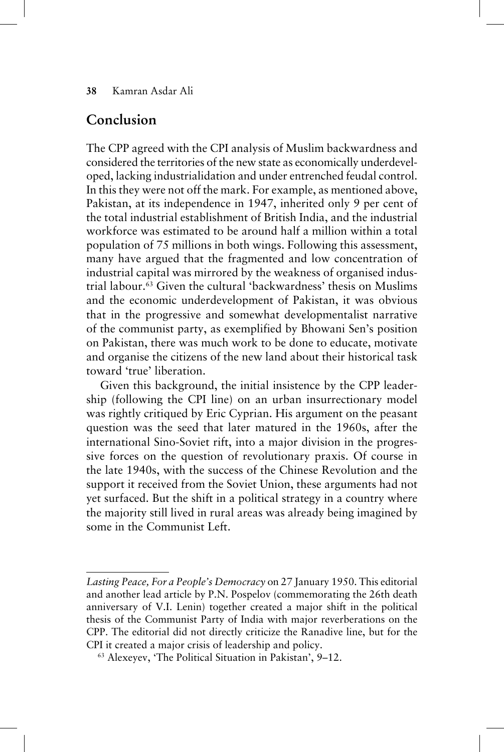# **Conclusion**

The CPP agreed with the CPI analysis of Muslim backwardness and considered the territories of the new state as economically underdeveloped, lacking industrialidation and under entrenched feudal control. In this they were not off the mark. For example, as mentioned above, Pakistan, at its independence in 1947, inherited only 9 per cent of the total industrial establishment of British India, and the industrial workforce was estimated to be around half a million within a total population of 75 millions in both wings. Following this assessment, many have argued that the fragmented and low concentration of industrial capital was mirrored by the weakness of organised industrial labour.<sup>63</sup> Given the cultural 'backwardness' thesis on Muslims and the economic underdevelopment of Pakistan, it was obvious that in the progressive and somewhat developmentalist narrative of the communist party, as exemplified by Bhowani Sen's position on Pakistan, there was much work to be done to educate, motivate and organise the citizens of the new land about their historical task toward 'true' liberation.

Given this background, the initial insistence by the CPP leadership (following the CPI line) on an urban insurrectionary model was rightly critiqued by Eric Cyprian. His argument on the peasant question was the seed that later matured in the 1960s, after the international Sino-Soviet rift, into a major division in the progressive forces on the question of revolutionary praxis. Of course in the late 1940s, with the success of the Chinese Revolution and the support it received from the Soviet Union, these arguments had not yet surfaced. But the shift in a political strategy in a country where the majority still lived in rural areas was already being imagined by some in the Communist Left.

*Lasting Peace, For a People's Democracy* on 27 January 1950. This editorial and another lead article by P.N. Pospelov (commemorating the 26th death anniversary of V.I. Lenin) together created a major shift in the political thesis of the Communist Party of India with major reverberations on the CPP. The editorial did not directly criticize the Ranadive line, but for the CPI it created a major crisis of leadership and policy.

<sup>63</sup> Alexeyev, 'The Political Situation in Pakistan', 9–12.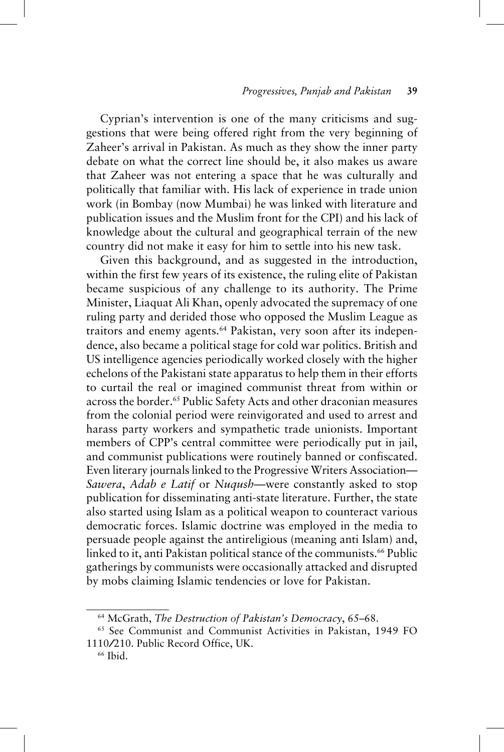### *Progressives, Punjab and Pakistan* **39**

Cyprian's intervention is one of the many criticisms and suggestions that were being offered right from the very beginning of Zaheer's arrival in Pakistan. As much as they show the inner party debate on what the correct line should be, it also makes us aware that Zaheer was not entering a space that he was culturally and politically that familiar with. His lack of experience in trade union work (in Bombay (now Mumbai) he was linked with literature and publication issues and the Muslim front for the CPI) and his lack of knowledge about the cultural and geographical terrain of the new country did not make it easy for him to settle into his new task.

Given this background, and as suggested in the introduction, within the first few years of its existence, the ruling elite of Pakistan became suspicious of any challenge to its authority. The Prime Minister, Liaquat Ali Khan, openly advocated the supremacy of one ruling party and derided those who opposed the Muslim League as traitors and enemy agents.<sup>64</sup> Pakistan, very soon after its independence, also became a political stage for cold war politics. British and US intelligence agencies periodically worked closely with the higher echelons of the Pakistani state apparatus to help them in their efforts to curtail the real or imagined communist threat from within or across the border.<sup>65</sup> Public Safety Acts and other draconian measures from the colonial period were reinvigorated and used to arrest and harass party workers and sympathetic trade unionists. Important members of CPP's central committee were periodically put in jail, and communist publications were routinely banned or confiscated. Even literary journals linked to the Progressive Writers Association— *Sawera*, *Adab e Latif* or *Nuqush*—were constantly asked to stop publication for disseminating anti-state literature. Further, the state also started using Islam as a political weapon to counteract various democratic forces. Islamic doctrine was employed in the media to persuade people against the antireligious (meaning anti Islam) and, linked to it, anti Pakistan political stance of the communists.<sup>66</sup> Public gatherings by communists were occasionally attacked and disrupted by mobs claiming Islamic tendencies or love for Pakistan.

<sup>64</sup> McGrath, *The Destruction of Pakistan's Democracy*, 65–68.

<sup>65</sup> See Communist and Communist Activities in Pakistan, 1949 FO <sup>1110</sup>*/*210. Public Record Office, UK.

<sup>66</sup> Ibid.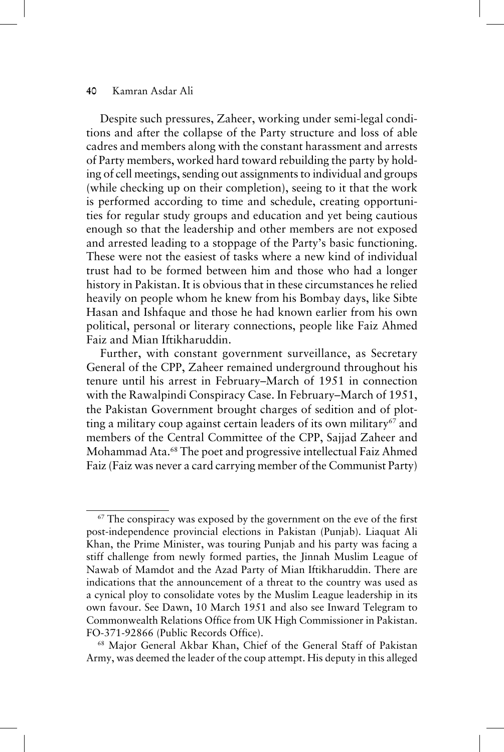Despite such pressures, Zaheer, working under semi-legal conditions and after the collapse of the Party structure and loss of able cadres and members along with the constant harassment and arrests of Party members, worked hard toward rebuilding the party by holding of cell meetings, sending out assignments to individual and groups (while checking up on their completion), seeing to it that the work is performed according to time and schedule, creating opportunities for regular study groups and education and yet being cautious enough so that the leadership and other members are not exposed and arrested leading to a stoppage of the Party's basic functioning. These were not the easiest of tasks where a new kind of individual trust had to be formed between him and those who had a longer history in Pakistan. It is obvious that in these circumstances he relied heavily on people whom he knew from his Bombay days, like Sibte Hasan and Ishfaque and those he had known earlier from his own political, personal or literary connections, people like Faiz Ahmed Faiz and Mian Iftikharuddin.

Further, with constant government surveillance, as Secretary General of the CPP, Zaheer remained underground throughout his tenure until his arrest in February–March of 1951 in connection with the Rawalpindi Conspiracy Case. In February–March of 1951, the Pakistan Government brought charges of sedition and of plotting a military coup against certain leaders of its own military<sup>67</sup> and members of the Central Committee of the CPP, Sajjad Zaheer and Mohammad Ata.68 The poet and progressive intellectual Faiz Ahmed Faiz (Faiz was never a card carrying member of the Communist Party)

<sup>&</sup>lt;sup>67</sup> The conspiracy was exposed by the government on the eve of the first post-independence provincial elections in Pakistan (Punjab). Liaquat Ali Khan, the Prime Minister, was touring Punjab and his party was facing a stiff challenge from newly formed parties, the Jinnah Muslim League of Nawab of Mamdot and the Azad Party of Mian Iftikharuddin. There are indications that the announcement of a threat to the country was used as a cynical ploy to consolidate votes by the Muslim League leadership in its own favour. See Dawn, 10 March 1951 and also see Inward Telegram to Commonwealth Relations Office from UK High Commissioner in Pakistan. FO-371-92866 (Public Records Office).

<sup>68</sup> Major General Akbar Khan, Chief of the General Staff of Pakistan Army, was deemed the leader of the coup attempt. His deputy in this alleged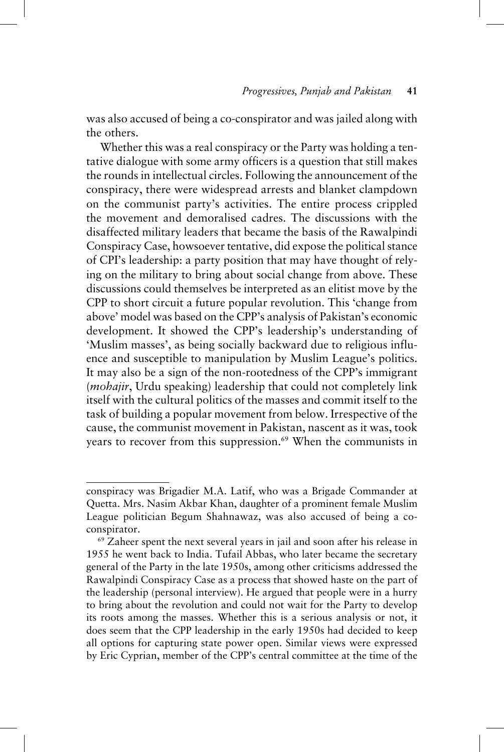was also accused of being a co-conspirator and was jailed along with the others.

Whether this was a real conspiracy or the Party was holding a tentative dialogue with some army officers is a question that still makes the rounds in intellectual circles. Following the announcement of the conspiracy, there were widespread arrests and blanket clampdown on the communist party's activities. The entire process crippled the movement and demoralised cadres. The discussions with the disaffected military leaders that became the basis of the Rawalpindi Conspiracy Case, howsoever tentative, did expose the political stance of CPI's leadership: a party position that may have thought of relying on the military to bring about social change from above. These discussions could themselves be interpreted as an elitist move by the CPP to short circuit a future popular revolution. This 'change from above' model was based on the CPP's analysis of Pakistan's economic development. It showed the CPP's leadership's understanding of 'Muslim masses', as being socially backward due to religious influence and susceptible to manipulation by Muslim League's politics. It may also be a sign of the non-rootedness of the CPP's immigrant (*mohajir*, Urdu speaking) leadership that could not completely link itself with the cultural politics of the masses and commit itself to the task of building a popular movement from below. Irrespective of the cause, the communist movement in Pakistan, nascent as it was, took years to recover from this suppression.<sup>69</sup> When the communists in

conspiracy was Brigadier M.A. Latif, who was a Brigade Commander at Quetta. Mrs. Nasim Akbar Khan, daughter of a prominent female Muslim League politician Begum Shahnawaz, was also accused of being a coconspirator.

<sup>69</sup> Zaheer spent the next several years in jail and soon after his release in 1955 he went back to India. Tufail Abbas, who later became the secretary general of the Party in the late 1950s, among other criticisms addressed the Rawalpindi Conspiracy Case as a process that showed haste on the part of the leadership (personal interview). He argued that people were in a hurry to bring about the revolution and could not wait for the Party to develop its roots among the masses. Whether this is a serious analysis or not, it does seem that the CPP leadership in the early 1950s had decided to keep all options for capturing state power open. Similar views were expressed by Eric Cyprian, member of the CPP's central committee at the time of the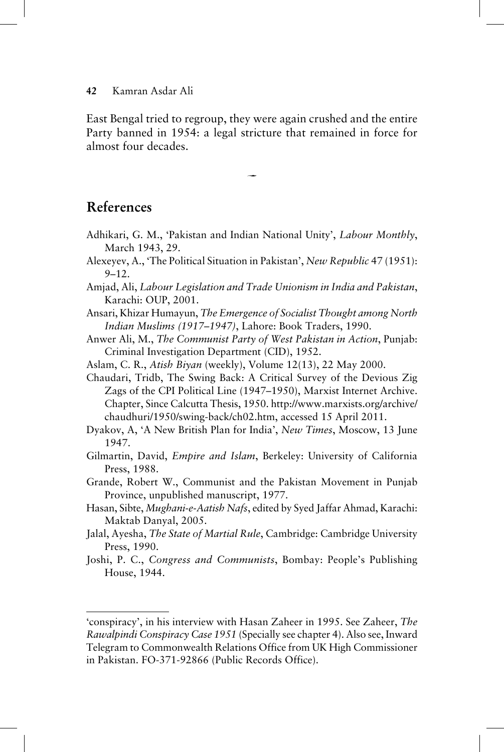East Bengal tried to regroup, they were again crushed and the entire Party banned in 1954: a legal stricture that remained in force for almost four decades.

-

# **References**

- Adhikari, G. M., 'Pakistan and Indian National Unity', *Labour Monthly*, March 1943, 29.
- Alexeyev, A., 'The Political Situation in Pakistan', *New Republic* 47 (1951): 9–12.
- Amjad, Ali, *Labour Legislation and Trade Unionism in India and Pakistan*, Karachi: OUP, 2001.
- Ansari, Khizar Humayun, *The Emergence of Socialist Thought among North Indian Muslims (1917–1947)*, Lahore: Book Traders, 1990.
- Anwer Ali, M., *The Communist Party of West Pakistan in Action*, Punjab: Criminal Investigation Department (CID), 1952.
- Aslam, C. R., *Atish Biyan* (weekly), Volume 12(13), 22 May 2000.

Chaudari, Tridb, The Swing Back: A Critical Survey of the Devious Zig Zags of the CPI Political Line (1947–1950), Marxist Internet Archive. Chapter, Since Calcutta Thesis, 1950. http://www.marxists.org/archive/ chaudhuri/1950/swing-back/ch02.htm, accessed 15 April 2011.

- Dyakov, A, 'A New British Plan for India', *New Times*, Moscow, 13 June 1947.
- Gilmartin, David, *Empire and Islam*, Berkeley: University of California Press, 1988.
- Grande, Robert W., Communist and the Pakistan Movement in Punjab Province, unpublished manuscript, 1977.
- Hasan, Sibte, *Mughani-e-Aatish Nafs*, edited by Syed Jaffar Ahmad, Karachi: Maktab Danyal, 2005.
- Jalal, Ayesha, *The State of Martial Rule*, Cambridge: Cambridge University Press, 1990.
- Joshi, P. C., *Congress and Communists*, Bombay: People's Publishing House, 1944.

<sup>&#</sup>x27;conspiracy', in his interview with Hasan Zaheer in 1995. See Zaheer, *The Rawalpindi Conspiracy Case 1951* (Specially see chapter 4). Also see, Inward Telegram to Commonwealth Relations Office from UK High Commissioner in Pakistan. FO-371-92866 (Public Records Office).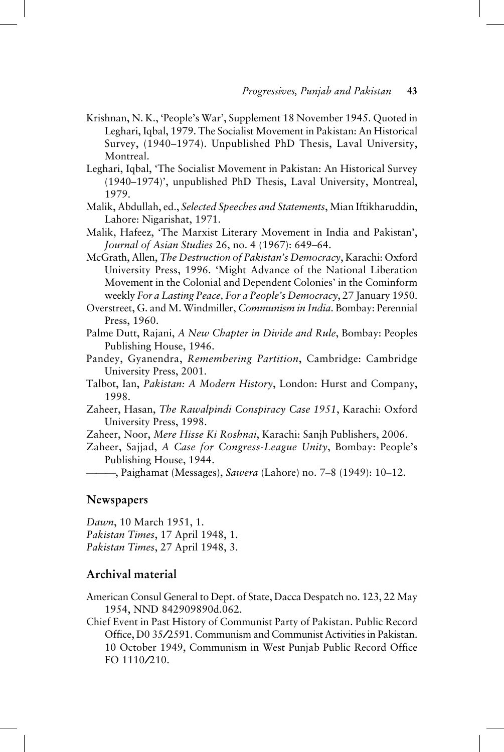- Krishnan, N. K., 'People's War', Supplement 18 November 1945. Quoted in Leghari, Iqbal, 1979. The Socialist Movement in Pakistan: An Historical Survey, (1940–1974). Unpublished PhD Thesis, Laval University, Montreal.
- Leghari, Iqbal, 'The Socialist Movement in Pakistan: An Historical Survey (1940–1974)', unpublished PhD Thesis, Laval University, Montreal, 1979.
- Malik, Abdullah, ed., *Selected Speeches and Statements*, Mian Iftikharuddin, Lahore: Nigarishat, 1971.
- Malik, Hafeez, 'The Marxist Literary Movement in India and Pakistan', *Journal of Asian Studies* 26, no. 4 (1967): 649–64.
- McGrath, Allen, *The Destruction of Pakistan's Democracy*, Karachi: Oxford University Press, 1996. 'Might Advance of the National Liberation Movement in the Colonial and Dependent Colonies' in the Cominform weekly *For a Lasting Peace, For a People's Democracy*, 27 January 1950.
- Overstreet, G. and M. Windmiller, *Communism in India*. Bombay: Perennial Press, 1960.
- Palme Dutt, Rajani, *A New Chapter in Divide and Rule*, Bombay: Peoples Publishing House, 1946.
- Pandey, Gyanendra, *Remembering Partition*, Cambridge: Cambridge University Press, 2001.
- Talbot, Ian, *Pakistan: A Modern History*, London: Hurst and Company, 1998.
- Zaheer, Hasan, *The Rawalpindi Conspiracy Case 1951*, Karachi: Oxford University Press, 1998.
- Zaheer, Noor, *Mere Hisse Ki Roshnai*, Karachi: Sanjh Publishers, 2006.
- Zaheer, Sajjad, *A Case for Congress-League Unity*, Bombay: People's Publishing House, 1944.

———, Paighamat (Messages), *Sawera* (Lahore) no. 7–8 (1949): 10–12.

### **Newspapers**

*Dawn*, 10 March 1951, 1. *Pakistan Times*, 17 April 1948, 1. *Pakistan Times*, 27 April 1948, 3.

### **Archival material**

American Consul General to Dept. of State, Dacca Despatch no. 123, 22 May 1954, NND 842909890d.062.

Chief Event in Past History of Communist Party of Pakistan. Public Record Office, D0 35*/*2591. Communism and Communist Activities in Pakistan. 10 October 1949, Communism in West Punjab Public Record Office FO 1110*/*210.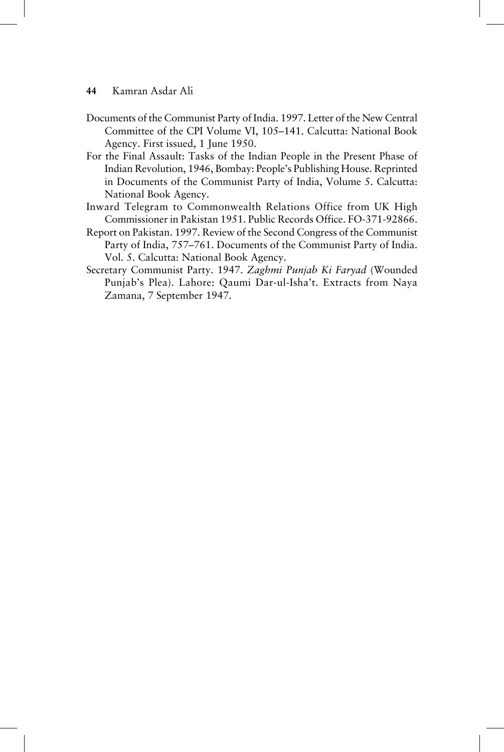- **44** Kamran Asdar Ali
- Documents of the Communist Party of India. 1997. Letter of the New Central Committee of the CPI Volume VI, 105–141. Calcutta: National Book Agency. First issued, 1 June 1950.
- For the Final Assault: Tasks of the Indian People in the Present Phase of Indian Revolution, 1946, Bombay: People's Publishing House. Reprinted in Documents of the Communist Party of India, Volume 5. Calcutta: National Book Agency.
- Inward Telegram to Commonwealth Relations Office from UK High Commissioner in Pakistan 1951. Public Records Office. FO-371-92866.
- Report on Pakistan. 1997. Review of the Second Congress of the Communist Party of India, 757–761. Documents of the Communist Party of India. Vol. 5. Calcutta: National Book Agency.
- Secretary Communist Party. 1947. *Zaghmi Punjab Ki Faryad* (Wounded Punjab's Plea). Lahore: Qaumi Dar-ul-Isha't. Extracts from Naya Zamana, 7 September 1947.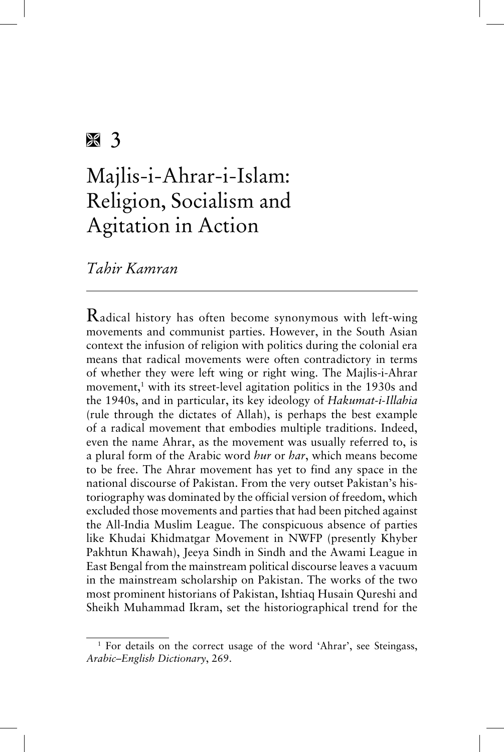# $\mathbb{R}$  3

# Majlis-i-Ahrar-i-Islam: Religion, Socialism and Agitation in Action

*Tahir Kamran*

Radical history has often become synonymous with left-wing movements and communist parties. However, in the South Asian context the infusion of religion with politics during the colonial era means that radical movements were often contradictory in terms of whether they were left wing or right wing. The Majlis-i-Ahrar movement,<sup>1</sup> with its street-level agitation politics in the 1930s and the 1940s, and in particular, its key ideology of *Hakumat-i-Illahia*  (rule through the dictates of Allah), is perhaps the best example of a radical movement that embodies multiple traditions. Indeed, even the name Ahrar, as the movement was usually referred to, is a plural form of the Arabic word *hur* or *har*, which means become to be free. The Ahrar movement has yet to find any space in the national discourse of Pakistan. From the very outset Pakistan's historiography was dominated by the official version of freedom, which excluded those movements and parties that had been pitched against the All-India Muslim League. The conspicuous absence of parties like Khudai Khidmatgar Movement in NWFP (presently Khyber Pakhtun Khawah), Jeeya Sindh in Sindh and the Awami League in East Bengal from the mainstream political discourse leaves a vacuum in the mainstream scholarship on Pakistan. The works of the two most prominent historians of Pakistan, Ishtiaq Husain Qureshi and Sheikh Muhammad Ikram, set the historiographical trend for the

<sup>&</sup>lt;sup>1</sup> For details on the correct usage of the word 'Ahrar', see Steingass, *ahic*-English Dictionary 269 *Arabic–English Dictionary*, 269.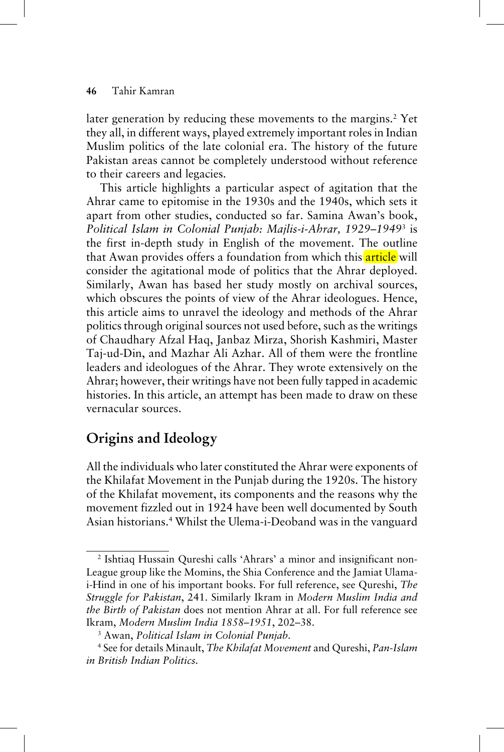later generation by reducing these movements to the margins.<sup>2</sup> Yet they all, in different ways, played extremely important roles in Indian Muslim politics of the late colonial era. The history of the future Pakistan areas cannot be completely understood without reference to their careers and legacies.

This article highlights a particular aspect of agitation that the Ahrar came to epitomise in the 1930s and the 1940s, which sets it apart from other studies, conducted so far. Samina Awan's book, *Political Islam in Colonial Punjab: Majlis-i-Ahrar, 1929–1949*<sup>3</sup> is the first in-depth study in English of the movement. The outline that Awan provides offers a foundation from which this **article** will consider the agitational mode of politics that the Ahrar deployed. Similarly, Awan has based her study mostly on archival sources, which obscures the points of view of the Ahrar ideologues. Hence, this article aims to unravel the ideology and methods of the Ahrar politics through original sources not used before, such as the writings of Chaudhary Afzal Haq, Janbaz Mirza, Shorish Kashmiri, Master Taj-ud-Din, and Mazhar Ali Azhar. All of them were the frontline leaders and ideologues of the Ahrar. They wrote extensively on the Ahrar; however, their writings have not been fully tapped in academic histories. In this article, an attempt has been made to draw on these vernacular sources.

# **Origins and Ideology**

All the individuals who later constituted the Ahrar were exponents of the Khilafat Movement in the Punjab during the 1920s. The history of the Khilafat movement, its components and the reasons why the movement fizzled out in 1924 have been well documented by South Asian historians.4 Whilst the Ulema-i-Deoband was in the vanguard

<sup>2</sup> Ishtiaq Hussain Qureshi calls 'Ahrars' a minor and insignificant non-League group like the Momins, the Shia Conference and the Jamiat Ulamai-Hind in one of his important books. For full reference, see Qureshi, *The Struggle for Pakistan*, 241. Similarly Ikram in *Modern Muslim India and the Birth of Pakistan* does not mention Ahrar at all. For full reference see Ikram, *Modern Muslim India 1858–1951*, 202–38.

<sup>3</sup> Awan, *Political Islam in Colonial Punjab.*

<sup>4</sup> See for details Minault, *The Khilafat Movement* and Qureshi, *Pan-Islam in British Indian Politics.*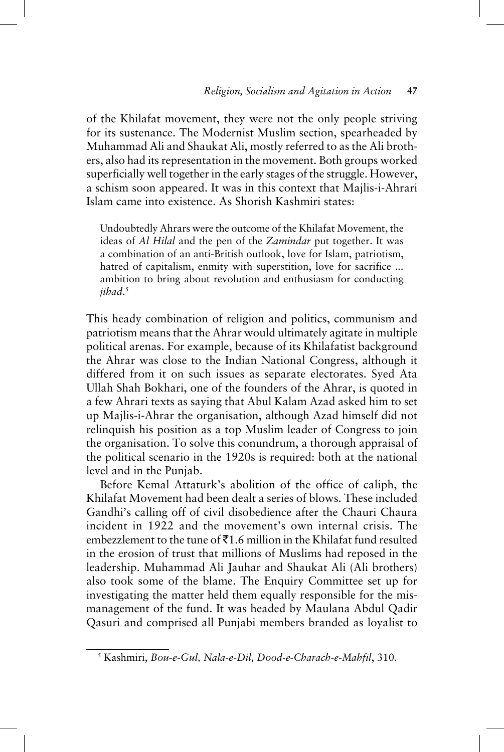of the Khilafat movement, they were not the only people striving for its sustenance. The Modernist Muslim section, spearheaded by Muhammad Ali and Shaukat Ali, mostly referred to as the Ali brothers, also had its representation in the movement. Both groups worked superficially well together in the early stages of the struggle. However, a schism soon appeared. It was in this context that Majlis-i-Ahrari Islam came into existence. As Shorish Kashmiri states:

Undoubtedly Ahrars were the outcome of the Khilafat Movement, the ideas of *Al Hilal* and the pen of the *Zamindar* put together. It was a combination of an anti-British outlook, love for Islam, patriotism, hatred of capitalism, enmity with superstition, love for sacrifice *...*  ambition to bring about revolution and enthusiasm for conducting *jihad.*<sup>5</sup>

This heady combination of religion and politics, communism and patriotism means that the Ahrar would ultimately agitate in multiple political arenas. For example, because of its Khilafatist background the Ahrar was close to the Indian National Congress, although it differed from it on such issues as separate electorates. Syed Ata Ullah Shah Bokhari, one of the founders of the Ahrar, is quoted in a few Ahrari texts as saying that Abul Kalam Azad asked him to set up Majlis-i-Ahrar the organisation, although Azad himself did not relinquish his position as a top Muslim leader of Congress to join the organisation. To solve this conundrum, a thorough appraisal of the political scenario in the 1920s is required: both at the national level and in the Punjab.

Before Kemal Attaturk's abolition of the office of caliph, the Khilafat Movement had been dealt a series of blows. These included Gandhi's calling off of civil disobedience after the Chauri Chaura incident in 1922 and the movement's own internal crisis. The embezzlement to the tune of  $\bar{\tau}$ 1.6 million in the Khilafat fund resulted in the erosion of trust that millions of Muslims had reposed in the leadership. Muhammad Ali Jauhar and Shaukat Ali (Ali brothers) also took some of the blame. The Enquiry Committee set up for investigating the matter held them equally responsible for the mismanagement of the fund. It was headed by Maulana Abdul Qadir Qasuri and comprised all Punjabi members branded as loyalist to

<sup>5</sup> Kashmiri, *Bou-e-Gul, Nala-e-Dil, Dood-e-Charach-e-Mahfil*, 310.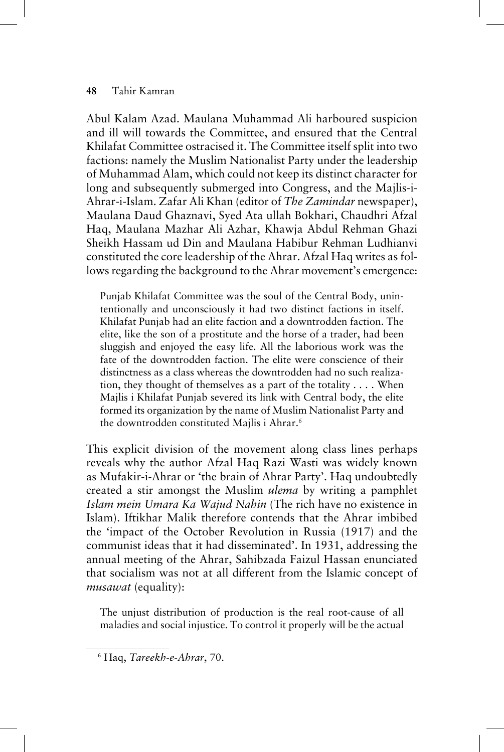Abul Kalam Azad. Maulana Muhammad Ali harboured suspicion and ill will towards the Committee, and ensured that the Central Khilafat Committee ostracised it. The Committee itself split into two factions: namely the Muslim Nationalist Party under the leadership of Muhammad Alam, which could not keep its distinct character for long and subsequently submerged into Congress, and the Majlis-i-Ahrar-i-Islam. Zafar Ali Khan (editor of *The Zamindar* newspaper), Maulana Daud Ghaznavi, Syed Ata ullah Bokhari, Chaudhri Afzal Haq, Maulana Mazhar Ali Azhar, Khawja Abdul Rehman Ghazi Sheikh Hassam ud Din and Maulana Habibur Rehman Ludhianvi constituted the core leadership of the Ahrar. Afzal Haq writes as follows regarding the background to the Ahrar movement's emergence:

Punjab Khilafat Committee was the soul of the Central Body, unintentionally and unconsciously it had two distinct factions in itself. Khilafat Punjab had an elite faction and a downtrodden faction. The elite, like the son of a prostitute and the horse of a trader, had been sluggish and enjoyed the easy life. All the laborious work was the fate of the downtrodden faction. The elite were conscience of their distinctness as a class whereas the downtrodden had no such realization, they thought of themselves as a part of the totality *. . .* . When Majlis i Khilafat Punjab severed its link with Central body, the elite formed its organization by the name of Muslim Nationalist Party and the downtrodden constituted Majlis i Ahrar.<sup>6</sup>

This explicit division of the movement along class lines perhaps reveals why the author Afzal Haq Razi Wasti was widely known as Mufakir-i-Ahrar or 'the brain of Ahrar Party'. Haq undoubtedly created a stir amongst the Muslim *ulema* by writing a pamphlet *Islam mein Umara Ka Wajud Nahin* (The rich have no existence in Islam). Iftikhar Malik therefore contends that the Ahrar imbibed the 'impact of the October Revolution in Russia (1917) and the communist ideas that it had disseminated'. In 1931, addressing the annual meeting of the Ahrar, Sahibzada Faizul Hassan enunciated that socialism was not at all different from the Islamic concept of *musawat* (equality):

The unjust distribution of production is the real root-cause of all maladies and social injustice. To control it properly will be the actual

<sup>6</sup> Haq, *Tareekh-e-Ahrar*, 70.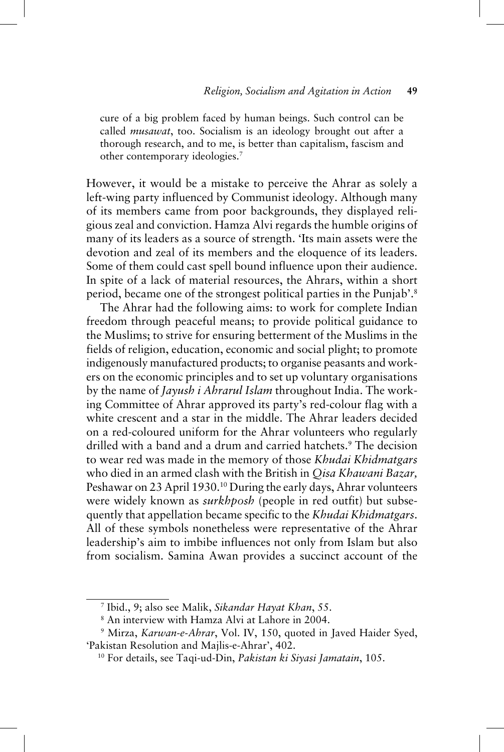cure of a big problem faced by human beings. Such control can be called *musawat*, too. Socialism is an ideology brought out after a thorough research, and to me, is better than capitalism, fascism and other contemporary ideologies.7

However, it would be a mistake to perceive the Ahrar as solely a left-wing party influenced by Communist ideology. Although many of its members came from poor backgrounds, they displayed religious zeal and conviction. Hamza Alvi regards the humble origins of many of its leaders as a source of strength. 'Its main assets were the devotion and zeal of its members and the eloquence of its leaders. Some of them could cast spell bound influence upon their audience. In spite of a lack of material resources, the Ahrars, within a short period, became one of the strongest political parties in the Punjab'.8

The Ahrar had the following aims: to work for complete Indian freedom through peaceful means; to provide political guidance to the Muslims; to strive for ensuring betterment of the Muslims in the fields of religion, education, economic and social plight; to promote indigenously manufactured products; to organise peasants and workers on the economic principles and to set up voluntary organisations by the name of *Jayush i Ahrarul Islam* throughout India. The working Committee of Ahrar approved its party's red-colour flag with a white crescent and a star in the middle. The Ahrar leaders decided on a red-coloured uniform for the Ahrar volunteers who regularly drilled with a band and a drum and carried hatchets.<sup>9</sup> The decision to wear red was made in the memory of those *Khudai Khidmatgars*  who died in an armed clash with the British in *Qisa Khawani Bazar,*  Peshawar on 23 April 1930.10 During the early days, Ahrar volunteers were widely known as *surkhposh* (people in red outfit) but subsequently that appellation became specific to the *Khudai Khidmatgars*. All of these symbols nonetheless were representative of the Ahrar leadership's aim to imbibe influences not only from Islam but also from socialism. Samina Awan provides a succinct account of the

<sup>&</sup>lt;sup>7</sup> Ibid., 9; also see Malik, *Sikandar Hayat Khan*, 55.<br><sup>8</sup> An interview with Hamza Alvi at Lahore in 2004.

 <sup>9</sup> Mirza, *Karwan-e-Ahrar*, Vol. IV, 150, quoted in Javed Haider Syed, 'Pakistan Resolution and Majlis-e-Ahrar', 402.

<sup>10</sup> For details, see Taqi-ud-Din, *Pakistan ki Siyasi Jamatain*, 105.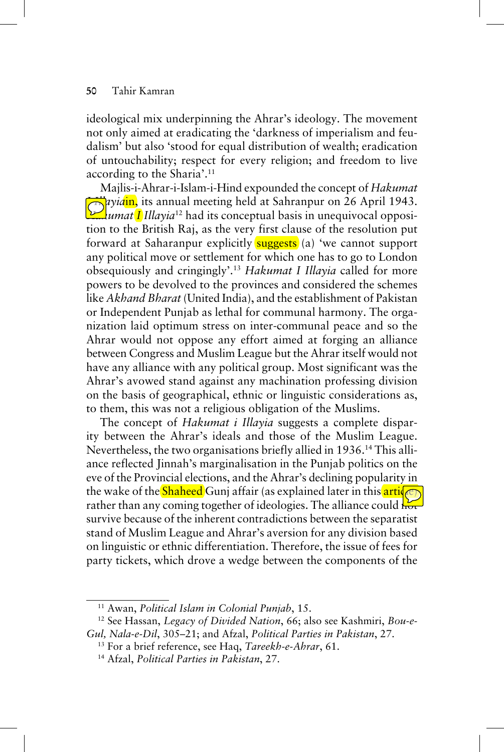ideological mix underpinning the Ahrar's ideology. The movement not only aimed at eradicating the 'darkness of imperialism and feudalism' but also 'stood for equal distribution of wealth; eradication of untouchability; respect for every religion; and freedom to live according to the Sharia'.11

Majlis-i-Ahrar-i-Islam-i-Hind expounded the concept of *Hakumat I Ividin*, its annual meeting held at Sahranpur on 26 April 1943. *Hamat I Illayia*<sup>12</sup> had its conceptual basis in unequivocal opposition to the British Raj, as the very first clause of the resolution put forward at Saharanpur explicitly **suggests** (a) 'we cannot support any political move or settlement for which one has to go to London obsequiously and cringingly'.13 *Hakumat I Illayia* called for more powers to be devolved to the provinces and considered the schemes like *Akhand Bharat* (United India), and the establishment of Pakistan or Independent Punjab as lethal for communal harmony. The organization laid optimum stress on inter-communal peace and so the Ahrar would not oppose any effort aimed at forging an alliance between Congress and Muslim League but the Ahrar itself would not have any alliance with any political group. Most significant was the Ahrar's avowed stand against any machination professing division on the basis of geographical, ethnic or linguistic considerations as, to them, this was not a religious obligation of the Muslims.

The concept of *Hakumat i Illayia* suggests a complete disparity between the Ahrar's ideals and those of the Muslim League. Nevertheless, the two organisations briefly allied in 1936.14 This alliance reflected Jinnah's marginalisation in the Punjab politics on the eve of the Provincial elections, and the Ahrar's declining popularity in the wake of the **Shaheed** Gunj affair (as explained later in this **artiqe**) rather than any coming together of ideologies. The alliance could  $\frac{1}{100}$ survive because of the inherent contradictions between the separatist stand of Muslim League and Ahrar's aversion for any division based on linguistic or ethnic differentiation. Therefore, the issue of fees for party tickets, which drove a wedge between the components of the

<sup>11</sup> Awan, *Political Islam in Colonial Punjab*, 15.

<sup>12</sup> See Hassan, *Legacy of Divided Nation*, 66; also see Kashmiri, *Bou-e-Gul, Nala-e-Dil*, 305–21; and Afzal, *Political Parties in Pakistan*, 27.

<sup>13</sup> For a brief reference, see Haq, *Tareekh-e-Ahrar*, 61.

<sup>14</sup> Afzal, *Political Parties in Pakistan*, 27.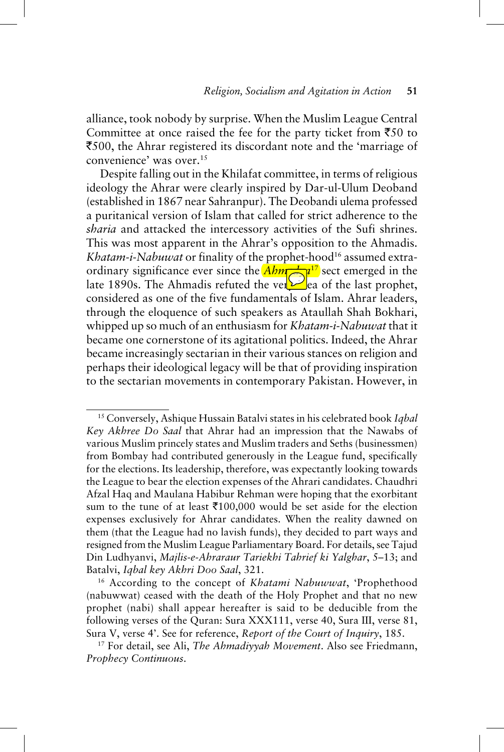alliance, took nobody by surprise. When the Muslim League Central Committee at once raised the fee for the party ticket from  $\overline{500}$  to `500, the Ahrar registered its discordant note and the 'marriage of convenience' was over.<sup>15</sup>

Despite falling out in the Khilafat committee, in terms of religious ideology the Ahrar were clearly inspired by Dar-ul-Ulum Deoband (established in 1867 near Sahranpur). The Deobandi ulema professed a puritanical version of Islam that called for strict adherence to the *sharia* and attacked the intercessory activities of the Sufi shrines. This was most apparent in the Ahrar's opposition to the Ahmadis. *Khatam-i-Nabuwat* or finality of the prophet-hood<sup>16</sup> assumed extraordinary significance ever since the  $Abm\rightarrow\pi^{17}$  sect emerged in the late 1890s. The Ahmadis refuted the very  $\approx$  ea of the last prophet, considered as one of the five fundamentals of Islam. Ahrar leaders, through the eloquence of such speakers as Ataullah Shah Bokhari, whipped up so much of an enthusiasm for *Khatam-i-Nabuwat* that it became one cornerstone of its agitational politics. Indeed, the Ahrar became increasingly sectarian in their various stances on religion and perhaps their ideological legacy will be that of providing inspiration to the sectarian movements in contemporary Pakistan. However, in

<sup>15</sup> Conversely, Ashique Hussain Batalvi states in his celebrated book *Iqbal Key Akhree Do Saal* that Ahrar had an impression that the Nawabs of various Muslim princely states and Muslim traders and Seths (businessmen) from Bombay had contributed generously in the League fund, specifically for the elections. Its leadership, therefore, was expectantly looking towards the League to bear the election expenses of the Ahrari candidates. Chaudhri Afzal Haq and Maulana Habibur Rehman were hoping that the exorbitant sum to the tune of at least  $\text{\textsterling}100,000$  would be set aside for the election expenses exclusively for Ahrar candidates. When the reality dawned on them (that the League had no lavish funds), they decided to part ways and resigned from the Muslim League Parliamentary Board. For details, see Tajud Din Ludhyanvi, *Majlis-e-Ahraraur Tariekhi Tahrief ki Yalghar*, 5–13; and Batalvi, *Iqbal key Akhri Doo Saal*, 321.

<sup>16</sup> According to the concept of *Khatami Nabuwwat*, 'Prophethood (nabuwwat) ceased with the death of the Holy Prophet and that no new prophet (nabi) shall appear hereafter is said to be deducible from the following verses of the Quran: Sura XXX111, verse 40, Sura III, verse 81, Sura V, verse 4'. See for reference, *Report of the Court of Inquiry*, 185.

<sup>17</sup> For detail, see Ali, *The Ahmadiyyah Movement*. Also see Friedmann, *Prophecy Continuous*.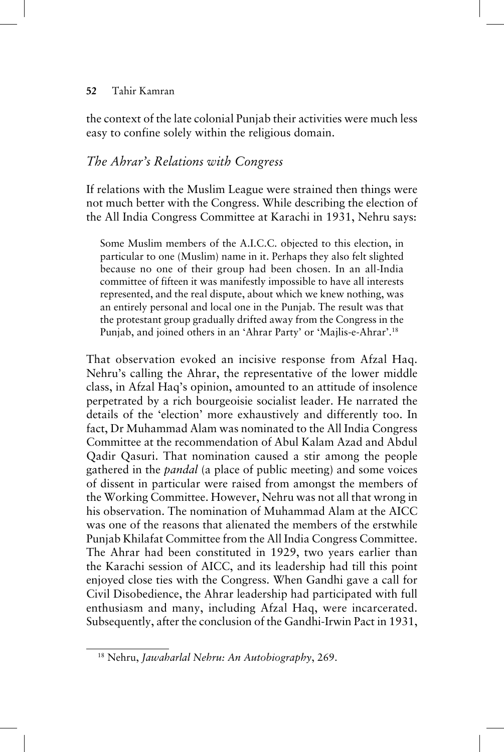the context of the late colonial Punjab their activities were much less easy to confine solely within the religious domain.

### *The Ahrar's Relations with Congress*

If relations with the Muslim League were strained then things were not much better with the Congress. While describing the election of the All India Congress Committee at Karachi in 1931, Nehru says:

Some Muslim members of the A.I.C.C. objected to this election, in particular to one (Muslim) name in it. Perhaps they also felt slighted because no one of their group had been chosen. In an all-India committee of fifteen it was manifestly impossible to have all interests represented, and the real dispute, about which we knew nothing, was an entirely personal and local one in the Punjab. The result was that the protestant group gradually drifted away from the Congress in the Punjab, and joined others in an 'Ahrar Party' or 'Majlis-e-Ahrar'.18

That observation evoked an incisive response from Afzal Haq. Nehru's calling the Ahrar, the representative of the lower middle class, in Afzal Haq's opinion, amounted to an attitude of insolence perpetrated by a rich bourgeoisie socialist leader. He narrated the details of the 'election' more exhaustively and differently too. In fact, Dr Muhammad Alam was nominated to the All India Congress Committee at the recommendation of Abul Kalam Azad and Abdul Qadir Qasuri. That nomination caused a stir among the people gathered in the *pandal* (a place of public meeting) and some voices of dissent in particular were raised from amongst the members of the Working Committee. However, Nehru was not all that wrong in his observation. The nomination of Muhammad Alam at the AICC was one of the reasons that alienated the members of the erstwhile Punjab Khilafat Committee from the All India Congress Committee. The Ahrar had been constituted in 1929, two years earlier than the Karachi session of AICC, and its leadership had till this point enjoyed close ties with the Congress. When Gandhi gave a call for Civil Disobedience, the Ahrar leadership had participated with full enthusiasm and many, including Afzal Haq, were incarcerated. Subsequently, after the conclusion of the Gandhi-Irwin Pact in 1931,

<sup>18</sup> Nehru, *Jawaharlal Nehru: An Autobiography*, 269.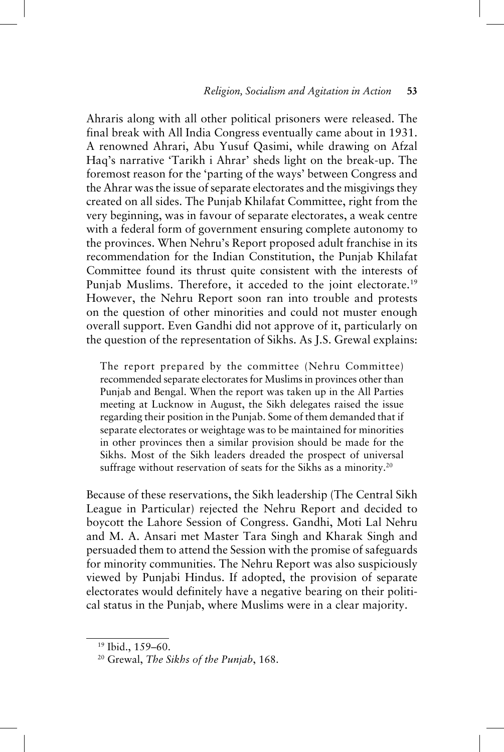Ahraris along with all other political prisoners were released. The final break with All India Congress eventually came about in 1931. A renowned Ahrari, Abu Yusuf Qasimi, while drawing on Afzal Haq's narrative 'Tarikh i Ahrar' sheds light on the break-up. The foremost reason for the 'parting of the ways' between Congress and the Ahrar was the issue of separate electorates and the misgivings they created on all sides. The Punjab Khilafat Committee, right from the very beginning, was in favour of separate electorates, a weak centre with a federal form of government ensuring complete autonomy to the provinces. When Nehru's Report proposed adult franchise in its recommendation for the Indian Constitution, the Punjab Khilafat Committee found its thrust quite consistent with the interests of Punjab Muslims. Therefore, it acceded to the joint electorate.<sup>19</sup> However, the Nehru Report soon ran into trouble and protests on the question of other minorities and could not muster enough overall support. Even Gandhi did not approve of it, particularly on the question of the representation of Sikhs. As J.S. Grewal explains:

The report prepared by the committee (Nehru Committee) recommended separate electorates for Muslims in provinces other than Punjab and Bengal. When the report was taken up in the All Parties meeting at Lucknow in August, the Sikh delegates raised the issue regarding their position in the Punjab. Some of them demanded that if separate electorates or weightage was to be maintained for minorities in other provinces then a similar provision should be made for the Sikhs. Most of the Sikh leaders dreaded the prospect of universal suffrage without reservation of seats for the Sikhs as a minority.<sup>20</sup>

Because of these reservations, the Sikh leadership (The Central Sikh League in Particular) rejected the Nehru Report and decided to boycott the Lahore Session of Congress. Gandhi, Moti Lal Nehru and M. A. Ansari met Master Tara Singh and Kharak Singh and persuaded them to attend the Session with the promise of safeguards for minority communities. The Nehru Report was also suspiciously viewed by Punjabi Hindus. If adopted, the provision of separate electorates would definitely have a negative bearing on their political status in the Punjab, where Muslims were in a clear majority.

<sup>19</sup> Ibid., 159–60.

<sup>20</sup> Grewal, *The Sikhs of the Punjab*, 168.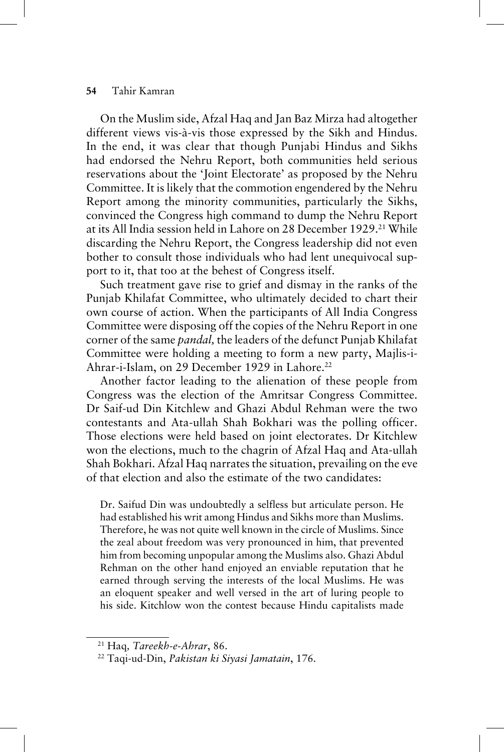On the Muslim side, Afzal Haq and Jan Baz Mirza had altogether different views vis-à-vis those expressed by the Sikh and Hindus. In the end, it was clear that though Punjabi Hindus and Sikhs had endorsed the Nehru Report, both communities held serious reservations about the 'Joint Electorate' as proposed by the Nehru Committee. It is likely that the commotion engendered by the Nehru Report among the minority communities, particularly the Sikhs, convinced the Congress high command to dump the Nehru Report at its All India session held in Lahore on 28 December 1929.<sup>21</sup> While discarding the Nehru Report, the Congress leadership did not even bother to consult those individuals who had lent unequivocal support to it, that too at the behest of Congress itself.

Such treatment gave rise to grief and dismay in the ranks of the Punjab Khilafat Committee, who ultimately decided to chart their own course of action. When the participants of All India Congress Committee were disposing off the copies of the Nehru Report in one corner of the same *pandal,* the leaders of the defunct Punjab Khilafat Committee were holding a meeting to form a new party, Majlis-i-Ahrar-i-Islam, on 29 December 1929 in Lahore.<sup>22</sup>

Another factor leading to the alienation of these people from Congress was the election of the Amritsar Congress Committee. Dr Saif-ud Din Kitchlew and Ghazi Abdul Rehman were the two contestants and Ata-ullah Shah Bokhari was the polling officer. Those elections were held based on joint electorates. Dr Kitchlew won the elections, much to the chagrin of Afzal Haq and Ata-ullah Shah Bokhari. Afzal Haq narrates the situation, prevailing on the eve of that election and also the estimate of the two candidates:

Dr. Saifud Din was undoubtedly a selfless but articulate person. He had established his writ among Hindus and Sikhs more than Muslims. Therefore, he was not quite well known in the circle of Muslims. Since the zeal about freedom was very pronounced in him, that prevented him from becoming unpopular among the Muslims also. Ghazi Abdul Rehman on the other hand enjoyed an enviable reputation that he earned through serving the interests of the local Muslims. He was an eloquent speaker and well versed in the art of luring people to his side. Kitchlow won the contest because Hindu capitalists made

<sup>21</sup> Haq*, Tareekh-e-Ahrar*, 86.

<sup>22</sup> Taqi-ud-Din, *Pakistan ki Siyasi Jamatain*, 176.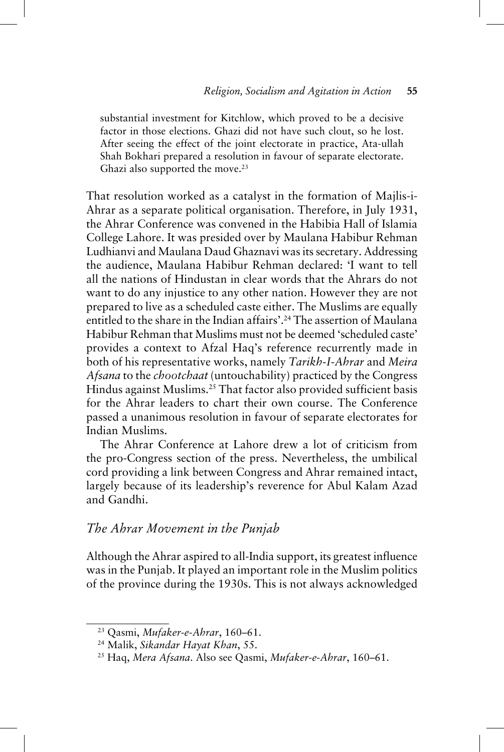substantial investment for Kitchlow, which proved to be a decisive factor in those elections. Ghazi did not have such clout, so he lost. After seeing the effect of the joint electorate in practice, Ata-ullah Shah Bokhari prepared a resolution in favour of separate electorate. Ghazi also supported the move.<sup>23</sup>

That resolution worked as a catalyst in the formation of Majlis-i-Ahrar as a separate political organisation. Therefore, in July 1931, the Ahrar Conference was convened in the Habibia Hall of Islamia College Lahore. It was presided over by Maulana Habibur Rehman Ludhianvi and Maulana Daud Ghaznavi was its secretary. Addressing the audience, Maulana Habibur Rehman declared: 'I want to tell all the nations of Hindustan in clear words that the Ahrars do not want to do any injustice to any other nation. However they are not prepared to live as a scheduled caste either. The Muslims are equally entitled to the share in the Indian affairs'.24 The assertion of Maulana Habibur Rehman that Muslims must not be deemed 'scheduled caste' provides a context to Afzal Haq's reference recurrently made in both of his representative works, namely *Tarikh-I-Ahrar* and *Meira Afsana* to the *chootchaat* (untouchability) practiced by the Congress Hindus against Muslims.<sup>25</sup> That factor also provided sufficient basis for the Ahrar leaders to chart their own course. The Conference passed a unanimous resolution in favour of separate electorates for Indian Muslims.

The Ahrar Conference at Lahore drew a lot of criticism from the pro-Congress section of the press. Nevertheless, the umbilical cord providing a link between Congress and Ahrar remained intact, largely because of its leadership's reverence for Abul Kalam Azad and Gandhi.

### *The Ahrar Movement in the Punjab*

Although the Ahrar aspired to all-India support, its greatest influence was in the Punjab. It played an important role in the Muslim politics of the province during the 1930s. This is not always acknowledged

<sup>23</sup> Qasmi, *Mufaker-e-Ahrar*, 160–61.

<sup>24</sup> Malik, *Sikandar Hayat Khan*, 55.

<sup>25</sup> Haq, *Mera Afsana*. Also see Qasmi, *Mufaker-e-Ahrar*, 160–61.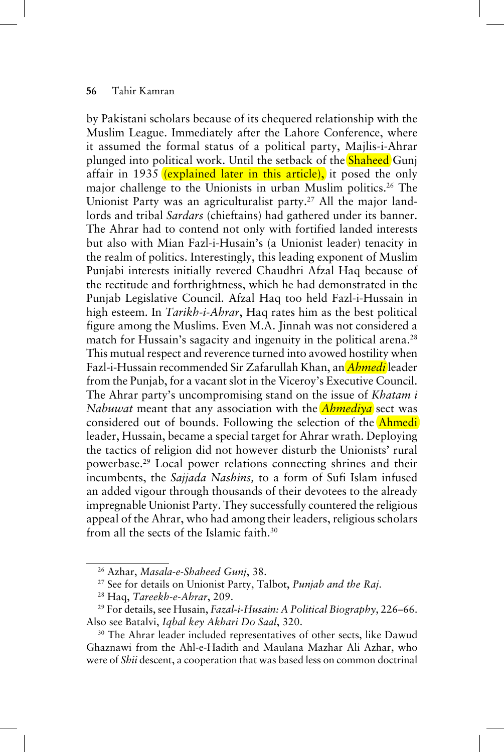by Pakistani scholars because of its chequered relationship with the Muslim League. Immediately after the Lahore Conference, where it assumed the formal status of a political party, Majlis-i-Ahrar plunged into political work. Until the setback of the **Shaheed** Gunj affair in 1935 (explained later in this article), it posed the only major challenge to the Unionists in urban Muslim politics.<sup>26</sup> The Unionist Party was an agriculturalist party.<sup>27</sup> All the major landlords and tribal *Sardars* (chieftains) had gathered under its banner. The Ahrar had to contend not only with fortified landed interests but also with Mian Fazl-i-Husain's (a Unionist leader) tenacity in the realm of politics. Interestingly, this leading exponent of Muslim Punjabi interests initially revered Chaudhri Afzal Haq because of the rectitude and forthrightness, which he had demonstrated in the Punjab Legislative Council. Afzal Haq too held Fazl-i-Hussain in high esteem. In *Tarikh-i-Ahrar*, Haq rates him as the best political figure among the Muslims. Even M.A. Jinnah was not considered a match for Hussain's sagacity and ingenuity in the political arena.<sup>28</sup> This mutual respect and reverence turned into avowed hostility when Fazl-i-Hussain recommended Sir Zafarullah Khan, an *Ahmedi* leader from the Punjab, for a vacant slot in the Viceroy's Executive Council. The Ahrar party's uncompromising stand on the issue of *Khatam i Nabuwat* meant that any association with the *Ahmediya* sect was considered out of bounds. Following the selection of the **Ahmedi** leader, Hussain, became a special target for Ahrar wrath. Deploying the tactics of religion did not however disturb the Unionists' rural powerbase.29 Local power relations connecting shrines and their incumbents, the *Sajjada Nashins,* to a form of Sufi Islam infused an added vigour through thousands of their devotees to the already impregnable Unionist Party. They successfully countered the religious appeal of the Ahrar, who had among their leaders, religious scholars from all the sects of the Islamic faith.30

<sup>26</sup> Azhar, *Masala-e-Shaheed Gunj*, 38.

<sup>27</sup> See for details on Unionist Party, Talbot, *Punjab and the Raj*.

<sup>28</sup> Haq, *Tareekh-e-Ahrar*, 209.

<sup>29</sup> For details, see Husain, *Fazal-i-Husain: A Political Biography*, 226–66. Also see Batalvi, *Iqbal key Akhari Do Saal*, 320.

<sup>&</sup>lt;sup>30</sup> The Ahrar leader included representatives of other sects, like Dawud Ghaznawi from the Ahl-e-Hadith and Maulana Mazhar Ali Azhar, who were of *Shii* descent, a cooperation that was based less on common doctrinal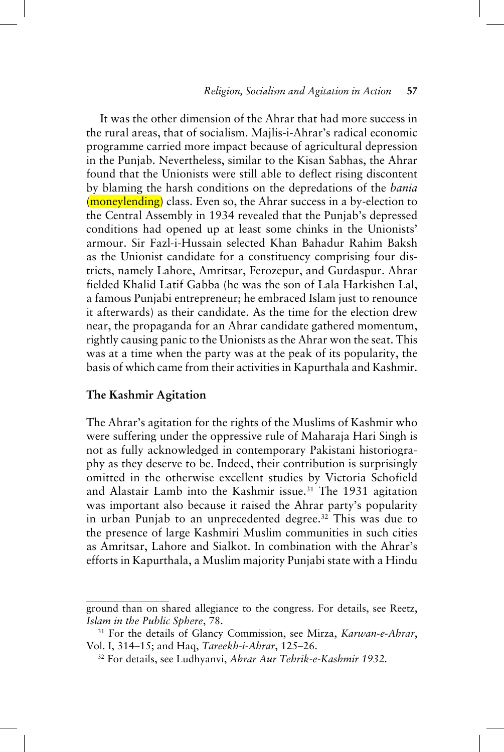It was the other dimension of the Ahrar that had more success in the rural areas, that of socialism. Majlis-i-Ahrar's radical economic programme carried more impact because of agricultural depression in the Punjab. Nevertheless, similar to the Kisan Sabhas, the Ahrar found that the Unionists were still able to deflect rising discontent by blaming the harsh conditions on the depredations of the *bania*  (moneylending) class. Even so, the Ahrar success in a by-election to the Central Assembly in 1934 revealed that the Punjab's depressed conditions had opened up at least some chinks in the Unionists' armour. Sir Fazl-i-Hussain selected Khan Bahadur Rahim Baksh as the Unionist candidate for a constituency comprising four districts, namely Lahore, Amritsar, Ferozepur, and Gurdaspur. Ahrar fielded Khalid Latif Gabba (he was the son of Lala Harkishen Lal, a famous Punjabi entrepreneur; he embraced Islam just to renounce it afterwards) as their candidate. As the time for the election drew near, the propaganda for an Ahrar candidate gathered momentum, rightly causing panic to the Unionists as the Ahrar won the seat. This was at a time when the party was at the peak of its popularity, the basis of which came from their activities in Kapurthala and Kashmir.

### **The Kashmir Agitation**

The Ahrar's agitation for the rights of the Muslims of Kashmir who were suffering under the oppressive rule of Maharaja Hari Singh is not as fully acknowledged in contemporary Pakistani historiography as they deserve to be. Indeed, their contribution is surprisingly omitted in the otherwise excellent studies by Victoria Schofield and Alastair Lamb into the Kashmir issue.<sup>31</sup> The 1931 agitation was important also because it raised the Ahrar party's popularity in urban Punjab to an unprecedented degree.<sup>32</sup> This was due to the presence of large Kashmiri Muslim communities in such cities as Amritsar, Lahore and Sialkot. In combination with the Ahrar's efforts in Kapurthala, a Muslim majority Punjabi state with a Hindu

ground than on shared allegiance to the congress. For details, see Reetz, *Islam in the Public Sphere*, 78.

<sup>31</sup> For the details of Glancy Commission, see Mirza, *Karwan-e-Ahrar*, Vol. I, 314–15; and Haq, *Tareekh-i-Ahrar*, 125–26.

<sup>32</sup> For details, see Ludhyanvi, *Ahrar Aur Tehrik-e-Kashmir 1932.*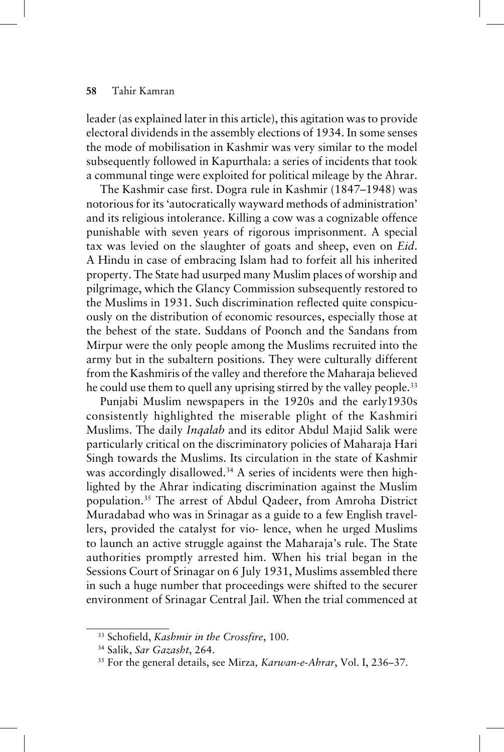leader (as explained later in this article), this agitation was to provide electoral dividends in the assembly elections of 1934. In some senses the mode of mobilisation in Kashmir was very similar to the model subsequently followed in Kapurthala: a series of incidents that took a communal tinge were exploited for political mileage by the Ahrar.

The Kashmir case first. Dogra rule in Kashmir (1847–1948) was notorious for its 'autocratically wayward methods of administration' and its religious intolerance. Killing a cow was a cognizable offence punishable with seven years of rigorous imprisonment. A special tax was levied on the slaughter of goats and sheep, even on *Eid*. A Hindu in case of embracing Islam had to forfeit all his inherited property. The State had usurped many Muslim places of worship and pilgrimage, which the Glancy Commission subsequently restored to the Muslims in 1931. Such discrimination reflected quite conspicuously on the distribution of economic resources, especially those at the behest of the state. Suddans of Poonch and the Sandans from Mirpur were the only people among the Muslims recruited into the army but in the subaltern positions. They were culturally different from the Kashmiris of the valley and therefore the Maharaja believed he could use them to quell any uprising stirred by the valley people.<sup>33</sup>

Punjabi Muslim newspapers in the 1920s and the early1930s consistently highlighted the miserable plight of the Kashmiri Muslims. The daily *Inqalab* and its editor Abdul Majid Salik were particularly critical on the discriminatory policies of Maharaja Hari Singh towards the Muslims. Its circulation in the state of Kashmir was accordingly disallowed.<sup>34</sup> A series of incidents were then highlighted by the Ahrar indicating discrimination against the Muslim population.35 The arrest of Abdul Qadeer, from Amroha District Muradabad who was in Srinagar as a guide to a few English travellers, provided the catalyst for vio- lence, when he urged Muslims to launch an active struggle against the Maharaja's rule. The State authorities promptly arrested him. When his trial began in the Sessions Court of Srinagar on 6 July 1931, Muslims assembled there in such a huge number that proceedings were shifted to the securer environment of Srinagar Central Jail. When the trial commenced at

<sup>33</sup> Schofield, *Kashmir in the Crossfire*, 100.

<sup>34</sup> Salik, *Sar Gazasht*, 264.

<sup>35</sup> For the general details, see Mirza*, Karwan-e-Ahrar*, Vol. I, 236–37.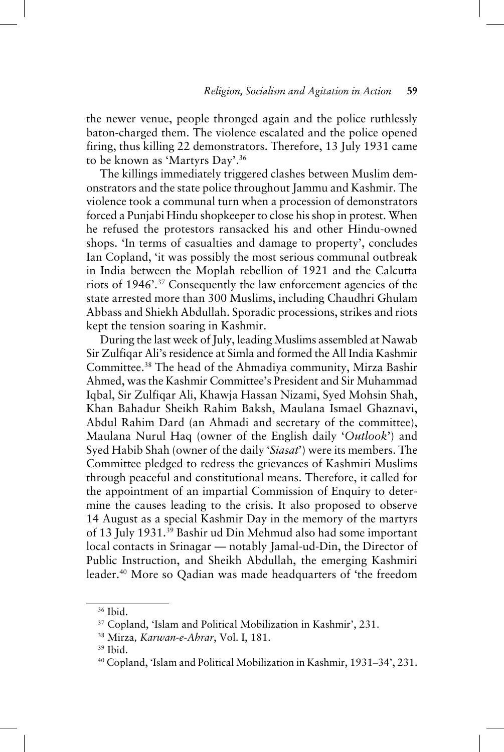the newer venue, people thronged again and the police ruthlessly baton-charged them. The violence escalated and the police opened firing, thus killing 22 demonstrators. Therefore, 13 July 1931 came to be known as 'Martyrs Day'.36

The killings immediately triggered clashes between Muslim demonstrators and the state police throughout Jammu and Kashmir. The violence took a communal turn when a procession of demonstrators forced a Punjabi Hindu shopkeeper to close his shop in protest. When he refused the protestors ransacked his and other Hindu-owned shops. 'In terms of casualties and damage to property', concludes Ian Copland, 'it was possibly the most serious communal outbreak in India between the Moplah rebellion of 1921 and the Calcutta riots of 1946'.37 Consequently the law enforcement agencies of the state arrested more than 300 Muslims, including Chaudhri Ghulam Abbass and Shiekh Abdullah. Sporadic processions, strikes and riots kept the tension soaring in Kashmir.

During the last week of July, leading Muslims assembled at Nawab Sir Zulfiqar Ali's residence at Simla and formed the All India Kashmir Committee.38 The head of the Ahmadiya community, Mirza Bashir Ahmed, was the Kashmir Committee's President and Sir Muhammad Iqbal, Sir Zulfiqar Ali, Khawja Hassan Nizami, Syed Mohsin Shah, Khan Bahadur Sheikh Rahim Baksh, Maulana Ismael Ghaznavi, Abdul Rahim Dard (an Ahmadi and secretary of the committee), Maulana Nurul Haq (owner of the English daily '*Outlook*') and Syed Habib Shah (owner of the daily '*Siasat*') were its members. The Committee pledged to redress the grievances of Kashmiri Muslims through peaceful and constitutional means. Therefore, it called for the appointment of an impartial Commission of Enquiry to determine the causes leading to the crisis. It also proposed to observe 14 August as a special Kashmir Day in the memory of the martyrs of 13 July 1931.39 Bashir ud Din Mehmud also had some important local contacts in Srinagar — notably Jamal-ud-Din, the Director of Public Instruction, and Sheikh Abdullah, the emerging Kashmiri leader.40 More so Qadian was made headquarters of 'the freedom

<sup>36</sup> Ibid.

<sup>37</sup> Copland, 'Islam and Political Mobilization in Kashmir', 231.

<sup>38</sup> Mirza*, Karwan-e-Ahrar*, Vol. I, 181.

<sup>39</sup> Ibid.

<sup>40</sup> Copland, 'Islam and Political Mobilization in Kashmir, 1931–34', 231.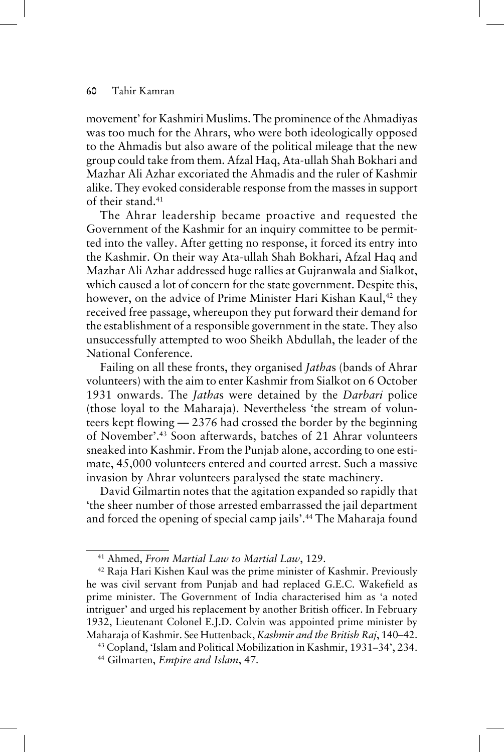movement' for Kashmiri Muslims. The prominence of the Ahmadiyas was too much for the Ahrars, who were both ideologically opposed to the Ahmadis but also aware of the political mileage that the new group could take from them. Afzal Haq, Ata-ullah Shah Bokhari and Mazhar Ali Azhar excoriated the Ahmadis and the ruler of Kashmir alike. They evoked considerable response from the masses in support of their stand.41

The Ahrar leadership became proactive and requested the Government of the Kashmir for an inquiry committee to be permitted into the valley. After getting no response, it forced its entry into the Kashmir. On their way Ata-ullah Shah Bokhari, Afzal Haq and Mazhar Ali Azhar addressed huge rallies at Gujranwala and Sialkot, which caused a lot of concern for the state government. Despite this, however, on the advice of Prime Minister Hari Kishan Kaul,<sup>42</sup> they received free passage, whereupon they put forward their demand for the establishment of a responsible government in the state. They also unsuccessfully attempted to woo Sheikh Abdullah, the leader of the National Conference.

Failing on all these fronts, they organised *Jatha*s (bands of Ahrar volunteers) with the aim to enter Kashmir from Sialkot on 6 October 1931 onwards. The *Jatha*s were detained by the *Darbari* police (those loyal to the Maharaja). Nevertheless 'the stream of volunteers kept flowing — 2376 had crossed the border by the beginning of November'.43 Soon afterwards, batches of 21 Ahrar volunteers sneaked into Kashmir. From the Punjab alone, according to one estimate, 45,000 volunteers entered and courted arrest. Such a massive invasion by Ahrar volunteers paralysed the state machinery.

David Gilmartin notes that the agitation expanded so rapidly that 'the sheer number of those arrested embarrassed the jail department and forced the opening of special camp jails'.44 The Maharaja found

<sup>41</sup> Ahmed, *From Martial Law to Martial Law*, 129.

<sup>42</sup> Raja Hari Kishen Kaul was the prime minister of Kashmir. Previously he was civil servant from Punjab and had replaced G.E.C. Wakefield as prime minister. The Government of India characterised him as 'a noted intriguer' and urged his replacement by another British officer. In February 1932, Lieutenant Colonel E.J.D. Colvin was appointed prime minister by Maharaja of Kashmir. See Huttenback, *Kashmir and the British Raj*, 140–42.

<sup>43</sup> Copland, 'Islam and Political Mobilization in Kashmir, 1931–34', 234.

<sup>44</sup> Gilmarten, *Empire and Islam*, 47.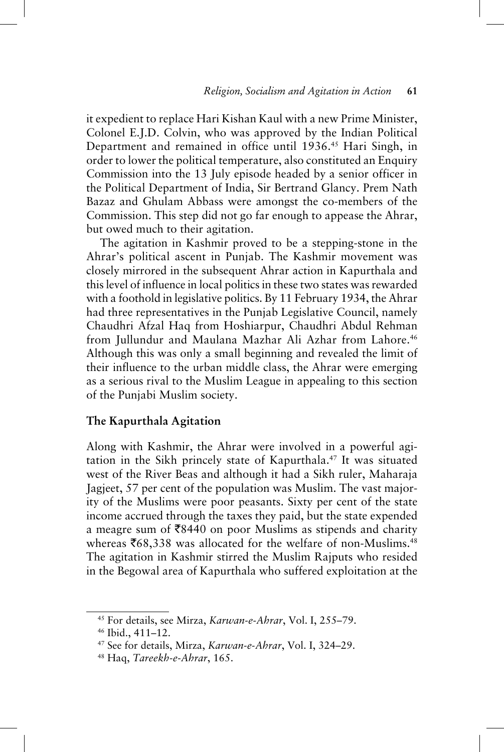it expedient to replace Hari Kishan Kaul with a new Prime Minister, Colonel E.J.D. Colvin, who was approved by the Indian Political Department and remained in office until 1936.45 Hari Singh, in order to lower the political temperature, also constituted an Enquiry Commission into the 13 July episode headed by a senior officer in the Political Department of India, Sir Bertrand Glancy. Prem Nath Bazaz and Ghulam Abbass were amongst the co-members of the Commission. This step did not go far enough to appease the Ahrar, but owed much to their agitation.

The agitation in Kashmir proved to be a stepping-stone in the Ahrar's political ascent in Punjab. The Kashmir movement was closely mirrored in the subsequent Ahrar action in Kapurthala and this level of influence in local politics in these two states was rewarded with a foothold in legislative politics. By 11 February 1934, the Ahrar had three representatives in the Punjab Legislative Council, namely Chaudhri Afzal Haq from Hoshiarpur, Chaudhri Abdul Rehman from Jullundur and Maulana Mazhar Ali Azhar from Lahore.<sup>46</sup> Although this was only a small beginning and revealed the limit of their influence to the urban middle class, the Ahrar were emerging as a serious rival to the Muslim League in appealing to this section of the Punjabi Muslim society.

### **The Kapurthala Agitation**

Along with Kashmir, the Ahrar were involved in a powerful agitation in the Sikh princely state of Kapurthala.<sup>47</sup> It was situated west of the River Beas and although it had a Sikh ruler, Maharaja Jagjeet, 57 per cent of the population was Muslim. The vast majority of the Muslims were poor peasants. Sixty per cent of the state income accrued through the taxes they paid, but the state expended a meagre sum of  $\overline{$8440}$  on poor Muslims as stipends and charity whereas  $\text{\textsterling}68,338$  was allocated for the welfare of non-Muslims.<sup>48</sup> The agitation in Kashmir stirred the Muslim Rajputs who resided in the Begowal area of Kapurthala who suffered exploitation at the

<sup>45</sup> For details, see Mirza, *Karwan-e-Ahrar*, Vol. I, 255–79.

<sup>46</sup> Ibid., 411–12.

<sup>47</sup> See for details, Mirza, *Karwan-e-Ahrar*, Vol. I, 324–29.

<sup>48</sup> Haq, *Tareekh-e-Ahrar*, 165.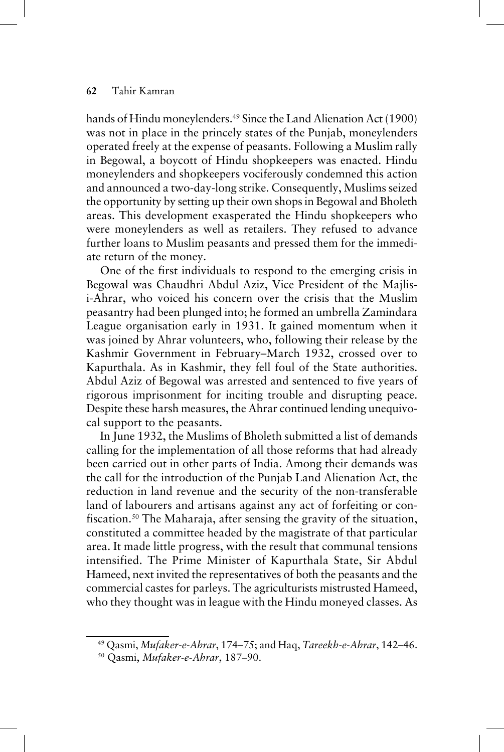hands of Hindu moneylenders.<sup>49</sup> Since the Land Alienation Act (1900) was not in place in the princely states of the Punjab, moneylenders operated freely at the expense of peasants. Following a Muslim rally in Begowal, a boycott of Hindu shopkeepers was enacted. Hindu moneylenders and shopkeepers vociferously condemned this action and announced a two-day-long strike. Consequently, Muslims seized the opportunity by setting up their own shops in Begowal and Bholeth areas. This development exasperated the Hindu shopkeepers who were moneylenders as well as retailers. They refused to advance further loans to Muslim peasants and pressed them for the immediate return of the money.

One of the first individuals to respond to the emerging crisis in Begowal was Chaudhri Abdul Aziz, Vice President of the Majlisi-Ahrar, who voiced his concern over the crisis that the Muslim peasantry had been plunged into; he formed an umbrella Zamindara League organisation early in 1931. It gained momentum when it was joined by Ahrar volunteers, who, following their release by the Kashmir Government in February–March 1932, crossed over to Kapurthala. As in Kashmir, they fell foul of the State authorities. Abdul Aziz of Begowal was arrested and sentenced to five years of rigorous imprisonment for inciting trouble and disrupting peace. Despite these harsh measures, the Ahrar continued lending unequivocal support to the peasants.

In June 1932, the Muslims of Bholeth submitted a list of demands calling for the implementation of all those reforms that had already been carried out in other parts of India. Among their demands was the call for the introduction of the Punjab Land Alienation Act, the reduction in land revenue and the security of the non-transferable land of labourers and artisans against any act of forfeiting or confiscation.50 The Maharaja, after sensing the gravity of the situation, constituted a committee headed by the magistrate of that particular area. It made little progress, with the result that communal tensions intensified. The Prime Minister of Kapurthala State, Sir Abdul Hameed, next invited the representatives of both the peasants and the commercial castes for parleys. The agriculturists mistrusted Hameed, who they thought was in league with the Hindu moneyed classes. As

<sup>49</sup> Qasmi, *Mufaker-e-Ahrar*, 174–75; and Haq, *Tareekh-e-Ahrar*, 142–46.

<sup>50</sup> Qasmi, *Mufaker-e-Ahrar*, 187–90.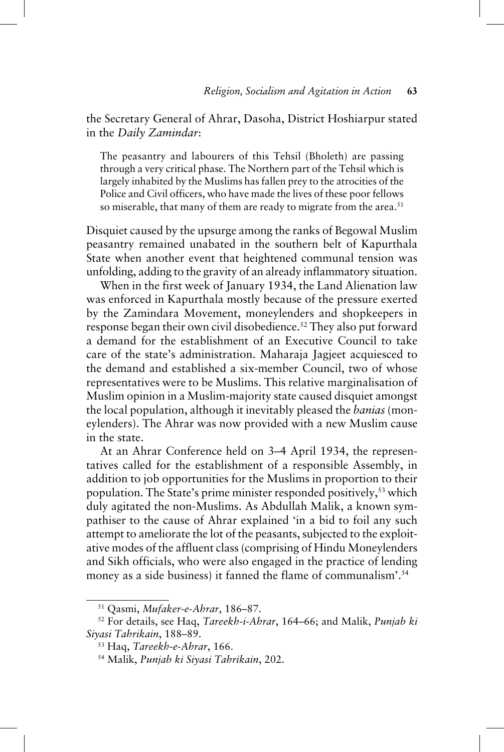the Secretary General of Ahrar, Dasoha, District Hoshiarpur stated in the *Daily Zamindar*:

The peasantry and labourers of this Tehsil (Bholeth) are passing through a very critical phase. The Northern part of the Tehsil which is largely inhabited by the Muslims has fallen prey to the atrocities of the Police and Civil officers, who have made the lives of these poor fellows so miserable, that many of them are ready to migrate from the area.<sup>51</sup>

Disquiet caused by the upsurge among the ranks of Begowal Muslim peasantry remained unabated in the southern belt of Kapurthala State when another event that heightened communal tension was unfolding, adding to the gravity of an already inflammatory situation.

When in the first week of January 1934, the Land Alienation law was enforced in Kapurthala mostly because of the pressure exerted by the Zamindara Movement, moneylenders and shopkeepers in response began their own civil disobedience.<sup>52</sup> They also put forward a demand for the establishment of an Executive Council to take care of the state's administration. Maharaja Jagjeet acquiesced to the demand and established a six-member Council, two of whose representatives were to be Muslims. This relative marginalisation of Muslim opinion in a Muslim-majority state caused disquiet amongst the local population, although it inevitably pleased the *banias* (moneylenders). The Ahrar was now provided with a new Muslim cause in the state.

At an Ahrar Conference held on 3–4 April 1934, the representatives called for the establishment of a responsible Assembly, in addition to job opportunities for the Muslims in proportion to their population. The State's prime minister responded positively,<sup>53</sup> which duly agitated the non-Muslims. As Abdullah Malik, a known sympathiser to the cause of Ahrar explained 'in a bid to foil any such attempt to ameliorate the lot of the peasants, subjected to the exploitative modes of the affluent class (comprising of Hindu Moneylenders and Sikh officials, who were also engaged in the practice of lending money as a side business) it fanned the flame of communalism'.<sup>54</sup>

<sup>51</sup> Qasmi, *Mufaker-e-Ahrar*, 186–87.

<sup>52</sup> For details, see Haq, *Tareekh-i-Ahrar*, 164–66; and Malik, *Punjab ki Siyasi Tahrikain*, 188–89.

<sup>53</sup> Haq, *Tareekh-e-Ahrar*, 166.

<sup>54</sup> Malik, *Punjab ki Siyasi Tahrikain*, 202.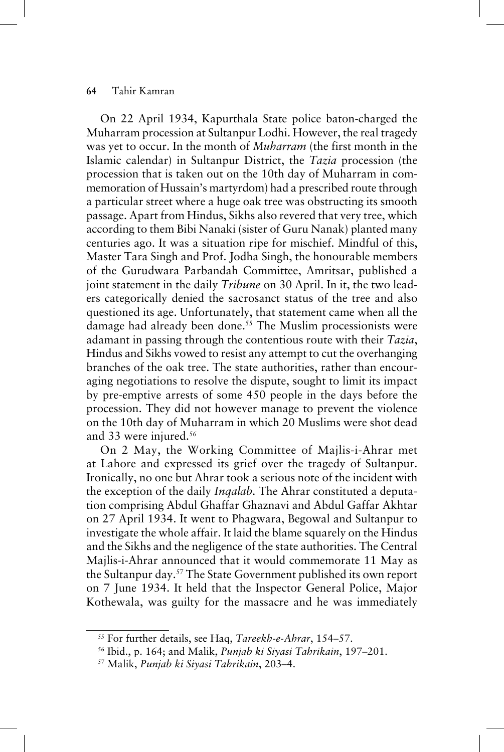### **64** Tahir Kamran

On 22 April 1934, Kapurthala State police baton-charged the Muharram procession at Sultanpur Lodhi. However, the real tragedy was yet to occur. In the month of *Muharram* (the first month in the Islamic calendar) in Sultanpur District, the *Tazia* procession (the procession that is taken out on the 10th day of Muharram in commemoration of Hussain's martyrdom) had a prescribed route through a particular street where a huge oak tree was obstructing its smooth passage. Apart from Hindus, Sikhs also revered that very tree, which according to them Bibi Nanaki (sister of Guru Nanak) planted many centuries ago. It was a situation ripe for mischief. Mindful of this, Master Tara Singh and Prof. Jodha Singh, the honourable members of the Gurudwara Parbandah Committee, Amritsar, published a joint statement in the daily *Tribune* on 30 April. In it, the two leaders categorically denied the sacrosanct status of the tree and also questioned its age. Unfortunately, that statement came when all the damage had already been done.<sup>55</sup> The Muslim processionists were adamant in passing through the contentious route with their *Tazia*, Hindus and Sikhs vowed to resist any attempt to cut the overhanging branches of the oak tree. The state authorities, rather than encouraging negotiations to resolve the dispute, sought to limit its impact by pre-emptive arrests of some 450 people in the days before the procession. They did not however manage to prevent the violence on the 10th day of Muharram in which 20 Muslims were shot dead and 33 were injured.<sup>56</sup>

On 2 May, the Working Committee of Majlis-i-Ahrar met at Lahore and expressed its grief over the tragedy of Sultanpur. Ironically, no one but Ahrar took a serious note of the incident with the exception of the daily *Inqalab.* The Ahrar constituted a deputation comprising Abdul Ghaffar Ghaznavi and Abdul Gaffar Akhtar on 27 April 1934. It went to Phagwara, Begowal and Sultanpur to investigate the whole affair. It laid the blame squarely on the Hindus and the Sikhs and the negligence of the state authorities. The Central Majlis-i-Ahrar announced that it would commemorate 11 May as the Sultanpur day.57 The State Government published its own report on 7 June 1934. It held that the Inspector General Police, Major Kothewala, was guilty for the massacre and he was immediately

<sup>55</sup> For further details, see Haq, *Tareekh-e-Ahrar*, 154–57.

<sup>56</sup> Ibid., p. 164; and Malik, *Punjab ki Siyasi Tahrikain*, 197–201.

<sup>57</sup> Malik, *Punjab ki Siyasi Tahrikain*, 203–4.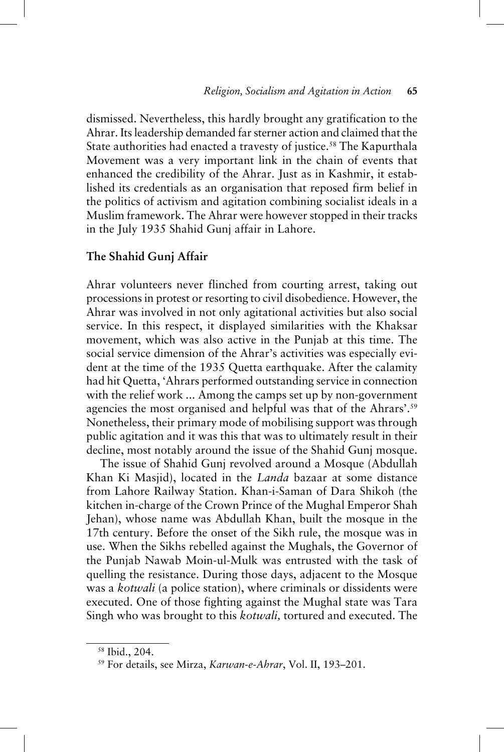dismissed. Nevertheless, this hardly brought any gratification to the Ahrar. Its leadership demanded far sterner action and claimed that the State authorities had enacted a travesty of justice.<sup>58</sup> The Kapurthala Movement was a very important link in the chain of events that enhanced the credibility of the Ahrar. Just as in Kashmir, it established its credentials as an organisation that reposed firm belief in the politics of activism and agitation combining socialist ideals in a Muslim framework. The Ahrar were however stopped in their tracks in the July 1935 Shahid Gunj affair in Lahore.

### **The Shahid Gunj Affair**

Ahrar volunteers never flinched from courting arrest, taking out processions in protest or resorting to civil disobedience. However, the Ahrar was involved in not only agitational activities but also social service. In this respect, it displayed similarities with the Khaksar movement, which was also active in the Punjab at this time. The social service dimension of the Ahrar's activities was especially evident at the time of the 1935 Quetta earthquake. After the calamity had hit Quetta, 'Ahrars performed outstanding service in connection with the relief work *...* Among the camps set up by non-government agencies the most organised and helpful was that of the Ahrars'.59 Nonetheless, their primary mode of mobilising support was through public agitation and it was this that was to ultimately result in their decline, most notably around the issue of the Shahid Gunj mosque.

The issue of Shahid Gunj revolved around a Mosque (Abdullah Khan Ki Masjid), located in the *Landa* bazaar at some distance from Lahore Railway Station. Khan-i-Saman of Dara Shikoh (the kitchen in-charge of the Crown Prince of the Mughal Emperor Shah Jehan), whose name was Abdullah Khan, built the mosque in the 17th century. Before the onset of the Sikh rule, the mosque was in use. When the Sikhs rebelled against the Mughals, the Governor of the Punjab Nawab Moin-ul-Mulk was entrusted with the task of quelling the resistance. During those days, adjacent to the Mosque was a *kotwali* (a police station), where criminals or dissidents were executed. One of those fighting against the Mughal state was Tara Singh who was brought to this *kotwali,* tortured and executed. The

<sup>58</sup> Ibid., 204.

<sup>59</sup> For details, see Mirza, *Karwan-e-Ahrar*, Vol. II, 193–201.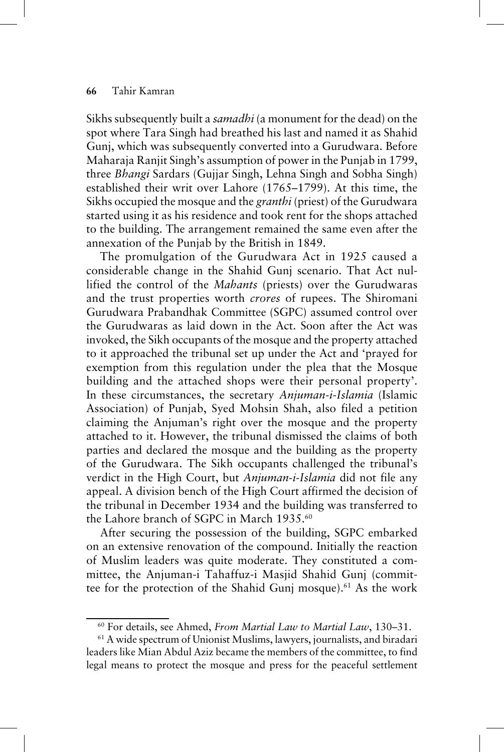#### **66** Tahir Kamran

Sikhs subsequently built a *samadhi* (a monument for the dead) on the spot where Tara Singh had breathed his last and named it as Shahid Gunj, which was subsequently converted into a Gurudwara. Before Maharaja Ranjit Singh's assumption of power in the Punjab in 1799, three *Bhangi* Sardars (Gujjar Singh, Lehna Singh and Sobha Singh) established their writ over Lahore (1765–1799). At this time, the Sikhs occupied the mosque and the *granthi* (priest) of the Gurudwara started using it as his residence and took rent for the shops attached to the building. The arrangement remained the same even after the annexation of the Punjab by the British in 1849.

The promulgation of the Gurudwara Act in 1925 caused a considerable change in the Shahid Gunj scenario. That Act nullified the control of the *Mahants* (priests) over the Gurudwaras and the trust properties worth *crores* of rupees. The Shiromani Gurudwara Prabandhak Committee (SGPC) assumed control over the Gurudwaras as laid down in the Act. Soon after the Act was invoked, the Sikh occupants of the mosque and the property attached to it approached the tribunal set up under the Act and 'prayed for exemption from this regulation under the plea that the Mosque building and the attached shops were their personal property'. In these circumstances, the secretary *Anjuman-i-Islamia* (Islamic Association) of Punjab, Syed Mohsin Shah, also filed a petition claiming the Anjuman's right over the mosque and the property attached to it. However, the tribunal dismissed the claims of both parties and declared the mosque and the building as the property of the Gurudwara. The Sikh occupants challenged the tribunal's verdict in the High Court, but *Anjuman-i-Islamia* did not file any appeal. A division bench of the High Court affirmed the decision of the tribunal in December 1934 and the building was transferred to the Lahore branch of SGPC in March 1935.60

After securing the possession of the building, SGPC embarked on an extensive renovation of the compound. Initially the reaction of Muslim leaders was quite moderate. They constituted a committee, the Anjuman-i Tahaffuz-i Masjid Shahid Gunj (committee for the protection of the Shahid Gunj mosque).<sup>61</sup> As the work

<sup>60</sup> For details, see Ahmed, *From Martial Law to Martial Law*, 130–31.

<sup>61</sup> A wide spectrum of Unionist Muslims, lawyers, journalists, and biradari leaders like Mian Abdul Aziz became the members of the committee, to find legal means to protect the mosque and press for the peaceful settlement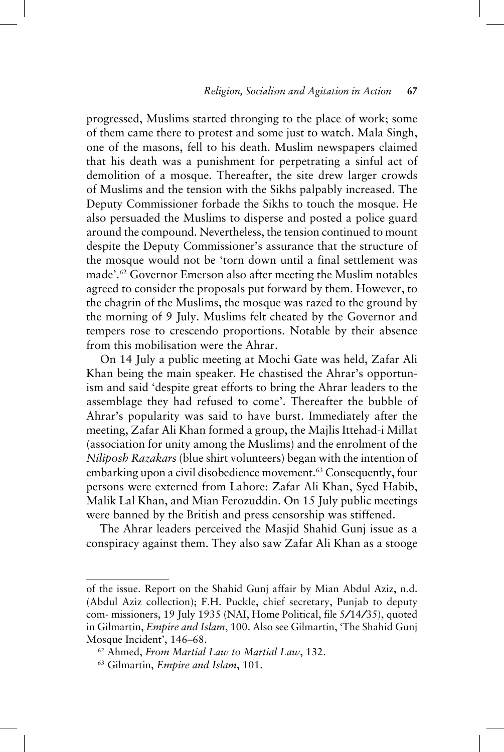progressed, Muslims started thronging to the place of work; some of them came there to protest and some just to watch. Mala Singh, one of the masons, fell to his death. Muslim newspapers claimed that his death was a punishment for perpetrating a sinful act of demolition of a mosque. Thereafter, the site drew larger crowds of Muslims and the tension with the Sikhs palpably increased. The Deputy Commissioner forbade the Sikhs to touch the mosque. He also persuaded the Muslims to disperse and posted a police guard around the compound. Nevertheless, the tension continued to mount despite the Deputy Commissioner's assurance that the structure of the mosque would not be 'torn down until a final settlement was made'.62 Governor Emerson also after meeting the Muslim notables agreed to consider the proposals put forward by them. However, to the chagrin of the Muslims, the mosque was razed to the ground by the morning of 9 July. Muslims felt cheated by the Governor and tempers rose to crescendo proportions. Notable by their absence from this mobilisation were the Ahrar.

On 14 July a public meeting at Mochi Gate was held, Zafar Ali Khan being the main speaker. He chastised the Ahrar's opportunism and said 'despite great efforts to bring the Ahrar leaders to the assemblage they had refused to come'. Thereafter the bubble of Ahrar's popularity was said to have burst. Immediately after the meeting, Zafar Ali Khan formed a group, the Majlis Ittehad-i Millat (association for unity among the Muslims) and the enrolment of the *Niliposh Razakars* (blue shirt volunteers) began with the intention of embarking upon a civil disobedience movement.<sup>63</sup> Consequently, four persons were externed from Lahore: Zafar Ali Khan, Syed Habib, Malik Lal Khan, and Mian Ferozuddin. On 15 July public meetings were banned by the British and press censorship was stiffened.

The Ahrar leaders perceived the Masjid Shahid Gunj issue as a conspiracy against them. They also saw Zafar Ali Khan as a stooge

of the issue. Report on the Shahid Gunj affair by Mian Abdul Aziz, n.d. (Abdul Aziz collection); F.H. Puckle, chief secretary, Punjab to deputy com- missioners, 19 July 1935 (NAI, Home Political, file 5*/*14*/*35), quoted in Gilmartin, *Empire and Islam*, 100. Also see Gilmartin, 'The Shahid Gunj Mosque Incident', 146–68.

<sup>62</sup> Ahmed, *From Martial Law to Martial Law*, 132.

<sup>63</sup> Gilmartin, *Empire and Islam*, 101.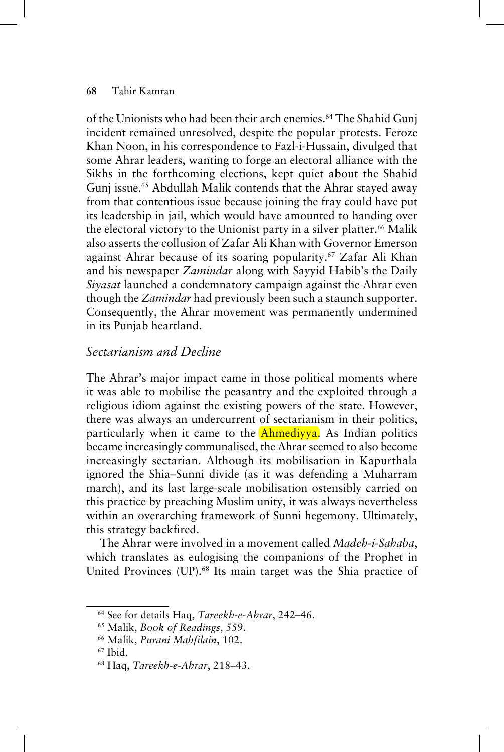### **68** Tahir Kamran

of the Unionists who had been their arch enemies.<sup>64</sup> The Shahid Gunj incident remained unresolved, despite the popular protests. Feroze Khan Noon, in his correspondence to Fazl-i-Hussain, divulged that some Ahrar leaders, wanting to forge an electoral alliance with the Sikhs in the forthcoming elections, kept quiet about the Shahid Gunj issue.<sup>65</sup> Abdullah Malik contends that the Ahrar stayed away from that contentious issue because joining the fray could have put its leadership in jail, which would have amounted to handing over the electoral victory to the Unionist party in a silver platter.<sup>66</sup> Malik also asserts the collusion of Zafar Ali Khan with Governor Emerson against Ahrar because of its soaring popularity.67 Zafar Ali Khan and his newspaper *Zamindar* along with Sayyid Habib's the Daily *Siyasat* launched a condemnatory campaign against the Ahrar even though the *Zamindar* had previously been such a staunch supporter. Consequently, the Ahrar movement was permanently undermined in its Punjab heartland.

### *Sectarianism and Decline*

The Ahrar's major impact came in those political moments where it was able to mobilise the peasantry and the exploited through a religious idiom against the existing powers of the state. However, there was always an undercurrent of sectarianism in their politics, particularly when it came to the **Ahmediyya**. As Indian politics became increasingly communalised, the Ahrar seemed to also become increasingly sectarian. Although its mobilisation in Kapurthala ignored the Shia–Sunni divide (as it was defending a Muharram march), and its last large-scale mobilisation ostensibly carried on this practice by preaching Muslim unity, it was always nevertheless within an overarching framework of Sunni hegemony. Ultimately, this strategy backfired.

The Ahrar were involved in a movement called *Madeh-i-Sahaba*, which translates as eulogising the companions of the Prophet in United Provinces (UP).<sup>68</sup> Its main target was the Shia practice of

<sup>64</sup> See for details Haq, *Tareekh-e-Ahrar*, 242–46.

<sup>65</sup> Malik, *Book of Readings*, 559.

<sup>66</sup> Malik, *Purani Mahfilain*, 102.

 $67$  Ibid.

<sup>68</sup> Haq, *Tareekh-e-Ahrar*, 218–43.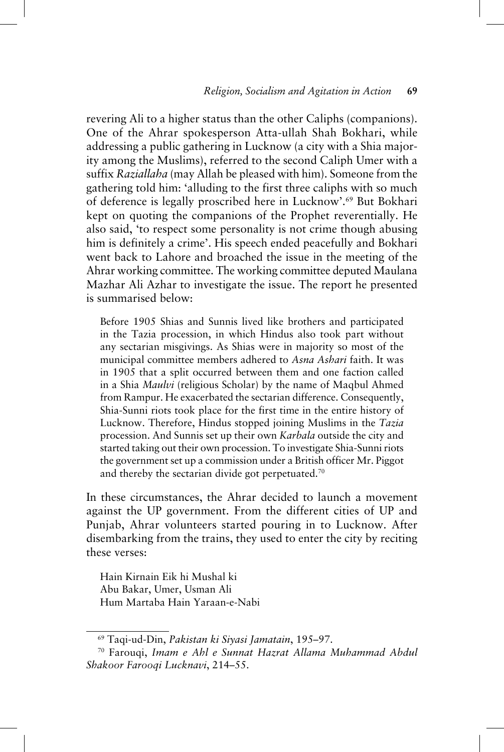revering Ali to a higher status than the other Caliphs (companions). One of the Ahrar spokesperson Atta-ullah Shah Bokhari, while addressing a public gathering in Lucknow (a city with a Shia majority among the Muslims), referred to the second Caliph Umer with a suffix *Raziallaha* (may Allah be pleased with him). Someone from the gathering told him: 'alluding to the first three caliphs with so much of deference is legally proscribed here in Lucknow'.69 But Bokhari kept on quoting the companions of the Prophet reverentially. He also said, 'to respect some personality is not crime though abusing him is definitely a crime'. His speech ended peacefully and Bokhari went back to Lahore and broached the issue in the meeting of the Ahrar working committee. The working committee deputed Maulana Mazhar Ali Azhar to investigate the issue. The report he presented is summarised below:

Before 1905 Shias and Sunnis lived like brothers and participated in the Tazia procession, in which Hindus also took part without any sectarian misgivings. As Shias were in majority so most of the municipal committee members adhered to *Asna Ashari* faith. It was in 1905 that a split occurred between them and one faction called in a Shia *Maulvi* (religious Scholar) by the name of Maqbul Ahmed from Rampur. He exacerbated the sectarian difference. Consequently, Shia-Sunni riots took place for the first time in the entire history of Lucknow. Therefore, Hindus stopped joining Muslims in the *Tazia*  procession. And Sunnis set up their own *Karbala* outside the city and started taking out their own procession. To investigate Shia-Sunni riots the government set up a commission under a British officer Mr. Piggot and thereby the sectarian divide got perpetuated.70

In these circumstances, the Ahrar decided to launch a movement against the UP government. From the different cities of UP and Punjab, Ahrar volunteers started pouring in to Lucknow. After disembarking from the trains, they used to enter the city by reciting these verses:

Hain Kirnain Eik hi Mushal ki Abu Bakar, Umer, Usman Ali Hum Martaba Hain Yaraan-e-Nabi

<sup>69</sup> Taqi-ud-Din, *Pakistan ki Siyasi Jamatain*, 195–97.

<sup>70</sup> Farouqi, *Imam e Ahl e Sunnat Hazrat Allama Muhammad Abdul Shakoor Farooqi Lucknavi*, 214–55.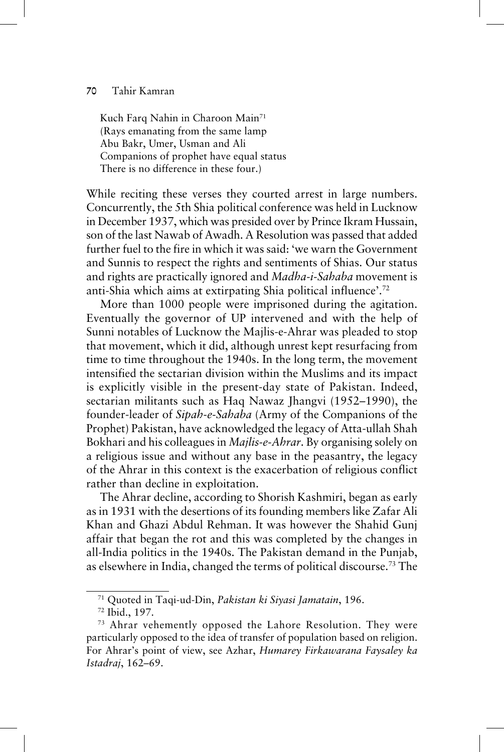#### **70** Tahir Kamran

Kuch Farq Nahin in Charoon Main<sup>71</sup> (Rays emanating from the same lamp Abu Bakr, Umer, Usman and Ali Companions of prophet have equal status There is no difference in these four.)

While reciting these verses they courted arrest in large numbers. Concurrently, the 5th Shia political conference was held in Lucknow in December 1937, which was presided over by Prince Ikram Hussain, son of the last Nawab of Awadh. A Resolution was passed that added further fuel to the fire in which it was said: 'we warn the Government and Sunnis to respect the rights and sentiments of Shias. Our status and rights are practically ignored and *Madha-i-Sahaba* movement is anti-Shia which aims at extirpating Shia political influence'.72

More than 1000 people were imprisoned during the agitation. Eventually the governor of UP intervened and with the help of Sunni notables of Lucknow the Majlis-e-Ahrar was pleaded to stop that movement, which it did, although unrest kept resurfacing from time to time throughout the 1940s. In the long term, the movement intensified the sectarian division within the Muslims and its impact is explicitly visible in the present-day state of Pakistan. Indeed, sectarian militants such as Haq Nawaz Jhangvi (1952–1990), the founder-leader of *Sipah-e-Sahaba* (Army of the Companions of the Prophet) Pakistan, have acknowledged the legacy of Atta-ullah Shah Bokhari and his colleagues in *Majlis-e-Ahrar*. By organising solely on a religious issue and without any base in the peasantry, the legacy of the Ahrar in this context is the exacerbation of religious conflict rather than decline in exploitation.

The Ahrar decline, according to Shorish Kashmiri, began as early as in 1931 with the desertions of its founding members like Zafar Ali Khan and Ghazi Abdul Rehman. It was however the Shahid Gunj affair that began the rot and this was completed by the changes in all-India politics in the 1940s. The Pakistan demand in the Punjab, as elsewhere in India, changed the terms of political discourse.73 The

<sup>71</sup> Quoted in Taqi-ud-Din, *Pakistan ki Siyasi Jamatain*, 196.

<sup>72</sup> Ibid., 197.

<sup>73</sup> Ahrar vehemently opposed the Lahore Resolution. They were particularly opposed to the idea of transfer of population based on religion. For Ahrar's point of view, see Azhar, *Humarey Firkawarana Faysaley ka Istadraj*, 162–69.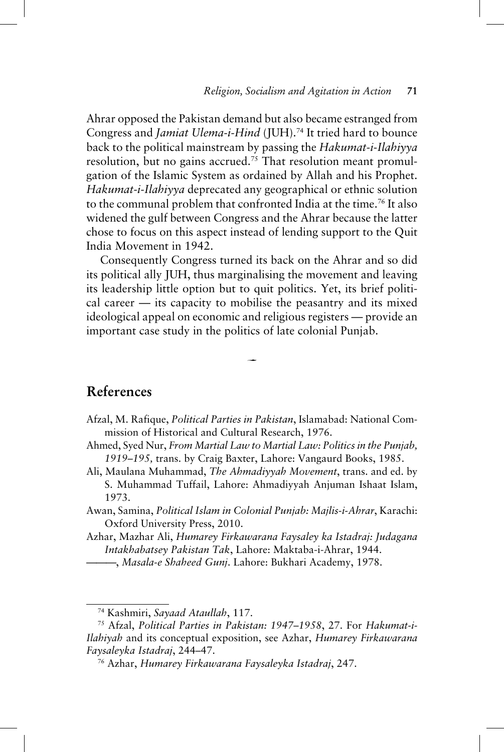Ahrar opposed the Pakistan demand but also became estranged from Congress and *Jamiat Ulema-i-Hind* (JUH).74 It tried hard to bounce back to the political mainstream by passing the *Hakumat-i-Ilahiyya*  resolution, but no gains accrued.<sup>75</sup> That resolution meant promulgation of the Islamic System as ordained by Allah and his Prophet. *Hakumat-i-Ilahiyya* deprecated any geographical or ethnic solution to the communal problem that confronted India at the time.76 It also widened the gulf between Congress and the Ahrar because the latter chose to focus on this aspect instead of lending support to the Quit India Movement in 1942.

Consequently Congress turned its back on the Ahrar and so did its political ally JUH, thus marginalising the movement and leaving its leadership little option but to quit politics. Yet, its brief political career — its capacity to mobilise the peasantry and its mixed ideological appeal on economic and religious registers — provide an important case study in the politics of late colonial Punjab.

-

### **References**

- Afzal, M. Rafique, *Political Parties in Pakistan*, Islamabad: National Commission of Historical and Cultural Research, 1976.
- Ahmed, Syed Nur, *From Martial Law to Martial Law: Politics in the Punjab, 1919–195,* trans. by Craig Baxter, Lahore: Vangaurd Books, 1985.
- Ali, Maulana Muhammad, *The Ahmadiyyah Movement*, trans. and ed. by S. Muhammad Tuffail, Lahore: Ahmadiyyah Anjuman Ishaat Islam, 1973.

Awan, Samina, *Political Islam in Colonial Punjab: Majlis-i-Ahrar*, Karachi: Oxford University Press, 2010.

- Azhar, Mazhar Ali, *Humarey Firkawarana Faysaley ka Istadraj: Judagana Intakhabatsey Pakistan Tak*, Lahore: Maktaba-i-Ahrar, 1944.
	- ———, *Masala-e Shaheed Gunj*. Lahore: Bukhari Academy, 1978.

<sup>74</sup> Kashmiri, *Sayaad Ataullah*, 117.

<sup>75</sup> Afzal, *Political Parties in Pakistan: 1947–1958*, 27. For *Hakumat-i-Ilahiyah* and its conceptual exposition, see Azhar, *Humarey Firkawarana Faysaleyka Istadraj*, 244–47.

<sup>76</sup> Azhar, *Humarey Firkawarana Faysaleyka Istadraj*, 247.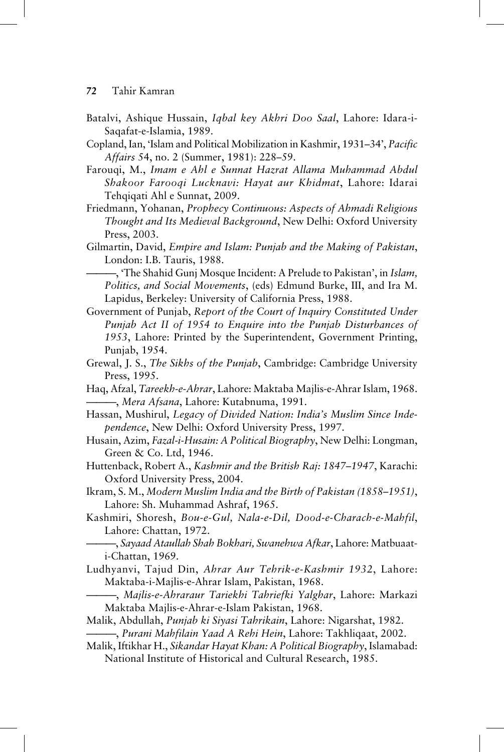#### **72** Tahir Kamran

- Batalvi, Ashique Hussain, *Iqbal key Akhri Doo Saal*, Lahore: Idara-i-Saqafat-e-Islamia, 1989.
- Copland, Ian, 'Islam and Political Mobilization in Kashmir, 1931–34', *Pacific Affairs* 54, no. 2 (Summer, 1981): 228–59.
- Farouqi, M., *Imam e Ahl e Sunnat Hazrat Allama Muhammad Abdul Shakoor Farooqi Lucknavi: Hayat aur Khidmat*, Lahore: Idarai Tehqiqati Ahl e Sunnat, 2009.
- Friedmann, Yohanan, *Prophecy Continuous: Aspects of Ahmadi Religious Thought and Its Medieval Background*, New Delhi: Oxford University Press, 2003.
- Gilmartin, David, *Empire and Islam: Punjab and the Making of Pakistan*, London: I.B. Tauris, 1988.

———, 'The Shahid Gunj Mosque Incident: A Prelude to Pakistan', in *Islam, Politics, and Social Movements*, (eds) Edmund Burke, III, and Ira M. Lapidus, Berkeley: University of California Press, 1988.

- Government of Punjab, *Report of the Court of Inquiry Constituted Under Punjab Act II of 1954 to Enquire into the Punjab Disturbances of 1953*, Lahore: Printed by the Superintendent, Government Printing, Punjab, 1954.
- Grewal, J. S., *The Sikhs of the Punjab*, Cambridge: Cambridge University Press, 1995.
- Haq, Afzal, *Tareekh-e-Ahrar*, Lahore: Maktaba Majlis-e-Ahrar Islam, 1968. ———, *Mera Afsana*, Lahore: Kutabnuma, 1991.
- Hassan, Mushirul, *Legacy of Divided Nation: India's Muslim Since Independence*, New Delhi: Oxford University Press, 1997.
- Husain, Azim, *Fazal-i-Husain: A Political Biography*, New Delhi: Longman, Green & Co. Ltd, 1946.
- Huttenback, Robert A., *Kashmir and the British Raj: 1847–1947*, Karachi: Oxford University Press, 2004.
- Ikram, S. M., *Modern Muslim India and the Birth of Pakistan (1858–1951)*, Lahore: Sh. Muhammad Ashraf, 1965.
- Kashmiri, Shoresh, *Bou-e-Gul, Nala-e-Dil, Dood-e-Charach-e-Mahfil*, Lahore: Chattan, 1972.
	- ———, *Sayaad Ataullah Shah Bokhari, Swanehwa Afkar*, Lahore: Matbuaati-Chattan, 1969.
- Ludhyanvi, Tajud Din, *Ahrar Aur Tehrik-e-Kashmir 1932*, Lahore: Maktaba-i-Majlis-e-Ahrar Islam, Pakistan, 1968.
- ———, *Majlis-e-Ahraraur Tariekhi Tahriefki Yalghar*, Lahore: Markazi Maktaba Majlis-e-Ahrar-e-Islam Pakistan, 1968.
- Malik, Abdullah, *Punjab ki Siyasi Tahrikain*, Lahore: Nigarshat, 1982. ———, *Purani Mahfilain Yaad A Rehi Hein*, Lahore: Takhliqaat, 2002.
- Malik, Iftikhar H., *Sikandar Hayat Khan: A Political Biography*, Islamabad: National Institute of Historical and Cultural Research, 1985.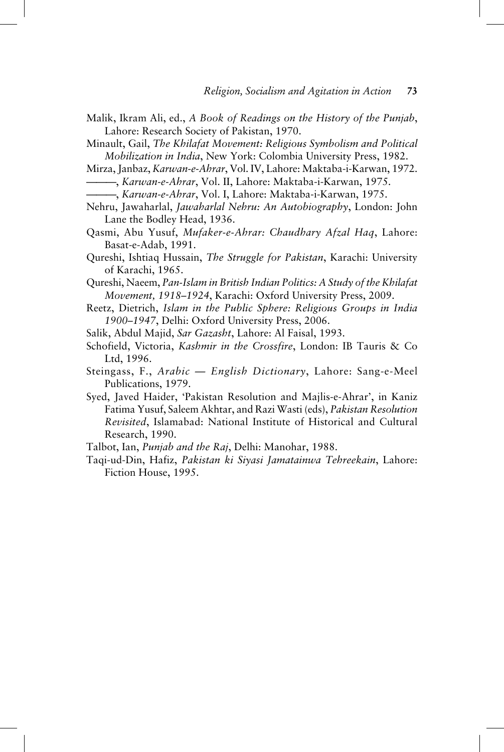- Malik, Ikram Ali, ed., *A Book of Readings on the History of the Punjab*, Lahore: Research Society of Pakistan, 1970.
- Minault, Gail, *The Khilafat Movement: Religious Symbolism and Political Mobilization in India*, New York: Colombia University Press, 1982.
- Mirza, Janbaz, *Karwan-e-Ahrar*, Vol. IV, Lahore: Maktaba-i-Karwan, 1972. ———, *Karwan-e-Ahrar*, Vol. II, Lahore: Maktaba-i-Karwan, 1975.
	- ———, *Karwan-e-Ahrar*, Vol. I, Lahore: Maktaba-i-Karwan, 1975.
- Nehru, Jawaharlal, *Jawaharlal Nehru: An Autobiography*, London: John Lane the Bodley Head, 1936.
- Qasmi, Abu Yusuf, *Mufaker-e-Ahrar: Chaudhary Afzal Haq*, Lahore: Basat-e-Adab, 1991.
- Qureshi, Ishtiaq Hussain, *The Struggle for Pakistan*, Karachi: University of Karachi, 1965.
- Qureshi, Naeem, *Pan-Islam in British Indian Politics: A Study of the Khilafat Movement, 1918–1924*, Karachi: Oxford University Press, 2009.
- Reetz, Dietrich, *Islam in the Public Sphere: Religious Groups in India 1900–1947*, Delhi: Oxford University Press, 2006.
- Salik, Abdul Majid, *Sar Gazasht*, Lahore: Al Faisal, 1993.
- Schofield, Victoria, *Kashmir in the Crossfire*, London: IB Tauris & Co Ltd, 1996.
- Steingass, F., *Arabic English Dictionary*, Lahore: Sang-e-Meel Publications, 1979.
- Syed, Javed Haider, 'Pakistan Resolution and Majlis-e-Ahrar', in Kaniz Fatima Yusuf, Saleem Akhtar, and Razi Wasti (eds), *Pakistan Resolution Revisited*, Islamabad: National Institute of Historical and Cultural Research, 1990.
- Talbot, Ian, *Punjab and the Raj*, Delhi: Manohar, 1988.
- Taqi-ud-Din, Hafiz, *Pakistan ki Siyasi Jamatainwa Tehreekain*, Lahore: Fiction House, 1995.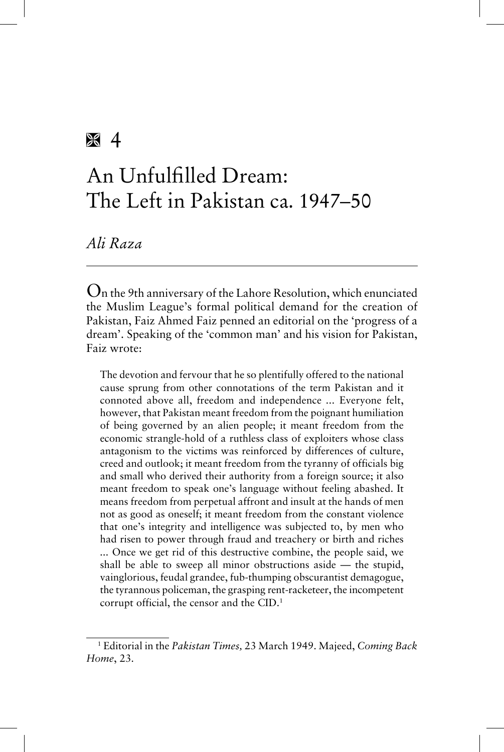## \* 4

# An Unfulfilled Dream: The Left in Pakistan ca. 1947–50

*Ali Raza*

On the 9th anniversary of the Lahore Resolution, which enunciated the Muslim League's formal political demand for the creation of Pakistan, Faiz Ahmed Faiz penned an editorial on the 'progress of a dream'. Speaking of the 'common man' and his vision for Pakistan, Faiz wrote:

The devotion and fervour that he so plentifully offered to the national cause sprung from other connotations of the term Pakistan and it connoted above all, freedom and independence *...* Everyone felt, however, that Pakistan meant freedom from the poignant humiliation of being governed by an alien people; it meant freedom from the economic strangle-hold of a ruthless class of exploiters whose class antagonism to the victims was reinforced by differences of culture, creed and outlook; it meant freedom from the tyranny of officials big and small who derived their authority from a foreign source; it also meant freedom to speak one's language without feeling abashed. It means freedom from perpetual affront and insult at the hands of men not as good as oneself; it meant freedom from the constant violence that one's integrity and intelligence was subjected to, by men who had risen to power through fraud and treachery or birth and riches *...* Once we get rid of this destructive combine, the people said, we shall be able to sweep all minor obstructions aside — the stupid, vainglorious, feudal grandee, fub-thumping obscurantist demagogue, the tyrannous policeman, the grasping rent-racketeer, the incompetent corrupt official, the censor and the CID.<sup>1</sup>

<sup>74</sup> Amita Shah and Jharna Pathak *Home*, 23.1 Editorial in the *Pakistan Times,* 23 March 1949. Majeed, *Coming Back*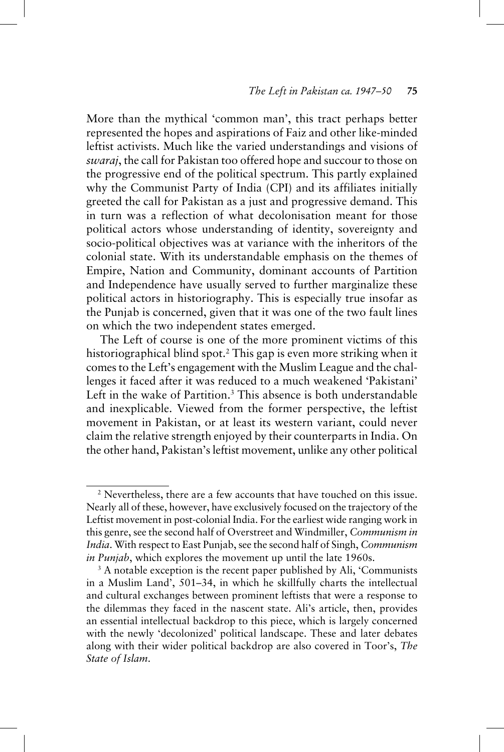### *The Left in Pakistan ca. 1947–50* **75**

More than the mythical 'common man', this tract perhaps better represented the hopes and aspirations of Faiz and other like-minded leftist activists. Much like the varied understandings and visions of *swaraj*, the call for Pakistan too offered hope and succour to those on the progressive end of the political spectrum. This partly explained why the Communist Party of India (CPI) and its affiliates initially greeted the call for Pakistan as a just and progressive demand. This in turn was a reflection of what decolonisation meant for those political actors whose understanding of identity, sovereignty and socio-political objectives was at variance with the inheritors of the colonial state. With its understandable emphasis on the themes of Empire, Nation and Community, dominant accounts of Partition and Independence have usually served to further marginalize these political actors in historiography. This is especially true insofar as the Punjab is concerned, given that it was one of the two fault lines on which the two independent states emerged.

The Left of course is one of the more prominent victims of this historiographical blind spot.2 This gap is even more striking when it comes to the Left's engagement with the Muslim League and the challenges it faced after it was reduced to a much weakened 'Pakistani' Left in the wake of Partition.<sup>3</sup> This absence is both understandable and inexplicable. Viewed from the former perspective, the leftist movement in Pakistan, or at least its western variant, could never claim the relative strength enjoyed by their counterparts in India. On the other hand, Pakistan's leftist movement, unlike any other political

<sup>2</sup> Nevertheless, there are a few accounts that have touched on this issue. Nearly all of these, however, have exclusively focused on the trajectory of the Leftist movement in post-colonial India. For the earliest wide ranging work in this genre, see the second half of Overstreet and Windmiller, *Communism in India*. With respect to East Punjab, see the second half of Singh, *Communism in Punjab*, which explores the movement up until the late 1960s.

<sup>&</sup>lt;sup>3</sup> A notable exception is the recent paper published by Ali, 'Communists' in a Muslim Land', 501–34, in which he skillfully charts the intellectual and cultural exchanges between prominent leftists that were a response to the dilemmas they faced in the nascent state. Ali's article, then, provides an essential intellectual backdrop to this piece, which is largely concerned with the newly 'decolonized' political landscape. These and later debates along with their wider political backdrop are also covered in Toor's, *The State of Islam*.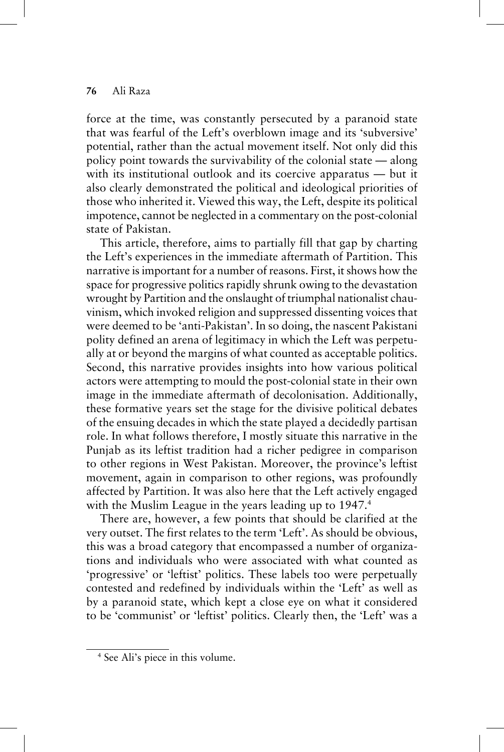force at the time, was constantly persecuted by a paranoid state that was fearful of the Left's overblown image and its 'subversive' potential, rather than the actual movement itself. Not only did this policy point towards the survivability of the colonial state — along with its institutional outlook and its coercive apparatus — but it also clearly demonstrated the political and ideological priorities of those who inherited it. Viewed this way, the Left, despite its political impotence, cannot be neglected in a commentary on the post-colonial state of Pakistan.

This article, therefore, aims to partially fill that gap by charting the Left's experiences in the immediate aftermath of Partition. This narrative is important for a number of reasons. First, it shows how the space for progressive politics rapidly shrunk owing to the devastation wrought by Partition and the onslaught of triumphal nationalist chauvinism, which invoked religion and suppressed dissenting voices that were deemed to be 'anti-Pakistan'. In so doing, the nascent Pakistani polity defined an arena of legitimacy in which the Left was perpetually at or beyond the margins of what counted as acceptable politics. Second, this narrative provides insights into how various political actors were attempting to mould the post-colonial state in their own image in the immediate aftermath of decolonisation. Additionally, these formative years set the stage for the divisive political debates of the ensuing decades in which the state played a decidedly partisan role. In what follows therefore, I mostly situate this narrative in the Punjab as its leftist tradition had a richer pedigree in comparison to other regions in West Pakistan. Moreover, the province's leftist movement, again in comparison to other regions, was profoundly affected by Partition. It was also here that the Left actively engaged with the Muslim League in the years leading up to 1947.<sup>4</sup>

There are, however, a few points that should be clarified at the very outset. The first relates to the term 'Left'. As should be obvious, this was a broad category that encompassed a number of organizations and individuals who were associated with what counted as 'progressive' or 'leftist' politics. These labels too were perpetually contested and redefined by individuals within the 'Left' as well as by a paranoid state, which kept a close eye on what it considered to be 'communist' or 'leftist' politics. Clearly then, the 'Left' was a

<sup>4</sup> See Ali's piece in this volume.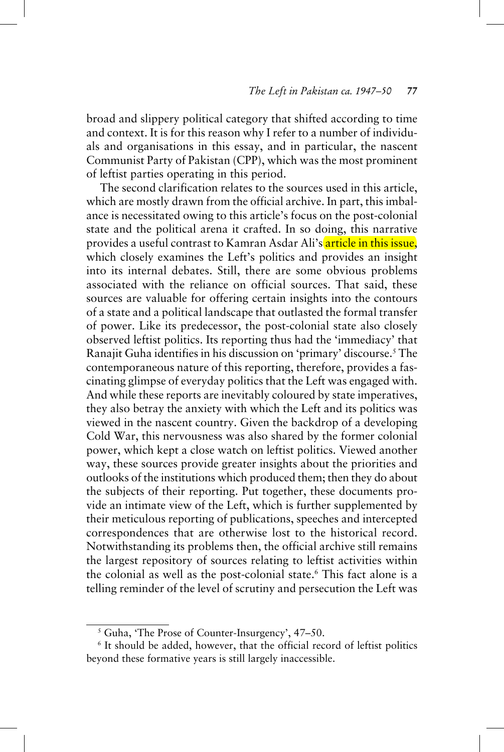broad and slippery political category that shifted according to time and context. It is for this reason why I refer to a number of individuals and organisations in this essay, and in particular, the nascent Communist Party of Pakistan (CPP), which was the most prominent of leftist parties operating in this period.

The second clarification relates to the sources used in this article, which are mostly drawn from the official archive. In part, this imbalance is necessitated owing to this article's focus on the post-colonial state and the political arena it crafted. In so doing, this narrative provides a useful contrast to Kamran Asdar Ali's article in this issue, which closely examines the Left's politics and provides an insight into its internal debates. Still, there are some obvious problems associated with the reliance on official sources. That said, these sources are valuable for offering certain insights into the contours of a state and a political landscape that outlasted the formal transfer of power. Like its predecessor, the post-colonial state also closely observed leftist politics. Its reporting thus had the 'immediacy' that Ranajit Guha identifies in his discussion on 'primary' discourse.<sup>5</sup> The contemporaneous nature of this reporting, therefore, provides a fascinating glimpse of everyday politics that the Left was engaged with. And while these reports are inevitably coloured by state imperatives, they also betray the anxiety with which the Left and its politics was viewed in the nascent country. Given the backdrop of a developing Cold War, this nervousness was also shared by the former colonial power, which kept a close watch on leftist politics. Viewed another way, these sources provide greater insights about the priorities and outlooks of the institutions which produced them; then they do about the subjects of their reporting. Put together, these documents provide an intimate view of the Left, which is further supplemented by their meticulous reporting of publications, speeches and intercepted correspondences that are otherwise lost to the historical record. Notwithstanding its problems then, the official archive still remains the largest repository of sources relating to leftist activities within the colonial as well as the post-colonial state.6 This fact alone is a telling reminder of the level of scrutiny and persecution the Left was

<sup>5</sup> Guha, 'The Prose of Counter-Insurgency', 47–50.

<sup>6</sup> It should be added, however, that the official record of leftist politics beyond these formative years is still largely inaccessible.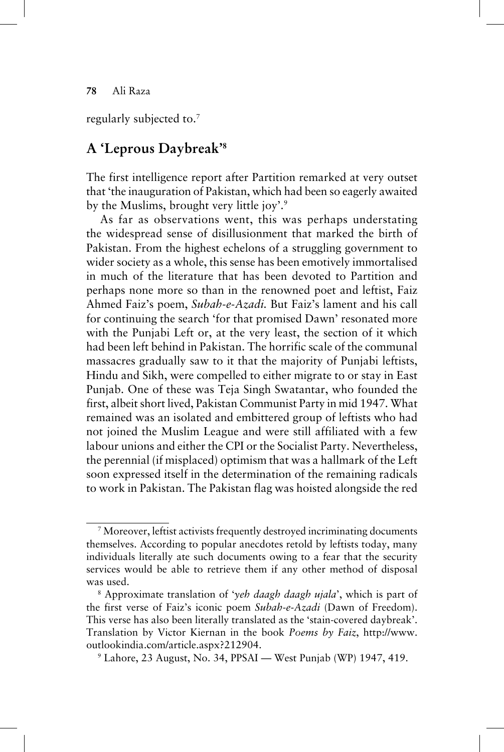regularly subjected to.7

### **A 'Leprous Daybreak'8**

The first intelligence report after Partition remarked at very outset that 'the inauguration of Pakistan, which had been so eagerly awaited by the Muslims, brought very little joy'.9

As far as observations went, this was perhaps understating the widespread sense of disillusionment that marked the birth of Pakistan. From the highest echelons of a struggling government to wider society as a whole, this sense has been emotively immortalised in much of the literature that has been devoted to Partition and perhaps none more so than in the renowned poet and leftist, Faiz Ahmed Faiz's poem, *Subah-e-Azadi.* But Faiz's lament and his call for continuing the search 'for that promised Dawn' resonated more with the Punjabi Left or, at the very least, the section of it which had been left behind in Pakistan. The horrific scale of the communal massacres gradually saw to it that the majority of Punjabi leftists, Hindu and Sikh, were compelled to either migrate to or stay in East Punjab. One of these was Teja Singh Swatantar, who founded the first, albeit short lived, Pakistan Communist Party in mid 1947. What remained was an isolated and embittered group of leftists who had not joined the Muslim League and were still affiliated with a few labour unions and either the CPI or the Socialist Party. Nevertheless, the perennial (if misplaced) optimism that was a hallmark of the Left soon expressed itself in the determination of the remaining radicals to work in Pakistan. The Pakistan flag was hoisted alongside the red

<sup>7</sup> Moreover, leftist activists frequently destroyed incriminating documents themselves. According to popular anecdotes retold by leftists today, many individuals literally ate such documents owing to a fear that the security services would be able to retrieve them if any other method of disposal was used.

<sup>8</sup> Approximate translation of '*yeh daagh daagh ujala*', which is part of the first verse of Faiz's iconic poem *Subah-e-Azadi* (Dawn of Freedom). This verse has also been literally translated as the 'stain-covered daybreak'. Translation by Victor Kiernan in the book *Poems by Faiz*, http://www. outlookindia.com/article.aspx?212904.

<sup>9</sup> Lahore, 23 August, No. 34, PPSAI — West Punjab (WP) 1947, 419.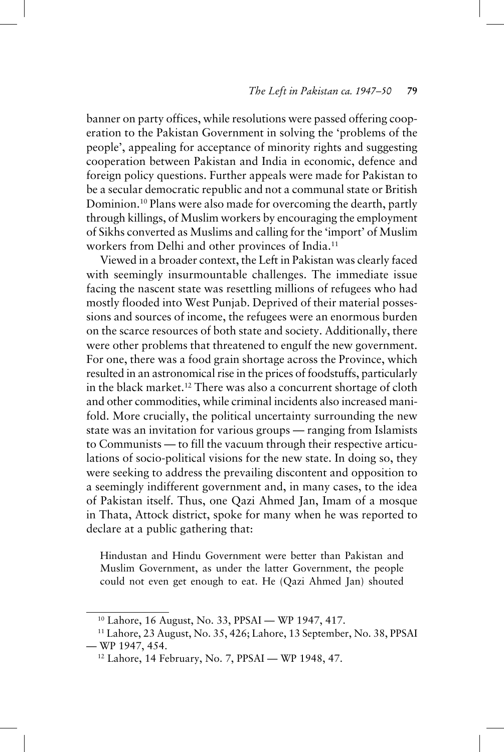banner on party offices, while resolutions were passed offering cooperation to the Pakistan Government in solving the 'problems of the people', appealing for acceptance of minority rights and suggesting cooperation between Pakistan and India in economic, defence and foreign policy questions. Further appeals were made for Pakistan to be a secular democratic republic and not a communal state or British Dominion.10 Plans were also made for overcoming the dearth, partly through killings, of Muslim workers by encouraging the employment of Sikhs converted as Muslims and calling for the 'import' of Muslim workers from Delhi and other provinces of India.11

Viewed in a broader context, the Left in Pakistan was clearly faced with seemingly insurmountable challenges. The immediate issue facing the nascent state was resettling millions of refugees who had mostly flooded into West Punjab. Deprived of their material possessions and sources of income, the refugees were an enormous burden on the scarce resources of both state and society. Additionally, there were other problems that threatened to engulf the new government. For one, there was a food grain shortage across the Province, which resulted in an astronomical rise in the prices of foodstuffs, particularly in the black market.12 There was also a concurrent shortage of cloth and other commodities, while criminal incidents also increased manifold. More crucially, the political uncertainty surrounding the new state was an invitation for various groups — ranging from Islamists to Communists — to fill the vacuum through their respective articulations of socio-political visions for the new state. In doing so, they were seeking to address the prevailing discontent and opposition to a seemingly indifferent government and, in many cases, to the idea of Pakistan itself. Thus, one Qazi Ahmed Jan, Imam of a mosque in Thata, Attock district, spoke for many when he was reported to declare at a public gathering that:

Hindustan and Hindu Government were better than Pakistan and Muslim Government, as under the latter Government, the people could not even get enough to eat. He (Qazi Ahmed Jan) shouted

<sup>10</sup> Lahore, 16 August, No. 33, PPSAI — WP 1947, 417.

<sup>11</sup> Lahore, 23 August, No. 35, 426; Lahore, 13 September, No. 38, PPSAI — WP 1947, 454.

<sup>12</sup> Lahore, 14 February, No. 7, PPSAI — WP 1948, 47.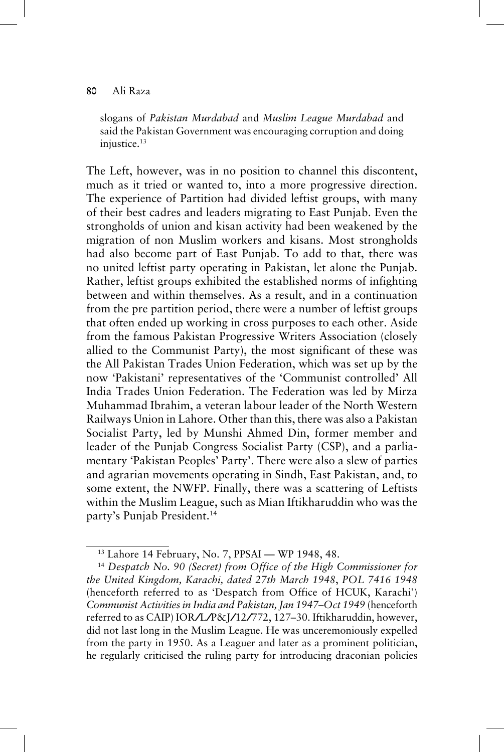slogans of *Pakistan Murdabad* and *Muslim League Murdabad* and said the Pakistan Government was encouraging corruption and doing injustice.13

The Left, however, was in no position to channel this discontent, much as it tried or wanted to, into a more progressive direction. The experience of Partition had divided leftist groups, with many of their best cadres and leaders migrating to East Punjab. Even the strongholds of union and kisan activity had been weakened by the migration of non Muslim workers and kisans. Most strongholds had also become part of East Punjab. To add to that, there was no united leftist party operating in Pakistan, let alone the Punjab. Rather, leftist groups exhibited the established norms of infighting between and within themselves. As a result, and in a continuation from the pre partition period, there were a number of leftist groups that often ended up working in cross purposes to each other. Aside from the famous Pakistan Progressive Writers Association (closely allied to the Communist Party), the most significant of these was the All Pakistan Trades Union Federation, which was set up by the now 'Pakistani' representatives of the 'Communist controlled' All India Trades Union Federation. The Federation was led by Mirza Muhammad Ibrahim, a veteran labour leader of the North Western Railways Union in Lahore. Other than this, there was also a Pakistan Socialist Party, led by Munshi Ahmed Din, former member and leader of the Punjab Congress Socialist Party (CSP), and a parliamentary 'Pakistan Peoples' Party'. There were also a slew of parties and agrarian movements operating in Sindh, East Pakistan, and, to some extent, the NWFP. Finally, there was a scattering of Leftists within the Muslim League, such as Mian Iftikharuddin who was the party's Punjab President.<sup>14</sup>

<sup>13</sup> Lahore 14 February, No. 7, PPSAI — WP 1948, 48.

<sup>14</sup> *Despatch No. 90 (Secret) from Office of the High Commissioner for the United Kingdom, Karachi, dated 27th March 1948*, *POL 7416 1948*  (henceforth referred to as 'Despatch from Office of HCUK, Karachi') *Communist Activities in India and Pakistan, Jan 1947–Oct 1949* (henceforth referred to as CAIP) IOR*/*L*/*P&J*/*12*/*772, 127–30. Iftikharuddin, however, did not last long in the Muslim League. He was unceremoniously expelled from the party in 1950. As a Leaguer and later as a prominent politician, he regularly criticised the ruling party for introducing draconian policies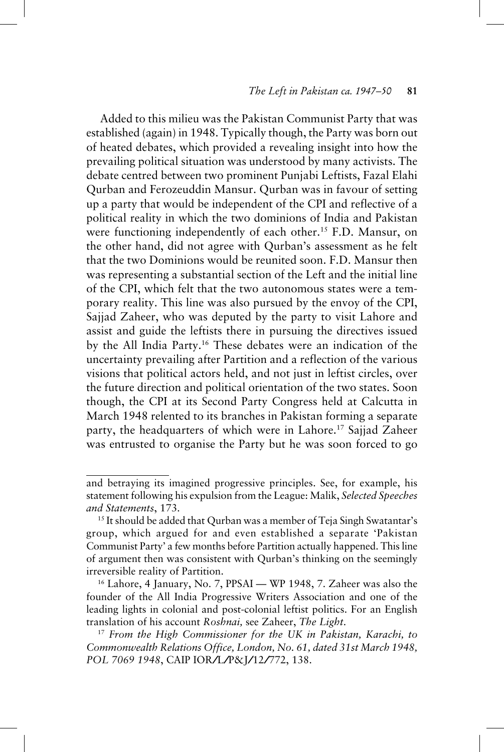### *The Left in Pakistan ca. 1947–50* **81**

Added to this milieu was the Pakistan Communist Party that was established (again) in 1948. Typically though, the Party was born out of heated debates, which provided a revealing insight into how the prevailing political situation was understood by many activists. The debate centred between two prominent Punjabi Leftists, Fazal Elahi Qurban and Ferozeuddin Mansur. Qurban was in favour of setting up a party that would be independent of the CPI and reflective of a political reality in which the two dominions of India and Pakistan were functioning independently of each other.<sup>15</sup> F.D. Mansur, on the other hand, did not agree with Qurban's assessment as he felt that the two Dominions would be reunited soon. F.D. Mansur then was representing a substantial section of the Left and the initial line of the CPI, which felt that the two autonomous states were a temporary reality. This line was also pursued by the envoy of the CPI, Sajjad Zaheer, who was deputed by the party to visit Lahore and assist and guide the leftists there in pursuing the directives issued by the All India Party.16 These debates were an indication of the uncertainty prevailing after Partition and a reflection of the various visions that political actors held, and not just in leftist circles, over the future direction and political orientation of the two states. Soon though, the CPI at its Second Party Congress held at Calcutta in March 1948 relented to its branches in Pakistan forming a separate party, the headquarters of which were in Lahore.17 Sajjad Zaheer was entrusted to organise the Party but he was soon forced to go

and betraying its imagined progressive principles. See, for example, his statement following his expulsion from the League: Malik, *Selected Speeches and Statements*, 173.

<sup>&</sup>lt;sup>15</sup> It should be added that Qurban was a member of Teja Singh Swatantar's group, which argued for and even established a separate 'Pakistan Communist Party' a few months before Partition actually happened. This line of argument then was consistent with Qurban's thinking on the seemingly irreversible reality of Partition.

<sup>&</sup>lt;sup>16</sup> Lahore, 4 January, No. 7, PPSAI — WP 1948, 7. Zaheer was also the founder of the All India Progressive Writers Association and one of the leading lights in colonial and post-colonial leftist politics. For an English translation of his account *Roshnai,* see Zaheer, *The Light*.

<sup>17</sup> *From the High Commissioner for the UK in Pakistan, Karachi, to Commonwealth Relations Office, London, No. 61, dated 31st March 1948, POL 7069 1948*, CAIP IOR*/*L*/*P&J*/*12*/*772, 138.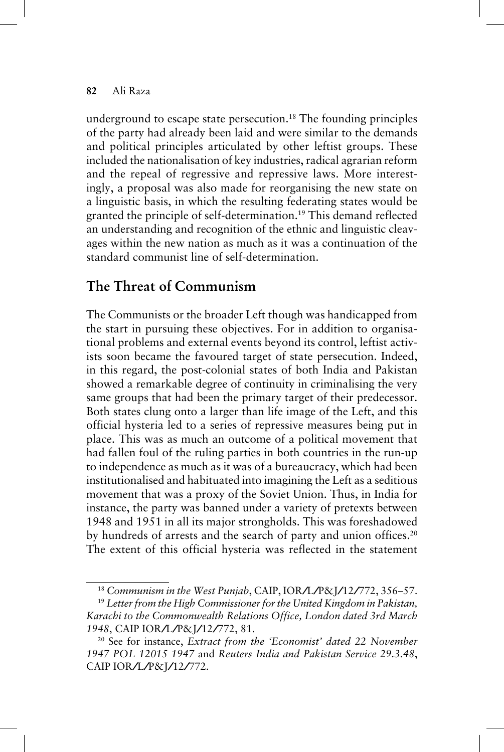underground to escape state persecution.<sup>18</sup> The founding principles of the party had already been laid and were similar to the demands and political principles articulated by other leftist groups. These included the nationalisation of key industries, radical agrarian reform and the repeal of regressive and repressive laws. More interestingly, a proposal was also made for reorganising the new state on a linguistic basis, in which the resulting federating states would be granted the principle of self-determination.19 This demand reflected an understanding and recognition of the ethnic and linguistic cleavages within the new nation as much as it was a continuation of the standard communist line of self-determination.

### **The Threat of Communism**

The Communists or the broader Left though was handicapped from the start in pursuing these objectives. For in addition to organisational problems and external events beyond its control, leftist activists soon became the favoured target of state persecution. Indeed, in this regard, the post-colonial states of both India and Pakistan showed a remarkable degree of continuity in criminalising the very same groups that had been the primary target of their predecessor. Both states clung onto a larger than life image of the Left, and this official hysteria led to a series of repressive measures being put in place. This was as much an outcome of a political movement that had fallen foul of the ruling parties in both countries in the run-up to independence as much as it was of a bureaucracy, which had been institutionalised and habituated into imagining the Left as a seditious movement that was a proxy of the Soviet Union. Thus, in India for instance, the party was banned under a variety of pretexts between 1948 and 1951 in all its major strongholds. This was foreshadowed by hundreds of arrests and the search of party and union offices.<sup>20</sup> The extent of this official hysteria was reflected in the statement

<sup>18</sup> *Communism in the West Punjab*, CAIP, IOR*/*L*/*P&J*/*12*/*772, 356–57.

<sup>19</sup> *Letter from the High Commissioner for the United Kingdom in Pakistan, Karachi to the Commonwealth Relations Office, London dated 3rd March <sup>1948</sup>*, CAIP IOR*/*L*/*P&J*/*12*/*772, 81.

<sup>20</sup> See for instance, *Extract from the 'Economist' dated 22 November 1947 POL 12015 1947* and *Reuters India and Pakistan Service 29.3.48*, CAIP IOR*/*L*/*P&J*/*12*/*772.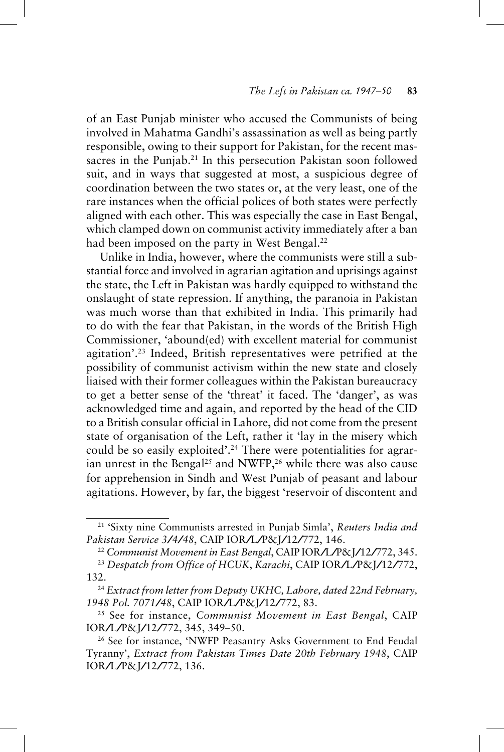of an East Punjab minister who accused the Communists of being involved in Mahatma Gandhi's assassination as well as being partly responsible, owing to their support for Pakistan, for the recent massacres in the Punjab.<sup>21</sup> In this persecution Pakistan soon followed suit, and in ways that suggested at most, a suspicious degree of coordination between the two states or, at the very least, one of the rare instances when the official polices of both states were perfectly aligned with each other. This was especially the case in East Bengal, which clamped down on communist activity immediately after a ban had been imposed on the party in West Bengal.<sup>22</sup>

Unlike in India, however, where the communists were still a substantial force and involved in agrarian agitation and uprisings against the state, the Left in Pakistan was hardly equipped to withstand the onslaught of state repression. If anything, the paranoia in Pakistan was much worse than that exhibited in India. This primarily had to do with the fear that Pakistan, in the words of the British High Commissioner, 'abound(ed) with excellent material for communist agitation'.23 Indeed, British representatives were petrified at the possibility of communist activism within the new state and closely liaised with their former colleagues within the Pakistan bureaucracy to get a better sense of the 'threat' it faced. The 'danger', as was acknowledged time and again, and reported by the head of the CID to a British consular official in Lahore, did not come from the present state of organisation of the Left, rather it 'lay in the misery which could be so easily exploited'.<sup>24</sup> There were potentialities for agrarian unrest in the Bengal<sup>25</sup> and NWFP,<sup>26</sup> while there was also cause for apprehension in Sindh and West Punjab of peasant and labour agitations. However, by far, the biggest 'reservoir of discontent and

<sup>21 &#</sup>x27;Sixty nine Communists arrested in Punjab Simla', *Reuters India and Pakistan Service 3/4/48*, CAIP IOR*/*L*/*P&J*/*12*/*772, 146.

<sup>22</sup> *Communist Movement in East Bengal*, CAIP IOR*/*L*/*P&J*/*12*/*772, 345.

<sup>23</sup> *Despatch from Office of HCUK*, *Karachi*, CAIP IOR*/*L*/*P&J*/*12*/*772, 132.

<sup>24</sup> *Extract from letter from Deputy UKHC, Lahore, dated 22nd February, 1948 Pol. 7071/48*, CAIP IOR*/*L*/*P&J*/*12*/*772, 83.

<sup>25</sup> See for instance, *Communist Movement in East Bengal*, CAIP IOR*/*L*/*P&J*/*12*/*772, 345, 349–50.

<sup>26</sup> See for instance, 'NWFP Peasantry Asks Government to End Feudal Tyranny', *Extract from Pakistan Times Date 20th February 1948*, CAIP IOR*/*L*/*P&J*/*12*/*772, 136.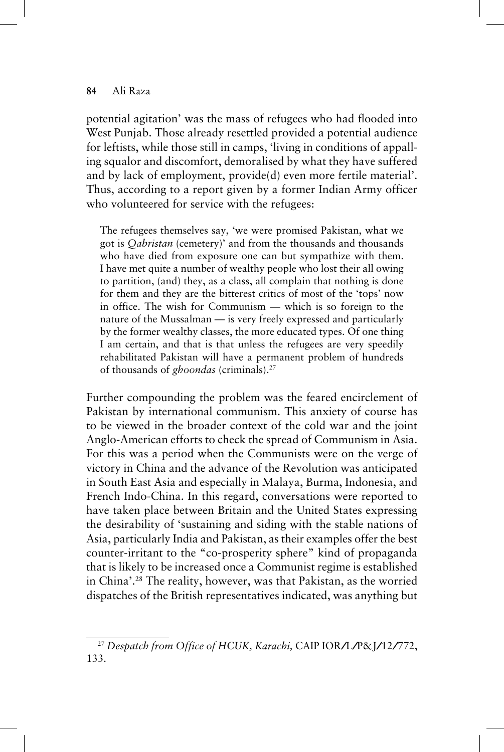potential agitation' was the mass of refugees who had flooded into West Punjab. Those already resettled provided a potential audience for leftists, while those still in camps, 'living in conditions of appalling squalor and discomfort, demoralised by what they have suffered and by lack of employment, provide(d) even more fertile material'. Thus, according to a report given by a former Indian Army officer who volunteered for service with the refugees:

The refugees themselves say, 'we were promised Pakistan, what we got is *Qabristan* (cemetery)' and from the thousands and thousands who have died from exposure one can but sympathize with them. I have met quite a number of wealthy people who lost their all owing to partition, (and) they, as a class, all complain that nothing is done for them and they are the bitterest critics of most of the 'tops' now in office. The wish for Communism — which is so foreign to the nature of the Mussalman — is very freely expressed and particularly by the former wealthy classes, the more educated types. Of one thing I am certain, and that is that unless the refugees are very speedily rehabilitated Pakistan will have a permanent problem of hundreds of thousands of *ghoondas* (criminals).27

Further compounding the problem was the feared encirclement of Pakistan by international communism. This anxiety of course has to be viewed in the broader context of the cold war and the joint Anglo-American efforts to check the spread of Communism in Asia. For this was a period when the Communists were on the verge of victory in China and the advance of the Revolution was anticipated in South East Asia and especially in Malaya, Burma, Indonesia, and French Indo-China. In this regard, conversations were reported to have taken place between Britain and the United States expressing the desirability of 'sustaining and siding with the stable nations of Asia, particularly India and Pakistan, as their examples offer the best counter-irritant to the "co-prosperity sphere" kind of propaganda that is likely to be increased once a Communist regime is established in China'.28 The reality, however, was that Pakistan, as the worried dispatches of the British representatives indicated, was anything but

<sup>27</sup> *Despatch from Office of HCUK, Karachi,* CAIP IOR*/*L*/*P&J*/*12*/*772, 133.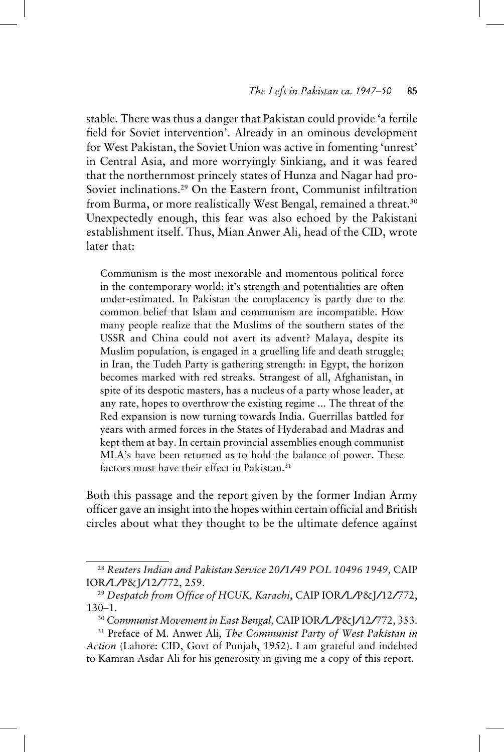stable. There was thus a danger that Pakistan could provide 'a fertile field for Soviet intervention'. Already in an ominous development for West Pakistan, the Soviet Union was active in fomenting 'unrest' in Central Asia, and more worryingly Sinkiang, and it was feared that the northernmost princely states of Hunza and Nagar had pro-Soviet inclinations.<sup>29</sup> On the Eastern front, Communist infiltration from Burma, or more realistically West Bengal, remained a threat.<sup>30</sup> Unexpectedly enough, this fear was also echoed by the Pakistani establishment itself. Thus, Mian Anwer Ali, head of the CID, wrote later that:

Communism is the most inexorable and momentous political force in the contemporary world: it's strength and potentialities are often under-estimated. In Pakistan the complacency is partly due to the common belief that Islam and communism are incompatible. How many people realize that the Muslims of the southern states of the USSR and China could not avert its advent? Malaya, despite its Muslim population, is engaged in a gruelling life and death struggle; in Iran, the Tudeh Party is gathering strength: in Egypt, the horizon becomes marked with red streaks. Strangest of all, Afghanistan, in spite of its despotic masters, has a nucleus of a party whose leader, at any rate, hopes to overthrow the existing regime *...* The threat of the Red expansion is now turning towards India. Guerrillas battled for years with armed forces in the States of Hyderabad and Madras and kept them at bay. In certain provincial assemblies enough communist MLA's have been returned as to hold the balance of power. These factors must have their effect in Pakistan.<sup>31</sup>

Both this passage and the report given by the former Indian Army officer gave an insight into the hopes within certain official and British circles about what they thought to be the ultimate defence against

<sup>&</sup>lt;sup>28</sup> Reuters Indian and Pakistan Service 20/1/49 POL 10496 1949, CAIP IOR*/*L*/*P&J*/*12*/*772, 259.

<sup>29</sup> *Despatch from Office of HCUK, Karachi*, CAIP IOR*/*L*/*P&J*/*12*/*772, 130–1.

<sup>30</sup> *Communist Movement in East Bengal*, CAIP IOR*/*L*/*P&J*/*12*/*772, 353.

<sup>31</sup> Preface of M. Anwer Ali, *The Communist Party of West Pakistan in Action* (Lahore: CID, Govt of Punjab, 1952). I am grateful and indebted to Kamran Asdar Ali for his generosity in giving me a copy of this report.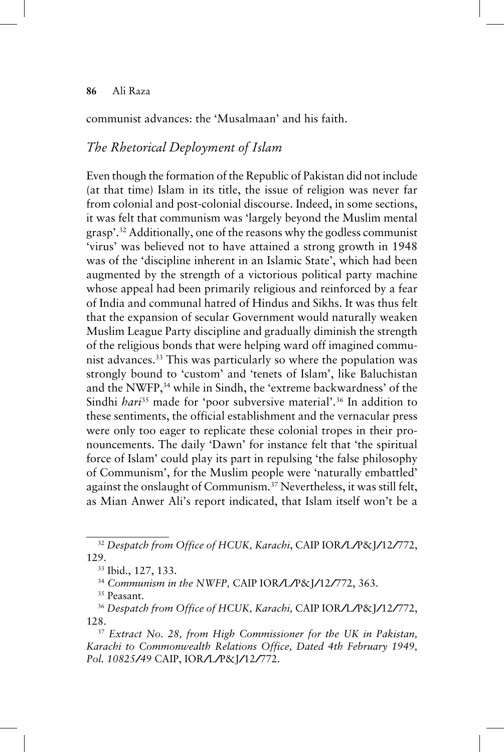communist advances: the 'Musalmaan' and his faith.

### *The Rhetorical Deployment of Islam*

Even though the formation of the Republic of Pakistan did not include (at that time) Islam in its title, the issue of religion was never far from colonial and post-colonial discourse. Indeed, in some sections, it was felt that communism was 'largely beyond the Muslim mental grasp'.32 Additionally, one of the reasons why the godless communist 'virus' was believed not to have attained a strong growth in 1948 was of the 'discipline inherent in an Islamic State', which had been augmented by the strength of a victorious political party machine whose appeal had been primarily religious and reinforced by a fear of India and communal hatred of Hindus and Sikhs. It was thus felt that the expansion of secular Government would naturally weaken Muslim League Party discipline and gradually diminish the strength of the religious bonds that were helping ward off imagined communist advances.33 This was particularly so where the population was strongly bound to 'custom' and 'tenets of Islam', like Baluchistan and the NWFP,<sup>34</sup> while in Sindh, the 'extreme backwardness' of the Sindhi *hari*<sup>35</sup> made for 'poor subversive material'.<sup>36</sup> In addition to these sentiments, the official establishment and the vernacular press were only too eager to replicate these colonial tropes in their pronouncements. The daily 'Dawn' for instance felt that 'the spiritual force of Islam' could play its part in repulsing 'the false philosophy of Communism', for the Muslim people were 'naturally embattled' against the onslaught of Communism.37 Nevertheless, it was still felt, as Mian Anwer Ali's report indicated, that Islam itself won't be a

<sup>34</sup> *Communism in the NWFP,* CAIP IOR*/*L*/*P&J*/*12*/*772, 363.

<sup>32</sup> *Despatch from Office of HCUK, Karachi*, CAIP IOR*/*L*/*P&J*/*12*/*772, 129.

<sup>33</sup> Ibid., 127, 133.

<sup>&</sup>lt;sup>35</sup> Peasant.

<sup>36</sup> *Despatch from Office of HCUK, Karachi,* CAIP IOR*/*L*/*P&J*/*12*/*772, 128.

<sup>37</sup> *Extract No. 28, from High Commissioner for the UK in Pakistan, Karachi to Commonwealth Relations Office, Dated 4th February 1949, Pol. 10825/49* CAIP, IOR*/*L*/*P&J*/*12*/*772.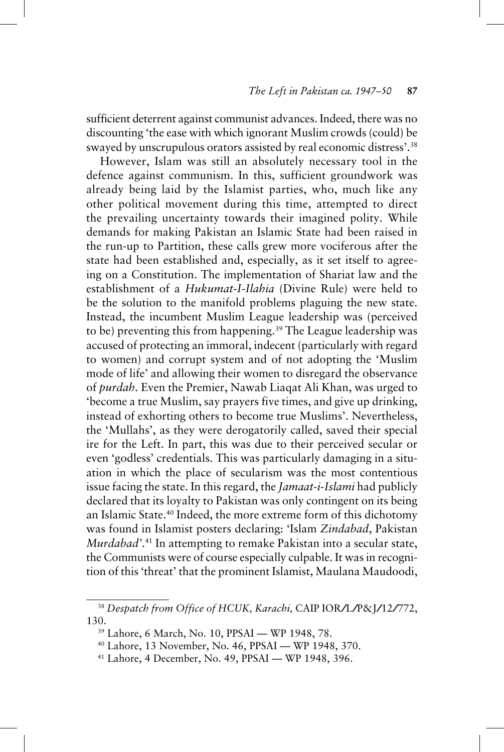sufficient deterrent against communist advances. Indeed, there was no discounting 'the ease with which ignorant Muslim crowds (could) be swayed by unscrupulous orators assisted by real economic distress'.<sup>38</sup>

However, Islam was still an absolutely necessary tool in the defence against communism. In this, sufficient groundwork was already being laid by the Islamist parties, who, much like any other political movement during this time, attempted to direct the prevailing uncertainty towards their imagined polity. While demands for making Pakistan an Islamic State had been raised in the run-up to Partition, these calls grew more vociferous after the state had been established and, especially, as it set itself to agreeing on a Constitution. The implementation of Shariat law and the establishment of a *Hukumat-I-Ilahia* (Divine Rule) were held to be the solution to the manifold problems plaguing the new state. Instead, the incumbent Muslim League leadership was (perceived to be) preventing this from happening.<sup>39</sup> The League leadership was accused of protecting an immoral, indecent (particularly with regard to women) and corrupt system and of not adopting the 'Muslim mode of life' and allowing their women to disregard the observance of *purdah.* Even the Premier, Nawab Liaqat Ali Khan, was urged to 'become a true Muslim, say prayers five times, and give up drinking, instead of exhorting others to become true Muslims'. Nevertheless, the 'Mullahs', as they were derogatorily called, saved their special ire for the Left. In part, this was due to their perceived secular or even 'godless' credentials. This was particularly damaging in a situation in which the place of secularism was the most contentious issue facing the state. In this regard, the *Jamaat-i-Islami* had publicly declared that its loyalty to Pakistan was only contingent on its being an Islamic State.40 Indeed, the more extreme form of this dichotomy was found in Islamist posters declaring: 'Islam *Zindabad*, Pakistan *Murdabad'*. 41 In attempting to remake Pakistan into a secular state, the Communists were of course especially culpable. It was in recognition of this 'threat' that the prominent Islamist, Maulana Maudoodi,

<sup>38</sup> *Despatch from Office of HCUK, Karachi,* CAIP IOR*/*L*/*P&J*/*12*/*772, 130.

<sup>39</sup> Lahore, 6 March, No. 10, PPSAI — WP 1948, 78.

<sup>40</sup> Lahore, 13 November, No. 46, PPSAI — WP 1948, 370.

<sup>41</sup> Lahore, 4 December, No. 49, PPSAI — WP 1948, 396.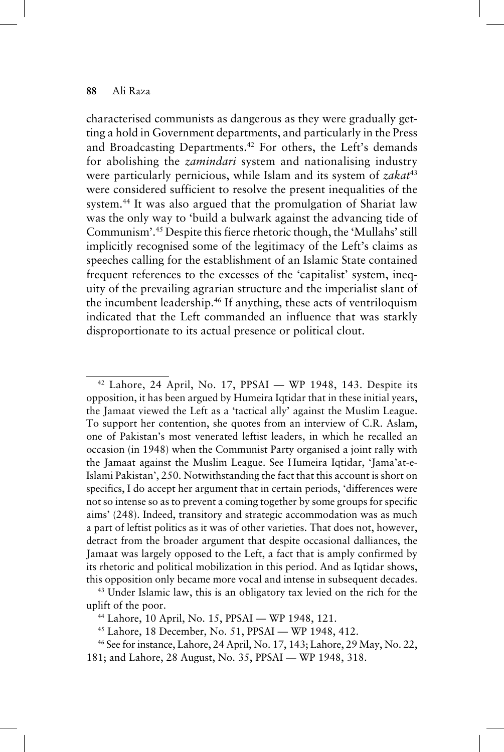characterised communists as dangerous as they were gradually getting a hold in Government departments, and particularly in the Press and Broadcasting Departments.<sup>42</sup> For others, the Left's demands for abolishing the *zamindari* system and nationalising industry were particularly pernicious, while Islam and its system of *zakat*<sup>43</sup> were considered sufficient to resolve the present inequalities of the system.44 It was also argued that the promulgation of Shariat law was the only way to 'build a bulwark against the advancing tide of Communism'.45 Despite this fierce rhetoric though, the 'Mullahs' still implicitly recognised some of the legitimacy of the Left's claims as speeches calling for the establishment of an Islamic State contained frequent references to the excesses of the 'capitalist' system, inequity of the prevailing agrarian structure and the imperialist slant of the incumbent leadership.46 If anything, these acts of ventriloquism indicated that the Left commanded an influence that was starkly disproportionate to its actual presence or political clout.

 $42$  Lahore, 24 April, No. 17, PPSAI — WP 1948, 143. Despite its opposition, it has been argued by Humeira Iqtidar that in these initial years, the Jamaat viewed the Left as a 'tactical ally' against the Muslim League. To support her contention, she quotes from an interview of C.R. Aslam, one of Pakistan's most venerated leftist leaders, in which he recalled an occasion (in 1948) when the Communist Party organised a joint rally with the Jamaat against the Muslim League. See Humeira Iqtidar, 'Jama'at-e-Islami Pakistan', 250. Notwithstanding the fact that this account is short on specifics, I do accept her argument that in certain periods, 'differences were not so intense so as to prevent a coming together by some groups for specific aims' (248). Indeed, transitory and strategic accommodation was as much a part of leftist politics as it was of other varieties. That does not, however, detract from the broader argument that despite occasional dalliances, the Jamaat was largely opposed to the Left, a fact that is amply confirmed by its rhetoric and political mobilization in this period. And as Iqtidar shows, this opposition only became more vocal and intense in subsequent decades.

43 Under Islamic law, this is an obligatory tax levied on the rich for the uplift of the poor.

<sup>44</sup> Lahore, 10 April, No. 15, PPSAI — WP 1948, 121.

<sup>45</sup> Lahore, 18 December, No. 51, PPSAI — WP 1948, 412.

<sup>46</sup> See for instance, Lahore, 24 April, No. 17, 143; Lahore, 29 May, No. 22, 181; and Lahore, 28 August, No. 35, PPSAI — WP 1948, 318.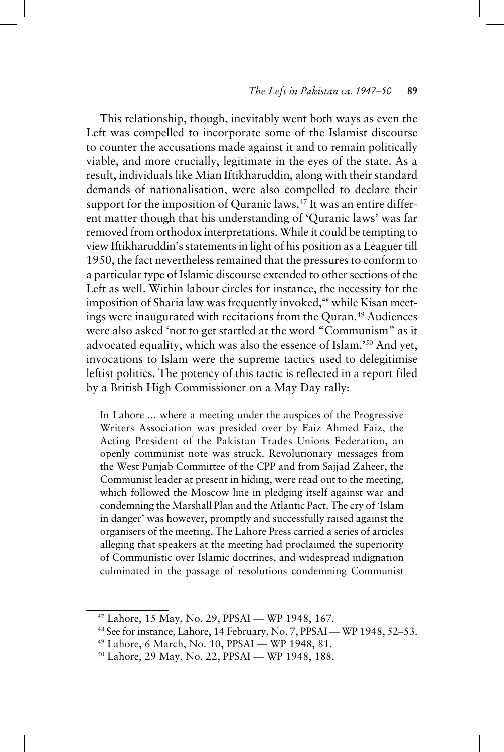### *The Left in Pakistan ca. 1947–50* **89**

This relationship, though, inevitably went both ways as even the Left was compelled to incorporate some of the Islamist discourse to counter the accusations made against it and to remain politically viable, and more crucially, legitimate in the eyes of the state. As a result, individuals like Mian Iftikharuddin, along with their standard demands of nationalisation, were also compelled to declare their support for the imposition of Quranic laws.<sup>47</sup> It was an entire different matter though that his understanding of 'Quranic laws' was far removed from orthodox interpretations. While it could be tempting to view Iftikharuddin's statements in light of his position as a Leaguer till 1950, the fact nevertheless remained that the pressures to conform to a particular type of Islamic discourse extended to other sections of the Left as well. Within labour circles for instance, the necessity for the imposition of Sharia law was frequently invoked,<sup>48</sup> while Kisan meetings were inaugurated with recitations from the Quran.49 Audiences were also asked 'not to get startled at the word "Communism" as it advocated equality, which was also the essence of Islam.'50 And yet, invocations to Islam were the supreme tactics used to delegitimise leftist politics. The potency of this tactic is reflected in a report filed by a British High Commissioner on a May Day rally:

In Lahore *...* where a meeting under the auspices of the Progressive Writers Association was presided over by Faiz Ahmed Faiz, the Acting President of the Pakistan Trades Unions Federation, an openly communist note was struck. Revolutionary messages from the West Punjab Committee of the CPP and from Sajjad Zaheer, the Communist leader at present in hiding, were read out to the meeting, which followed the Moscow line in pledging itself against war and condemning the Marshall Plan and the Atlantic Pact. The cry of 'Islam in danger' was however, promptly and successfully raised against the organisers of the meeting. The Lahore Press carried a series of articles alleging that speakers at the meeting had proclaimed the superiority of Communistic over Islamic doctrines, and widespread indignation culminated in the passage of resolutions condemning Communist

<sup>47</sup> Lahore, 15 May, No. 29, PPSAI — WP 1948, 167.

<sup>48</sup> See for instance, Lahore, 14 February, No. 7, PPSAI — WP 1948, 52–53.

<sup>49</sup> Lahore, 6 March, No. 10, PPSAI — WP 1948, 81.

<sup>50</sup> Lahore, 29 May, No. 22, PPSAI — WP 1948, 188.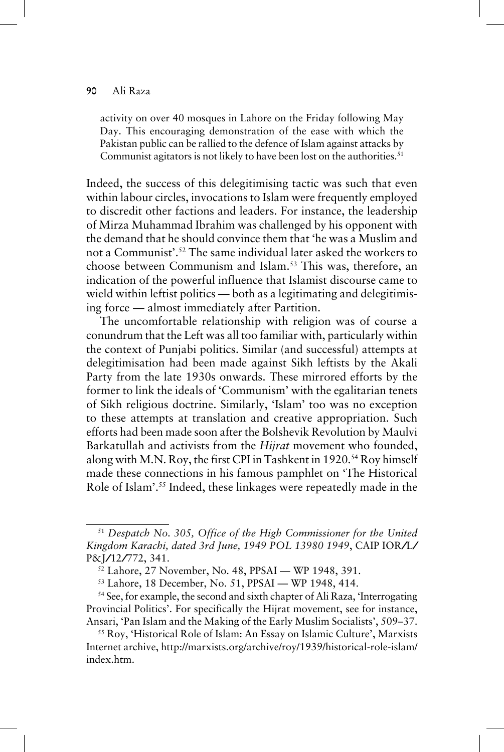activity on over 40 mosques in Lahore on the Friday following May Day. This encouraging demonstration of the ease with which the Pakistan public can be rallied to the defence of Islam against attacks by Communist agitators is not likely to have been lost on the authorities.<sup>51</sup>

Indeed, the success of this delegitimising tactic was such that even within labour circles, invocations to Islam were frequently employed to discredit other factions and leaders. For instance, the leadership of Mirza Muhammad Ibrahim was challenged by his opponent with the demand that he should convince them that 'he was a Muslim and not a Communist'.<sup>52</sup> The same individual later asked the workers to choose between Communism and Islam.53 This was, therefore, an indication of the powerful influence that Islamist discourse came to wield within leftist politics — both as a legitimating and delegitimising force — almost immediately after Partition.

The uncomfortable relationship with religion was of course a conundrum that the Left was all too familiar with, particularly within the context of Punjabi politics. Similar (and successful) attempts at delegitimisation had been made against Sikh leftists by the Akali Party from the late 1930s onwards. These mirrored efforts by the former to link the ideals of 'Communism' with the egalitarian tenets of Sikh religious doctrine. Similarly, 'Islam' too was no exception to these attempts at translation and creative appropriation. Such efforts had been made soon after the Bolshevik Revolution by Maulvi Barkatullah and activists from the *Hijrat* movement who founded, along with M.N. Roy, the first CPI in Tashkent in 1920.<sup>54</sup> Roy himself made these connections in his famous pamphlet on 'The Historical Role of Islam'.55 Indeed, these linkages were repeatedly made in the

<sup>51</sup> *Despatch No. 305, Office of the High Commissioner for the United Kingdom Karachi, dated 3rd June, 1949 POL 13980 1949*, CAIP IOR*/*L*/* P&J*/*12*/*772, 341.

<sup>52</sup> Lahore, 27 November, No. 48, PPSAI — WP 1948, 391.

<sup>53</sup> Lahore, 18 December, No. 51, PPSAI — WP 1948, 414.

<sup>&</sup>lt;sup>54</sup> See, for example, the second and sixth chapter of Ali Raza, 'Interrogating Provincial Politics'. For specifically the Hijrat movement, see for instance, Ansari, 'Pan Islam and the Making of the Early Muslim Socialists', 509–37.

<sup>55</sup> Roy, 'Historical Role of Islam: An Essay on Islamic Culture', Marxists Internet archive, http://marxists.org/archive/roy/1939/historical-role-islam/ index.htm.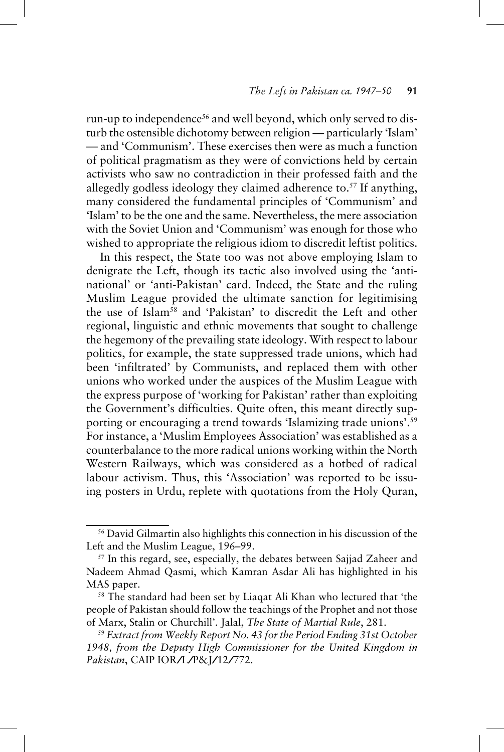### *The Left in Pakistan ca. 1947–50* **91**

run-up to independence<sup>56</sup> and well beyond, which only served to disturb the ostensible dichotomy between religion — particularly 'Islam' — and 'Communism'. These exercises then were as much a function of political pragmatism as they were of convictions held by certain activists who saw no contradiction in their professed faith and the allegedly godless ideology they claimed adherence to.<sup>57</sup> If anything, many considered the fundamental principles of 'Communism' and 'Islam' to be the one and the same. Nevertheless, the mere association with the Soviet Union and 'Communism' was enough for those who wished to appropriate the religious idiom to discredit leftist politics.

In this respect, the State too was not above employing Islam to denigrate the Left, though its tactic also involved using the 'antinational' or 'anti-Pakistan' card. Indeed, the State and the ruling Muslim League provided the ultimate sanction for legitimising the use of Islam58 and 'Pakistan' to discredit the Left and other regional, linguistic and ethnic movements that sought to challenge the hegemony of the prevailing state ideology. With respect to labour politics, for example, the state suppressed trade unions, which had been 'infiltrated' by Communists, and replaced them with other unions who worked under the auspices of the Muslim League with the express purpose of 'working for Pakistan' rather than exploiting the Government's difficulties. Quite often, this meant directly supporting or encouraging a trend towards 'Islamizing trade unions'.59 For instance, a 'Muslim Employees Association' was established as a counterbalance to the more radical unions working within the North Western Railways, which was considered as a hotbed of radical labour activism. Thus, this 'Association' was reported to be issuing posters in Urdu, replete with quotations from the Holy Quran,

<sup>56</sup> David Gilmartin also highlights this connection in his discussion of the Left and the Muslim League, 196–99.

<sup>&</sup>lt;sup>57</sup> In this regard, see, especially, the debates between Sajjad Zaheer and Nadeem Ahmad Qasmi, which Kamran Asdar Ali has highlighted in his MAS paper.

<sup>58</sup> The standard had been set by Liaqat Ali Khan who lectured that 'the people of Pakistan should follow the teachings of the Prophet and not those of Marx, Stalin or Churchill'. Jalal, *The State of Martial Rule*, 281.

<sup>59</sup> *Extract from Weekly Report No. 43 for the Period Ending 31st October 1948, from the Deputy High Commissioner for the United Kingdom in Pakistan*, CAIP IOR*/*L*/*P&J*/*12*/*772.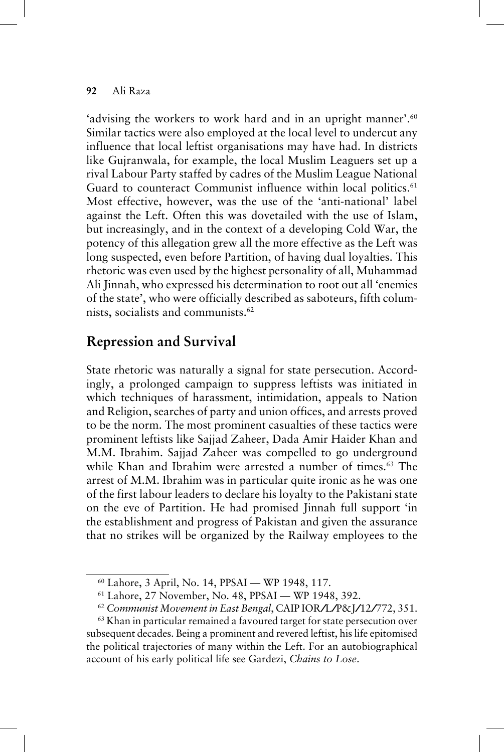'advising the workers to work hard and in an upright manner'.<sup>60</sup> Similar tactics were also employed at the local level to undercut any influence that local leftist organisations may have had. In districts like Gujranwala, for example, the local Muslim Leaguers set up a rival Labour Party staffed by cadres of the Muslim League National Guard to counteract Communist influence within local politics.<sup>61</sup> Most effective, however, was the use of the 'anti-national' label against the Left. Often this was dovetailed with the use of Islam, but increasingly, and in the context of a developing Cold War, the potency of this allegation grew all the more effective as the Left was long suspected, even before Partition, of having dual loyalties. This rhetoric was even used by the highest personality of all, Muhammad Ali Jinnah, who expressed his determination to root out all 'enemies of the state', who were officially described as saboteurs, fifth columnists, socialists and communists.62

### **Repression and Survival**

State rhetoric was naturally a signal for state persecution. Accordingly, a prolonged campaign to suppress leftists was initiated in which techniques of harassment, intimidation, appeals to Nation and Religion, searches of party and union offices, and arrests proved to be the norm. The most prominent casualties of these tactics were prominent leftists like Sajjad Zaheer, Dada Amir Haider Khan and M.M. Ibrahim. Sajjad Zaheer was compelled to go underground while Khan and Ibrahim were arrested a number of times.<sup>63</sup> The arrest of M.M. Ibrahim was in particular quite ironic as he was one of the first labour leaders to declare his loyalty to the Pakistani state on the eve of Partition. He had promised Jinnah full support 'in the establishment and progress of Pakistan and given the assurance that no strikes will be organized by the Railway employees to the

<sup>60</sup> Lahore, 3 April, No. 14, PPSAI — WP 1948, 117.

<sup>61</sup> Lahore, 27 November, No. 48, PPSAI — WP 1948, 392.

<sup>62</sup> *Communist Movement in East Bengal*, CAIP IOR*/*L*/*P&J*/*12*/*772, 351.

<sup>63</sup> Khan in particular remained a favoured target for state persecution over subsequent decades. Being a prominent and revered leftist, his life epitomised the political trajectories of many within the Left. For an autobiographical account of his early political life see Gardezi, *Chains to Lose*.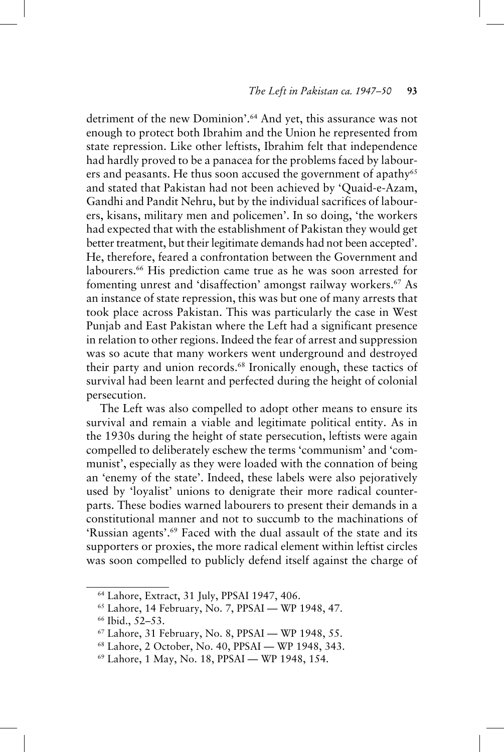detriment of the new Dominion'.<sup>64</sup> And yet, this assurance was not enough to protect both Ibrahim and the Union he represented from state repression. Like other leftists, Ibrahim felt that independence had hardly proved to be a panacea for the problems faced by labourers and peasants. He thus soon accused the government of apathy<sup>65</sup> and stated that Pakistan had not been achieved by 'Quaid-e-Azam, Gandhi and Pandit Nehru, but by the individual sacrifices of labourers, kisans, military men and policemen'. In so doing, 'the workers had expected that with the establishment of Pakistan they would get better treatment, but their legitimate demands had not been accepted'. He, therefore, feared a confrontation between the Government and labourers.<sup>66</sup> His prediction came true as he was soon arrested for fomenting unrest and 'disaffection' amongst railway workers.67 As an instance of state repression, this was but one of many arrests that took place across Pakistan. This was particularly the case in West Punjab and East Pakistan where the Left had a significant presence in relation to other regions. Indeed the fear of arrest and suppression was so acute that many workers went underground and destroyed their party and union records.<sup>68</sup> Ironically enough, these tactics of survival had been learnt and perfected during the height of colonial persecution.

The Left was also compelled to adopt other means to ensure its survival and remain a viable and legitimate political entity. As in the 1930s during the height of state persecution, leftists were again compelled to deliberately eschew the terms 'communism' and 'communist', especially as they were loaded with the connation of being an 'enemy of the state'. Indeed, these labels were also pejoratively used by 'loyalist' unions to denigrate their more radical counterparts. These bodies warned labourers to present their demands in a constitutional manner and not to succumb to the machinations of 'Russian agents'.69 Faced with the dual assault of the state and its supporters or proxies, the more radical element within leftist circles was soon compelled to publicly defend itself against the charge of

<sup>64</sup> Lahore, Extract, 31 July, PPSAI 1947, 406.

<sup>65</sup> Lahore, 14 February, No. 7, PPSAI — WP 1948, 47.

<sup>66</sup> Ibid., 52–53.

<sup>67</sup> Lahore, 31 February, No. 8, PPSAI — WP 1948, 55.

<sup>68</sup> Lahore, 2 October, No. 40, PPSAI — WP 1948, 343.

<sup>69</sup> Lahore, 1 May, No. 18, PPSAI — WP 1948, 154.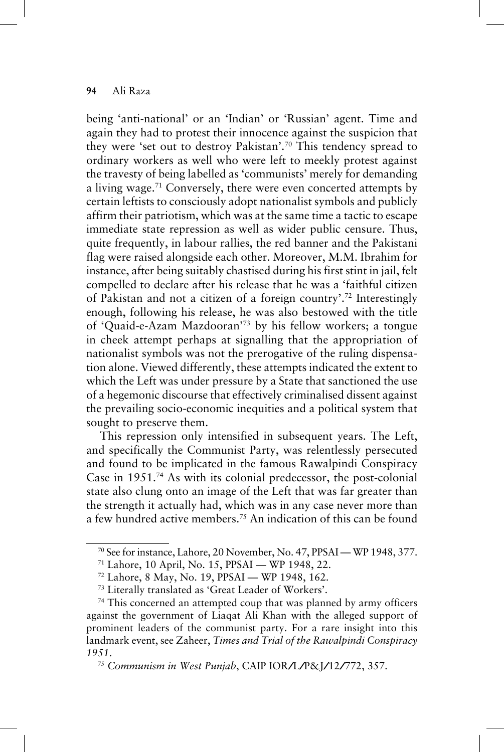being 'anti-national' or an 'Indian' or 'Russian' agent. Time and again they had to protest their innocence against the suspicion that they were 'set out to destroy Pakistan'.70 This tendency spread to ordinary workers as well who were left to meekly protest against the travesty of being labelled as 'communists' merely for demanding a living wage.<sup>71</sup> Conversely, there were even concerted attempts by certain leftists to consciously adopt nationalist symbols and publicly affirm their patriotism, which was at the same time a tactic to escape immediate state repression as well as wider public censure. Thus, quite frequently, in labour rallies, the red banner and the Pakistani flag were raised alongside each other. Moreover, M.M. Ibrahim for instance, after being suitably chastised during his first stint in jail, felt compelled to declare after his release that he was a 'faithful citizen of Pakistan and not a citizen of a foreign country'.72 Interestingly enough, following his release, he was also bestowed with the title of 'Quaid-e-Azam Mazdooran'73 by his fellow workers; a tongue in cheek attempt perhaps at signalling that the appropriation of nationalist symbols was not the prerogative of the ruling dispensation alone. Viewed differently, these attempts indicated the extent to which the Left was under pressure by a State that sanctioned the use of a hegemonic discourse that effectively criminalised dissent against the prevailing socio-economic inequities and a political system that sought to preserve them.

This repression only intensified in subsequent years. The Left, and specifically the Communist Party, was relentlessly persecuted and found to be implicated in the famous Rawalpindi Conspiracy Case in 1951.74 As with its colonial predecessor, the post-colonial state also clung onto an image of the Left that was far greater than the strength it actually had, which was in any case never more than a few hundred active members.75 An indication of this can be found

<sup>70</sup> See for instance, Lahore, 20 November, No. 47, PPSAI — WP 1948, 377.

<sup>71</sup> Lahore, 10 April, No. 15, PPSAI — WP 1948, 22.

<sup>72</sup> Lahore, 8 May, No. 19, PPSAI — WP 1948, 162.

<sup>73</sup> Literally translated as 'Great Leader of Workers'.

<sup>&</sup>lt;sup>74</sup> This concerned an attempted coup that was planned by army officers against the government of Liaqat Ali Khan with the alleged support of prominent leaders of the communist party. For a rare insight into this landmark event, see Zaheer, *Times and Trial of the Rawalpindi Conspiracy 1951*.

<sup>75</sup> *Communism in West Punjab*, CAIP IOR*/*L*/*P&J*/*12*/*772, 357.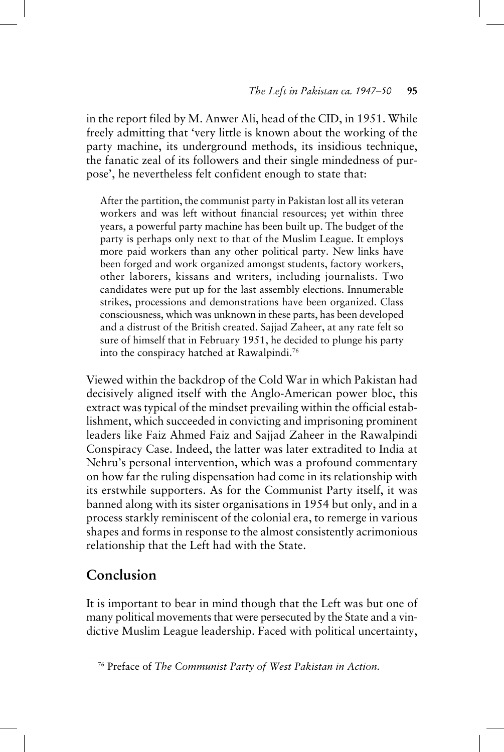in the report filed by M. Anwer Ali, head of the CID, in 1951. While freely admitting that 'very little is known about the working of the party machine, its underground methods, its insidious technique, the fanatic zeal of its followers and their single mindedness of purpose', he nevertheless felt confident enough to state that:

After the partition, the communist party in Pakistan lost all its veteran workers and was left without financial resources; yet within three years, a powerful party machine has been built up. The budget of the party is perhaps only next to that of the Muslim League. It employs more paid workers than any other political party. New links have been forged and work organized amongst students, factory workers, other laborers, kissans and writers, including journalists. Two candidates were put up for the last assembly elections. Innumerable strikes, processions and demonstrations have been organized. Class consciousness, which was unknown in these parts, has been developed and a distrust of the British created. Sajjad Zaheer, at any rate felt so sure of himself that in February 1951, he decided to plunge his party into the conspiracy hatched at Rawalpindi.76

Viewed within the backdrop of the Cold War in which Pakistan had decisively aligned itself with the Anglo-American power bloc, this extract was typical of the mindset prevailing within the official establishment, which succeeded in convicting and imprisoning prominent leaders like Faiz Ahmed Faiz and Sajjad Zaheer in the Rawalpindi Conspiracy Case. Indeed, the latter was later extradited to India at Nehru's personal intervention, which was a profound commentary on how far the ruling dispensation had come in its relationship with its erstwhile supporters. As for the Communist Party itself, it was banned along with its sister organisations in 1954 but only, and in a process starkly reminiscent of the colonial era, to remerge in various shapes and forms in response to the almost consistently acrimonious relationship that the Left had with the State.

### **Conclusion**

It is important to bear in mind though that the Left was but one of many political movements that were persecuted by the State and a vindictive Muslim League leadership. Faced with political uncertainty,

<sup>76</sup> Preface of *The Communist Party of West Pakistan in Action.*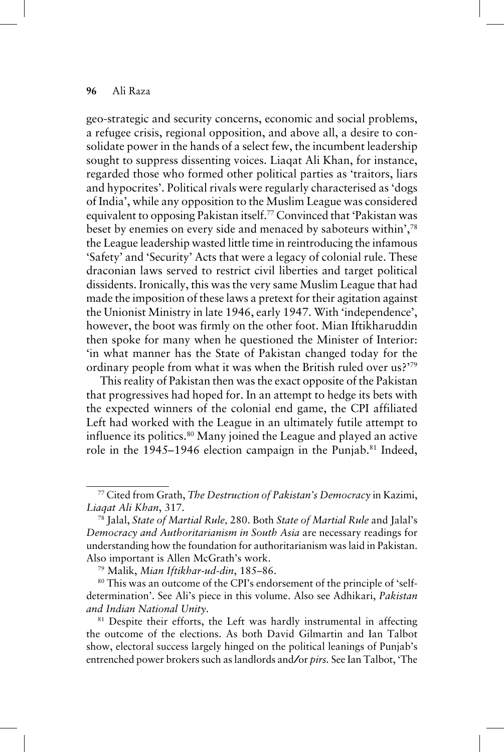geo-strategic and security concerns, economic and social problems, a refugee crisis, regional opposition, and above all, a desire to consolidate power in the hands of a select few, the incumbent leadership sought to suppress dissenting voices. Liaqat Ali Khan, for instance, regarded those who formed other political parties as 'traitors, liars and hypocrites'. Political rivals were regularly characterised as 'dogs of India', while any opposition to the Muslim League was considered equivalent to opposing Pakistan itself.77 Convinced that 'Pakistan was beset by enemies on every side and menaced by saboteurs within',78 the League leadership wasted little time in reintroducing the infamous 'Safety' and 'Security' Acts that were a legacy of colonial rule. These draconian laws served to restrict civil liberties and target political dissidents. Ironically, this was the very same Muslim League that had made the imposition of these laws a pretext for their agitation against the Unionist Ministry in late 1946, early 1947. With 'independence', however, the boot was firmly on the other foot. Mian Iftikharuddin then spoke for many when he questioned the Minister of Interior: 'in what manner has the State of Pakistan changed today for the ordinary people from what it was when the British ruled over us?'79

This reality of Pakistan then was the exact opposite of the Pakistan that progressives had hoped for. In an attempt to hedge its bets with the expected winners of the colonial end game, the CPI affiliated Left had worked with the League in an ultimately futile attempt to influence its politics.80 Many joined the League and played an active role in the 1945–1946 election campaign in the Punjab.<sup>81</sup> Indeed,

<sup>77</sup> Cited from Grath, *The Destruction of Pakistan's Democracy* in Kazimi, *Liaqat Ali Khan*, 317.

<sup>78</sup> Jalal, *State of Martial Rule,* 280. Both *State of Martial Rule* and Jalal's *Democracy and Authoritarianism in South Asia* are necessary readings for understanding how the foundation for authoritarianism was laid in Pakistan. Also important is Allen McGrath's work.

<sup>79</sup> Malik, *Mian Iftikhar-ud-din*, 185–86.

<sup>80</sup> This was an outcome of the CPI's endorsement of the principle of 'selfdetermination'. See Ali's piece in this volume. Also see Adhikari, *Pakistan and Indian National Unity*.

<sup>&</sup>lt;sup>81</sup> Despite their efforts, the Left was hardly instrumental in affecting the outcome of the elections. As both David Gilmartin and Ian Talbot show, electoral success largely hinged on the political leanings of Punjab's entrenched power brokers such as landlords and*/*or *pirs.* See Ian Talbot, 'The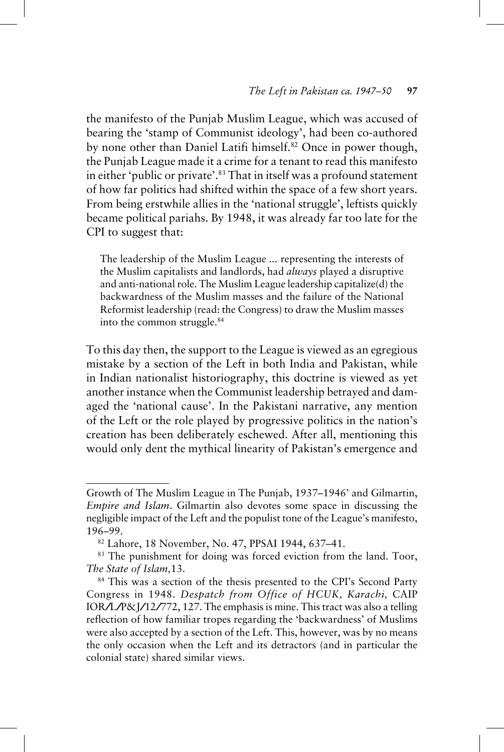the manifesto of the Punjab Muslim League, which was accused of bearing the 'stamp of Communist ideology', had been co-authored by none other than Daniel Latifi himself.<sup>82</sup> Once in power though, the Punjab League made it a crime for a tenant to read this manifesto in either 'public or private'.83 That in itself was a profound statement of how far politics had shifted within the space of a few short years. From being erstwhile allies in the 'national struggle', leftists quickly became political pariahs. By 1948, it was already far too late for the CPI to suggest that:

The leadership of the Muslim League *...* representing the interests of the Muslim capitalists and landlords, had *always* played a disruptive and anti-national role. The Muslim League leadership capitalize(d) the backwardness of the Muslim masses and the failure of the National Reformist leadership (read: the Congress) to draw the Muslim masses into the common struggle.<sup>84</sup>

To this day then, the support to the League is viewed as an egregious mistake by a section of the Left in both India and Pakistan, while in Indian nationalist historiography, this doctrine is viewed as yet another instance when the Communist leadership betrayed and damaged the 'national cause'. In the Pakistani narrative, any mention of the Left or the role played by progressive politics in the nation's creation has been deliberately eschewed. After all, mentioning this would only dent the mythical linearity of Pakistan's emergence and

Growth of The Muslim League in The Punjab, 1937–1946' and Gilmartin, *Empire and Islam*. Gilmartin also devotes some space in discussing the negligible impact of the Left and the populist tone of the League's manifesto, 196–99.

<sup>82</sup> Lahore, 18 November, No. 47, PPSAI 1944, 637–41.

<sup>&</sup>lt;sup>83</sup> The punishment for doing was forced eviction from the land. Toor, *The State of Islam,*13.

<sup>84</sup> This was a section of the thesis presented to the CPI's Second Party Congress in 1948. *Despatch from Office of HCUK, Karachi,* CAIP IOR*/*L*/*P&J*/*12*/*772, 127. The emphasis is mine. This tract was also a telling reflection of how familiar tropes regarding the 'backwardness' of Muslims were also accepted by a section of the Left. This, however, was by no means the only occasion when the Left and its detractors (and in particular the colonial state) shared similar views.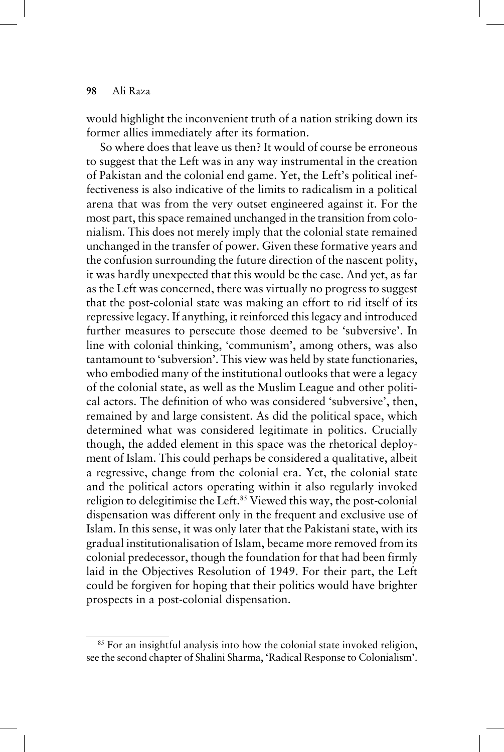would highlight the inconvenient truth of a nation striking down its former allies immediately after its formation.

So where does that leave us then? It would of course be erroneous to suggest that the Left was in any way instrumental in the creation of Pakistan and the colonial end game. Yet, the Left's political ineffectiveness is also indicative of the limits to radicalism in a political arena that was from the very outset engineered against it. For the most part, this space remained unchanged in the transition from colonialism. This does not merely imply that the colonial state remained unchanged in the transfer of power. Given these formative years and the confusion surrounding the future direction of the nascent polity, it was hardly unexpected that this would be the case. And yet, as far as the Left was concerned, there was virtually no progress to suggest that the post-colonial state was making an effort to rid itself of its repressive legacy. If anything, it reinforced this legacy and introduced further measures to persecute those deemed to be 'subversive'. In line with colonial thinking, 'communism', among others, was also tantamount to 'subversion'. This view was held by state functionaries, who embodied many of the institutional outlooks that were a legacy of the colonial state, as well as the Muslim League and other political actors. The definition of who was considered 'subversive', then, remained by and large consistent. As did the political space, which determined what was considered legitimate in politics. Crucially though, the added element in this space was the rhetorical deployment of Islam. This could perhaps be considered a qualitative, albeit a regressive, change from the colonial era. Yet, the colonial state and the political actors operating within it also regularly invoked religion to delegitimise the Left.<sup>85</sup> Viewed this way, the post-colonial dispensation was different only in the frequent and exclusive use of Islam. In this sense, it was only later that the Pakistani state, with its gradual institutionalisation of Islam, became more removed from its colonial predecessor, though the foundation for that had been firmly laid in the Objectives Resolution of 1949. For their part, the Left could be forgiven for hoping that their politics would have brighter prospects in a post-colonial dispensation.

<sup>&</sup>lt;sup>85</sup> For an insightful analysis into how the colonial state invoked religion, see the second chapter of Shalini Sharma, 'Radical Response to Colonialism'.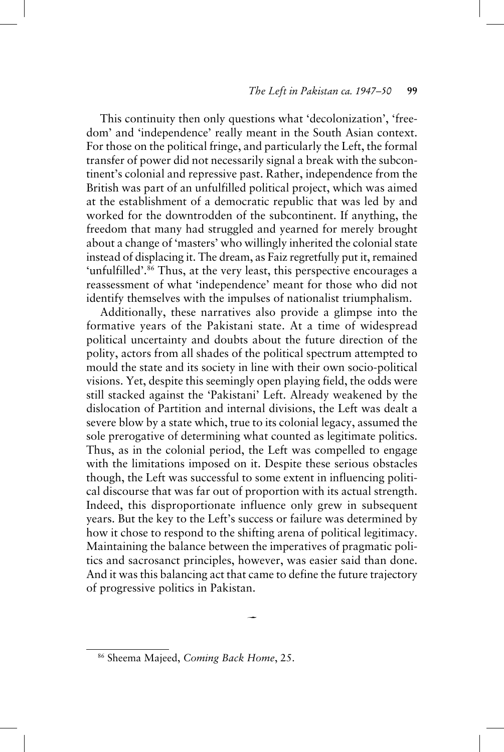This continuity then only questions what 'decolonization', 'freedom' and 'independence' really meant in the South Asian context. For those on the political fringe, and particularly the Left, the formal transfer of power did not necessarily signal a break with the subcontinent's colonial and repressive past. Rather, independence from the British was part of an unfulfilled political project, which was aimed at the establishment of a democratic republic that was led by and worked for the downtrodden of the subcontinent. If anything, the freedom that many had struggled and yearned for merely brought about a change of 'masters' who willingly inherited the colonial state instead of displacing it. The dream, as Faiz regretfully put it, remained 'unfulfilled'.86 Thus, at the very least, this perspective encourages a reassessment of what 'independence' meant for those who did not identify themselves with the impulses of nationalist triumphalism.

Additionally, these narratives also provide a glimpse into the formative years of the Pakistani state. At a time of widespread political uncertainty and doubts about the future direction of the polity, actors from all shades of the political spectrum attempted to mould the state and its society in line with their own socio-political visions. Yet, despite this seemingly open playing field, the odds were still stacked against the 'Pakistani' Left. Already weakened by the dislocation of Partition and internal divisions, the Left was dealt a severe blow by a state which, true to its colonial legacy, assumed the sole prerogative of determining what counted as legitimate politics. Thus, as in the colonial period, the Left was compelled to engage with the limitations imposed on it. Despite these serious obstacles though, the Left was successful to some extent in influencing political discourse that was far out of proportion with its actual strength. Indeed, this disproportionate influence only grew in subsequent years. But the key to the Left's success or failure was determined by how it chose to respond to the shifting arena of political legitimacy. Maintaining the balance between the imperatives of pragmatic politics and sacrosanct principles, however, was easier said than done. And it was this balancing act that came to define the future trajectory of progressive politics in Pakistan.

-

<sup>86</sup> Sheema Majeed, *Coming Back Home*, 25.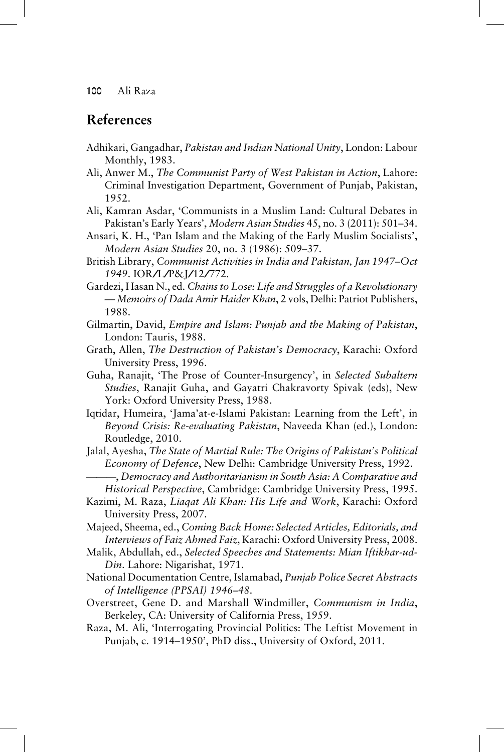#### **100** Ali Raza

## **References**

- Adhikari, Gangadhar, *Pakistan and Indian National Unity*, London: Labour Monthly, 1983.
- Ali, Anwer M., *The Communist Party of West Pakistan in Action*, Lahore: Criminal Investigation Department, Government of Punjab, Pakistan, 1952.
- Ali, Kamran Asdar, 'Communists in a Muslim Land: Cultural Debates in Pakistan's Early Years', *Modern Asian Studies* 45, no. 3 (2011): 501–34.
- Ansari, K. H., 'Pan Islam and the Making of the Early Muslim Socialists', *Modern Asian Studies* 20, no. 3 (1986): 509–37.
- British Library, *Communist Activities in India and Pakistan, Jan 1947–Oct <sup>1949</sup>*. IOR*/*L*/*P&J*/*12*/*772.
- Gardezi, Hasan N., ed. *Chains to Lose: Life and Struggles of a Revolutionary — Memoirs of Dada Amir Haider Khan*, 2 vols, Delhi: Patriot Publishers, 1988.
- Gilmartin, David, *Empire and Islam: Punjab and the Making of Pakistan*, London: Tauris, 1988.
- Grath, Allen, *The Destruction of Pakistan's Democracy*, Karachi: Oxford University Press, 1996.
- Guha, Ranajit, 'The Prose of Counter-Insurgency', in *Selected Subaltern Studies*, Ranajit Guha, and Gayatri Chakravorty Spivak (eds), New York: Oxford University Press, 1988.
- Iqtidar, Humeira, 'Jama'at-e-Islami Pakistan: Learning from the Left', in *Beyond Crisis: Re-evaluating Pakistan*, Naveeda Khan (ed.), London: Routledge, 2010.
- Jalal, Ayesha, *The State of Martial Rule: The Origins of Pakistan's Political Economy of Defence*, New Delhi: Cambridge University Press, 1992.

———, *Democracy and Authoritarianism in South Asia: A Comparative and Historical Perspective*, Cambridge: Cambridge University Press, 1995.

- Kazimi, M. Raza, *Liaqat Ali Khan: His Life and Work*, Karachi: Oxford University Press, 2007.
- Majeed, Sheema, ed., *Coming Back Home: Selected Articles, Editorials, and Interviews of Faiz Ahmed Faiz*, Karachi: Oxford University Press, 2008.
- Malik, Abdullah, ed., *Selected Speeches and Statements: Mian Iftikhar-ud-Din*. Lahore: Nigarishat, 1971.
- National Documentation Centre, Islamabad, *Punjab Police Secret Abstracts of Intelligence (PPSAI) 1946–48*.
- Overstreet, Gene D. and Marshall Windmiller, *Communism in India*, Berkeley, CA: University of California Press, 1959.
- Raza, M. Ali, 'Interrogating Provincial Politics: The Leftist Movement in Punjab, c. 1914–1950', PhD diss., University of Oxford, 2011.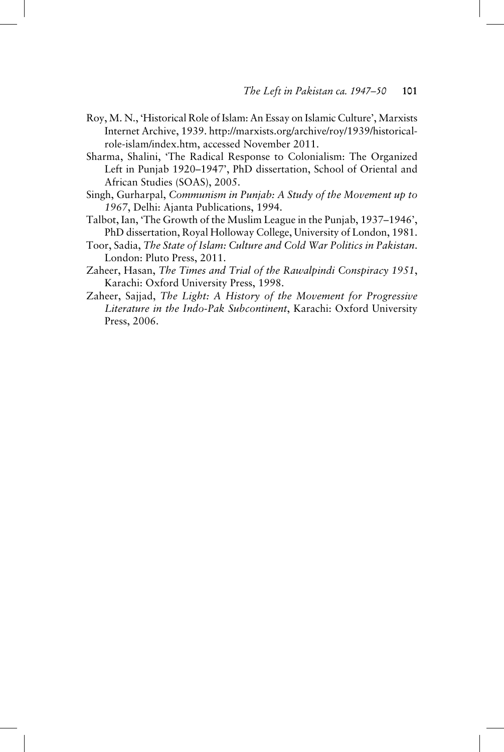- Roy, M. N., 'Historical Role of Islam: An Essay on Islamic Culture', Marxists Internet Archive, 1939. http://marxists.org/archive/roy/1939/historicalrole-islam/index.htm, accessed November 2011.
- Sharma, Shalini, 'The Radical Response to Colonialism: The Organized Left in Punjab 1920–1947', PhD dissertation, School of Oriental and African Studies (SOAS), 2005.
- Singh, Gurharpal, *Communism in Punjab: A Study of the Movement up to 1967*, Delhi: Ajanta Publications, 1994.
- Talbot, Ian, 'The Growth of the Muslim League in the Punjab, 1937–1946', PhD dissertation, Royal Holloway College, University of London, 1981.
- Toor, Sadia, *The State of Islam: Culture and Cold War Politics in Pakistan*. London: Pluto Press, 2011.
- Zaheer, Hasan, *The Times and Trial of the Rawalpindi Conspiracy 1951*, Karachi: Oxford University Press, 1998.
- Zaheer, Sajjad, *The Light: A History of the Movement for Progressive Literature in the Indo-Pak Subcontinent*, Karachi: Oxford University Press, 2006.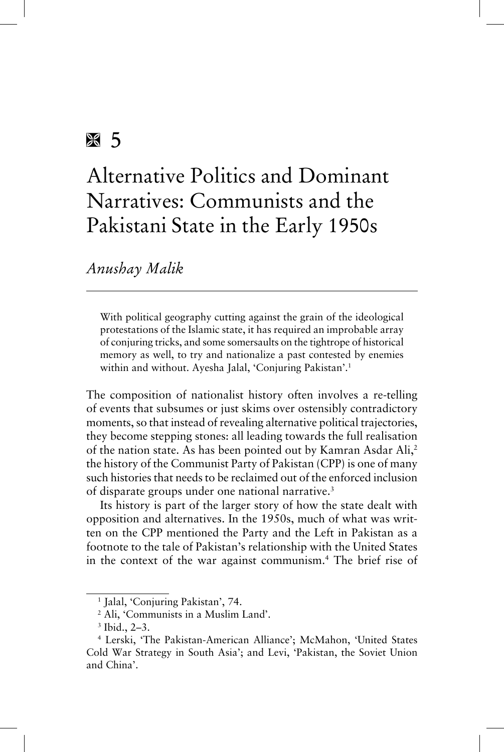## **X5**

# Alternative Politics and Dominant Narratives: Communists and the Pakistani State in the Early 1950s

*Anushay Malik*

With political geography cutting against the grain of the ideological protestations of the Islamic state, it has required an improbable array of conjuring tricks, and some somersaults on the tightrope of historical memory as well, to try and nationalize a past contested by enemies within and without. Ayesha Jalal, 'Conjuring Pakistan'.1

The composition of nationalist history often involves a re-telling of events that subsumes or just skims over ostensibly contradictory moments, so that instead of revealing alternative political trajectories, they become stepping stones: all leading towards the full realisation of the nation state. As has been pointed out by Kamran Asdar Ali,2 the history of the Communist Party of Pakistan (CPP) is one of many such histories that needs to be reclaimed out of the enforced inclusion of disparate groups under one national narrative.3

Its history is part of the larger story of how the state dealt with opposition and alternatives. In the 1950s, much of what was written on the CPP mentioned the Party and the Left in Pakistan as a footnote to the tale of Pakistan's relationship with the United States in the context of the war against communism.4 The brief rise of

<sup>1</sup> Jalal, 'Conjuring Pakistan', 74.

<sup>2</sup> Ali, 'Communists in a Muslim Land'.

<sup>3</sup> Ibid., 2–3.

Cold War Strategy in South Asia'; and Levi, 'Pakistan, the Soviet Union 4 Lerski, 'The Pakistan-American Alliance'; McMahon, 'United States and China'.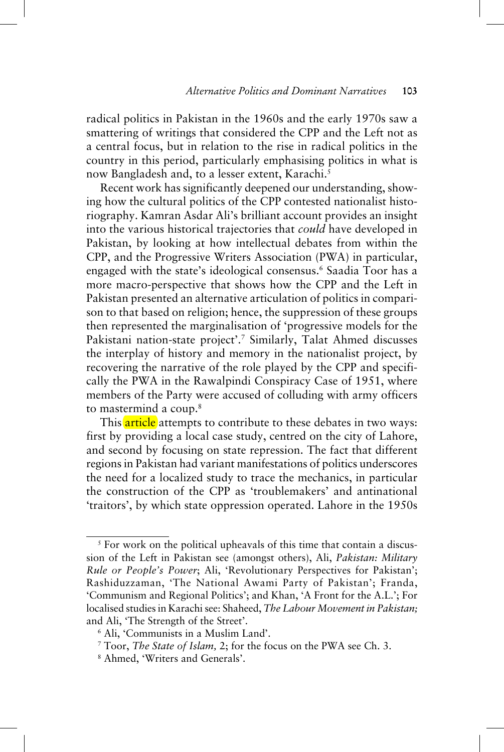radical politics in Pakistan in the 1960s and the early 1970s saw a smattering of writings that considered the CPP and the Left not as a central focus, but in relation to the rise in radical politics in the country in this period, particularly emphasising politics in what is now Bangladesh and, to a lesser extent, Karachi.<sup>5</sup>

Recent work has significantly deepened our understanding, showing how the cultural politics of the CPP contested nationalist historiography. Kamran Asdar Ali's brilliant account provides an insight into the various historical trajectories that *could* have developed in Pakistan, by looking at how intellectual debates from within the CPP, and the Progressive Writers Association (PWA) in particular, engaged with the state's ideological consensus.<sup>6</sup> Saadia Toor has a more macro-perspective that shows how the CPP and the Left in Pakistan presented an alternative articulation of politics in comparison to that based on religion; hence, the suppression of these groups then represented the marginalisation of 'progressive models for the Pakistani nation-state project'.<sup>7</sup> Similarly, Talat Ahmed discusses the interplay of history and memory in the nationalist project, by recovering the narrative of the role played by the CPP and specifically the PWA in the Rawalpindi Conspiracy Case of 1951, where members of the Party were accused of colluding with army officers to mastermind a coup.<sup>8</sup>

This **article** attempts to contribute to these debates in two ways: first by providing a local case study, centred on the city of Lahore, and second by focusing on state repression. The fact that different regions in Pakistan had variant manifestations of politics underscores the need for a localized study to trace the mechanics, in particular the construction of the CPP as 'troublemakers' and antinational 'traitors', by which state oppression operated. Lahore in the 1950s

<sup>&</sup>lt;sup>5</sup> For work on the political upheavals of this time that contain a discussion of the Left in Pakistan see (amongst others), Ali, *Pakistan: Military Rule or People's Power*; Ali, 'Revolutionary Perspectives for Pakistan'; Rashiduzzaman, 'The National Awami Party of Pakistan'; Franda, 'Communism and Regional Politics'; and Khan, 'A Front for the A.L.'; For localised studies in Karachi see: Shaheed, *The Labour Movement in Pakistan;*  and Ali, 'The Strength of the Street'.

<sup>6</sup> Ali, 'Communists in a Muslim Land'.

<sup>7</sup> Toor, *The State of Islam,* 2; for the focus on the PWA see Ch. 3.

<sup>8</sup> Ahmed, 'Writers and Generals'.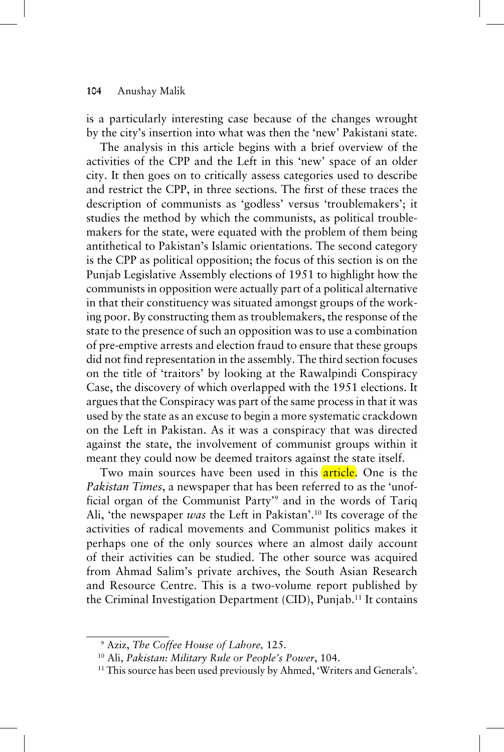is a particularly interesting case because of the changes wrought by the city's insertion into what was then the 'new' Pakistani state.

The analysis in this article begins with a brief overview of the activities of the CPP and the Left in this 'new' space of an older city. It then goes on to critically assess categories used to describe and restrict the CPP, in three sections. The first of these traces the description of communists as 'godless' versus 'troublemakers'; it studies the method by which the communists, as political troublemakers for the state, were equated with the problem of them being antithetical to Pakistan's Islamic orientations. The second category is the CPP as political opposition; the focus of this section is on the Punjab Legislative Assembly elections of 1951 to highlight how the communists in opposition were actually part of a political alternative in that their constituency was situated amongst groups of the working poor. By constructing them as troublemakers, the response of the state to the presence of such an opposition was to use a combination of pre-emptive arrests and election fraud to ensure that these groups did not find representation in the assembly. The third section focuses on the title of 'traitors' by looking at the Rawalpindi Conspiracy Case, the discovery of which overlapped with the 1951 elections. It argues that the Conspiracy was part of the same process in that it was used by the state as an excuse to begin a more systematic crackdown on the Left in Pakistan. As it was a conspiracy that was directed against the state, the involvement of communist groups within it meant they could now be deemed traitors against the state itself.

Two main sources have been used in this **article**. One is the *Pakistan Times*, a newspaper that has been referred to as the 'unofficial organ of the Communist Party'9 and in the words of Tariq Ali, 'the newspaper *was* the Left in Pakistan'.10 Its coverage of the activities of radical movements and Communist politics makes it perhaps one of the only sources where an almost daily account of their activities can be studied. The other source was acquired from Ahmad Salim's private archives, the South Asian Research and Resource Centre. This is a two-volume report published by the Criminal Investigation Department (CID), Punjab.11 It contains

 <sup>9</sup> Aziz, *The Coffee House of Lahore,* 125.

<sup>10</sup> Ali, *Pakistan: Military Rule or People's Power*, 104.

<sup>&</sup>lt;sup>11</sup> This source has been used previously by Ahmed, 'Writers and Generals'.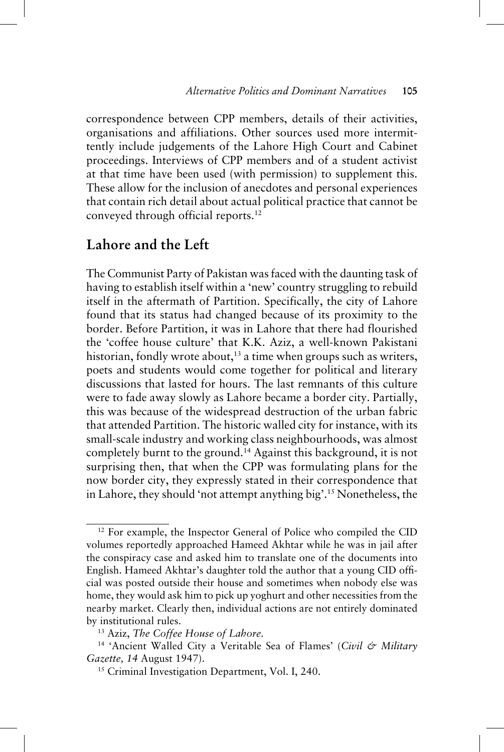correspondence between CPP members, details of their activities, organisations and affiliations. Other sources used more intermittently include judgements of the Lahore High Court and Cabinet proceedings. Interviews of CPP members and of a student activist at that time have been used (with permission) to supplement this. These allow for the inclusion of anecdotes and personal experiences that contain rich detail about actual political practice that cannot be conveyed through official reports.12

## **Lahore and the Left**

The Communist Party of Pakistan was faced with the daunting task of having to establish itself within a 'new' country struggling to rebuild itself in the aftermath of Partition. Specifically, the city of Lahore found that its status had changed because of its proximity to the border. Before Partition, it was in Lahore that there had flourished the 'coffee house culture' that K.K. Aziz, a well-known Pakistani historian, fondly wrote about,<sup>13</sup> a time when groups such as writers, poets and students would come together for political and literary discussions that lasted for hours. The last remnants of this culture were to fade away slowly as Lahore became a border city. Partially, this was because of the widespread destruction of the urban fabric that attended Partition. The historic walled city for instance, with its small-scale industry and working class neighbourhoods, was almost completely burnt to the ground.14 Against this background, it is not surprising then, that when the CPP was formulating plans for the now border city, they expressly stated in their correspondence that in Lahore, they should 'not attempt anything big'.15 Nonetheless, the

<sup>&</sup>lt;sup>12</sup> For example, the Inspector General of Police who compiled the CID volumes reportedly approached Hameed Akhtar while he was in jail after the conspiracy case and asked him to translate one of the documents into English. Hameed Akhtar's daughter told the author that a young CID official was posted outside their house and sometimes when nobody else was home, they would ask him to pick up yoghurt and other necessities from the nearby market. Clearly then, individual actions are not entirely dominated by institutional rules.

<sup>13</sup> Aziz, *The Coffee House of Lahore.*

<sup>14 &#</sup>x27;Ancient Walled City a Veritable Sea of Flames' (*Civil & Military Gazette, 14* August 1947).

<sup>&</sup>lt;sup>15</sup> Criminal Investigation Department, Vol. I, 240.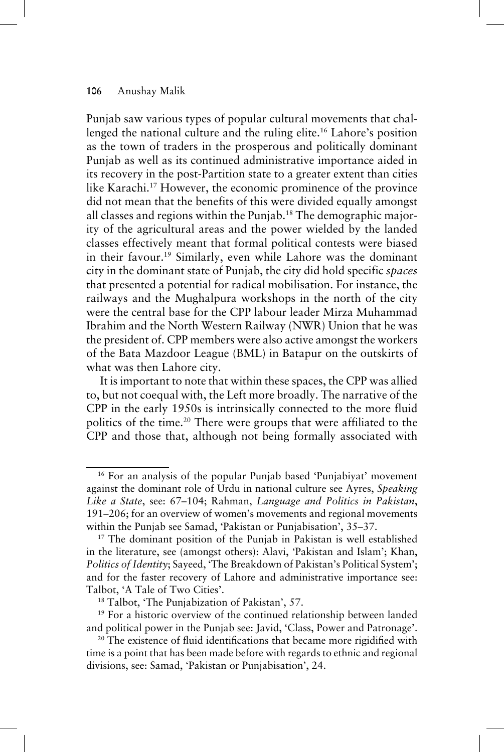Punjab saw various types of popular cultural movements that challenged the national culture and the ruling elite.<sup>16</sup> Lahore's position as the town of traders in the prosperous and politically dominant Punjab as well as its continued administrative importance aided in its recovery in the post-Partition state to a greater extent than cities like Karachi.17 However, the economic prominence of the province did not mean that the benefits of this were divided equally amongst all classes and regions within the Punjab.18 The demographic majority of the agricultural areas and the power wielded by the landed classes effectively meant that formal political contests were biased in their favour.19 Similarly, even while Lahore was the dominant city in the dominant state of Punjab, the city did hold specific *spaces*  that presented a potential for radical mobilisation. For instance, the railways and the Mughalpura workshops in the north of the city were the central base for the CPP labour leader Mirza Muhammad Ibrahim and the North Western Railway (NWR) Union that he was the president of. CPP members were also active amongst the workers of the Bata Mazdoor League (BML) in Batapur on the outskirts of what was then Lahore city.

It is important to note that within these spaces, the CPP was allied to, but not coequal with, the Left more broadly. The narrative of the CPP in the early 1950s is intrinsically connected to the more fluid politics of the time.20 There were groups that were affiliated to the CPP and those that, although not being formally associated with

<sup>16</sup> For an analysis of the popular Punjab based 'Punjabiyat' movement against the dominant role of Urdu in national culture see Ayres, *Speaking Like a State*, see: 67–104; Rahman, *Language and Politics in Pakistan*, 191–206; for an overview of women's movements and regional movements within the Punjab see Samad, 'Pakistan or Punjabisation', 35–37.

<sup>&</sup>lt;sup>17</sup> The dominant position of the Punjab in Pakistan is well established in the literature, see (amongst others): Alavi, 'Pakistan and Islam'; Khan, *Politics of Identity*; Sayeed, 'The Breakdown of Pakistan's Political System'; and for the faster recovery of Lahore and administrative importance see: Talbot, 'A Tale of Two Cities'.

<sup>&</sup>lt;sup>18</sup> Talbot, 'The Punjabization of Pakistan', 57.

<sup>19</sup> For a historic overview of the continued relationship between landed and political power in the Punjab see: Javid, 'Class, Power and Patronage'.

 $20$  The existence of fluid identifications that became more rigidified with time is a point that has been made before with regards to ethnic and regional divisions, see: Samad, 'Pakistan or Punjabisation', 24.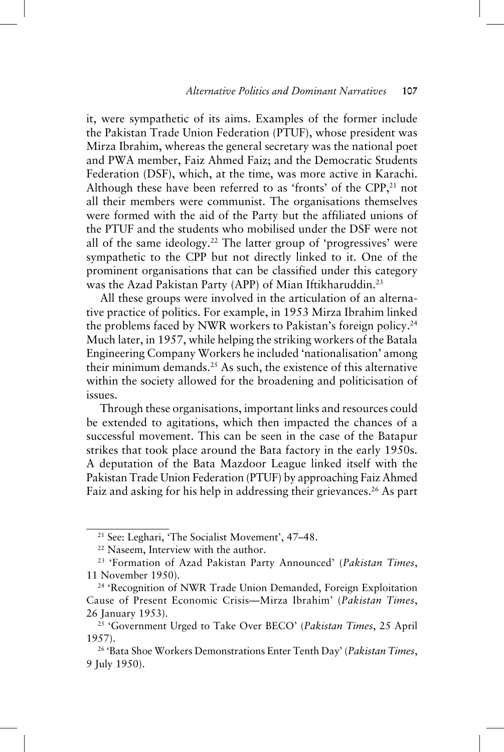it, were sympathetic of its aims. Examples of the former include the Pakistan Trade Union Federation (PTUF), whose president was Mirza Ibrahim, whereas the general secretary was the national poet and PWA member, Faiz Ahmed Faiz; and the Democratic Students Federation (DSF), which, at the time, was more active in Karachi. Although these have been referred to as 'fronts' of the CPP,<sup>21</sup> not all their members were communist. The organisations themselves were formed with the aid of the Party but the affiliated unions of the PTUF and the students who mobilised under the DSF were not all of the same ideology.<sup>22</sup> The latter group of 'progressives' were sympathetic to the CPP but not directly linked to it. One of the prominent organisations that can be classified under this category was the Azad Pakistan Party (APP) of Mian Iftikharuddin.23

All these groups were involved in the articulation of an alternative practice of politics. For example, in 1953 Mirza Ibrahim linked the problems faced by NWR workers to Pakistan's foreign policy.24 Much later, in 1957, while helping the striking workers of the Batala Engineering Company Workers he included 'nationalisation' among their minimum demands.<sup>25</sup> As such, the existence of this alternative within the society allowed for the broadening and politicisation of issues.

Through these organisations, important links and resources could be extended to agitations, which then impacted the chances of a successful movement. This can be seen in the case of the Batapur strikes that took place around the Bata factory in the early 1950s. A deputation of the Bata Mazdoor League linked itself with the Pakistan Trade Union Federation (PTUF) by approaching Faiz Ahmed Faiz and asking for his help in addressing their grievances.<sup>26</sup> As part

<sup>21</sup> See: Leghari, 'The Socialist Movement', 47–48.

<sup>22</sup> Naseem, Interview with the author.

<sup>23 &#</sup>x27;Formation of Azad Pakistan Party Announced' (*Pakistan Times*, 11 November 1950).

<sup>&</sup>lt;sup>24</sup> 'Recognition of NWR Trade Union Demanded, Foreign Exploitation Cause of Present Economic Crisis—Mirza Ibrahim' (*Pakistan Times*, 26 January 1953).

<sup>25 &#</sup>x27;Government Urged to Take Over BECO' (*Pakistan Times*, 25 April 1957).

<sup>26 &#</sup>x27;Bata Shoe Workers Demonstrations Enter Tenth Day' (*Pakistan Times*, 9 July 1950).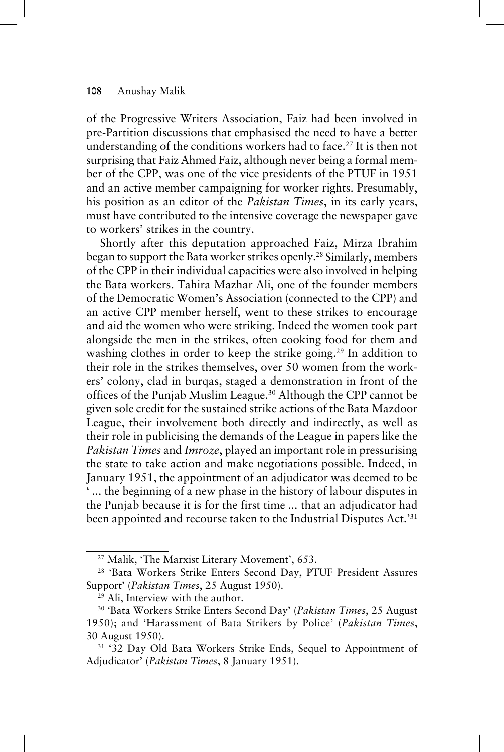of the Progressive Writers Association, Faiz had been involved in pre-Partition discussions that emphasised the need to have a better understanding of the conditions workers had to face.<sup>27</sup> It is then not surprising that Faiz Ahmed Faiz, although never being a formal member of the CPP, was one of the vice presidents of the PTUF in 1951 and an active member campaigning for worker rights. Presumably, his position as an editor of the *Pakistan Times*, in its early years, must have contributed to the intensive coverage the newspaper gave to workers' strikes in the country.

Shortly after this deputation approached Faiz, Mirza Ibrahim began to support the Bata worker strikes openly.28 Similarly, members of the CPP in their individual capacities were also involved in helping the Bata workers. Tahira Mazhar Ali, one of the founder members of the Democratic Women's Association (connected to the CPP) and an active CPP member herself, went to these strikes to encourage and aid the women who were striking. Indeed the women took part alongside the men in the strikes, often cooking food for them and washing clothes in order to keep the strike going.<sup>29</sup> In addition to their role in the strikes themselves, over 50 women from the workers' colony, clad in burqas, staged a demonstration in front of the offices of the Punjab Muslim League.<sup>30</sup> Although the CPP cannot be given sole credit for the sustained strike actions of the Bata Mazdoor League, their involvement both directly and indirectly, as well as their role in publicising the demands of the League in papers like the *Pakistan Times* and *Imroze*, played an important role in pressurising the state to take action and make negotiations possible. Indeed, in January 1951, the appointment of an adjudicator was deemed to be ' *...* the beginning of a new phase in the history of labour disputes in the Punjab because it is for the first time *...* that an adjudicator had been appointed and recourse taken to the Industrial Disputes Act.<sup>31</sup>

<sup>27</sup> Malik, 'The Marxist Literary Movement', 653.

<sup>28 &#</sup>x27;Bata Workers Strike Enters Second Day, PTUF President Assures Support' (*Pakistan Times*, 25 August 1950).

<sup>29</sup> Ali, Interview with the author.

<sup>30 &#</sup>x27;Bata Workers Strike Enters Second Day' (*Pakistan Times*, 25 August 1950); and 'Harassment of Bata Strikers by Police' (*Pakistan Times*, 30 August 1950).

<sup>31 &#</sup>x27;32 Day Old Bata Workers Strike Ends, Sequel to Appointment of Adjudicator' (*Pakistan Times*, 8 January 1951).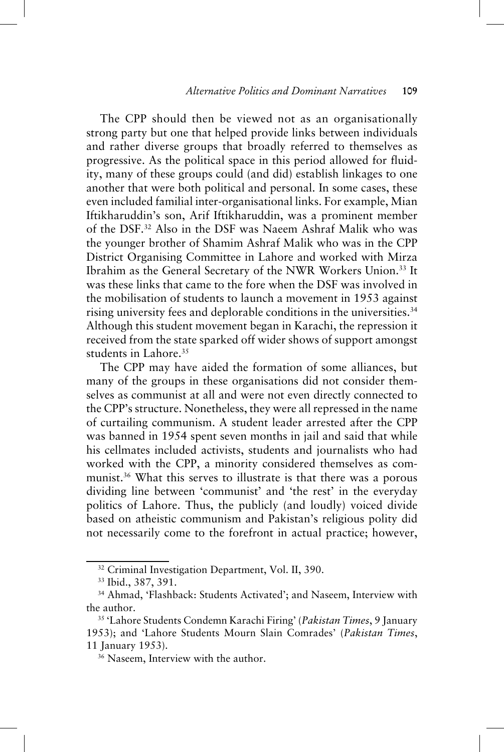The CPP should then be viewed not as an organisationally strong party but one that helped provide links between individuals and rather diverse groups that broadly referred to themselves as progressive. As the political space in this period allowed for fluidity, many of these groups could (and did) establish linkages to one another that were both political and personal. In some cases, these even included familial inter-organisational links. For example, Mian Iftikharuddin's son, Arif Iftikharuddin, was a prominent member of the DSF.32 Also in the DSF was Naeem Ashraf Malik who was the younger brother of Shamim Ashraf Malik who was in the CPP District Organising Committee in Lahore and worked with Mirza Ibrahim as the General Secretary of the NWR Workers Union.33 It was these links that came to the fore when the DSF was involved in the mobilisation of students to launch a movement in 1953 against rising university fees and deplorable conditions in the universities.<sup>34</sup> Although this student movement began in Karachi, the repression it received from the state sparked off wider shows of support amongst students in Lahore.<sup>35</sup>

The CPP may have aided the formation of some alliances, but many of the groups in these organisations did not consider themselves as communist at all and were not even directly connected to the CPP's structure. Nonetheless, they were all repressed in the name of curtailing communism. A student leader arrested after the CPP was banned in 1954 spent seven months in jail and said that while his cellmates included activists, students and journalists who had worked with the CPP, a minority considered themselves as communist.<sup>36</sup> What this serves to illustrate is that there was a porous dividing line between 'communist' and 'the rest' in the everyday politics of Lahore. Thus, the publicly (and loudly) voiced divide based on atheistic communism and Pakistan's religious polity did not necessarily come to the forefront in actual practice; however,

<sup>&</sup>lt;sup>32</sup> Criminal Investigation Department, Vol. II, 390.

<sup>33</sup> Ibid., 387, 391.

<sup>34</sup> Ahmad, 'Flashback: Students Activated'; and Naseem, Interview with the author.

<sup>35 &#</sup>x27;Lahore Students Condemn Karachi Firing' (*Pakistan Times*, 9 January 1953); and 'Lahore Students Mourn Slain Comrades' (*Pakistan Times*, 11 January 1953).

<sup>36</sup> Naseem, Interview with the author.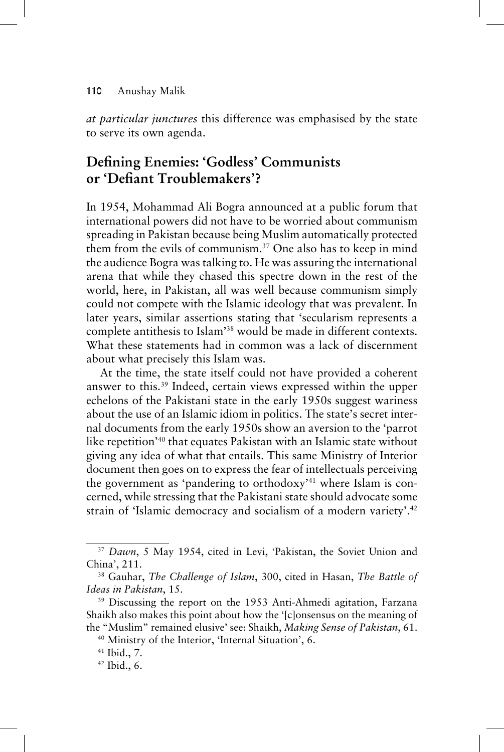*at particular junctures* this difference was emphasised by the state to serve its own agenda.

## Defining Enemies: 'Godless' Communists or 'Defiant Troublemakers'?

In 1954, Mohammad Ali Bogra announced at a public forum that international powers did not have to be worried about communism spreading in Pakistan because being Muslim automatically protected them from the evils of communism.37 One also has to keep in mind the audience Bogra was talking to. He was assuring the international arena that while they chased this spectre down in the rest of the world, here, in Pakistan, all was well because communism simply could not compete with the Islamic ideology that was prevalent. In later years, similar assertions stating that 'secularism represents a complete antithesis to Islam'38 would be made in different contexts. What these statements had in common was a lack of discernment about what precisely this Islam was.

At the time, the state itself could not have provided a coherent answer to this.39 Indeed, certain views expressed within the upper echelons of the Pakistani state in the early 1950s suggest wariness about the use of an Islamic idiom in politics. The state's secret internal documents from the early 1950s show an aversion to the 'parrot like repetition<sup>'40</sup> that equates Pakistan with an Islamic state without giving any idea of what that entails. This same Ministry of Interior document then goes on to express the fear of intellectuals perceiving the government as 'pandering to orthodoxy'41 where Islam is concerned, while stressing that the Pakistani state should advocate some strain of 'Islamic democracy and socialism of a modern variety'.<sup>42</sup>

<sup>37</sup> *Dawn*, 5 May 1954, cited in Levi, 'Pakistan, the Soviet Union and China', 211.

<sup>38</sup> Gauhar, *The Challenge of Islam*, 300, cited in Hasan, *The Battle of Ideas in Pakistan*, 15.

<sup>&</sup>lt;sup>39</sup> Discussing the report on the 1953 Anti-Ahmedi agitation, Farzana Shaikh also makes this point about how the '[c]onsensus on the meaning of the "Muslim" remained elusive' see: Shaikh, *Making Sense of Pakistan*, 61.

<sup>40</sup> Ministry of the Interior, 'Internal Situation', 6.

<sup>41</sup> Ibid., 7.

<sup>42</sup> Ibid., 6.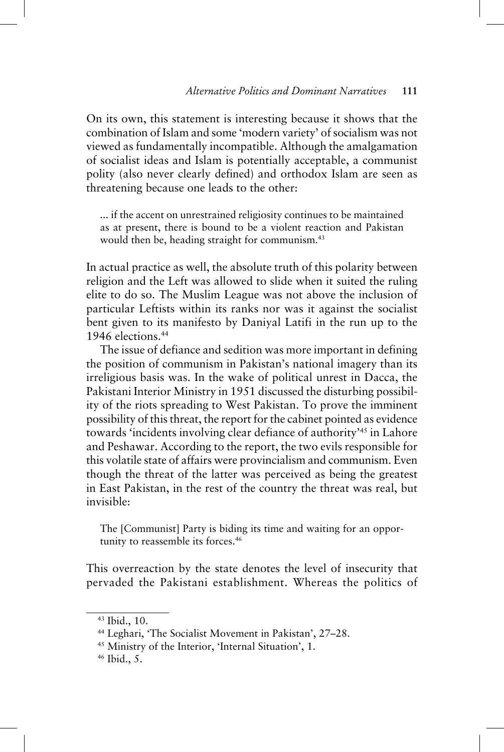On its own, this statement is interesting because it shows that the combination of Islam and some 'modern variety' of socialism was not viewed as fundamentally incompatible. Although the amalgamation of socialist ideas and Islam is potentially acceptable, a communist polity (also never clearly defined) and orthodox Islam are seen as threatening because one leads to the other:

*...* if the accent on unrestrained religiosity continues to be maintained as at present, there is bound to be a violent reaction and Pakistan would then be, heading straight for communism.<sup>43</sup>

In actual practice as well, the absolute truth of this polarity between religion and the Left was allowed to slide when it suited the ruling elite to do so. The Muslim League was not above the inclusion of particular Leftists within its ranks nor was it against the socialist bent given to its manifesto by Daniyal Latifi in the run up to the 1946 elections.44

The issue of defiance and sedition was more important in defining the position of communism in Pakistan's national imagery than its irreligious basis was. In the wake of political unrest in Dacca, the Pakistani Interior Ministry in 1951 discussed the disturbing possibility of the riots spreading to West Pakistan. To prove the imminent possibility of this threat, the report for the cabinet pointed as evidence towards 'incidents involving clear defiance of authority'45 in Lahore and Peshawar. According to the report, the two evils responsible for this volatile state of affairs were provincialism and communism. Even though the threat of the latter was perceived as being the greatest in East Pakistan, in the rest of the country the threat was real, but invisible:

The [Communist] Party is biding its time and waiting for an opportunity to reassemble its forces.<sup>46</sup>

This overreaction by the state denotes the level of insecurity that pervaded the Pakistani establishment. Whereas the politics of

<sup>43</sup> Ibid., 10.

<sup>44</sup> Leghari, 'The Socialist Movement in Pakistan', 27–28.

<sup>45</sup> Ministry of the Interior, 'Internal Situation', 1.

<sup>46</sup> Ibid., 5.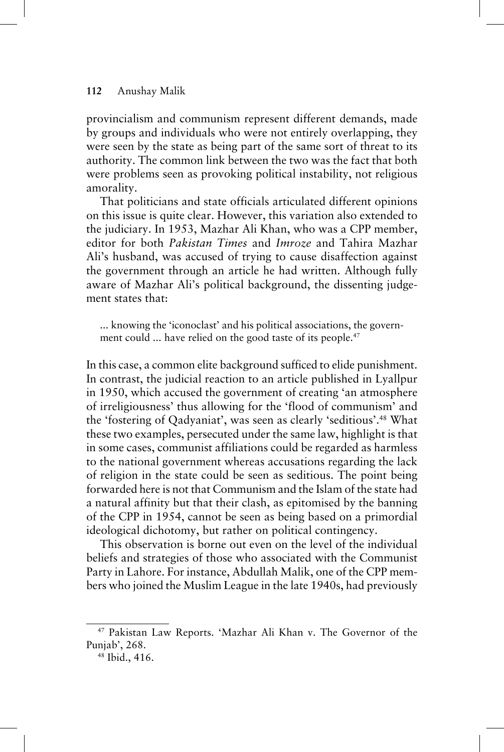provincialism and communism represent different demands, made by groups and individuals who were not entirely overlapping, they were seen by the state as being part of the same sort of threat to its authority. The common link between the two was the fact that both were problems seen as provoking political instability, not religious amorality.

That politicians and state officials articulated different opinions on this issue is quite clear. However, this variation also extended to the judiciary. In 1953, Mazhar Ali Khan, who was a CPP member, editor for both *Pakistan Times* and *Imroze* and Tahira Mazhar Ali's husband, was accused of trying to cause disaffection against the government through an article he had written. Although fully aware of Mazhar Ali's political background, the dissenting judgement states that:

*...* knowing the 'iconoclast' and his political associations, the government could ... have relied on the good taste of its people.<sup>47</sup>

In this case, a common elite background sufficed to elide punishment. In contrast, the judicial reaction to an article published in Lyallpur in 1950, which accused the government of creating 'an atmosphere of irreligiousness' thus allowing for the 'flood of communism' and the 'fostering of Qadyaniat', was seen as clearly 'seditious'.48 What these two examples, persecuted under the same law, highlight is that in some cases, communist affiliations could be regarded as harmless to the national government whereas accusations regarding the lack of religion in the state could be seen as seditious. The point being forwarded here is not that Communism and the Islam of the state had a natural affinity but that their clash, as epitomised by the banning of the CPP in 1954, cannot be seen as being based on a primordial ideological dichotomy, but rather on political contingency.

This observation is borne out even on the level of the individual beliefs and strategies of those who associated with the Communist Party in Lahore. For instance, Abdullah Malik, one of the CPP members who joined the Muslim League in the late 1940s, had previously

<sup>47</sup> Pakistan Law Reports. 'Mazhar Ali Khan v. The Governor of the Punjab', 268.

<sup>48</sup> Ibid., 416.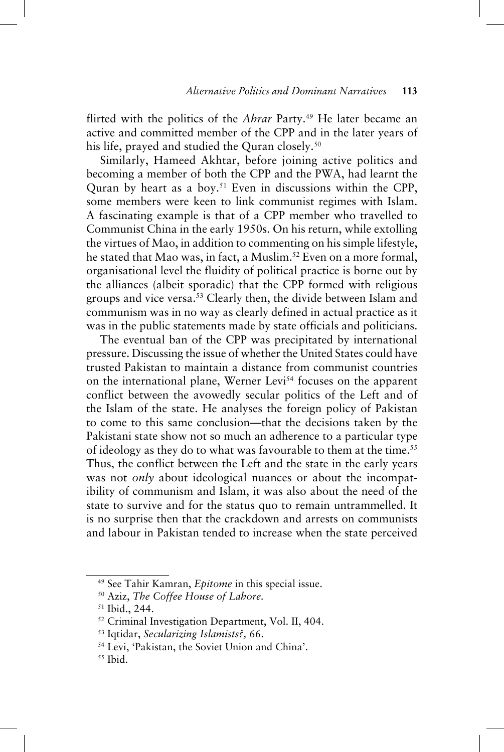flirted with the politics of the *Ahrar* Party.<sup>49</sup> He later became an active and committed member of the CPP and in the later years of his life, prayed and studied the Ouran closely.<sup>50</sup>

Similarly, Hameed Akhtar, before joining active politics and becoming a member of both the CPP and the PWA, had learnt the Ouran by heart as a boy.<sup>51</sup> Even in discussions within the CPP, some members were keen to link communist regimes with Islam. A fascinating example is that of a CPP member who travelled to Communist China in the early 1950s. On his return, while extolling the virtues of Mao, in addition to commenting on his simple lifestyle, he stated that Mao was, in fact, a Muslim.<sup>52</sup> Even on a more formal, organisational level the fluidity of political practice is borne out by the alliances (albeit sporadic) that the CPP formed with religious groups and vice versa.53 Clearly then, the divide between Islam and communism was in no way as clearly defined in actual practice as it was in the public statements made by state officials and politicians.

The eventual ban of the CPP was precipitated by international pressure. Discussing the issue of whether the United States could have trusted Pakistan to maintain a distance from communist countries on the international plane, Werner Levi<sup>54</sup> focuses on the apparent conflict between the avowedly secular politics of the Left and of the Islam of the state. He analyses the foreign policy of Pakistan to come to this same conclusion—that the decisions taken by the Pakistani state show not so much an adherence to a particular type of ideology as they do to what was favourable to them at the time.<sup>55</sup> Thus, the conflict between the Left and the state in the early years was not *only* about ideological nuances or about the incompatibility of communism and Islam, it was also about the need of the state to survive and for the status quo to remain untrammelled. It is no surprise then that the crackdown and arrests on communists and labour in Pakistan tended to increase when the state perceived

<sup>49</sup> See Tahir Kamran, *Epitome* in this special issue.

<sup>50</sup> Aziz, *The Coffee House of Lahore.*

<sup>51</sup> Ibid., 244.

<sup>52</sup> Criminal Investigation Department, Vol. II, 404.

<sup>53</sup> Iqtidar, *Secularizing Islamists?,* 66.

<sup>54</sup> Levi, 'Pakistan, the Soviet Union and China'.

 $55$  Ibid.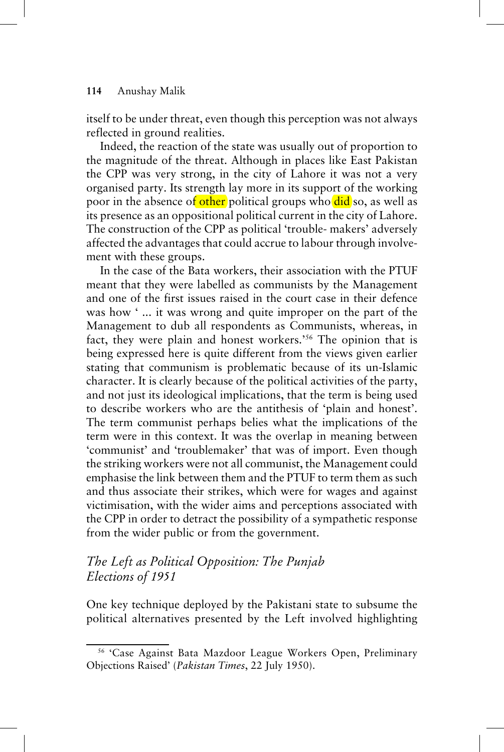itself to be under threat, even though this perception was not always reflected in ground realities.

Indeed, the reaction of the state was usually out of proportion to the magnitude of the threat. Although in places like East Pakistan the CPP was very strong, in the city of Lahore it was not a very organised party. Its strength lay more in its support of the working poor in the absence of other political groups who did so, as well as its presence as an oppositional political current in the city of Lahore. The construction of the CPP as political 'trouble- makers' adversely affected the advantages that could accrue to labour through involvement with these groups.

In the case of the Bata workers, their association with the PTUF meant that they were labelled as communists by the Management and one of the first issues raised in the court case in their defence was how ' *...* it was wrong and quite improper on the part of the Management to dub all respondents as Communists, whereas, in fact, they were plain and honest workers.<sup>56</sup> The opinion that is being expressed here is quite different from the views given earlier stating that communism is problematic because of its un-Islamic character. It is clearly because of the political activities of the party, and not just its ideological implications, that the term is being used to describe workers who are the antithesis of 'plain and honest'. The term communist perhaps belies what the implications of the term were in this context. It was the overlap in meaning between 'communist' and 'troublemaker' that was of import. Even though the striking workers were not all communist, the Management could emphasise the link between them and the PTUF to term them as such and thus associate their strikes, which were for wages and against victimisation, with the wider aims and perceptions associated with the CPP in order to detract the possibility of a sympathetic response from the wider public or from the government.

## *The Left as Political Opposition: The Punjab Elections of 1951*

One key technique deployed by the Pakistani state to subsume the political alternatives presented by the Left involved highlighting

<sup>56 &#</sup>x27;Case Against Bata Mazdoor League Workers Open, Preliminary Objections Raised' (*Pakistan Times*, 22 July 1950).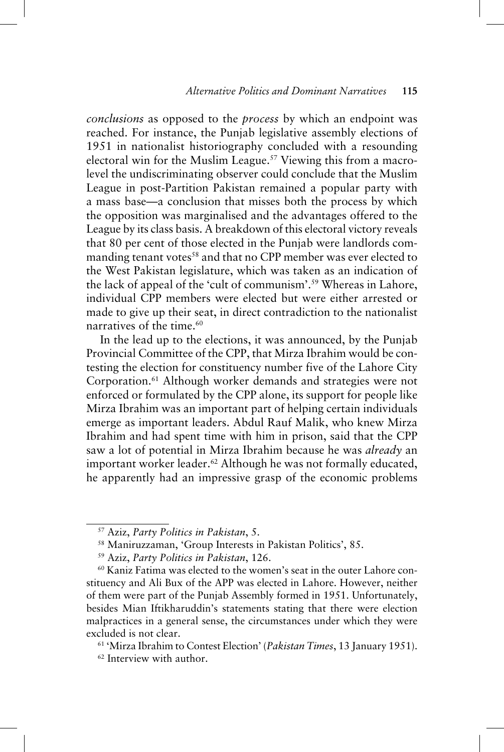*conclusions* as opposed to the *process* by which an endpoint was reached. For instance, the Punjab legislative assembly elections of 1951 in nationalist historiography concluded with a resounding electoral win for the Muslim League.<sup>57</sup> Viewing this from a macrolevel the undiscriminating observer could conclude that the Muslim League in post-Partition Pakistan remained a popular party with a mass base—a conclusion that misses both the process by which the opposition was marginalised and the advantages offered to the League by its class basis. A breakdown of this electoral victory reveals that 80 per cent of those elected in the Punjab were landlords commanding tenant votes<sup>58</sup> and that no CPP member was ever elected to the West Pakistan legislature, which was taken as an indication of the lack of appeal of the 'cult of communism'.59 Whereas in Lahore, individual CPP members were elected but were either arrested or made to give up their seat, in direct contradiction to the nationalist narratives of the time.<sup>60</sup>

In the lead up to the elections, it was announced, by the Punjab Provincial Committee of the CPP, that Mirza Ibrahim would be contesting the election for constituency number five of the Lahore City Corporation.61 Although worker demands and strategies were not enforced or formulated by the CPP alone, its support for people like Mirza Ibrahim was an important part of helping certain individuals emerge as important leaders. Abdul Rauf Malik, who knew Mirza Ibrahim and had spent time with him in prison, said that the CPP saw a lot of potential in Mirza Ibrahim because he was *already* an important worker leader.<sup>62</sup> Although he was not formally educated, he apparently had an impressive grasp of the economic problems

<sup>57</sup> Aziz, *Party Politics in Pakistan*, 5.

<sup>58</sup> Maniruzzaman, 'Group Interests in Pakistan Politics', 85.

<sup>59</sup> Aziz, *Party Politics in Pakistan*, 126.

<sup>60</sup> Kaniz Fatima was elected to the women's seat in the outer Lahore constituency and Ali Bux of the APP was elected in Lahore. However, neither of them were part of the Punjab Assembly formed in 1951. Unfortunately, besides Mian Iftikharuddin's statements stating that there were election malpractices in a general sense, the circumstances under which they were excluded is not clear.

<sup>61 &#</sup>x27;Mirza Ibrahim to Contest Election' (*Pakistan Times*, 13 January 1951).

<sup>62</sup> Interview with author.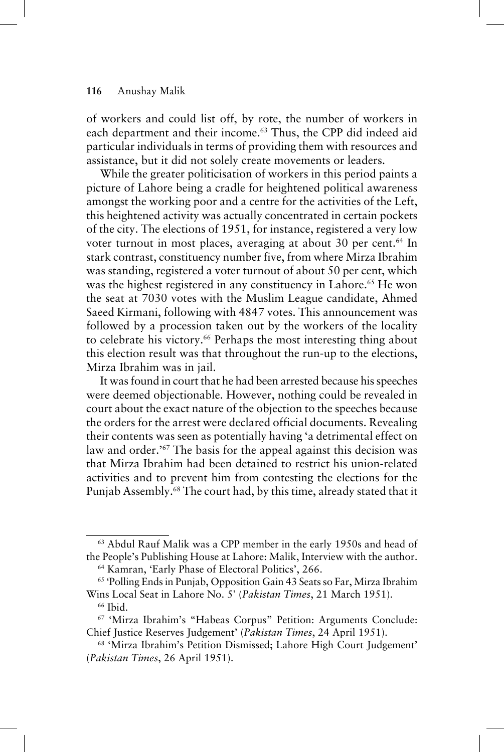of workers and could list off, by rote, the number of workers in each department and their income.63 Thus, the CPP did indeed aid particular individuals in terms of providing them with resources and assistance, but it did not solely create movements or leaders.

While the greater politicisation of workers in this period paints a picture of Lahore being a cradle for heightened political awareness amongst the working poor and a centre for the activities of the Left, this heightened activity was actually concentrated in certain pockets of the city. The elections of 1951, for instance, registered a very low voter turnout in most places, averaging at about 30 per cent.<sup>64</sup> In stark contrast, constituency number five, from where Mirza Ibrahim was standing, registered a voter turnout of about 50 per cent, which was the highest registered in any constituency in Lahore.<sup>65</sup> He won the seat at 7030 votes with the Muslim League candidate, Ahmed Saeed Kirmani, following with 4847 votes. This announcement was followed by a procession taken out by the workers of the locality to celebrate his victory.66 Perhaps the most interesting thing about this election result was that throughout the run-up to the elections, Mirza Ibrahim was in jail.

It was found in court that he had been arrested because his speeches were deemed objectionable. However, nothing could be revealed in court about the exact nature of the objection to the speeches because the orders for the arrest were declared official documents. Revealing their contents was seen as potentially having 'a detrimental effect on law and order.<sup>367</sup> The basis for the appeal against this decision was that Mirza Ibrahim had been detained to restrict his union-related activities and to prevent him from contesting the elections for the Punjab Assembly.<sup>68</sup> The court had, by this time, already stated that it

<sup>63</sup> Abdul Rauf Malik was a CPP member in the early 1950s and head of the People's Publishing House at Lahore: Malik, Interview with the author.

<sup>64</sup> Kamran, 'Early Phase of Electoral Politics', 266.

<sup>65 &#</sup>x27;Polling Ends in Punjab, Opposition Gain 43 Seats so Far, Mirza Ibrahim Wins Local Seat in Lahore No. 5' (*Pakistan Times*, 21 March 1951).

<sup>66</sup> Ibid.

<sup>67 &#</sup>x27;Mirza Ibrahim's "Habeas Corpus" Petition: Arguments Conclude: Chief Justice Reserves Judgement' (*Pakistan Times*, 24 April 1951).

<sup>68 &#</sup>x27;Mirza Ibrahim's Petition Dismissed; Lahore High Court Judgement' (*Pakistan Times*, 26 April 1951).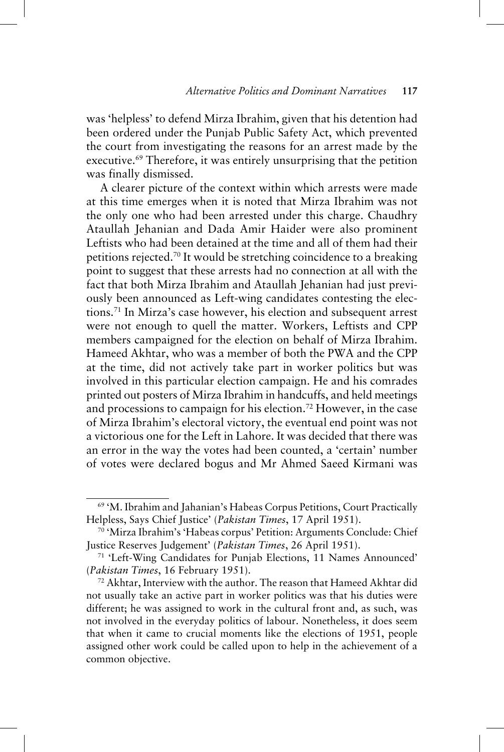was 'helpless' to defend Mirza Ibrahim, given that his detention had been ordered under the Punjab Public Safety Act, which prevented the court from investigating the reasons for an arrest made by the executive.69 Therefore, it was entirely unsurprising that the petition was finally dismissed.

A clearer picture of the context within which arrests were made at this time emerges when it is noted that Mirza Ibrahim was not the only one who had been arrested under this charge. Chaudhry Ataullah Jehanian and Dada Amir Haider were also prominent Leftists who had been detained at the time and all of them had their petitions rejected.70 It would be stretching coincidence to a breaking point to suggest that these arrests had no connection at all with the fact that both Mirza Ibrahim and Ataullah Jehanian had just previously been announced as Left-wing candidates contesting the elections.71 In Mirza's case however, his election and subsequent arrest were not enough to quell the matter. Workers, Leftists and CPP members campaigned for the election on behalf of Mirza Ibrahim. Hameed Akhtar, who was a member of both the PWA and the CPP at the time, did not actively take part in worker politics but was involved in this particular election campaign. He and his comrades printed out posters of Mirza Ibrahim in handcuffs, and held meetings and processions to campaign for his election.<sup>72</sup> However, in the case of Mirza Ibrahim's electoral victory, the eventual end point was not a victorious one for the Left in Lahore. It was decided that there was an error in the way the votes had been counted, a 'certain' number of votes were declared bogus and Mr Ahmed Saeed Kirmani was

<sup>69 &#</sup>x27;M. Ibrahim and Jahanian's Habeas Corpus Petitions, Court Practically Helpless, Says Chief Justice' (*Pakistan Times*, 17 April 1951).

<sup>70 &#</sup>x27;Mirza Ibrahim's 'Habeas corpus' Petition: Arguments Conclude: Chief Justice Reserves Judgement' (*Pakistan Times*, 26 April 1951).

<sup>71 &#</sup>x27;Left-Wing Candidates for Punjab Elections, 11 Names Announced' (*Pakistan Times*, 16 February 1951).

<sup>72</sup> Akhtar, Interview with the author. The reason that Hameed Akhtar did not usually take an active part in worker politics was that his duties were different; he was assigned to work in the cultural front and, as such, was not involved in the everyday politics of labour. Nonetheless, it does seem that when it came to crucial moments like the elections of 1951, people assigned other work could be called upon to help in the achievement of a common objective.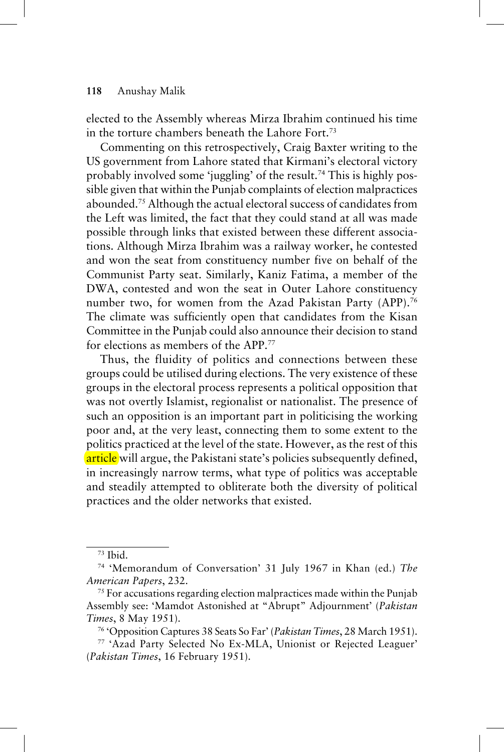elected to the Assembly whereas Mirza Ibrahim continued his time in the torture chambers beneath the Lahore Fort.73

Commenting on this retrospectively, Craig Baxter writing to the US government from Lahore stated that Kirmani's electoral victory probably involved some 'juggling' of the result.<sup>74</sup> This is highly possible given that within the Punjab complaints of election malpractices abounded.75 Although the actual electoral success of candidates from the Left was limited, the fact that they could stand at all was made possible through links that existed between these different associations. Although Mirza Ibrahim was a railway worker, he contested and won the seat from constituency number five on behalf of the Communist Party seat. Similarly, Kaniz Fatima, a member of the DWA, contested and won the seat in Outer Lahore constituency number two, for women from the Azad Pakistan Party (APP).<sup>76</sup> The climate was sufficiently open that candidates from the Kisan Committee in the Punjab could also announce their decision to stand for elections as members of the APP.77

Thus, the fluidity of politics and connections between these groups could be utilised during elections. The very existence of these groups in the electoral process represents a political opposition that was not overtly Islamist, regionalist or nationalist. The presence of such an opposition is an important part in politicising the working poor and, at the very least, connecting them to some extent to the politics practiced at the level of the state. However, as the rest of this article will argue, the Pakistani state's policies subsequently defined, in increasingly narrow terms, what type of politics was acceptable and steadily attempted to obliterate both the diversity of political practices and the older networks that existed.

<sup>73</sup> Ibid.

<sup>74 &#</sup>x27;Memorandum of Conversation' 31 July 1967 in Khan (ed.) *The American Papers*, 232.

<sup>&</sup>lt;sup>75</sup> For accusations regarding election malpractices made within the Punjab Assembly see: 'Mamdot Astonished at "Abrupt" Adjournment' (*Pakistan Times*, 8 May 1951).

<sup>76 &#</sup>x27;Opposition Captures 38 Seats So Far' (*Pakistan Times*, 28 March 1951).

<sup>77 &#</sup>x27;Azad Party Selected No Ex-MLA, Unionist or Rejected Leaguer' (*Pakistan Times*, 16 February 1951).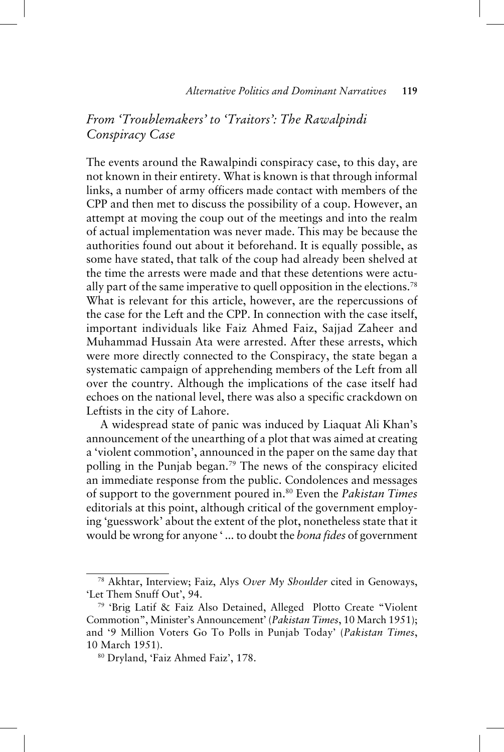## *From 'Troublemakers' to 'Traitors': The Rawalpindi Conspiracy Case*

The events around the Rawalpindi conspiracy case, to this day, are not known in their entirety. What is known is that through informal links, a number of army officers made contact with members of the CPP and then met to discuss the possibility of a coup. However, an attempt at moving the coup out of the meetings and into the realm of actual implementation was never made. This may be because the authorities found out about it beforehand. It is equally possible, as some have stated, that talk of the coup had already been shelved at the time the arrests were made and that these detentions were actually part of the same imperative to quell opposition in the elections.78 What is relevant for this article, however, are the repercussions of the case for the Left and the CPP. In connection with the case itself, important individuals like Faiz Ahmed Faiz, Sajjad Zaheer and Muhammad Hussain Ata were arrested. After these arrests, which were more directly connected to the Conspiracy, the state began a systematic campaign of apprehending members of the Left from all over the country. Although the implications of the case itself had echoes on the national level, there was also a specific crackdown on Leftists in the city of Lahore.

A widespread state of panic was induced by Liaquat Ali Khan's announcement of the unearthing of a plot that was aimed at creating a 'violent commotion', announced in the paper on the same day that polling in the Punjab began.79 The news of the conspiracy elicited an immediate response from the public. Condolences and messages of support to the government poured in.80 Even the *Pakistan Times*  editorials at this point, although critical of the government employing 'guesswork' about the extent of the plot, nonetheless state that it would be wrong for anyone ' *...* to doubt the *bona fides* of government

<sup>78</sup> Akhtar, Interview; Faiz, Alys *Over My Shoulder* cited in Genoways, 'Let Them Snuff Out', 94.

<sup>79 &#</sup>x27;Brig Latif & Faiz Also Detained, Alleged Plotto Create "Violent Commotion", Minister's Announcement' (*Pakistan Times*, 10 March 1951); and '9 Million Voters Go To Polls in Punjab Today' (*Pakistan Times*, 10 March 1951).

<sup>80</sup> Dryland, 'Faiz Ahmed Faiz', 178.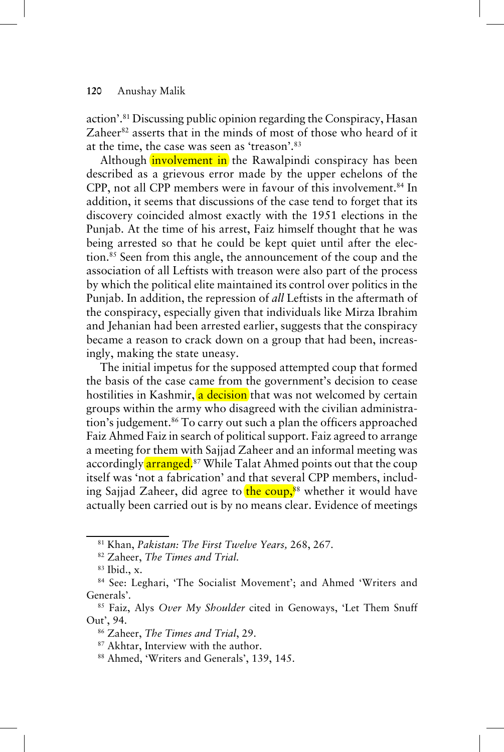action'.81 Discussing public opinion regarding the Conspiracy, Hasan Zaheer<sup>82</sup> asserts that in the minds of most of those who heard of it at the time, the case was seen as 'treason'.83

Although *involvement in* the Rawalpindi conspiracy has been described as a grievous error made by the upper echelons of the CPP, not all CPP members were in favour of this involvement.<sup>84</sup> In addition, it seems that discussions of the case tend to forget that its discovery coincided almost exactly with the 1951 elections in the Punjab. At the time of his arrest, Faiz himself thought that he was being arrested so that he could be kept quiet until after the election.85 Seen from this angle, the announcement of the coup and the association of all Leftists with treason were also part of the process by which the political elite maintained its control over politics in the Punjab. In addition, the repression of *all* Leftists in the aftermath of the conspiracy, especially given that individuals like Mirza Ibrahim and Jehanian had been arrested earlier, suggests that the conspiracy became a reason to crack down on a group that had been, increasingly, making the state uneasy.

The initial impetus for the supposed attempted coup that formed the basis of the case came from the government's decision to cease hostilities in Kashmir,  $\alpha$  decision that was not welcomed by certain groups within the army who disagreed with the civilian administration's judgement.<sup>86</sup> To carry out such a plan the officers approached Faiz Ahmed Faiz in search of political support. Faiz agreed to arrange a meeting for them with Sajjad Zaheer and an informal meeting was accordingly **arranged.**<sup>87</sup> While Talat Ahmed points out that the coup itself was 'not a fabrication' and that several CPP members, including Sajjad Zaheer, did agree to the coup,<sup>88</sup> whether it would have actually been carried out is by no means clear. Evidence of meetings

<sup>81</sup> Khan, *Pakistan: The First Twelve Years,* 268, 267.

<sup>82</sup> Zaheer, *The Times and Trial.*

 $83$  Ibid., x.

<sup>84</sup> See: Leghari, 'The Socialist Movement'; and Ahmed 'Writers and Generals'.

<sup>85</sup> Faiz, Alys *Over My Shoulder* cited in Genoways, 'Let Them Snuff Out', 94.

<sup>86</sup> Zaheer, *The Times and Trial*, 29.

<sup>87</sup> Akhtar, Interview with the author.

<sup>88</sup> Ahmed, 'Writers and Generals', 139, 145.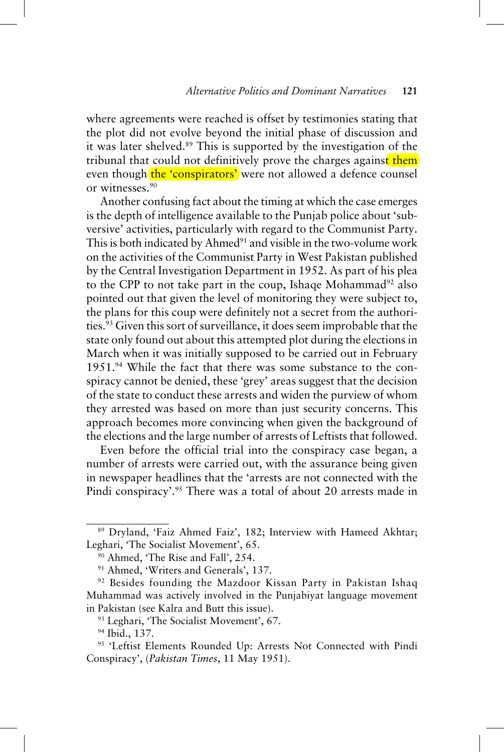where agreements were reached is offset by testimonies stating that the plot did not evolve beyond the initial phase of discussion and it was later shelved.89 This is supported by the investigation of the tribunal that could not definitively prove the charges against them even though the 'conspirators' were not allowed a defence counsel or witnesses.90

Another confusing fact about the timing at which the case emerges is the depth of intelligence available to the Punjab police about 'subversive' activities, particularly with regard to the Communist Party. This is both indicated by Ahmed<sup>91</sup> and visible in the two-volume work on the activities of the Communist Party in West Pakistan published by the Central Investigation Department in 1952. As part of his plea to the CPP to not take part in the coup, Ishaqe Mohammad<sup>92</sup> also pointed out that given the level of monitoring they were subject to, the plans for this coup were definitely not a secret from the authorities.93 Given this sort of surveillance, it does seem improbable that the state only found out about this attempted plot during the elections in March when it was initially supposed to be carried out in February 1951.94 While the fact that there was some substance to the conspiracy cannot be denied, these 'grey' areas suggest that the decision of the state to conduct these arrests and widen the purview of whom they arrested was based on more than just security concerns. This approach becomes more convincing when given the background of the elections and the large number of arrests of Leftists that followed.

Even before the official trial into the conspiracy case began, a number of arrests were carried out, with the assurance being given in newspaper headlines that the 'arrests are not connected with the Pindi conspiracy'.<sup>95</sup> There was a total of about 20 arrests made in

<sup>89</sup> Dryland, 'Faiz Ahmed Faiz', 182; Interview with Hameed Akhtar; Leghari, 'The Socialist Movement', 65.

<sup>90</sup> Ahmed, 'The Rise and Fall', 254.

<sup>91</sup> Ahmed, 'Writers and Generals', 137.

<sup>&</sup>lt;sup>92</sup> Besides founding the Mazdoor Kissan Party in Pakistan Ishaq Muhammad was actively involved in the Punjabiyat language movement in Pakistan (see Kalra and Butt this issue).

<sup>93</sup> Leghari, 'The Socialist Movement', 67.

<sup>94</sup> Ibid., 137.

<sup>&</sup>lt;sup>95</sup> 'Leftist Elements Rounded Up: Arrests Not Connected with Pindi Conspiracy', (*Pakistan Times*, 11 May 1951).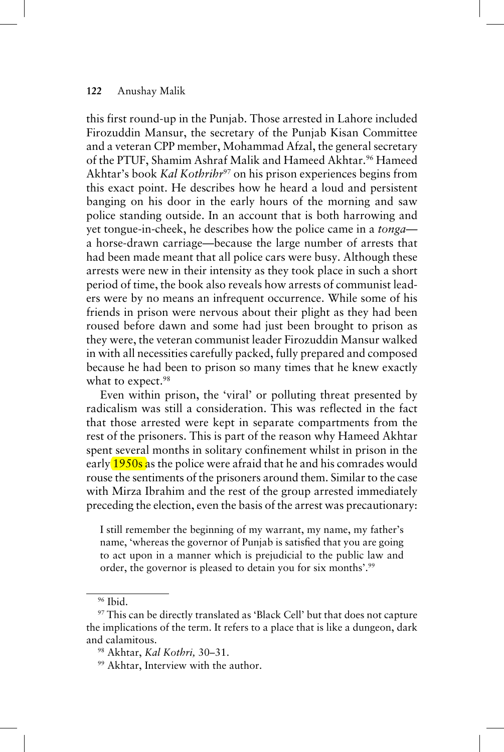this first round-up in the Punjab. Those arrested in Lahore included Firozuddin Mansur, the secretary of the Punjab Kisan Committee and a veteran CPP member, Mohammad Afzal, the general secretary of the PTUF, Shamim Ashraf Malik and Hameed Akhtar.<sup>96</sup> Hameed Akhtar's book *Kal Kothrihr*97 on his prison experiences begins from this exact point. He describes how he heard a loud and persistent banging on his door in the early hours of the morning and saw police standing outside. In an account that is both harrowing and yet tongue-in-cheek, he describes how the police came in a *tonga* a horse-drawn carriage—because the large number of arrests that had been made meant that all police cars were busy. Although these arrests were new in their intensity as they took place in such a short period of time, the book also reveals how arrests of communist leaders were by no means an infrequent occurrence. While some of his friends in prison were nervous about their plight as they had been roused before dawn and some had just been brought to prison as they were, the veteran communist leader Firozuddin Mansur walked in with all necessities carefully packed, fully prepared and composed because he had been to prison so many times that he knew exactly what to expect.<sup>98</sup>

Even within prison, the 'viral' or polluting threat presented by radicalism was still a consideration. This was reflected in the fact that those arrested were kept in separate compartments from the rest of the prisoners. This is part of the reason why Hameed Akhtar spent several months in solitary confinement whilst in prison in the early **1950s** as the police were afraid that he and his comrades would rouse the sentiments of the prisoners around them. Similar to the case with Mirza Ibrahim and the rest of the group arrested immediately preceding the election, even the basis of the arrest was precautionary:

I still remember the beginning of my warrant, my name, my father's name, 'whereas the governor of Punjab is satisfied that you are going to act upon in a manner which is prejudicial to the public law and order, the governor is pleased to detain you for six months'.<sup>99</sup>

<sup>96</sup> Ibid.

<sup>&</sup>lt;sup>97</sup> This can be directly translated as 'Black Cell' but that does not capture the implications of the term. It refers to a place that is like a dungeon, dark and calamitous.

<sup>98</sup> Akhtar, *Kal Kothri,* 30–31.

<sup>99</sup> Akhtar, Interview with the author.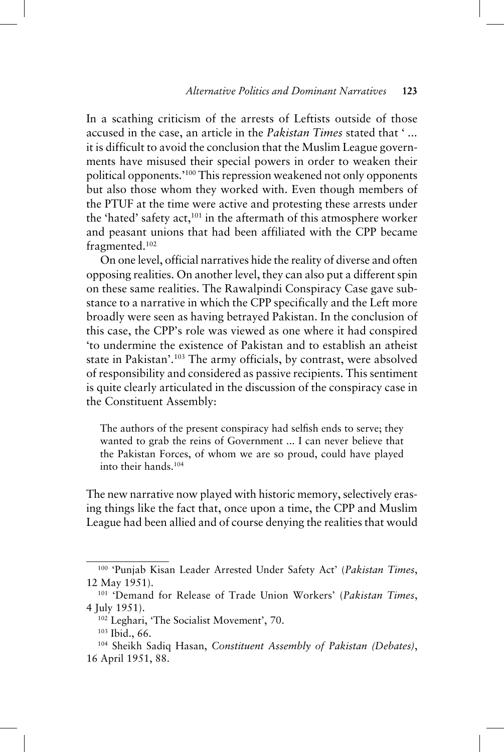In a scathing criticism of the arrests of Leftists outside of those accused in the case, an article in the *Pakistan Times* stated that ' *...*  it is difficult to avoid the conclusion that the Muslim League governments have misused their special powers in order to weaken their political opponents.'100 This repression weakened not only opponents but also those whom they worked with. Even though members of the PTUF at the time were active and protesting these arrests under the 'hated' safety act,<sup>101</sup> in the aftermath of this atmosphere worker and peasant unions that had been affiliated with the CPP became fragmented.102

On one level, official narratives hide the reality of diverse and often opposing realities. On another level, they can also put a different spin on these same realities. The Rawalpindi Conspiracy Case gave substance to a narrative in which the CPP specifically and the Left more broadly were seen as having betrayed Pakistan. In the conclusion of this case, the CPP's role was viewed as one where it had conspired 'to undermine the existence of Pakistan and to establish an atheist state in Pakistan'.103 The army officials, by contrast, were absolved of responsibility and considered as passive recipients. This sentiment is quite clearly articulated in the discussion of the conspiracy case in the Constituent Assembly:

The authors of the present conspiracy had selfish ends to serve; they wanted to grab the reins of Government *...* I can never believe that the Pakistan Forces, of whom we are so proud, could have played into their hands.104

The new narrative now played with historic memory, selectively erasing things like the fact that, once upon a time, the CPP and Muslim League had been allied and of course denying the realities that would

<sup>100 &#</sup>x27;Punjab Kisan Leader Arrested Under Safety Act' (*Pakistan Times*, 12 May 1951).

<sup>101 &#</sup>x27;Demand for Release of Trade Union Workers' (*Pakistan Times*, 4 July 1951).

<sup>102</sup> Leghari, 'The Socialist Movement', 70.

<sup>103</sup> Ibid., 66.

<sup>104</sup> Sheikh Sadiq Hasan, *Constituent Assembly of Pakistan (Debates)*, 16 April 1951, 88.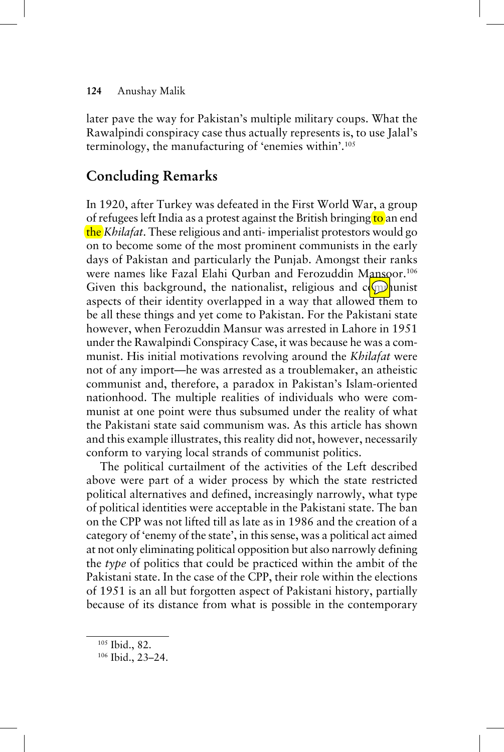later pave the way for Pakistan's multiple military coups. What the Rawalpindi conspiracy case thus actually represents is, to use Jalal's terminology, the manufacturing of 'enemies within'.105

## **Concluding Remarks**

In 1920, after Turkey was defeated in the First World War, a group of refugees left India as a protest against the British bringing to an end the *Khilafat*. These religious and anti- imperialist protestors would go on to become some of the most prominent communists in the early days of Pakistan and particularly the Punjab. Amongst their ranks were names like Fazal Elahi Ourban and Ferozuddin Mansoor.<sup>106</sup> Given this background, the nationalist, religious and  $c \sqrt{\psi}$ unist aspects of their identity overlapped in a way that allowed them to be all these things and yet come to Pakistan. For the Pakistani state however, when Ferozuddin Mansur was arrested in Lahore in 1951 under the Rawalpindi Conspiracy Case, it was because he was a communist. His initial motivations revolving around the *Khilafat* were not of any import—he was arrested as a troublemaker, an atheistic communist and, therefore, a paradox in Pakistan's Islam-oriented nationhood. The multiple realities of individuals who were communist at one point were thus subsumed under the reality of what the Pakistani state said communism was. As this article has shown and this example illustrates, this reality did not, however, necessarily conform to varying local strands of communist politics.

The political curtailment of the activities of the Left described above were part of a wider process by which the state restricted political alternatives and defined, increasingly narrowly, what type of political identities were acceptable in the Pakistani state. The ban on the CPP was not lifted till as late as in 1986 and the creation of a category of 'enemy of the state', in this sense, was a political act aimed at not only eliminating political opposition but also narrowly defining the *type* of politics that could be practiced within the ambit of the Pakistani state. In the case of the CPP, their role within the elections of 1951 is an all but forgotten aspect of Pakistani history, partially because of its distance from what is possible in the contemporary

<sup>105</sup> Ibid., 82.

<sup>106</sup> Ibid., 23–24.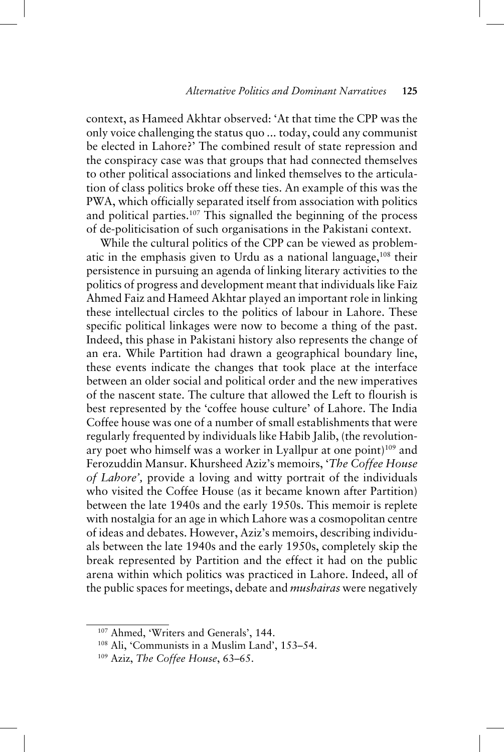context, as Hameed Akhtar observed: 'At that time the CPP was the only voice challenging the status quo *...* today, could any communist be elected in Lahore?' The combined result of state repression and the conspiracy case was that groups that had connected themselves to other political associations and linked themselves to the articulation of class politics broke off these ties. An example of this was the PWA, which officially separated itself from association with politics and political parties.107 This signalled the beginning of the process of de-politicisation of such organisations in the Pakistani context.

While the cultural politics of the CPP can be viewed as problematic in the emphasis given to Urdu as a national language,  $108$  their persistence in pursuing an agenda of linking literary activities to the politics of progress and development meant that individuals like Faiz Ahmed Faiz and Hameed Akhtar played an important role in linking these intellectual circles to the politics of labour in Lahore. These specific political linkages were now to become a thing of the past. Indeed, this phase in Pakistani history also represents the change of an era. While Partition had drawn a geographical boundary line, these events indicate the changes that took place at the interface between an older social and political order and the new imperatives of the nascent state. The culture that allowed the Left to flourish is best represented by the 'coffee house culture' of Lahore. The India Coffee house was one of a number of small establishments that were regularly frequented by individuals like Habib Jalib, (the revolutionary poet who himself was a worker in Lyallpur at one point)<sup>109</sup> and Ferozuddin Mansur. Khursheed Aziz's memoirs, '*The Coffee House of Lahore',* provide a loving and witty portrait of the individuals who visited the Coffee House (as it became known after Partition) between the late 1940s and the early 1950s. This memoir is replete with nostalgia for an age in which Lahore was a cosmopolitan centre of ideas and debates. However, Aziz's memoirs, describing individuals between the late 1940s and the early 1950s, completely skip the break represented by Partition and the effect it had on the public arena within which politics was practiced in Lahore. Indeed, all of the public spaces for meetings, debate and *mushairas* were negatively

<sup>&</sup>lt;sup>107</sup> Ahmed, 'Writers and Generals', 144.

<sup>108</sup> Ali, 'Communists in a Muslim Land', 153–54.

<sup>109</sup> Aziz, *The Coffee House*, 63–65.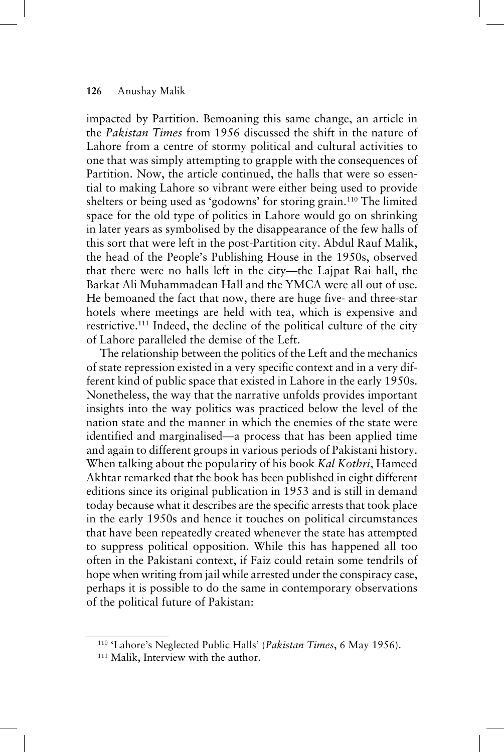impacted by Partition. Bemoaning this same change, an article in the *Pakistan Times* from 1956 discussed the shift in the nature of Lahore from a centre of stormy political and cultural activities to one that was simply attempting to grapple with the consequences of Partition. Now, the article continued, the halls that were so essential to making Lahore so vibrant were either being used to provide shelters or being used as 'godowns' for storing grain.<sup>110</sup> The limited space for the old type of politics in Lahore would go on shrinking in later years as symbolised by the disappearance of the few halls of this sort that were left in the post-Partition city. Abdul Rauf Malik, the head of the People's Publishing House in the 1950s, observed that there were no halls left in the city—the Lajpat Rai hall, the Barkat Ali Muhammadean Hall and the YMCA were all out of use. He bemoaned the fact that now, there are huge five- and three-star hotels where meetings are held with tea, which is expensive and restrictive.111 Indeed, the decline of the political culture of the city of Lahore paralleled the demise of the Left.

The relationship between the politics of the Left and the mechanics of state repression existed in a very specific context and in a very different kind of public space that existed in Lahore in the early 1950s. Nonetheless, the way that the narrative unfolds provides important insights into the way politics was practiced below the level of the nation state and the manner in which the enemies of the state were identified and marginalised—a process that has been applied time and again to different groups in various periods of Pakistani history. When talking about the popularity of his book *Kal Kothri*, Hameed Akhtar remarked that the book has been published in eight different editions since its original publication in 1953 and is still in demand today because what it describes are the specific arrests that took place in the early 1950s and hence it touches on political circumstances that have been repeatedly created whenever the state has attempted to suppress political opposition. While this has happened all too often in the Pakistani context, if Faiz could retain some tendrils of hope when writing from jail while arrested under the conspiracy case, perhaps it is possible to do the same in contemporary observations of the political future of Pakistan:

<sup>110 &#</sup>x27;Lahore's Neglected Public Halls' (*Pakistan Times*, 6 May 1956).

<sup>&</sup>lt;sup>111</sup> Malik, Interview with the author.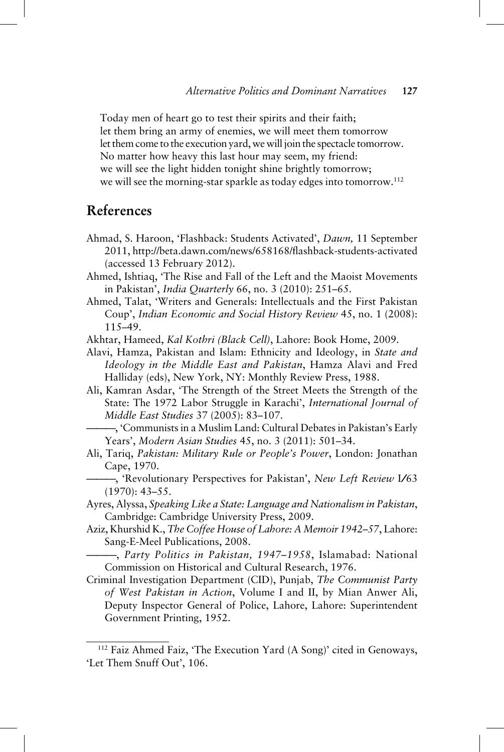Today men of heart go to test their spirits and their faith; let them bring an army of enemies, we will meet them tomorrow let them come to the execution yard, we will join the spectacle tomorrow. No matter how heavy this last hour may seem, my friend: we will see the light hidden tonight shine brightly tomorrow; we will see the morning-star sparkle as today edges into tomorrow.112

## **References**

- Ahmad, S. Haroon, 'Flashback: Students Activated', *Dawn,* 11 September 2011, http://beta.dawn.com/news/658168/flashback-students-activated (accessed 13 February 2012).
- Ahmed, Ishtiaq, 'The Rise and Fall of the Left and the Maoist Movements in Pakistan', *India Quarterly* 66, no. 3 (2010): 251–65.
- Ahmed, Talat, 'Writers and Generals: Intellectuals and the First Pakistan Coup', *Indian Economic and Social History Review* 45, no. 1 (2008): 115–49.
- Akhtar, Hameed, *Kal Kothri (Black Cell)*, Lahore: Book Home, 2009.
- Alavi, Hamza, Pakistan and Islam: Ethnicity and Ideology, in *State and Ideology in the Middle East and Pakistan*, Hamza Alavi and Fred Halliday (eds), New York, NY: Monthly Review Press, 1988.
- Ali, Kamran Asdar, 'The Strength of the Street Meets the Strength of the State: The 1972 Labor Struggle in Karachi', *International Journal of Middle East Studies* 37 (2005): 83–107.
	- ———, 'Communists in a Muslim Land: Cultural Debates in Pakistan's Early Years', *Modern Asian Studies* 45, no. 3 (2011): 501–34.
- Ali, Tariq, *Pakistan: Military Rule or People's Power*, London: Jonathan Cape, 1970.
- ———, 'Revolutionary Perspectives for Pakistan', *New Left Review* I*/*<sup>63</sup> (1970): 43–55.
- Ayres, Alyssa, *Speaking Like a State: Language and Nationalism in Pakistan*, Cambridge: Cambridge University Press, 2009.
- Aziz, Khurshid K., *The Coffee House of Lahore: A Memoir 1942–57*, Lahore: Sang-E-Meel Publications, 2008.
- ———, *Party Politics in Pakistan, 1947–1958*, Islamabad: National Commission on Historical and Cultural Research, 1976.
- Criminal Investigation Department (CID), Punjab, *The Communist Party of West Pakistan in Action*, Volume I and II, by Mian Anwer Ali, Deputy Inspector General of Police, Lahore, Lahore: Superintendent Government Printing, 1952.

<sup>112</sup> Faiz Ahmed Faiz, 'The Execution Yard (A Song)' cited in Genoways, 'Let Them Snuff Out', 106.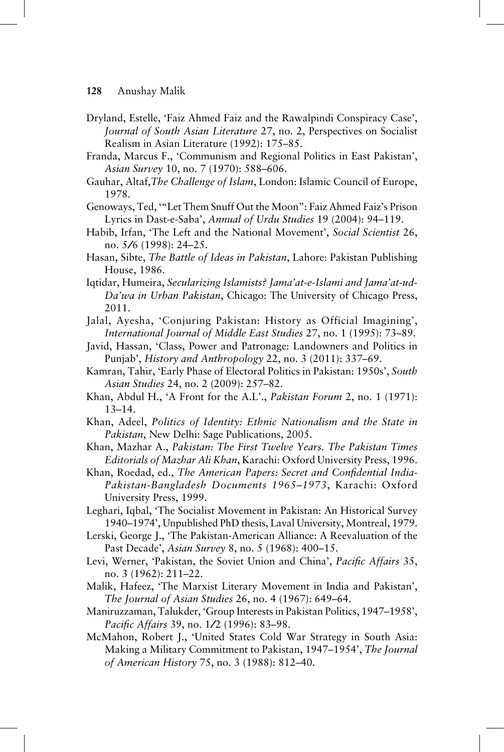- Dryland, Estelle, 'Faiz Ahmed Faiz and the Rawalpindi Conspiracy Case', *Journal of South Asian Literature* 27, no. 2, Perspectives on Socialist Realism in Asian Literature (1992): 175–85.
- Franda, Marcus F., 'Communism and Regional Politics in East Pakistan', *Asian Survey* 10, no. 7 (1970): 588–606.
- Gauhar, Altaf,*The Challenge of Islam*, London: Islamic Council of Europe, 1978.
- Genoways, Ted, '"Let Them Snuff Out the Moon": Faiz Ahmed Faiz's Prison Lyrics in Dast-e-Saba', *Annual of Urdu Studies* 19 (2004): 94–119.
- Habib, Irfan, 'The Left and the National Movement', *Social Scientist* 26, no. 5*/*6 (1998): 24–25.
- Hasan, Sibte, *The Battle of Ideas in Pakistan*, Lahore: Pakistan Publishing House, 1986.
- Iqtidar, Humeira, *Secularizing Islamists? Jama'at-e-Islami and Jama'at-ud-Da'wa in Urban Pakistan*, Chicago: The University of Chicago Press, 2011.
- Jalal, Ayesha, 'Conjuring Pakistan: History as Official Imagining', *International Journal of Middle East Studies* 27, no. 1 (1995): 73–89.
- Javid, Hassan, 'Class, Power and Patronage: Landowners and Politics in Punjab', *History and Anthropology* 22, no. 3 (2011): 337–69.
- Kamran, Tahir, 'Early Phase of Electoral Politics in Pakistan: 1950s', *South Asian Studies* 24, no. 2 (2009): 257–82.
- Khan, Abdul H., 'A Front for the A.L'., *Pakistan Forum* 2, no. 1 (1971): 13–14.
- Khan, Adeel, *Politics of Identity: Ethnic Nationalism and the State in Pakistan*, New Delhi: Sage Publications, 2005.
- Khan, Mazhar A., *Pakistan: The First Twelve Years. The Pakistan Times Editorials of Mazhar Ali Khan*, Karachi: Oxford University Press, 1996.
- Khan, Roedad, ed., *The American Papers: Secret and Confidential India-Pakistan-Bangladesh Documents 1965–1973*, Karachi: Oxford University Press, 1999.
- Leghari, Iqbal, 'The Socialist Movement in Pakistan: An Historical Survey 1940–1974', Unpublished PhD thesis, Laval University, Montreal, 1979.
- Lerski, George J., 'The Pakistan-American Alliance: A Reevaluation of the Past Decade', *Asian Survey* 8, no. 5 (1968): 400–15.
- Levi, Werner, 'Pakistan, the Soviet Union and China', *Pacific Affairs* 35, no. 3 (1962): 211–22.
- Malik, Hafeez, 'The Marxist Literary Movement in India and Pakistan', *The Journal of Asian Studies* 26, no. 4 (1967): 649–64.
- Maniruzzaman, Talukder, 'Group Interests in Pakistan Politics, 1947–1958', *Pacifi c Affairs* 39, no. 1*/*2 (1996): 83–98.
- McMahon, Robert J., 'United States Cold War Strategy in South Asia: Making a Military Commitment to Pakistan, 1947–1954', *The Journal of American History* 75, no. 3 (1988): 812–40.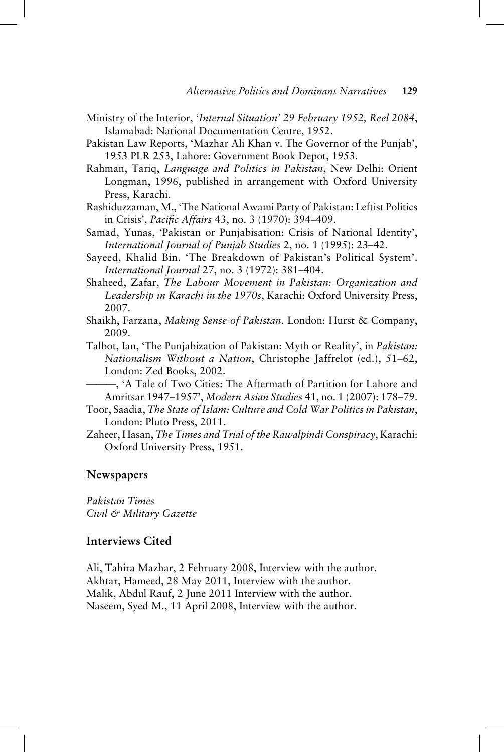- Ministry of the Interior, '*Internal Situation' 29 February 1952, Reel 2084*, Islamabad: National Documentation Centre, 1952.
- Pakistan Law Reports, 'Mazhar Ali Khan v. The Governor of the Punjab', 1953 PLR 253, Lahore: Government Book Depot, 1953.
- Rahman, Tariq, *Language and Politics in Pakistan*, New Delhi: Orient Longman, 1996, published in arrangement with Oxford University Press, Karachi.
- Rashiduzzaman, M., 'The National Awami Party of Pakistan: Leftist Politics in Crisis', *Pacific Affairs* 43, no. 3 (1970): 394-409.
- Samad, Yunas, 'Pakistan or Punjabisation: Crisis of National Identity', *International Journal of Punjab Studies* 2, no. 1 (1995): 23–42.
- Sayeed, Khalid Bin. 'The Breakdown of Pakistan's Political System'. *International Journal* 27, no. 3 (1972): 381–404.
- Shaheed, Zafar, *The Labour Movement in Pakistan: Organization and Leadership in Karachi in the 1970s*, Karachi: Oxford University Press, 2007.
- Shaikh, Farzana, *Making Sense of Pakistan*. London: Hurst & Company, 2009.
- Talbot, Ian, 'The Punjabization of Pakistan: Myth or Reality', in *Pakistan: Nationalism Without a Nation*, Christophe Jaffrelot (ed.), 51–62, London: Zed Books, 2002.

———, 'A Tale of Two Cities: The Aftermath of Partition for Lahore and Amritsar 1947–1957', *Modern Asian Studies* 41, no. 1 (2007): 178–79.

- Toor, Saadia, *The State of Islam: Culture and Cold War Politics in Pakistan*, London: Pluto Press, 2011.
- Zaheer, Hasan, *The Times and Trial of the Rawalpindi Conspiracy*, Karachi: Oxford University Press, 1951.

## **Newspapers**

*Pakistan Times Civil & Military Gazette*

## **Interviews Cited**

Ali, Tahira Mazhar, 2 February 2008, Interview with the author. Akhtar, Hameed, 28 May 2011, Interview with the author. Malik, Abdul Rauf, 2 June 2011 Interview with the author. Naseem, Syed M., 11 April 2008, Interview with the author.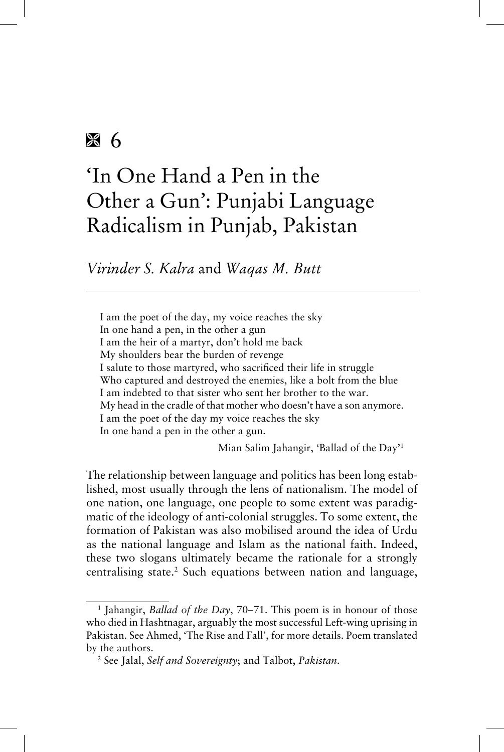## 6

# 'In One Hand a Pen in the Other a Gun': Punjabi Language Radicalism in Punjab, Pakistan

*Virinder S. Kalra* and *Waqas M. Butt*

I am the poet of the day, my voice reaches the sky In one hand a pen, in the other a gun I am the heir of a martyr, don't hold me back My shoulders bear the burden of revenge I salute to those martyred, who sacrificed their life in struggle Who captured and destroyed the enemies, like a bolt from the blue I am indebted to that sister who sent her brother to the war. My head in the cradle of that mother who doesn't have a son anymore. I am the poet of the day my voice reaches the sky In one hand a pen in the other a gun.

Mian Salim Jahangir, 'Ballad of the Day'1

The relationship between language and politics has been long established, most usually through the lens of nationalism. The model of one nation, one language, one people to some extent was paradigmatic of the ideology of anti-colonial struggles. To some extent, the formation of Pakistan was also mobilised around the idea of Urdu as the national language and Islam as the national faith. Indeed, these two slogans ultimately became the rationale for a strongly centralising state.<sup>2</sup> Such equations between nation and language,

<sup>1</sup> Jahangir, *Ballad of the Day*, 70–71. This poem is in honour of those who died in Hashtnagar, arguably the most successful Left-wing uprising in Pakistan. See Ahmed, 'The Rise and Fall', for more details. Poem translated by the authors.

<sup>&</sup>lt;sup>2</sup> See Jalal, *Self and Sovereignty*; and Talbot, *Pakistan*.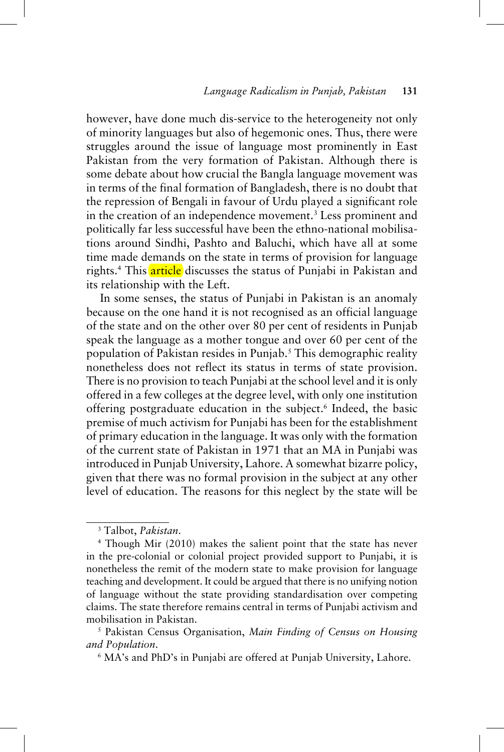however, have done much dis-service to the heterogeneity not only of minority languages but also of hegemonic ones. Thus, there were struggles around the issue of language most prominently in East Pakistan from the very formation of Pakistan. Although there is some debate about how crucial the Bangla language movement was in terms of the final formation of Bangladesh, there is no doubt that the repression of Bengali in favour of Urdu played a significant role in the creation of an independence movement.3 Less prominent and politically far less successful have been the ethno-national mobilisations around Sindhi, Pashto and Baluchi, which have all at some time made demands on the state in terms of provision for language rights.<sup>4</sup> This article discusses the status of Punjabi in Pakistan and its relationship with the Left.

In some senses, the status of Punjabi in Pakistan is an anomaly because on the one hand it is not recognised as an official language of the state and on the other over 80 per cent of residents in Punjab speak the language as a mother tongue and over 60 per cent of the population of Pakistan resides in Punjab.5 This demographic reality nonetheless does not reflect its status in terms of state provision. There is no provision to teach Punjabi at the school level and it is only offered in a few colleges at the degree level, with only one institution offering postgraduate education in the subject.<sup>6</sup> Indeed, the basic premise of much activism for Punjabi has been for the establishment of primary education in the language. It was only with the formation of the current state of Pakistan in 1971 that an MA in Punjabi was introduced in Punjab University, Lahore. A somewhat bizarre policy, given that there was no formal provision in the subject at any other level of education. The reasons for this neglect by the state will be

<sup>3</sup> Talbot, *Pakistan*.

<sup>4</sup> Though Mir (2010) makes the salient point that the state has never in the pre-colonial or colonial project provided support to Punjabi, it is nonetheless the remit of the modern state to make provision for language teaching and development. It could be argued that there is no unifying notion of language without the state providing standardisation over competing claims. The state therefore remains central in terms of Punjabi activism and mobilisation in Pakistan.

<sup>5</sup> Pakistan Census Organisation, *Main Finding of Census on Housing and Population*.

<sup>6</sup> MA's and PhD's in Punjabi are offered at Punjab University, Lahore.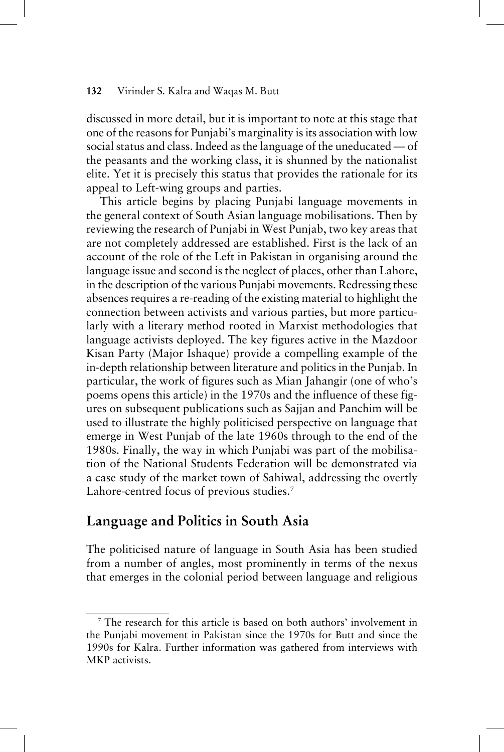### **132** Virinder S. Kalra and Waqas M. Butt

discussed in more detail, but it is important to note at this stage that one of the reasons for Punjabi's marginality is its association with low social status and class. Indeed as the language of the uneducated — of the peasants and the working class, it is shunned by the nationalist elite. Yet it is precisely this status that provides the rationale for its appeal to Left-wing groups and parties.

This article begins by placing Punjabi language movements in the general context of South Asian language mobilisations. Then by reviewing the research of Punjabi in West Punjab, two key areas that are not completely addressed are established. First is the lack of an account of the role of the Left in Pakistan in organising around the language issue and second is the neglect of places, other than Lahore, in the description of the various Punjabi movements. Redressing these absences requires a re-reading of the existing material to highlight the connection between activists and various parties, but more particularly with a literary method rooted in Marxist methodologies that language activists deployed. The key figures active in the Mazdoor Kisan Party (Major Ishaque) provide a compelling example of the in-depth relationship between literature and politics in the Punjab. In particular, the work of figures such as Mian Jahangir (one of who's poems opens this article) in the 1970s and the influence of these figures on subsequent publications such as Sajjan and Panchim will be used to illustrate the highly politicised perspective on language that emerge in West Punjab of the late 1960s through to the end of the 1980s. Finally, the way in which Punjabi was part of the mobilisation of the National Students Federation will be demonstrated via a case study of the market town of Sahiwal, addressing the overtly Lahore-centred focus of previous studies.<sup>7</sup>

## **Language and Politics in South Asia**

The politicised nature of language in South Asia has been studied from a number of angles, most prominently in terms of the nexus that emerges in the colonial period between language and religious

<sup>7</sup> The research for this article is based on both authors' involvement in the Punjabi movement in Pakistan since the 1970s for Butt and since the 1990s for Kalra. Further information was gathered from interviews with MKP activists.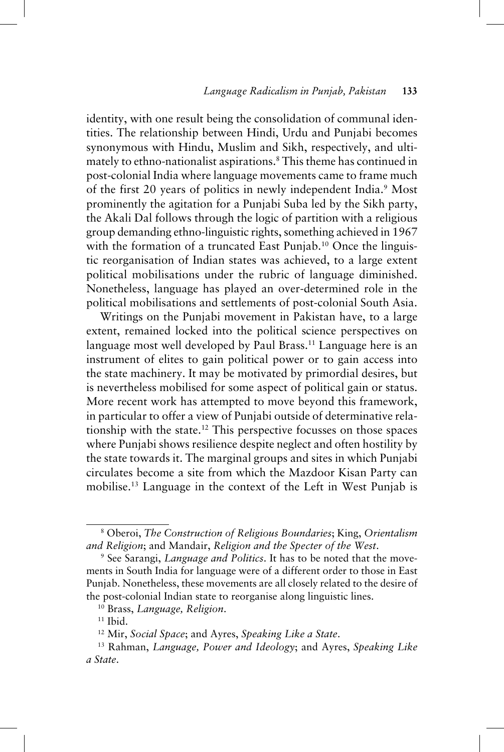identity, with one result being the consolidation of communal identities. The relationship between Hindi, Urdu and Punjabi becomes synonymous with Hindu, Muslim and Sikh, respectively, and ultimately to ethno-nationalist aspirations.8 This theme has continued in post-colonial India where language movements came to frame much of the first 20 years of politics in newly independent India.<sup>9</sup> Most prominently the agitation for a Punjabi Suba led by the Sikh party, the Akali Dal follows through the logic of partition with a religious group demanding ethno-linguistic rights, something achieved in 1967 with the formation of a truncated East Punjab.<sup>10</sup> Once the linguistic reorganisation of Indian states was achieved, to a large extent political mobilisations under the rubric of language diminished. Nonetheless, language has played an over-determined role in the political mobilisations and settlements of post-colonial South Asia.

Writings on the Punjabi movement in Pakistan have, to a large extent, remained locked into the political science perspectives on language most well developed by Paul Brass.<sup>11</sup> Language here is an instrument of elites to gain political power or to gain access into the state machinery. It may be motivated by primordial desires, but is nevertheless mobilised for some aspect of political gain or status. More recent work has attempted to move beyond this framework, in particular to offer a view of Punjabi outside of determinative relationship with the state.12 This perspective focusses on those spaces where Punjabi shows resilience despite neglect and often hostility by the state towards it. The marginal groups and sites in which Punjabi circulates become a site from which the Mazdoor Kisan Party can mobilise.13 Language in the context of the Left in West Punjab is

 <sup>8</sup> Oberoi, *The Construction of Religious Boundaries*; King, *Orientalism and Religion*; and Mandair, *Religion and the Specter of the West*. 9 See Sarangi, *Language and Politics*. It has to be noted that the move-

ments in South India for language were of a different order to those in East Punjab. Nonetheless, these movements are all closely related to the desire of the post-colonial Indian state to reorganise along linguistic lines.

<sup>10</sup> Brass, *Language, Religion*.

 $11$  Ibid.

<sup>12</sup> Mir, *Social Space*; and Ayres, *Speaking Like a State*.

<sup>13</sup> Rahman, *Language, Power and Ideology*; and Ayres, *Speaking Like a State*.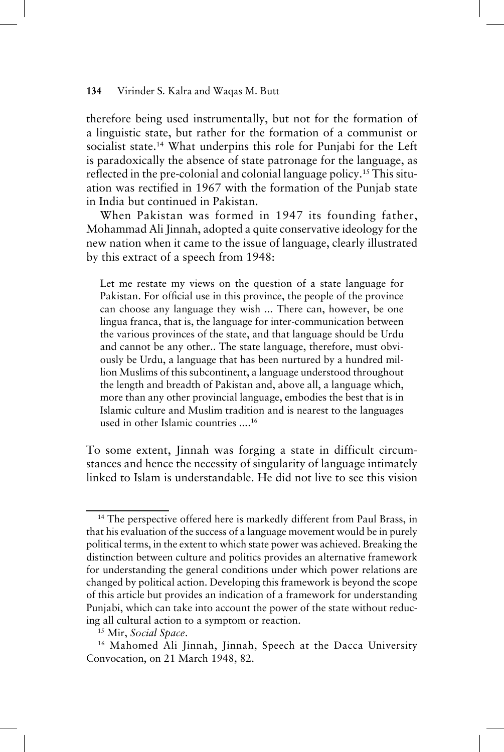#### **134** Virinder S. Kalra and Waqas M. Butt

therefore being used instrumentally, but not for the formation of a linguistic state, but rather for the formation of a communist or socialist state.<sup>14</sup> What underpins this role for Punjabi for the Left is paradoxically the absence of state patronage for the language, as reflected in the pre-colonial and colonial language policy.15 This situation was rectified in 1967 with the formation of the Punjab state in India but continued in Pakistan.

When Pakistan was formed in 1947 its founding father, Mohammad Ali Jinnah, adopted a quite conservative ideology for the new nation when it came to the issue of language, clearly illustrated by this extract of a speech from 1948:

Let me restate my views on the question of a state language for Pakistan. For official use in this province, the people of the province can choose any language they wish *...* There can, however, be one lingua franca, that is, the language for inter-communication between the various provinces of the state, and that language should be Urdu and cannot be any other.. The state language, therefore, must obviously be Urdu, a language that has been nurtured by a hundred million Muslims of this subcontinent, a language understood throughout the length and breadth of Pakistan and, above all, a language which, more than any other provincial language, embodies the best that is in Islamic culture and Muslim tradition and is nearest to the languages used in other Islamic countries *...*. 16

To some extent, Jinnah was forging a state in difficult circumstances and hence the necessity of singularity of language intimately linked to Islam is understandable. He did not live to see this vision

<sup>&</sup>lt;sup>14</sup> The perspective offered here is markedly different from Paul Brass, in that his evaluation of the success of a language movement would be in purely political terms, in the extent to which state power was achieved. Breaking the distinction between culture and politics provides an alternative framework for understanding the general conditions under which power relations are changed by political action. Developing this framework is beyond the scope of this article but provides an indication of a framework for understanding Punjabi, which can take into account the power of the state without reducing all cultural action to a symptom or reaction.

<sup>15</sup> Mir, *Social Space*.

<sup>&</sup>lt;sup>16</sup> Mahomed Ali Jinnah, Jinnah, Speech at the Dacca University Convocation, on 21 March 1948, 82.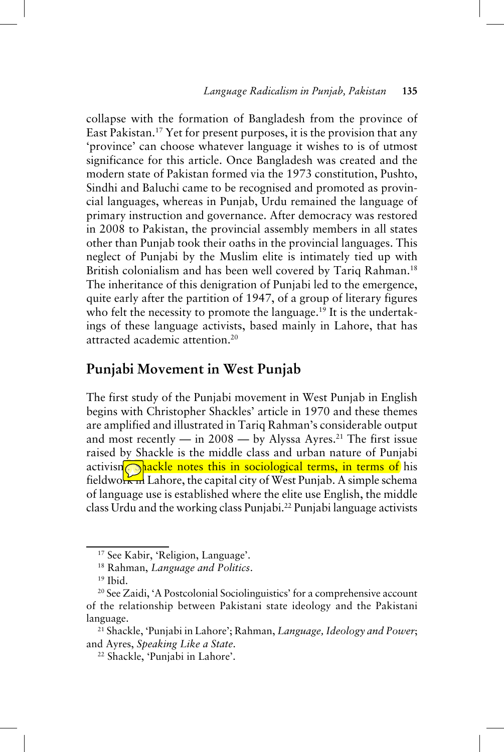collapse with the formation of Bangladesh from the province of East Pakistan.17 Yet for present purposes, it is the provision that any 'province' can choose whatever language it wishes to is of utmost significance for this article. Once Bangladesh was created and the modern state of Pakistan formed via the 1973 constitution, Pushto, Sindhi and Baluchi came to be recognised and promoted as provincial languages, whereas in Punjab, Urdu remained the language of primary instruction and governance. After democracy was restored in 2008 to Pakistan, the provincial assembly members in all states other than Punjab took their oaths in the provincial languages. This neglect of Punjabi by the Muslim elite is intimately tied up with British colonialism and has been well covered by Tariq Rahman.<sup>18</sup> The inheritance of this denigration of Punjabi led to the emergence, quite early after the partition of 1947, of a group of literary figures who felt the necessity to promote the language.<sup>19</sup> It is the undertakings of these language activists, based mainly in Lahore, that has attracted academic attention.20

## **Punjabi Movement in West Punjab**

The first study of the Punjabi movement in West Punjab in English begins with Christopher Shackles' article in 1970 and these themes are amplified and illustrated in Tariq Rahman's considerable output and most recently — in  $2008 - by$  Alyssa Ayres.<sup>21</sup> The first issue raised by Shackle is the middle class and urban nature of Punjabi activism $\bigodot$  ackle notes this in sociological terms, in terms of his fieldwork in Lahore, the capital city of West Punjab. A simple schema of language use is established where the elite use English, the middle class Urdu and the working class Punjabi.22 Punjabi language activists

<sup>17</sup> See Kabir, 'Religion, Language'.

<sup>18</sup> Rahman, *Language and Politics*.

<sup>19</sup> Ibid.

<sup>20</sup> See Zaidi, 'A Postcolonial Sociolinguistics' for a comprehensive account of the relationship between Pakistani state ideology and the Pakistani language.

<sup>21</sup> Shackle, 'Punjabi in Lahore'; Rahman, *Language, Ideology and Power*; and Ayres, *Speaking Like a State*.

<sup>22</sup> Shackle, 'Punjabi in Lahore'.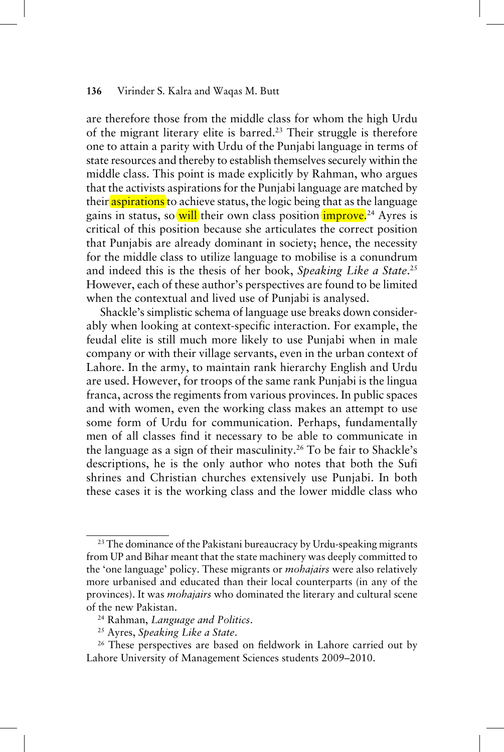are therefore those from the middle class for whom the high Urdu of the migrant literary elite is barred.23 Their struggle is therefore one to attain a parity with Urdu of the Punjabi language in terms of state resources and thereby to establish themselves securely within the middle class. This point is made explicitly by Rahman, who argues that the activists aspirations for the Punjabi language are matched by their **aspirations** to achieve status, the logic being that as the language gains in status, so will their own class position  $improve.<sup>24</sup>$  Avres is critical of this position because she articulates the correct position that Punjabis are already dominant in society; hence, the necessity for the middle class to utilize language to mobilise is a conundrum and indeed this is the thesis of her book, *Speaking Like a State*. 25 However, each of these author's perspectives are found to be limited when the contextual and lived use of Punjabi is analysed.

Shackle's simplistic schema of language use breaks down considerably when looking at context-specific interaction. For example, the feudal elite is still much more likely to use Punjabi when in male company or with their village servants, even in the urban context of Lahore. In the army, to maintain rank hierarchy English and Urdu are used. However, for troops of the same rank Punjabi is the lingua franca, across the regiments from various provinces. In public spaces and with women, even the working class makes an attempt to use some form of Urdu for communication. Perhaps, fundamentally men of all classes find it necessary to be able to communicate in the language as a sign of their masculinity.26 To be fair to Shackle's descriptions, he is the only author who notes that both the Sufi shrines and Christian churches extensively use Punjabi. In both these cases it is the working class and the lower middle class who

<sup>&</sup>lt;sup>23</sup> The dominance of the Pakistani bureaucracy by Urdu-speaking migrants from UP and Bihar meant that the state machinery was deeply committed to the 'one language' policy. These migrants or *mohajairs* were also relatively more urbanised and educated than their local counterparts (in any of the provinces). It was *mohajairs* who dominated the literary and cultural scene of the new Pakistan.

<sup>24</sup> Rahman, *Language and Politics*.

<sup>25</sup> Ayres, *Speaking Like a State*.

<sup>&</sup>lt;sup>26</sup> These perspectives are based on fieldwork in Lahore carried out by Lahore University of Management Sciences students 2009–2010.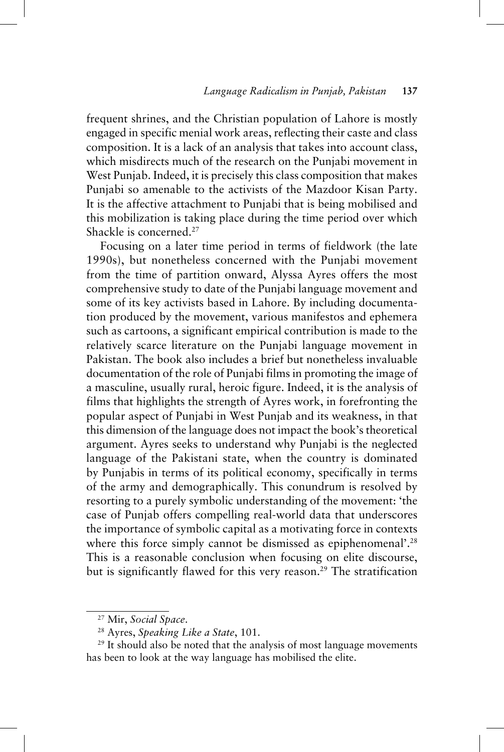frequent shrines, and the Christian population of Lahore is mostly engaged in specific menial work areas, reflecting their caste and class composition. It is a lack of an analysis that takes into account class, which misdirects much of the research on the Punjabi movement in West Punjab. Indeed, it is precisely this class composition that makes Punjabi so amenable to the activists of the Mazdoor Kisan Party. It is the affective attachment to Punjabi that is being mobilised and this mobilization is taking place during the time period over which Shackle is concerned.<sup>27</sup>

Focusing on a later time period in terms of fieldwork (the late 1990s), but nonetheless concerned with the Punjabi movement from the time of partition onward, Alyssa Ayres offers the most comprehensive study to date of the Punjabi language movement and some of its key activists based in Lahore. By including documentation produced by the movement, various manifestos and ephemera such as cartoons, a significant empirical contribution is made to the relatively scarce literature on the Punjabi language movement in Pakistan. The book also includes a brief but nonetheless invaluable documentation of the role of Punjabi films in promoting the image of a masculine, usually rural, heroic figure. Indeed, it is the analysis of films that highlights the strength of Ayres work, in forefronting the popular aspect of Punjabi in West Punjab and its weakness, in that this dimension of the language does not impact the book's theoretical argument. Ayres seeks to understand why Punjabi is the neglected language of the Pakistani state, when the country is dominated by Punjabis in terms of its political economy, specifically in terms of the army and demographically. This conundrum is resolved by resorting to a purely symbolic understanding of the movement: 'the case of Punjab offers compelling real-world data that underscores the importance of symbolic capital as a motivating force in contexts where this force simply cannot be dismissed as epiphenomenal'.<sup>28</sup> This is a reasonable conclusion when focusing on elite discourse, but is significantly flawed for this very reason.<sup>29</sup> The stratification

<sup>27</sup> Mir, *Social Space*.

<sup>28</sup> Ayres, *Speaking Like a State*, 101.

 $29$  It should also be noted that the analysis of most language movements has been to look at the way language has mobilised the elite.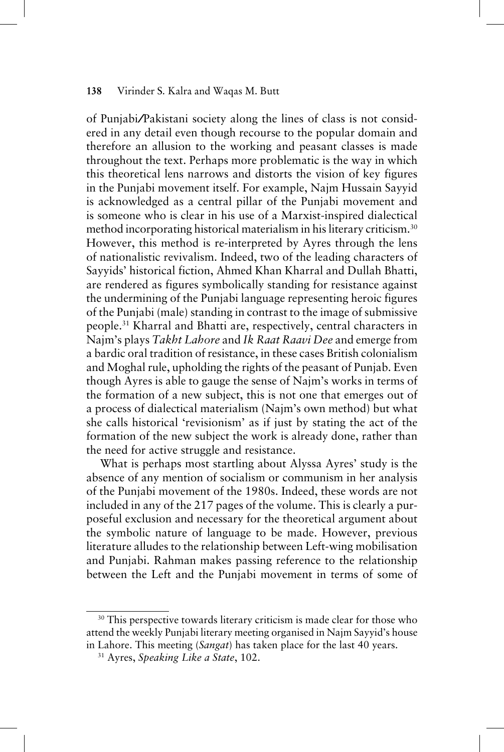of Punjabi*/*Pakistani society along the lines of class is not considered in any detail even though recourse to the popular domain and therefore an allusion to the working and peasant classes is made throughout the text. Perhaps more problematic is the way in which this theoretical lens narrows and distorts the vision of key figures in the Punjabi movement itself. For example, Najm Hussain Sayyid is acknowledged as a central pillar of the Punjabi movement and is someone who is clear in his use of a Marxist-inspired dialectical method incorporating historical materialism in his literary criticism.30 However, this method is re-interpreted by Ayres through the lens of nationalistic revivalism. Indeed, two of the leading characters of Sayyids' historical fiction, Ahmed Khan Kharral and Dullah Bhatti, are rendered as figures symbolically standing for resistance against the undermining of the Punjabi language representing heroic figures of the Punjabi (male) standing in contrast to the image of submissive people.31 Kharral and Bhatti are, respectively, central characters in Najm's plays *Takht Lahore* and *Ik Raat Raavi Dee* and emerge from a bardic oral tradition of resistance, in these cases British colonialism and Moghal rule, upholding the rights of the peasant of Punjab. Even though Ayres is able to gauge the sense of Najm's works in terms of the formation of a new subject, this is not one that emerges out of a process of dialectical materialism (Najm's own method) but what she calls historical 'revisionism' as if just by stating the act of the formation of the new subject the work is already done, rather than the need for active struggle and resistance.

What is perhaps most startling about Alyssa Ayres' study is the absence of any mention of socialism or communism in her analysis of the Punjabi movement of the 1980s. Indeed, these words are not included in any of the 217 pages of the volume. This is clearly a purposeful exclusion and necessary for the theoretical argument about the symbolic nature of language to be made. However, previous literature alludes to the relationship between Left-wing mobilisation and Punjabi. Rahman makes passing reference to the relationship between the Left and the Punjabi movement in terms of some of

<sup>&</sup>lt;sup>30</sup> This perspective towards literary criticism is made clear for those who attend the weekly Punjabi literary meeting organised in Najm Sayyid's house in Lahore. This meeting (*Sangat*) has taken place for the last 40 years.

<sup>31</sup> Ayres, *Speaking Like a State*, 102.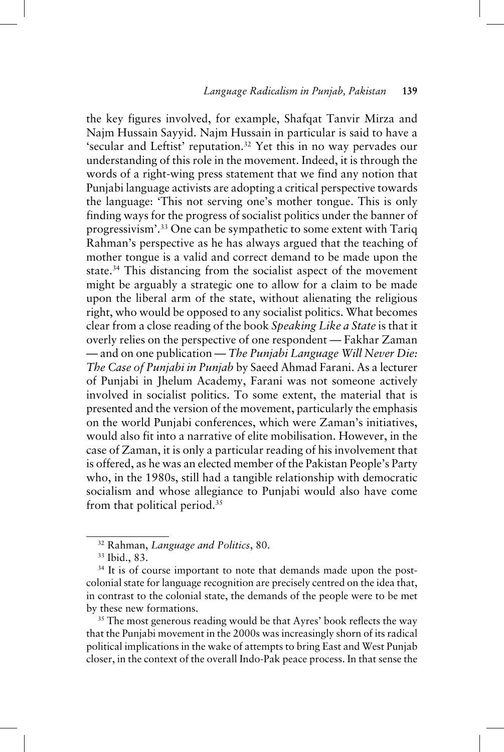the key figures involved, for example, Shafqat Tanvir Mirza and Najm Hussain Sayyid. Najm Hussain in particular is said to have a 'secular and Leftist' reputation.32 Yet this in no way pervades our understanding of this role in the movement. Indeed, it is through the words of a right-wing press statement that we find any notion that Punjabi language activists are adopting a critical perspective towards the language: 'This not serving one's mother tongue. This is only finding ways for the progress of socialist politics under the banner of progressivism'.33 One can be sympathetic to some extent with Tariq Rahman's perspective as he has always argued that the teaching of mother tongue is a valid and correct demand to be made upon the state.34 This distancing from the socialist aspect of the movement might be arguably a strategic one to allow for a claim to be made upon the liberal arm of the state, without alienating the religious right, who would be opposed to any socialist politics. What becomes clear from a close reading of the book *Speaking Like a State* is that it overly relies on the perspective of one respondent — Fakhar Zaman — and on one publication — *The Punjabi Language Will Never Die: The Case of Punjabi in Punjab* by Saeed Ahmad Farani. As a lecturer of Punjabi in Jhelum Academy, Farani was not someone actively involved in socialist politics. To some extent, the material that is presented and the version of the movement, particularly the emphasis on the world Punjabi conferences, which were Zaman's initiatives, would also fit into a narrative of elite mobilisation. However, in the case of Zaman, it is only a particular reading of his involvement that is offered, as he was an elected member of the Pakistan People's Party who, in the 1980s, still had a tangible relationship with democratic socialism and whose allegiance to Punjabi would also have come from that political period.35

<sup>35</sup> The most generous reading would be that Ayres' book reflects the way that the Punjabi movement in the 2000s was increasingly shorn of its radical political implications in the wake of attempts to bring East and West Punjab closer, in the context of the overall Indo-Pak peace process. In that sense the

<sup>32</sup> Rahman, *Language and Politics*, 80.

<sup>33</sup> Ibid., 83.

<sup>&</sup>lt;sup>34</sup> It is of course important to note that demands made upon the postcolonial state for language recognition are precisely centred on the idea that, in contrast to the colonial state, the demands of the people were to be met by these new formations.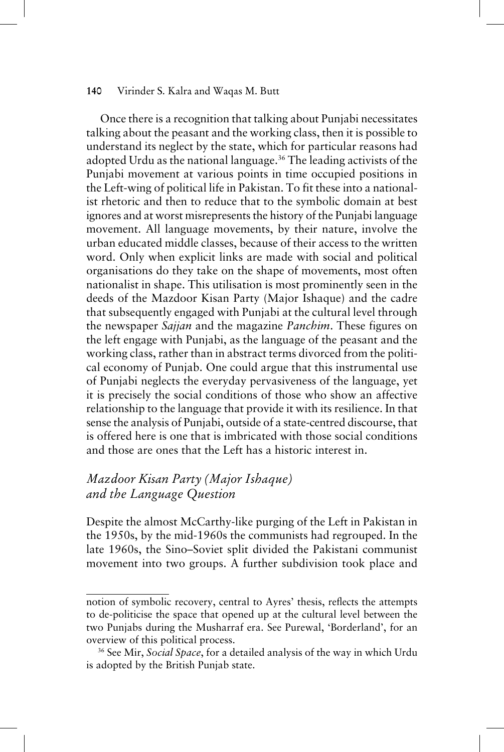Once there is a recognition that talking about Punjabi necessitates talking about the peasant and the working class, then it is possible to understand its neglect by the state, which for particular reasons had adopted Urdu as the national language.<sup>36</sup> The leading activists of the Punjabi movement at various points in time occupied positions in the Left-wing of political life in Pakistan. To fit these into a nationalist rhetoric and then to reduce that to the symbolic domain at best ignores and at worst misrepresents the history of the Punjabi language movement. All language movements, by their nature, involve the urban educated middle classes, because of their access to the written word. Only when explicit links are made with social and political organisations do they take on the shape of movements, most often nationalist in shape. This utilisation is most prominently seen in the deeds of the Mazdoor Kisan Party (Major Ishaque) and the cadre that subsequently engaged with Punjabi at the cultural level through the newspaper *Sajjan* and the magazine *Panchim*. These figures on the left engage with Punjabi, as the language of the peasant and the working class, rather than in abstract terms divorced from the political economy of Punjab. One could argue that this instrumental use of Punjabi neglects the everyday pervasiveness of the language, yet it is precisely the social conditions of those who show an affective relationship to the language that provide it with its resilience. In that sense the analysis of Punjabi, outside of a state-centred discourse, that is offered here is one that is imbricated with those social conditions and those are ones that the Left has a historic interest in.

## *Mazdoor Kisan Party (Major Ishaque) and the Language Question*

Despite the almost McCarthy-like purging of the Left in Pakistan in the 1950s, by the mid-1960s the communists had regrouped. In the late 1960s, the Sino–Soviet split divided the Pakistani communist movement into two groups. A further subdivision took place and

notion of symbolic recovery, central to Ayres' thesis, reflects the attempts to de-politicise the space that opened up at the cultural level between the two Punjabs during the Musharraf era. See Purewal, 'Borderland', for an overview of this political process.

<sup>36</sup> See Mir, *Social Space*, for a detailed analysis of the way in which Urdu is adopted by the British Punjab state.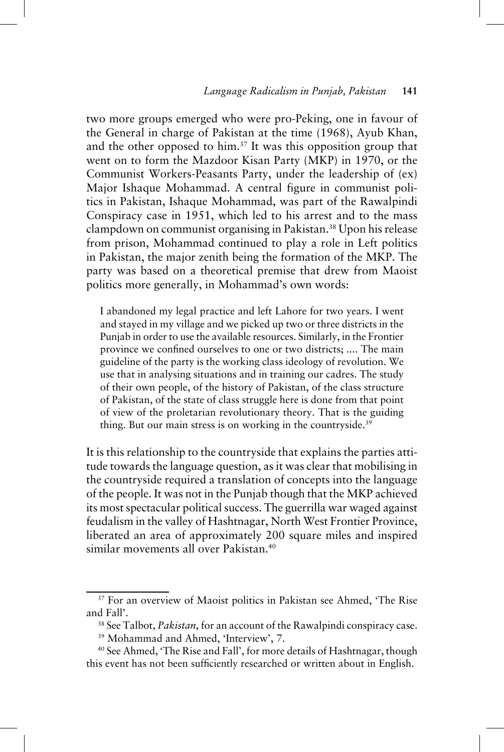two more groups emerged who were pro-Peking, one in favour of the General in charge of Pakistan at the time (1968), Ayub Khan, and the other opposed to him.<sup>37</sup> It was this opposition group that went on to form the Mazdoor Kisan Party (MKP) in 1970, or the Communist Workers-Peasants Party, under the leadership of (ex) Major Ishaque Mohammad. A central figure in communist politics in Pakistan, Ishaque Mohammad, was part of the Rawalpindi Conspiracy case in 1951, which led to his arrest and to the mass clampdown on communist organising in Pakistan.38 Upon his release from prison, Mohammad continued to play a role in Left politics in Pakistan, the major zenith being the formation of the MKP. The party was based on a theoretical premise that drew from Maoist politics more generally, in Mohammad's own words:

I abandoned my legal practice and left Lahore for two years. I went and stayed in my village and we picked up two or three districts in the Punjab in order to use the available resources. Similarly, in the Frontier province we confined ourselves to one or two districts; .... The main guideline of the party is the working class ideology of revolution. We use that in analysing situations and in training our cadres. The study of their own people, of the history of Pakistan, of the class structure of Pakistan, of the state of class struggle here is done from that point of view of the proletarian revolutionary theory. That is the guiding thing. But our main stress is on working in the countryside.<sup>39</sup>

It is this relationship to the countryside that explains the parties attitude towards the language question, as it was clear that mobilising in the countryside required a translation of concepts into the language of the people. It was not in the Punjab though that the MKP achieved its most spectacular political success. The guerrilla war waged against feudalism in the valley of Hashtnagar, North West Frontier Province, liberated an area of approximately 200 square miles and inspired similar movements all over Pakistan.40

<sup>&</sup>lt;sup>37</sup> For an overview of Maoist politics in Pakistan see Ahmed, 'The Rise and Fall'.

<sup>38</sup> See Talbot, *Pakistan*, for an account of the Rawalpindi conspiracy case.

<sup>39</sup> Mohammad and Ahmed, 'Interview', 7.

<sup>40</sup> See Ahmed, 'The Rise and Fall', for more details of Hashtnagar, though this event has not been sufficiently researched or written about in English.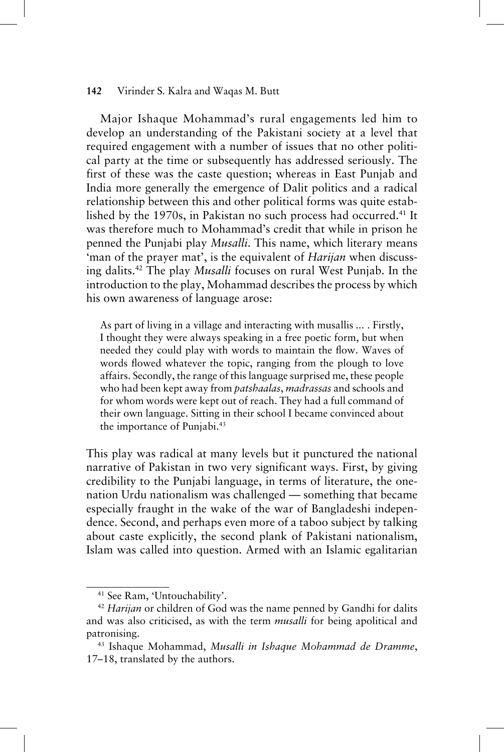Major Ishaque Mohammad's rural engagements led him to develop an understanding of the Pakistani society at a level that required engagement with a number of issues that no other political party at the time or subsequently has addressed seriously. The first of these was the caste question; whereas in East Punjab and India more generally the emergence of Dalit politics and a radical relationship between this and other political forms was quite established by the 1970s, in Pakistan no such process had occurred.<sup>41</sup> It was therefore much to Mohammad's credit that while in prison he penned the Punjabi play *Musalli*. This name, which literary means 'man of the prayer mat', is the equivalent of *Harijan* when discussing dalits.42 The play *Musalli* focuses on rural West Punjab. In the introduction to the play, Mohammad describes the process by which his own awareness of language arose:

As part of living in a village and interacting with musallis *...* . Firstly, I thought they were always speaking in a free poetic form, but when needed they could play with words to maintain the flow. Waves of words flowed whatever the topic, ranging from the plough to love affairs. Secondly, the range of this language surprised me, these people who had been kept away from *patshaalas*, *madrassas* and schools and for whom words were kept out of reach. They had a full command of their own language. Sitting in their school I became convinced about the importance of Punjabi.<sup>43</sup>

This play was radical at many levels but it punctured the national narrative of Pakistan in two very significant ways. First, by giving credibility to the Punjabi language, in terms of literature, the onenation Urdu nationalism was challenged — something that became especially fraught in the wake of the war of Bangladeshi independence. Second, and perhaps even more of a taboo subject by talking about caste explicitly, the second plank of Pakistani nationalism, Islam was called into question. Armed with an Islamic egalitarian

<sup>41</sup> See Ram, 'Untouchability'.

<sup>42</sup> *Harijan* or children of God was the name penned by Gandhi for dalits and was also criticised, as with the term *musalli* for being apolitical and patronising.

<sup>43</sup> Ishaque Mohammad, *Musalli in Ishaque Mohammad de Dramme*, 17–18, translated by the authors.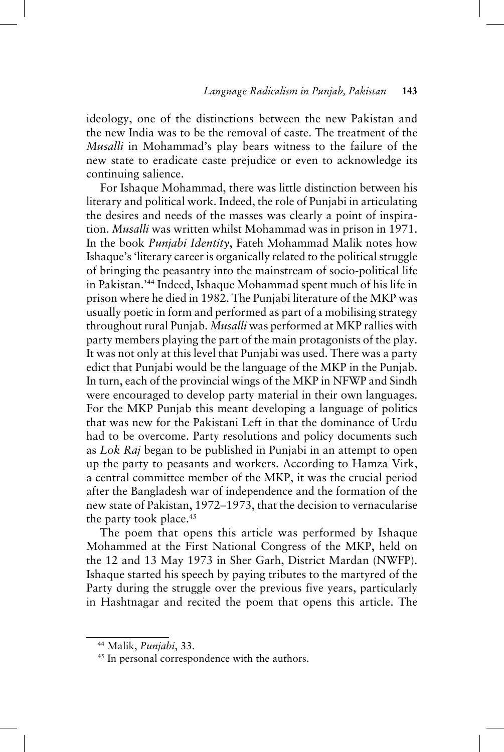ideology, one of the distinctions between the new Pakistan and the new India was to be the removal of caste. The treatment of the *Musalli* in Mohammad's play bears witness to the failure of the new state to eradicate caste prejudice or even to acknowledge its continuing salience.

For Ishaque Mohammad, there was little distinction between his literary and political work. Indeed, the role of Punjabi in articulating the desires and needs of the masses was clearly a point of inspiration. *Musalli* was written whilst Mohammad was in prison in 1971. In the book *Punjabi Identity*, Fateh Mohammad Malik notes how Ishaque's 'literary career is organically related to the political struggle of bringing the peasantry into the mainstream of socio-political life in Pakistan.'44 Indeed, Ishaque Mohammad spent much of his life in prison where he died in 1982. The Punjabi literature of the MKP was usually poetic in form and performed as part of a mobilising strategy throughout rural Punjab. *Musalli* was performed at MKP rallies with party members playing the part of the main protagonists of the play. It was not only at this level that Punjabi was used. There was a party edict that Punjabi would be the language of the MKP in the Punjab. In turn, each of the provincial wings of the MKP in NFWP and Sindh were encouraged to develop party material in their own languages. For the MKP Punjab this meant developing a language of politics that was new for the Pakistani Left in that the dominance of Urdu had to be overcome. Party resolutions and policy documents such as *Lok Raj* began to be published in Punjabi in an attempt to open up the party to peasants and workers. According to Hamza Virk, a central committee member of the MKP, it was the crucial period after the Bangladesh war of independence and the formation of the new state of Pakistan, 1972–1973, that the decision to vernacularise the party took place.<sup>45</sup>

The poem that opens this article was performed by Ishaque Mohammed at the First National Congress of the MKP, held on the 12 and 13 May 1973 in Sher Garh, District Mardan (NWFP). Ishaque started his speech by paying tributes to the martyred of the Party during the struggle over the previous five years, particularly in Hashtnagar and recited the poem that opens this article. The

<sup>44</sup> Malik, *Punjabi*, 33.

<sup>45</sup> In personal correspondence with the authors.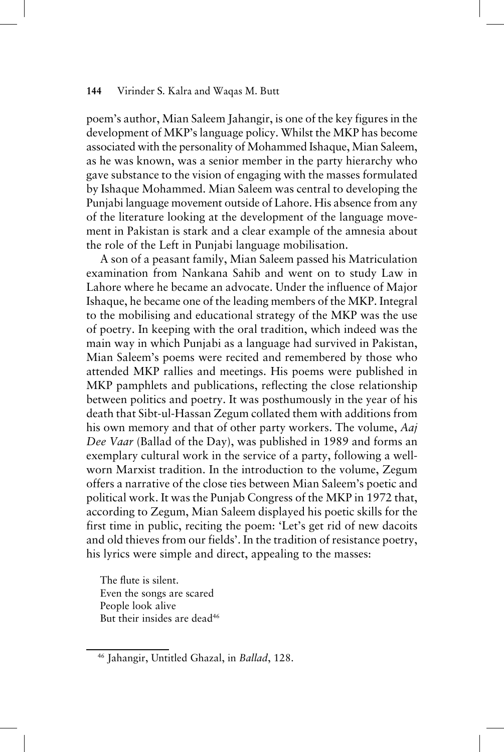poem's author, Mian Saleem Jahangir, is one of the key figures in the development of MKP's language policy. Whilst the MKP has become associated with the personality of Mohammed Ishaque, Mian Saleem, as he was known, was a senior member in the party hierarchy who gave substance to the vision of engaging with the masses formulated by Ishaque Mohammed. Mian Saleem was central to developing the Punjabi language movement outside of Lahore. His absence from any of the literature looking at the development of the language movement in Pakistan is stark and a clear example of the amnesia about the role of the Left in Punjabi language mobilisation.

A son of a peasant family, Mian Saleem passed his Matriculation examination from Nankana Sahib and went on to study Law in Lahore where he became an advocate. Under the influence of Major Ishaque, he became one of the leading members of the MKP. Integral to the mobilising and educational strategy of the MKP was the use of poetry. In keeping with the oral tradition, which indeed was the main way in which Punjabi as a language had survived in Pakistan, Mian Saleem's poems were recited and remembered by those who attended MKP rallies and meetings. His poems were published in MKP pamphlets and publications, reflecting the close relationship between politics and poetry. It was posthumously in the year of his death that Sibt-ul-Hassan Zegum collated them with additions from his own memory and that of other party workers. The volume, *Aaj Dee Vaar* (Ballad of the Day), was published in 1989 and forms an exemplary cultural work in the service of a party, following a wellworn Marxist tradition. In the introduction to the volume, Zegum offers a narrative of the close ties between Mian Saleem's poetic and political work. It was the Punjab Congress of the MKP in 1972 that, according to Zegum, Mian Saleem displayed his poetic skills for the first time in public, reciting the poem: 'Let's get rid of new dacoits and old thieves from our fields'. In the tradition of resistance poetry, his lyrics were simple and direct, appealing to the masses:

The flute is silent. Even the songs are scared People look alive But their insides are dead<sup>46</sup>

<sup>46</sup> Jahangir, Untitled Ghazal, in *Ballad*, 128.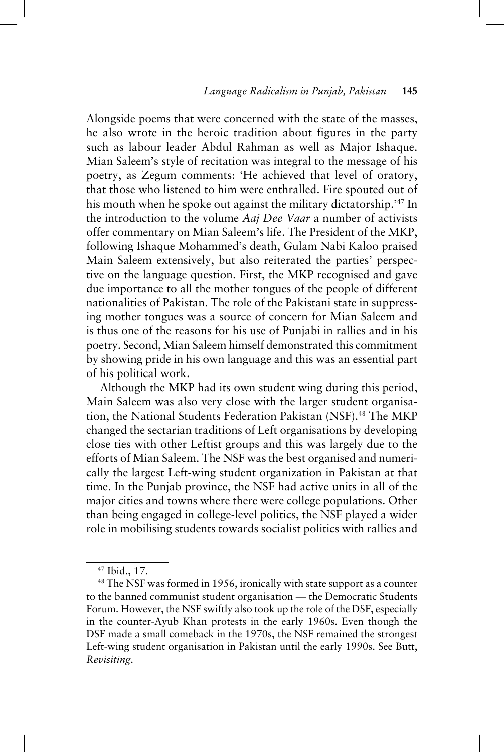Alongside poems that were concerned with the state of the masses, he also wrote in the heroic tradition about figures in the party such as labour leader Abdul Rahman as well as Major Ishaque. Mian Saleem's style of recitation was integral to the message of his poetry, as Zegum comments: 'He achieved that level of oratory, that those who listened to him were enthralled. Fire spouted out of his mouth when he spoke out against the military dictatorship.<sup>247</sup> In the introduction to the volume *Aaj Dee Vaar* a number of activists offer commentary on Mian Saleem's life. The President of the MKP, following Ishaque Mohammed's death, Gulam Nabi Kaloo praised Main Saleem extensively, but also reiterated the parties' perspective on the language question. First, the MKP recognised and gave due importance to all the mother tongues of the people of different nationalities of Pakistan. The role of the Pakistani state in suppressing mother tongues was a source of concern for Mian Saleem and is thus one of the reasons for his use of Punjabi in rallies and in his poetry. Second, Mian Saleem himself demonstrated this commitment by showing pride in his own language and this was an essential part of his political work.

Although the MKP had its own student wing during this period, Main Saleem was also very close with the larger student organisation, the National Students Federation Pakistan (NSF).<sup>48</sup> The MKP changed the sectarian traditions of Left organisations by developing close ties with other Leftist groups and this was largely due to the efforts of Mian Saleem. The NSF was the best organised and numerically the largest Left-wing student organization in Pakistan at that time. In the Punjab province, the NSF had active units in all of the major cities and towns where there were college populations. Other than being engaged in college-level politics, the NSF played a wider role in mobilising students towards socialist politics with rallies and

<sup>47</sup> Ibid., 17.

<sup>48</sup> The NSF was formed in 1956, ironically with state support as a counter to the banned communist student organisation — the Democratic Students Forum. However, the NSF swiftly also took up the role of the DSF, especially in the counter-Ayub Khan protests in the early 1960s. Even though the DSF made a small comeback in the 1970s, the NSF remained the strongest Left-wing student organisation in Pakistan until the early 1990s. See Butt, *Revisiting*.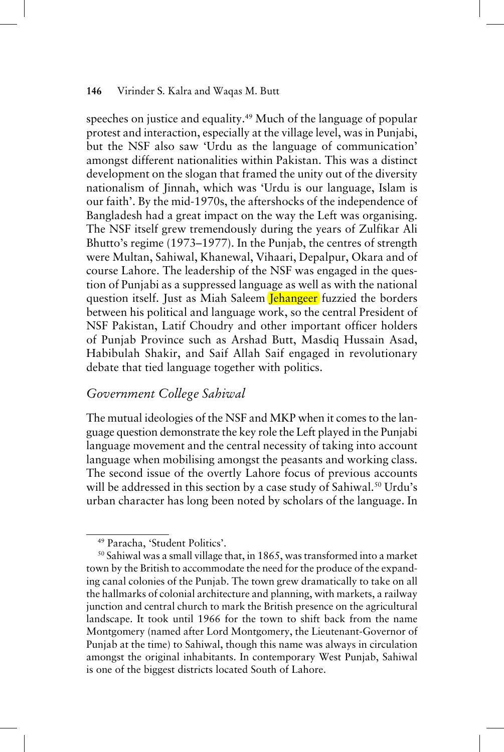speeches on justice and equality.49 Much of the language of popular protest and interaction, especially at the village level, was in Punjabi, but the NSF also saw 'Urdu as the language of communication' amongst different nationalities within Pakistan. This was a distinct development on the slogan that framed the unity out of the diversity nationalism of Jinnah, which was 'Urdu is our language, Islam is our faith'. By the mid-1970s, the aftershocks of the independence of Bangladesh had a great impact on the way the Left was organising. The NSF itself grew tremendously during the years of Zulfikar Ali Bhutto's regime (1973–1977). In the Punjab, the centres of strength were Multan, Sahiwal, Khanewal, Vihaari, Depalpur, Okara and of course Lahore. The leadership of the NSF was engaged in the question of Punjabi as a suppressed language as well as with the national question itself. Just as Miah Saleem Jehangeer fuzzied the borders between his political and language work, so the central President of NSF Pakistan, Latif Choudry and other important officer holders of Punjab Province such as Arshad Butt, Masdiq Hussain Asad, Habibulah Shakir, and Saif Allah Saif engaged in revolutionary debate that tied language together with politics.

### *Government College Sahiwal*

The mutual ideologies of the NSF and MKP when it comes to the language question demonstrate the key role the Left played in the Punjabi language movement and the central necessity of taking into account language when mobilising amongst the peasants and working class. The second issue of the overtly Lahore focus of previous accounts will be addressed in this section by a case study of Sahiwal.<sup>50</sup> Urdu's urban character has long been noted by scholars of the language. In

<sup>49</sup> Paracha, 'Student Politics'.

<sup>50</sup> Sahiwal was a small village that, in 1865, was transformed into a market town by the British to accommodate the need for the produce of the expanding canal colonies of the Punjab. The town grew dramatically to take on all the hallmarks of colonial architecture and planning, with markets, a railway junction and central church to mark the British presence on the agricultural landscape. It took until 1966 for the town to shift back from the name Montgomery (named after Lord Montgomery, the Lieutenant-Governor of Punjab at the time) to Sahiwal, though this name was always in circulation amongst the original inhabitants. In contemporary West Punjab, Sahiwal is one of the biggest districts located South of Lahore.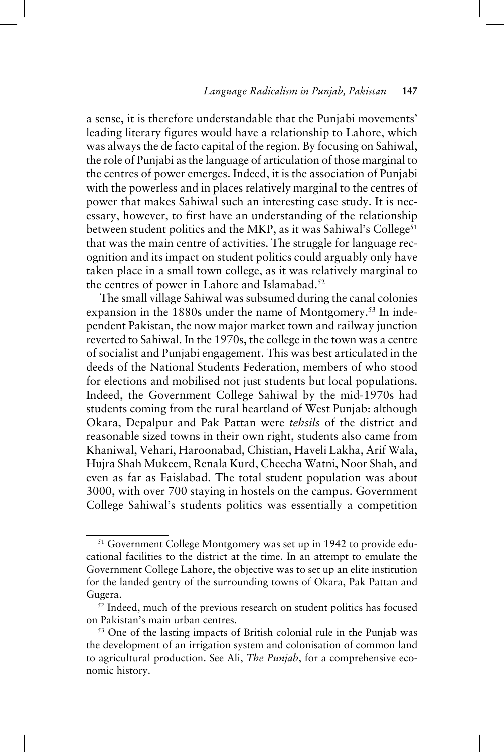a sense, it is therefore understandable that the Punjabi movements' leading literary figures would have a relationship to Lahore, which was always the de facto capital of the region. By focusing on Sahiwal, the role of Punjabi as the language of articulation of those marginal to the centres of power emerges. Indeed, it is the association of Punjabi with the powerless and in places relatively marginal to the centres of power that makes Sahiwal such an interesting case study. It is necessary, however, to first have an understanding of the relationship between student politics and the MKP, as it was Sahiwal's College<sup>51</sup> that was the main centre of activities. The struggle for language recognition and its impact on student politics could arguably only have taken place in a small town college, as it was relatively marginal to the centres of power in Lahore and Islamabad.<sup>52</sup>

The small village Sahiwal was subsumed during the canal colonies expansion in the 1880s under the name of Montgomery.53 In independent Pakistan, the now major market town and railway junction reverted to Sahiwal. In the 1970s, the college in the town was a centre of socialist and Punjabi engagement. This was best articulated in the deeds of the National Students Federation, members of who stood for elections and mobilised not just students but local populations. Indeed, the Government College Sahiwal by the mid-1970s had students coming from the rural heartland of West Punjab: although Okara, Depalpur and Pak Pattan were *tehsils* of the district and reasonable sized towns in their own right, students also came from Khaniwal, Vehari, Haroonabad, Chistian, Haveli Lakha, Arif Wala, Hujra Shah Mukeem, Renala Kurd, Cheecha Watni, Noor Shah, and even as far as Faislabad. The total student population was about 3000, with over 700 staying in hostels on the campus. Government College Sahiwal's students politics was essentially a competition

<sup>&</sup>lt;sup>51</sup> Government College Montgomery was set up in 1942 to provide educational facilities to the district at the time. In an attempt to emulate the Government College Lahore, the objective was to set up an elite institution for the landed gentry of the surrounding towns of Okara, Pak Pattan and Gugera.

<sup>&</sup>lt;sup>52</sup> Indeed, much of the previous research on student politics has focused on Pakistan's main urban centres.

<sup>&</sup>lt;sup>53</sup> One of the lasting impacts of British colonial rule in the Punjab was the development of an irrigation system and colonisation of common land to agricultural production. See Ali, *The Punjab*, for a comprehensive economic history.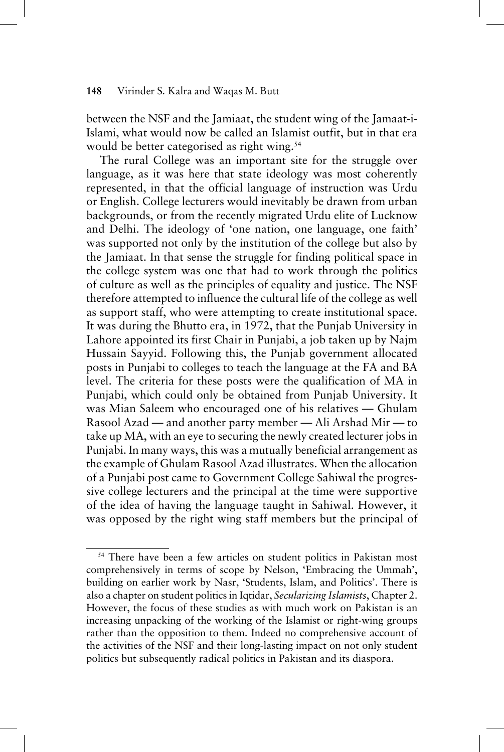between the NSF and the Jamiaat, the student wing of the Jamaat-i-Islami, what would now be called an Islamist outfit, but in that era would be better categorised as right wing.<sup>54</sup>

The rural College was an important site for the struggle over language, as it was here that state ideology was most coherently represented, in that the official language of instruction was Urdu or English. College lecturers would inevitably be drawn from urban backgrounds, or from the recently migrated Urdu elite of Lucknow and Delhi. The ideology of 'one nation, one language, one faith' was supported not only by the institution of the college but also by the Jamiaat. In that sense the struggle for finding political space in the college system was one that had to work through the politics of culture as well as the principles of equality and justice. The NSF therefore attempted to influence the cultural life of the college as well as support staff, who were attempting to create institutional space. It was during the Bhutto era, in 1972, that the Punjab University in Lahore appointed its first Chair in Punjabi, a job taken up by Najm Hussain Sayyid. Following this, the Punjab government allocated posts in Punjabi to colleges to teach the language at the FA and BA level. The criteria for these posts were the qualification of MA in Punjabi, which could only be obtained from Punjab University. It was Mian Saleem who encouraged one of his relatives — Ghulam Rasool Azad — and another party member — Ali Arshad Mir — to take up MA, with an eye to securing the newly created lecturer jobs in Punjabi. In many ways, this was a mutually beneficial arrangement as the example of Ghulam Rasool Azad illustrates. When the allocation of a Punjabi post came to Government College Sahiwal the progressive college lecturers and the principal at the time were supportive of the idea of having the language taught in Sahiwal. However, it was opposed by the right wing staff members but the principal of

<sup>&</sup>lt;sup>54</sup> There have been a few articles on student politics in Pakistan most comprehensively in terms of scope by Nelson, 'Embracing the Ummah', building on earlier work by Nasr, 'Students, Islam, and Politics'. There is also a chapter on student politics in Iqtidar, *Secularizing Islamists*, Chapter 2. However, the focus of these studies as with much work on Pakistan is an increasing unpacking of the working of the Islamist or right-wing groups rather than the opposition to them. Indeed no comprehensive account of the activities of the NSF and their long-lasting impact on not only student politics but subsequently radical politics in Pakistan and its diaspora.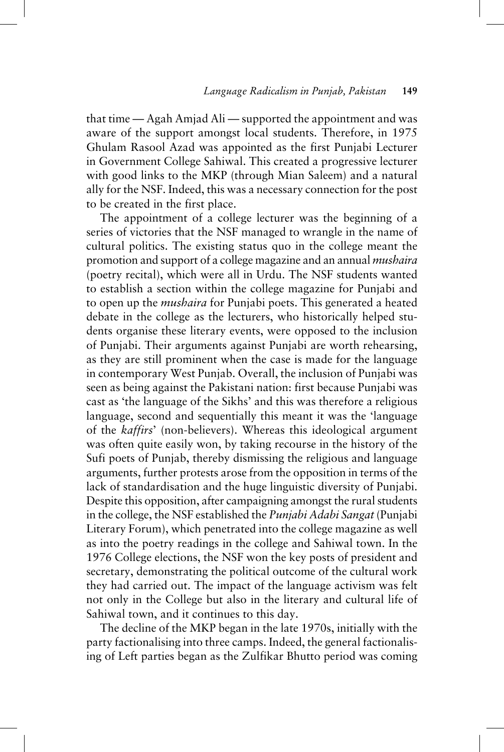that time — Agah Amjad Ali — supported the appointment and was aware of the support amongst local students. Therefore, in 1975 Ghulam Rasool Azad was appointed as the first Punjabi Lecturer in Government College Sahiwal. This created a progressive lecturer with good links to the MKP (through Mian Saleem) and a natural ally for the NSF. Indeed, this was a necessary connection for the post to be created in the first place.

The appointment of a college lecturer was the beginning of a series of victories that the NSF managed to wrangle in the name of cultural politics. The existing status quo in the college meant the promotion and support of a college magazine and an annual *mushaira*  (poetry recital), which were all in Urdu. The NSF students wanted to establish a section within the college magazine for Punjabi and to open up the *mushaira* for Punjabi poets. This generated a heated debate in the college as the lecturers, who historically helped students organise these literary events, were opposed to the inclusion of Punjabi. Their arguments against Punjabi are worth rehearsing, as they are still prominent when the case is made for the language in contemporary West Punjab. Overall, the inclusion of Punjabi was seen as being against the Pakistani nation: first because Punjabi was cast as 'the language of the Sikhs' and this was therefore a religious language, second and sequentially this meant it was the 'language of the *kaffirs*' (non-believers). Whereas this ideological argument was often quite easily won, by taking recourse in the history of the Sufi poets of Punjab, thereby dismissing the religious and language arguments, further protests arose from the opposition in terms of the lack of standardisation and the huge linguistic diversity of Punjabi. Despite this opposition, after campaigning amongst the rural students in the college, the NSF established the *Punjabi Adabi Sangat* (Punjabi Literary Forum), which penetrated into the college magazine as well as into the poetry readings in the college and Sahiwal town. In the 1976 College elections, the NSF won the key posts of president and secretary, demonstrating the political outcome of the cultural work they had carried out. The impact of the language activism was felt not only in the College but also in the literary and cultural life of Sahiwal town, and it continues to this day.

The decline of the MKP began in the late 1970s, initially with the party factionalising into three camps. Indeed, the general factionalising of Left parties began as the Zulfikar Bhutto period was coming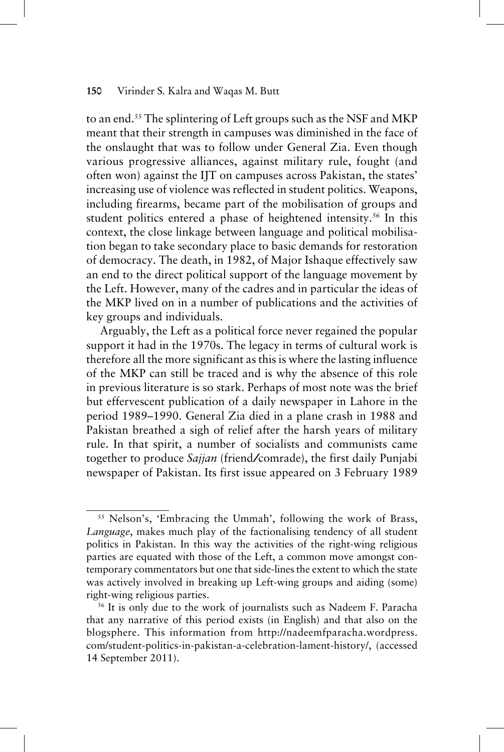to an end.55 The splintering of Left groups such as the NSF and MKP meant that their strength in campuses was diminished in the face of the onslaught that was to follow under General Zia. Even though various progressive alliances, against military rule, fought (and often won) against the IJT on campuses across Pakistan, the states' increasing use of violence was reflected in student politics. Weapons, including firearms, became part of the mobilisation of groups and student politics entered a phase of heightened intensity.<sup>56</sup> In this context, the close linkage between language and political mobilisation began to take secondary place to basic demands for restoration of democracy. The death, in 1982, of Major Ishaque effectively saw an end to the direct political support of the language movement by the Left. However, many of the cadres and in particular the ideas of the MKP lived on in a number of publications and the activities of key groups and individuals.

Arguably, the Left as a political force never regained the popular support it had in the 1970s. The legacy in terms of cultural work is therefore all the more significant as this is where the lasting influence of the MKP can still be traced and is why the absence of this role in previous literature is so stark. Perhaps of most note was the brief but effervescent publication of a daily newspaper in Lahore in the period 1989–1990. General Zia died in a plane crash in 1988 and Pakistan breathed a sigh of relief after the harsh years of military rule. In that spirit, a number of socialists and communists came together to produce *Sajjan* (friend*/*comrade), the first daily Punjabi newspaper of Pakistan. Its first issue appeared on 3 February 1989

<sup>55</sup> Nelson's, 'Embracing the Ummah', following the work of Brass, *Language*, makes much play of the factionalising tendency of all student politics in Pakistan. In this way the activities of the right-wing religious parties are equated with those of the Left, a common move amongst contemporary commentators but one that side-lines the extent to which the state was actively involved in breaking up Left-wing groups and aiding (some) right-wing religious parties.

<sup>56</sup> It is only due to the work of journalists such as Nadeem F. Paracha that any narrative of this period exists (in English) and that also on the blogsphere. This information from http://nadeemfparacha.wordpress. com/student-politics-in-pakistan-a-celebration-lament-history/, (accessed 14 September 2011).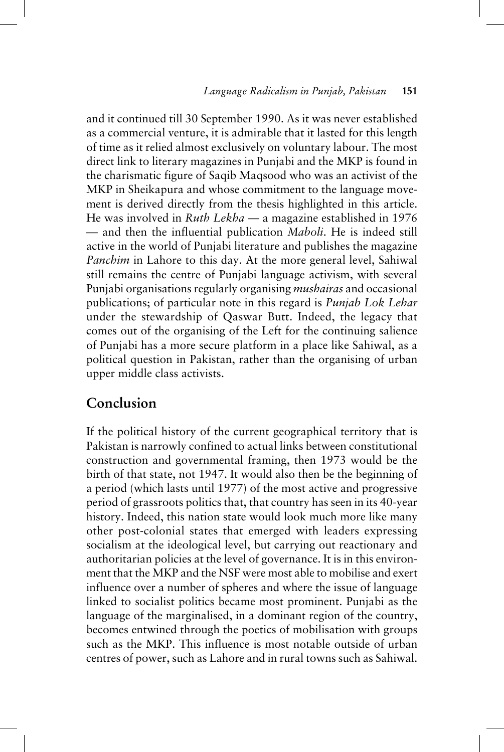and it continued till 30 September 1990. As it was never established as a commercial venture, it is admirable that it lasted for this length of time as it relied almost exclusively on voluntary labour. The most direct link to literary magazines in Punjabi and the MKP is found in the charismatic figure of Saqib Maqsood who was an activist of the MKP in Sheikapura and whose commitment to the language movement is derived directly from the thesis highlighted in this article. He was involved in *Ruth Lekha* — a magazine established in 1976 — and then the influential publication *Maboli*. He is indeed still active in the world of Punjabi literature and publishes the magazine *Panchim* in Lahore to this day. At the more general level, Sahiwal still remains the centre of Punjabi language activism, with several Punjabi organisations regularly organising *mushairas* and occasional publications; of particular note in this regard is *Punjab Lok Lehar*  under the stewardship of Qaswar Butt. Indeed, the legacy that comes out of the organising of the Left for the continuing salience of Punjabi has a more secure platform in a place like Sahiwal, as a political question in Pakistan, rather than the organising of urban upper middle class activists.

## **Conclusion**

If the political history of the current geographical territory that is Pakistan is narrowly confined to actual links between constitutional construction and governmental framing, then 1973 would be the birth of that state, not 1947. It would also then be the beginning of a period (which lasts until 1977) of the most active and progressive period of grassroots politics that, that country has seen in its 40-year history. Indeed, this nation state would look much more like many other post-colonial states that emerged with leaders expressing socialism at the ideological level, but carrying out reactionary and authoritarian policies at the level of governance. It is in this environment that the MKP and the NSF were most able to mobilise and exert influence over a number of spheres and where the issue of language linked to socialist politics became most prominent. Punjabi as the language of the marginalised, in a dominant region of the country, becomes entwined through the poetics of mobilisation with groups such as the MKP. This influence is most notable outside of urban centres of power, such as Lahore and in rural towns such as Sahiwal.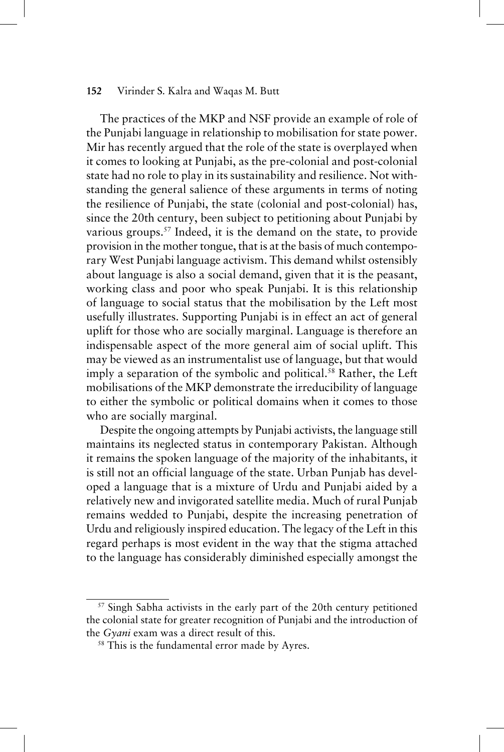The practices of the MKP and NSF provide an example of role of the Punjabi language in relationship to mobilisation for state power. Mir has recently argued that the role of the state is overplayed when it comes to looking at Punjabi, as the pre-colonial and post-colonial state had no role to play in its sustainability and resilience. Not withstanding the general salience of these arguments in terms of noting the resilience of Punjabi, the state (colonial and post-colonial) has, since the 20th century, been subject to petitioning about Punjabi by various groups.57 Indeed, it is the demand on the state, to provide provision in the mother tongue, that is at the basis of much contemporary West Punjabi language activism. This demand whilst ostensibly about language is also a social demand, given that it is the peasant, working class and poor who speak Punjabi. It is this relationship of language to social status that the mobilisation by the Left most usefully illustrates. Supporting Punjabi is in effect an act of general uplift for those who are socially marginal. Language is therefore an indispensable aspect of the more general aim of social uplift. This may be viewed as an instrumentalist use of language, but that would imply a separation of the symbolic and political.<sup>58</sup> Rather, the Left mobilisations of the MKP demonstrate the irreducibility of language to either the symbolic or political domains when it comes to those who are socially marginal.

Despite the ongoing attempts by Punjabi activists, the language still maintains its neglected status in contemporary Pakistan. Although it remains the spoken language of the majority of the inhabitants, it is still not an official language of the state. Urban Punjab has developed a language that is a mixture of Urdu and Punjabi aided by a relatively new and invigorated satellite media. Much of rural Punjab remains wedded to Punjabi, despite the increasing penetration of Urdu and religiously inspired education. The legacy of the Left in this regard perhaps is most evident in the way that the stigma attached to the language has considerably diminished especially amongst the

<sup>&</sup>lt;sup>57</sup> Singh Sabha activists in the early part of the 20th century petitioned the colonial state for greater recognition of Punjabi and the introduction of the *Gyani* exam was a direct result of this.

<sup>58</sup> This is the fundamental error made by Ayres.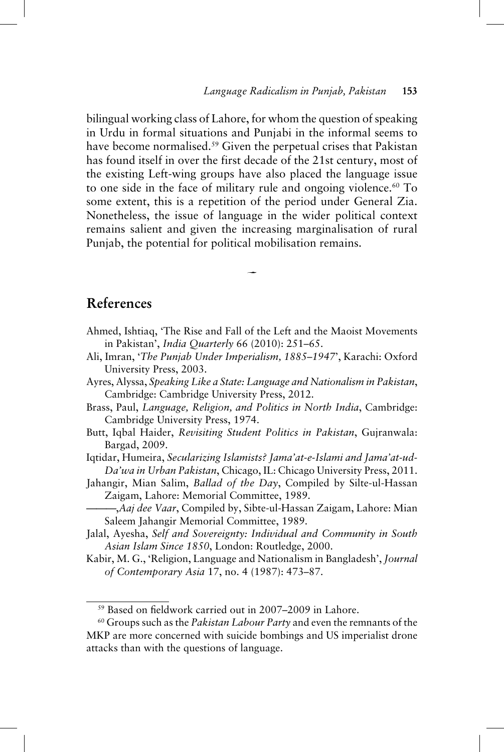bilingual working class of Lahore, for whom the question of speaking in Urdu in formal situations and Punjabi in the informal seems to have become normalised.<sup>59</sup> Given the perpetual crises that Pakistan has found itself in over the first decade of the 21st century, most of the existing Left-wing groups have also placed the language issue to one side in the face of military rule and ongoing violence. $60$  To some extent, this is a repetition of the period under General Zia. Nonetheless, the issue of language in the wider political context remains salient and given the increasing marginalisation of rural Punjab, the potential for political mobilisation remains.

## **References**

Ahmed, Ishtiaq, 'The Rise and Fall of the Left and the Maoist Movements in Pakistan', *India Quarterly* 66 (2010): 251–65.

-

- Ali, Imran, '*The Punjab Under Imperialism, 1885–1947*', Karachi: Oxford University Press, 2003.
- Ayres, Alyssa, *Speaking Like a State: Language and Nationalism in Pakistan*, Cambridge: Cambridge University Press, 2012.
- Brass, Paul, *Language, Religion, and Politics in North India*, Cambridge: Cambridge University Press, 1974.
- Butt, Iqbal Haider, *Revisiting Student Politics in Pakistan*, Gujranwala: Bargad, 2009.
- Iqtidar, Humeira, *Secularizing Islamists? Jama'at-e-Islami and Jama'at-ud-Da'wa in Urban Pakistan*, Chicago, IL: Chicago University Press, 2011.
- Jahangir, Mian Salim, *Ballad of the Day*, Compiled by Silte-ul-Hassan Zaigam, Lahore: Memorial Committee, 1989.
	- ———,*Aaj dee Vaar*, Compiled by, Sibte-ul-Hassan Zaigam, Lahore: Mian Saleem Jahangir Memorial Committee, 1989.
- Jalal, Ayesha, *Self and Sovereignty: Individual and Community in South Asian Islam Since 1850*, London: Routledge, 2000.
- Kabir, M. G., 'Religion, Language and Nationalism in Bangladesh', *Journal of Contemporary Asia* 17, no. 4 (1987): 473–87.

<sup>&</sup>lt;sup>59</sup> Based on fieldwork carried out in 2007–2009 in Lahore.

<sup>60</sup> Groups such as the *Pakistan Labour Party* and even the remnants of the MKP are more concerned with suicide bombings and US imperialist drone attacks than with the questions of language.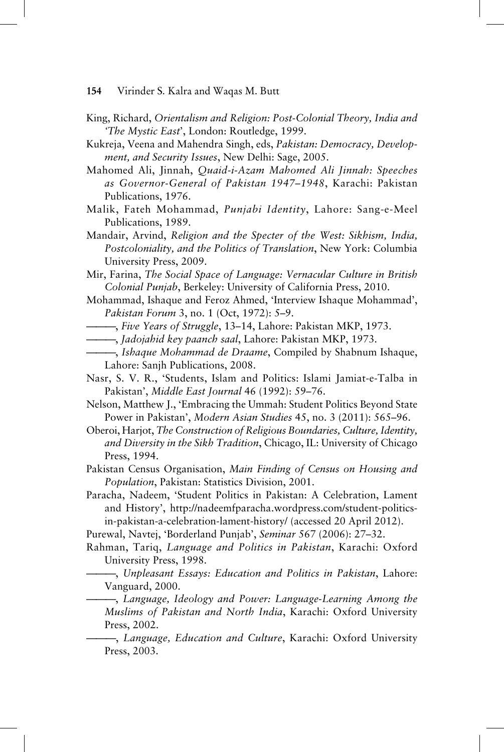- King, Richard, *Orientalism and Religion: Post-Colonial Theory, India and 'The Mystic East*', London: Routledge, 1999.
- Kukreja, Veena and Mahendra Singh, eds, *Pakistan: Democracy, Development, and Security Issues*, New Delhi: Sage, 2005.
- Mahomed Ali, Jinnah, *Quaid-i-Azam Mahomed Ali Jinnah: Speeches as Governor-General of Pakistan 1947–1948*, Karachi: Pakistan Publications, 1976.
- Malik, Fateh Mohammad, *Punjabi Identity*, Lahore: Sang-e-Meel Publications, 1989.
- Mandair, Arvind, *Religion and the Specter of the West: Sikhism, India, Postcoloniality, and the Politics of Translation*, New York: Columbia University Press, 2009.
- Mir, Farina, *The Social Space of Language: Vernacular Culture in British Colonial Punjab*, Berkeley: University of California Press, 2010.
- Mohammad, Ishaque and Feroz Ahmed, 'Interview Ishaque Mohammad', *Pakistan Forum* 3, no. 1 (Oct, 1972): 5–9.
- ———, *Five Years of Struggle*, 13–14, Lahore: Pakistan MKP, 1973.
- ———, *Jadojahid key paanch saal*, Lahore: Pakistan MKP, 1973.
- ———, *Ishaque Mohammad de Draame*, Compiled by Shabnum Ishaque, Lahore: Sanjh Publications, 2008.
- Nasr, S. V. R., 'Students, Islam and Politics: Islami Jamiat-e-Talba in Pakistan', *Middle East Journal* 46 (1992): 59–76.
- Nelson, Matthew J., 'Embracing the Ummah: Student Politics Beyond State Power in Pakistan', *Modern Asian Studies* 45, no. 3 (2011): 565–96.
- Oberoi, Harjot, *The Construction of Religious Boundaries, Culture, Identity, and Diversity in the Sikh Tradition*, Chicago, IL: University of Chicago Press, 1994.
- Pakistan Census Organisation, *Main Finding of Census on Housing and Population*, Pakistan: Statistics Division, 2001.
- Paracha, Nadeem, 'Student Politics in Pakistan: A Celebration, Lament and History', http://nadeemfparacha.wordpress.com/student-politicsin-pakistan-a-celebration-lament-history/ (accessed 20 April 2012).
- Purewal, Navtej, 'Borderland Punjab', *Seminar* 567 (2006): 27–32.
- Rahman, Tariq, *Language and Politics in Pakistan*, Karachi: Oxford University Press, 1998.
	- ———, *Unpleasant Essays: Education and Politics in Pakistan*, Lahore: Vanguard, 2000.

———, *Language, Ideology and Power: Language-Learning Among the Muslims of Pakistan and North India*, Karachi: Oxford University Press, 2002.

———, *Language, Education and Culture*, Karachi: Oxford University Press, 2003.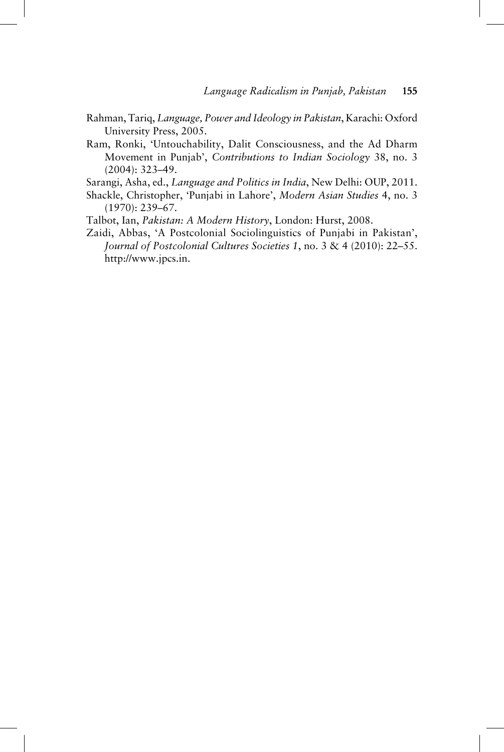- Rahman, Tariq, *Language, Power and Ideology in Pakistan*, Karachi: Oxford University Press, 2005.
- Ram, Ronki, 'Untouchability, Dalit Consciousness, and the Ad Dharm Movement in Punjab', *Contributions to Indian Sociology* 38, no. 3 (2004): 323–49.

Sarangi, Asha, ed., *Language and Politics in India*, New Delhi: OUP, 2011.

Shackle, Christopher, 'Punjabi in Lahore', *Modern Asian Studies* 4, no. 3 (1970): 239–67.

Talbot, Ian, *Pakistan: A Modern History*, London: Hurst, 2008.

Zaidi, Abbas, 'A Postcolonial Sociolinguistics of Punjabi in Pakistan', *Journal of Postcolonial Cultures Societies 1*, no. 3 & 4 (2010): 22–55. http://www.jpcs.in.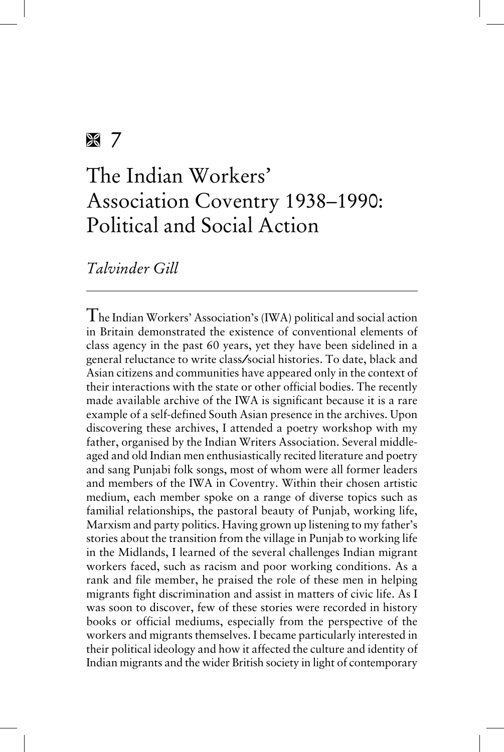## **28 7**

# The Indian Workers' Association Coventry 1938–1990: Political and Social Action

## *Talvinder Gill*

their political ideology and how it affected the culture and identity of The Indian Workers' Association's (IWA) political and social action in Britain demonstrated the existence of conventional elements of class agency in the past 60 years, yet they have been sidelined in a general reluctance to write class*/*social histories. To date, black and Asian citizens and communities have appeared only in the context of their interactions with the state or other official bodies. The recently made available archive of the IWA is significant because it is a rare example of a self-defined South Asian presence in the archives. Upon discovering these archives, I attended a poetry workshop with my father, organised by the Indian Writers Association. Several middleaged and old Indian men enthusiastically recited literature and poetry and sang Punjabi folk songs, most of whom were all former leaders and members of the IWA in Coventry. Within their chosen artistic medium, each member spoke on a range of diverse topics such as familial relationships, the pastoral beauty of Punjab, working life, Marxism and party politics. Having grown up listening to my father's stories about the transition from the village in Punjab to working life in the Midlands, I learned of the several challenges Indian migrant workers faced, such as racism and poor working conditions. As a rank and file member, he praised the role of these men in helping migrants fight discrimination and assist in matters of civic life. As I was soon to discover, few of these stories were recorded in history books or official mediums, especially from the perspective of the workers and migrants themselves. I became particularly interested in Indian migrants and the wider British society in light of contemporary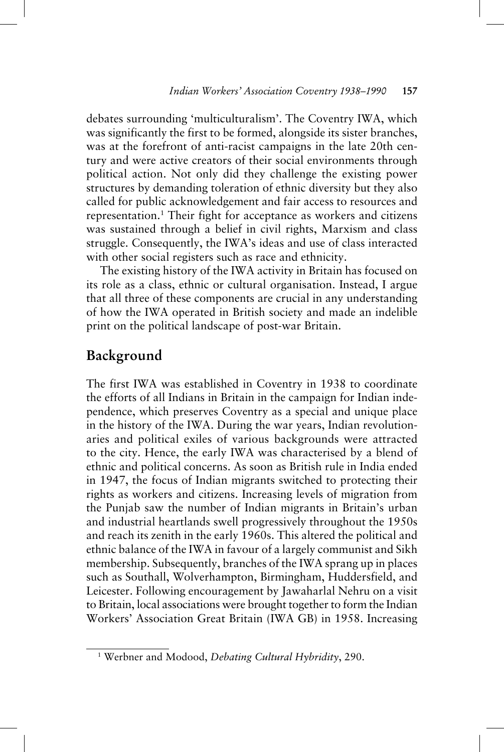debates surrounding 'multiculturalism'. The Coventry IWA, which was significantly the first to be formed, alongside its sister branches, was at the forefront of anti-racist campaigns in the late 20th century and were active creators of their social environments through political action. Not only did they challenge the existing power structures by demanding toleration of ethnic diversity but they also called for public acknowledgement and fair access to resources and representation.<sup>1</sup> Their fight for acceptance as workers and citizens was sustained through a belief in civil rights, Marxism and class struggle. Consequently, the IWA's ideas and use of class interacted with other social registers such as race and ethnicity.

The existing history of the IWA activity in Britain has focused on its role as a class, ethnic or cultural organisation. Instead, I argue that all three of these components are crucial in any understanding of how the IWA operated in British society and made an indelible print on the political landscape of post-war Britain.

## **Background**

The first IWA was established in Coventry in 1938 to coordinate the efforts of all Indians in Britain in the campaign for Indian independence, which preserves Coventry as a special and unique place in the history of the IWA. During the war years, Indian revolutionaries and political exiles of various backgrounds were attracted to the city. Hence, the early IWA was characterised by a blend of ethnic and political concerns. As soon as British rule in India ended in 1947, the focus of Indian migrants switched to protecting their rights as workers and citizens. Increasing levels of migration from the Punjab saw the number of Indian migrants in Britain's urban and industrial heartlands swell progressively throughout the 1950s and reach its zenith in the early 1960s. This altered the political and ethnic balance of the IWA in favour of a largely communist and Sikh membership. Subsequently, branches of the IWA sprang up in places such as Southall, Wolverhampton, Birmingham, Huddersfield, and Leicester. Following encouragement by Jawaharlal Nehru on a visit to Britain, local associations were brought together to form the Indian Workers' Association Great Britain (IWA GB) in 1958. Increasing

<sup>1</sup> Werbner and Modood, *Debating Cultural Hybridity*, 290.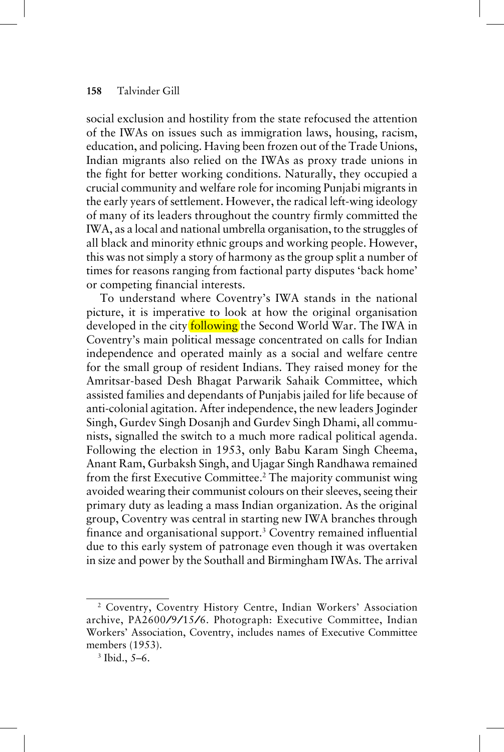### **158** Talvinder Gill

social exclusion and hostility from the state refocused the attention of the IWAs on issues such as immigration laws, housing, racism, education, and policing. Having been frozen out of the Trade Unions, Indian migrants also relied on the IWAs as proxy trade unions in the fight for better working conditions. Naturally, they occupied a crucial community and welfare role for incoming Punjabi migrants in the early years of settlement. However, the radical left-wing ideology of many of its leaders throughout the country firmly committed the IWA, as a local and national umbrella organisation, to the struggles of all black and minority ethnic groups and working people. However, this was not simply a story of harmony as the group split a number of times for reasons ranging from factional party disputes 'back home' or competing financial interests.

To understand where Coventry's IWA stands in the national picture, it is imperative to look at how the original organisation developed in the city **following** the Second World War. The IWA in Coventry's main political message concentrated on calls for Indian independence and operated mainly as a social and welfare centre for the small group of resident Indians. They raised money for the Amritsar-based Desh Bhagat Parwarik Sahaik Committee, which assisted families and dependants of Punjabis jailed for life because of anti-colonial agitation. After independence, the new leaders Joginder Singh, Gurdev Singh Dosanjh and Gurdev Singh Dhami, all communists, signalled the switch to a much more radical political agenda. Following the election in 1953, only Babu Karam Singh Cheema, Anant Ram, Gurbaksh Singh, and Ujagar Singh Randhawa remained from the first Executive Committee.<sup>2</sup> The majority communist wing avoided wearing their communist colours on their sleeves, seeing their primary duty as leading a mass Indian organization. As the original group, Coventry was central in starting new IWA branches through finance and organisational support.3 Coventry remained influential due to this early system of patronage even though it was overtaken in size and power by the Southall and Birmingham IWAs. The arrival

<sup>2</sup> Coventry, Coventry History Centre, Indian Workers' Association archive, PA2600*/*9*/*15*/*6. Photograph: Executive Committee, Indian Workers' Association, Coventry, includes names of Executive Committee members (1953).

<sup>3</sup> Ibid., 5–6.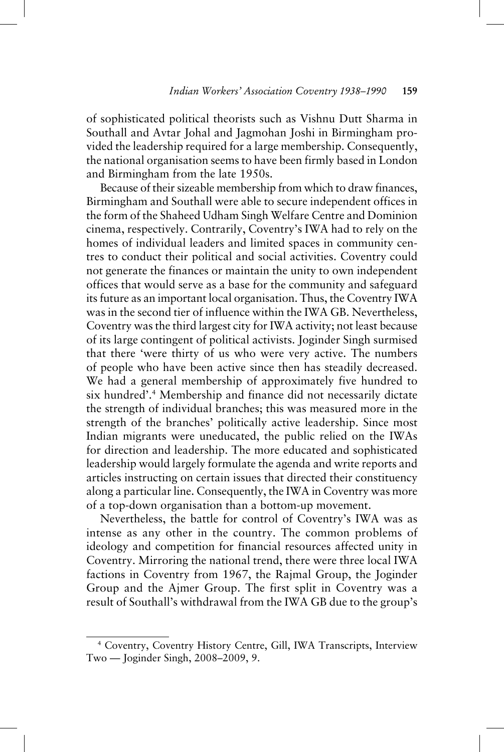of sophisticated political theorists such as Vishnu Dutt Sharma in Southall and Avtar Johal and Jagmohan Joshi in Birmingham provided the leadership required for a large membership. Consequently, the national organisation seems to have been firmly based in London and Birmingham from the late 1950s.

Because of their sizeable membership from which to draw finances, Birmingham and Southall were able to secure independent offices in the form of the Shaheed Udham Singh Welfare Centre and Dominion cinema, respectively. Contrarily, Coventry's IWA had to rely on the homes of individual leaders and limited spaces in community centres to conduct their political and social activities. Coventry could not generate the finances or maintain the unity to own independent offices that would serve as a base for the community and safeguard its future as an important local organisation. Thus, the Coventry IWA was in the second tier of influence within the IWA GB. Nevertheless, Coventry was the third largest city for IWA activity; not least because of its large contingent of political activists. Joginder Singh surmised that there 'were thirty of us who were very active. The numbers of people who have been active since then has steadily decreased. We had a general membership of approximately five hundred to six hundred'.4 Membership and finance did not necessarily dictate the strength of individual branches; this was measured more in the strength of the branches' politically active leadership. Since most Indian migrants were uneducated, the public relied on the IWAs for direction and leadership. The more educated and sophisticated leadership would largely formulate the agenda and write reports and articles instructing on certain issues that directed their constituency along a particular line. Consequently, the IWA in Coventry was more of a top-down organisation than a bottom-up movement.

Nevertheless, the battle for control of Coventry's IWA was as intense as any other in the country. The common problems of ideology and competition for financial resources affected unity in Coventry. Mirroring the national trend, there were three local IWA factions in Coventry from 1967, the Rajmal Group, the Joginder Group and the Ajmer Group. The first split in Coventry was a result of Southall's withdrawal from the IWA GB due to the group's

<sup>4</sup> Coventry, Coventry History Centre, Gill, IWA Transcripts, Interview Two — Joginder Singh, 2008–2009, 9.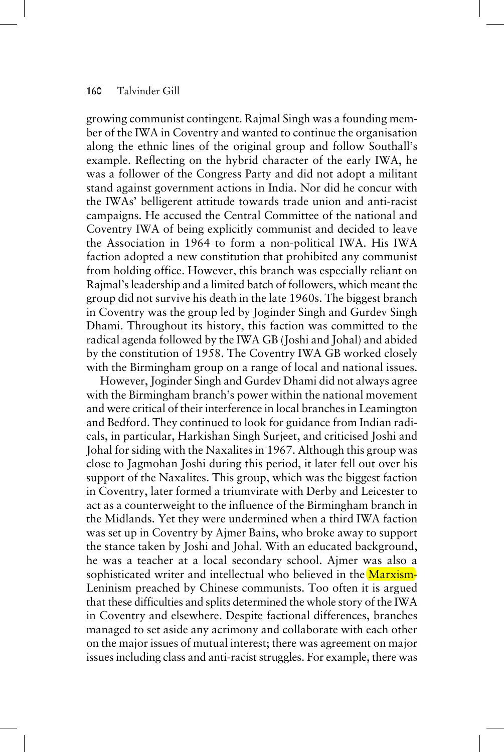### **160** Talvinder Gill

growing communist contingent. Rajmal Singh was a founding member of the IWA in Coventry and wanted to continue the organisation along the ethnic lines of the original group and follow Southall's example. Reflecting on the hybrid character of the early IWA, he was a follower of the Congress Party and did not adopt a militant stand against government actions in India. Nor did he concur with the IWAs' belligerent attitude towards trade union and anti-racist campaigns. He accused the Central Committee of the national and Coventry IWA of being explicitly communist and decided to leave the Association in 1964 to form a non-political IWA. His IWA faction adopted a new constitution that prohibited any communist from holding office. However, this branch was especially reliant on Rajmal's leadership and a limited batch of followers, which meant the group did not survive his death in the late 1960s. The biggest branch in Coventry was the group led by Joginder Singh and Gurdev Singh Dhami. Throughout its history, this faction was committed to the radical agenda followed by the IWA GB (Joshi and Johal) and abided by the constitution of 1958. The Coventry IWA GB worked closely with the Birmingham group on a range of local and national issues.

However, Joginder Singh and Gurdev Dhami did not always agree with the Birmingham branch's power within the national movement and were critical of their interference in local branches in Leamington and Bedford. They continued to look for guidance from Indian radicals, in particular, Harkishan Singh Surjeet, and criticised Joshi and Johal for siding with the Naxalites in 1967. Although this group was close to Jagmohan Joshi during this period, it later fell out over his support of the Naxalites. This group, which was the biggest faction in Coventry, later formed a triumvirate with Derby and Leicester to act as a counterweight to the influence of the Birmingham branch in the Midlands. Yet they were undermined when a third IWA faction was set up in Coventry by Ajmer Bains, who broke away to support the stance taken by Joshi and Johal. With an educated background, he was a teacher at a local secondary school. Ajmer was also a sophisticated writer and intellectual who believed in the Marxism-Leninism preached by Chinese communists. Too often it is argued that these difficulties and splits determined the whole story of the IWA in Coventry and elsewhere. Despite factional differences, branches managed to set aside any acrimony and collaborate with each other on the major issues of mutual interest; there was agreement on major issues including class and anti-racist struggles. For example, there was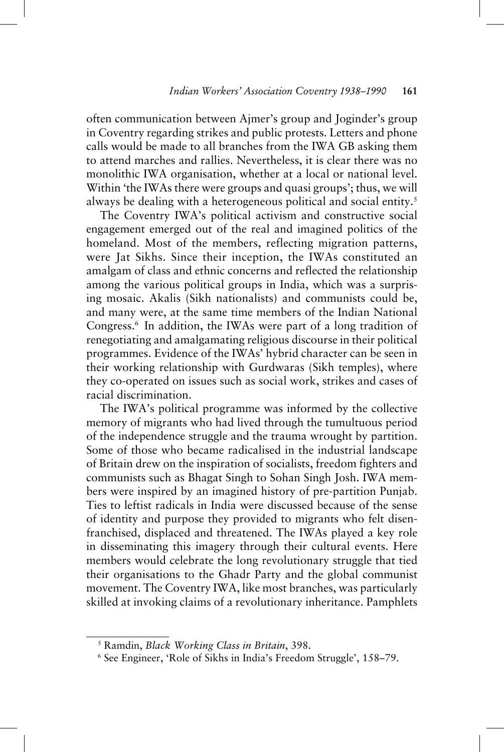often communication between Ajmer's group and Joginder's group in Coventry regarding strikes and public protests. Letters and phone calls would be made to all branches from the IWA GB asking them to attend marches and rallies. Nevertheless, it is clear there was no monolithic IWA organisation, whether at a local or national level. Within 'the IWAs there were groups and quasi groups'; thus, we will always be dealing with a heterogeneous political and social entity.<sup>5</sup>

The Coventry IWA's political activism and constructive social engagement emerged out of the real and imagined politics of the homeland. Most of the members, reflecting migration patterns, were Jat Sikhs. Since their inception, the IWAs constituted an amalgam of class and ethnic concerns and reflected the relationship among the various political groups in India, which was a surprising mosaic. Akalis (Sikh nationalists) and communists could be, and many were, at the same time members of the Indian National Congress.6 In addition, the IWAs were part of a long tradition of renegotiating and amalgamating religious discourse in their political programmes. Evidence of the IWAs' hybrid character can be seen in their working relationship with Gurdwaras (Sikh temples), where they co-operated on issues such as social work, strikes and cases of racial discrimination.

The IWA's political programme was informed by the collective memory of migrants who had lived through the tumultuous period of the independence struggle and the trauma wrought by partition. Some of those who became radicalised in the industrial landscape of Britain drew on the inspiration of socialists, freedom fighters and communists such as Bhagat Singh to Sohan Singh Josh. IWA members were inspired by an imagined history of pre-partition Punjab. Ties to leftist radicals in India were discussed because of the sense of identity and purpose they provided to migrants who felt disenfranchised, displaced and threatened. The IWAs played a key role in disseminating this imagery through their cultural events. Here members would celebrate the long revolutionary struggle that tied their organisations to the Ghadr Party and the global communist movement. The Coventry IWA, like most branches, was particularly skilled at invoking claims of a revolutionary inheritance. Pamphlets

<sup>5</sup> Ramdin, *Black Working Class in Britain*, 398.

<sup>6</sup> See Engineer, 'Role of Sikhs in India's Freedom Struggle', 158–79.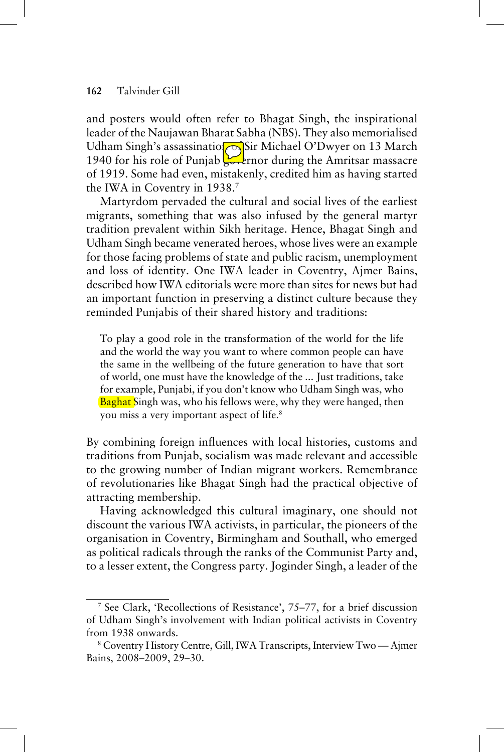### **162** Talvinder Gill

and posters would often refer to Bhagat Singh, the inspirational leader of the Naujawan Bharat Sabha (NBS). They also memorialised Udham Singh's assassination Sir Michael O'Dwyer on 13 March 1940 for his role of Punjab **Bovernor** during the Amritsar massacre of 1919. Some had even, mistakenly, credited him as having started the IWA in Coventry in 1938.7

Martyrdom pervaded the cultural and social lives of the earliest migrants, something that was also infused by the general martyr tradition prevalent within Sikh heritage. Hence, Bhagat Singh and Udham Singh became venerated heroes, whose lives were an example for those facing problems of state and public racism, unemployment and loss of identity. One IWA leader in Coventry, Ajmer Bains, described how IWA editorials were more than sites for news but had an important function in preserving a distinct culture because they reminded Punjabis of their shared history and traditions:

To play a good role in the transformation of the world for the life and the world the way you want to where common people can have the same in the wellbeing of the future generation to have that sort of world, one must have the knowledge of the *...* Just traditions, take for example, Punjabi, if you don't know who Udham Singh was, who **Baghat** Singh was, who his fellows were, why they were hanged, then you miss a very important aspect of life.8

By combining foreign influences with local histories, customs and traditions from Punjab, socialism was made relevant and accessible to the growing number of Indian migrant workers. Remembrance of revolutionaries like Bhagat Singh had the practical objective of attracting membership.

Having acknowledged this cultural imaginary, one should not discount the various IWA activists, in particular, the pioneers of the organisation in Coventry, Birmingham and Southall, who emerged as political radicals through the ranks of the Communist Party and, to a lesser extent, the Congress party. Joginder Singh, a leader of the

<sup>7</sup> See Clark, 'Recollections of Resistance', 75–77, for a brief discussion of Udham Singh's involvement with Indian political activists in Coventry from 1938 onwards.

<sup>8</sup> Coventry History Centre, Gill, IWA Transcripts, Interview Two — Ajmer Bains, 2008–2009, 29–30.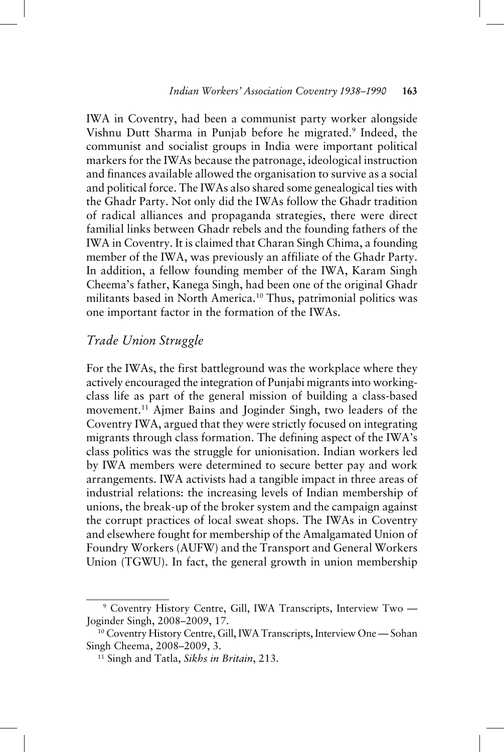IWA in Coventry, had been a communist party worker alongside Vishnu Dutt Sharma in Punjab before he migrated.<sup>9</sup> Indeed, the communist and socialist groups in India were important political markers for the IWAs because the patronage, ideological instruction and finances available allowed the organisation to survive as a social and political force. The IWAs also shared some genealogical ties with the Ghadr Party. Not only did the IWAs follow the Ghadr tradition of radical alliances and propaganda strategies, there were direct familial links between Ghadr rebels and the founding fathers of the IWA in Coventry. It is claimed that Charan Singh Chima, a founding member of the IWA, was previously an affiliate of the Ghadr Party. In addition, a fellow founding member of the IWA, Karam Singh Cheema's father, Kanega Singh, had been one of the original Ghadr militants based in North America.10 Thus, patrimonial politics was one important factor in the formation of the IWAs.

### *Trade Union Struggle*

For the IWAs, the first battleground was the workplace where they actively encouraged the integration of Punjabi migrants into workingclass life as part of the general mission of building a class-based movement.<sup>11</sup> Ajmer Bains and Joginder Singh, two leaders of the Coventry IWA, argued that they were strictly focused on integrating migrants through class formation. The defining aspect of the IWA's class politics was the struggle for unionisation. Indian workers led by IWA members were determined to secure better pay and work arrangements. IWA activists had a tangible impact in three areas of industrial relations: the increasing levels of Indian membership of unions, the break-up of the broker system and the campaign against the corrupt practices of local sweat shops. The IWAs in Coventry and elsewhere fought for membership of the Amalgamated Union of Foundry Workers (AUFW) and the Transport and General Workers Union (TGWU). In fact, the general growth in union membership

<sup>9</sup> Coventry History Centre, Gill, IWA Transcripts, Interview Two — Joginder Singh, 2008–2009, 17.

<sup>&</sup>lt;sup>10</sup> Coventry History Centre, Gill, IWA Transcripts, Interview One — Sohan Singh Cheema, 2008–2009, 3.

<sup>11</sup> Singh and Tatla, *Sikhs in Britain*, 213.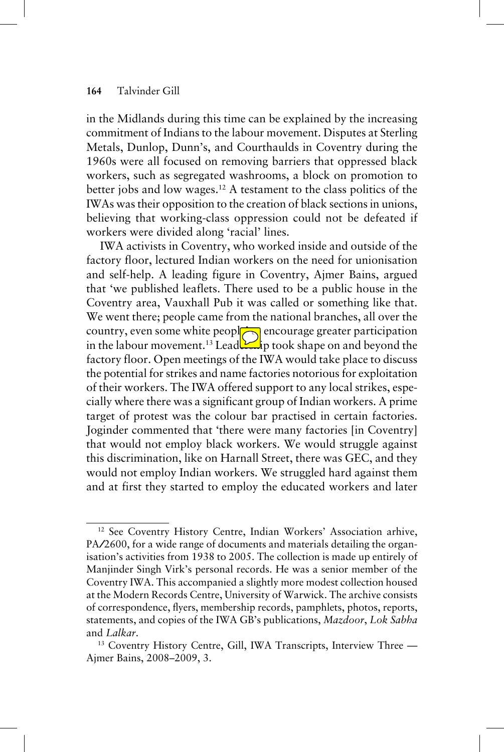### **164** Talvinder Gill

in the Midlands during this time can be explained by the increasing commitment of Indians to the labour movement. Disputes at Sterling Metals, Dunlop, Dunn's, and Courthaulds in Coventry during the 1960s were all focused on removing barriers that oppressed black workers, such as segregated washrooms, a block on promotion to better jobs and low wages.12 A testament to the class politics of the IWAs was their opposition to the creation of black sections in unions, believing that working-class oppression could not be defeated if workers were divided along 'racial' lines.

IWA activists in Coventry, who worked inside and outside of the factory floor, lectured Indian workers on the need for unionisation and self-help. A leading figure in Coventry, Ajmer Bains, argued that 'we published leaflets. There used to be a public house in the Coventry area, Vauxhall Pub it was called or something like that. We went there; people came from the national branches, all over the country, even some white peoples encourage greater participation in the labour movement.<sup>13</sup> Leadership took shape on and beyond the factory floor. Open meetings of the IWA would take place to discuss the potential for strikes and name factories notorious for exploitation of their workers. The IWA offered support to any local strikes, especially where there was a significant group of Indian workers. A prime target of protest was the colour bar practised in certain factories. Joginder commented that 'there were many factories [in Coventry] that would not employ black workers. We would struggle against this discrimination, like on Harnall Street, there was GEC, and they would not employ Indian workers. We struggled hard against them and at first they started to employ the educated workers and later

<sup>&</sup>lt;sup>12</sup> See Coventry History Centre, Indian Workers' Association arhive, PA*/*2600, for a wide range of documents and materials detailing the organisation's activities from 1938 to 2005. The collection is made up entirely of Manjinder Singh Virk's personal records. He was a senior member of the Coventry IWA. This accompanied a slightly more modest collection housed at the Modern Records Centre, University of Warwick. The archive consists of correspondence, flyers, membership records, pamphlets, photos, reports, statements, and copies of the IWA GB's publications, *Mazdoor*, *Lok Sabha*  and *Lalkar*.

<sup>&</sup>lt;sup>13</sup> Coventry History Centre, Gill, IWA Transcripts, Interview Three — Ajmer Bains, 2008–2009, 3.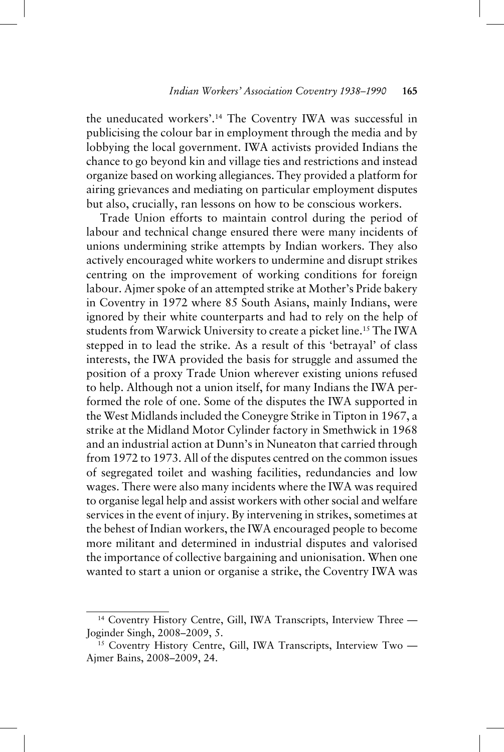the uneducated workers'.14 The Coventry IWA was successful in publicising the colour bar in employment through the media and by lobbying the local government. IWA activists provided Indians the chance to go beyond kin and village ties and restrictions and instead organize based on working allegiances. They provided a platform for airing grievances and mediating on particular employment disputes but also, crucially, ran lessons on how to be conscious workers.

Trade Union efforts to maintain control during the period of labour and technical change ensured there were many incidents of unions undermining strike attempts by Indian workers. They also actively encouraged white workers to undermine and disrupt strikes centring on the improvement of working conditions for foreign labour. Ajmer spoke of an attempted strike at Mother's Pride bakery in Coventry in 1972 where 85 South Asians, mainly Indians, were ignored by their white counterparts and had to rely on the help of students from Warwick University to create a picket line.15 The IWA stepped in to lead the strike. As a result of this 'betrayal' of class interests, the IWA provided the basis for struggle and assumed the position of a proxy Trade Union wherever existing unions refused to help. Although not a union itself, for many Indians the IWA performed the role of one. Some of the disputes the IWA supported in the West Midlands included the Coneygre Strike in Tipton in 1967, a strike at the Midland Motor Cylinder factory in Smethwick in 1968 and an industrial action at Dunn's in Nuneaton that carried through from 1972 to 1973. All of the disputes centred on the common issues of segregated toilet and washing facilities, redundancies and low wages. There were also many incidents where the IWA was required to organise legal help and assist workers with other social and welfare services in the event of injury. By intervening in strikes, sometimes at the behest of Indian workers, the IWA encouraged people to become more militant and determined in industrial disputes and valorised the importance of collective bargaining and unionisation. When one wanted to start a union or organise a strike, the Coventry IWA was

<sup>&</sup>lt;sup>14</sup> Coventry History Centre, Gill, IWA Transcripts, Interview Three — Joginder Singh, 2008–2009, 5.

<sup>&</sup>lt;sup>15</sup> Coventry History Centre, Gill, IWA Transcripts, Interview Two — Ajmer Bains, 2008–2009, 24.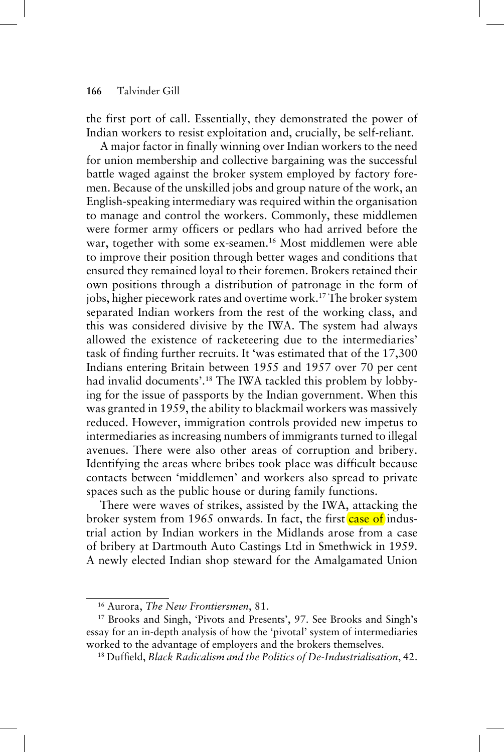### **166** Talvinder Gill

the first port of call. Essentially, they demonstrated the power of Indian workers to resist exploitation and, crucially, be self-reliant.

A major factor in finally winning over Indian workers to the need for union membership and collective bargaining was the successful battle waged against the broker system employed by factory foremen. Because of the unskilled jobs and group nature of the work, an English-speaking intermediary was required within the organisation to manage and control the workers. Commonly, these middlemen were former army officers or pedlars who had arrived before the war, together with some ex-seamen.<sup>16</sup> Most middlemen were able to improve their position through better wages and conditions that ensured they remained loyal to their foremen. Brokers retained their own positions through a distribution of patronage in the form of jobs, higher piecework rates and overtime work.17 The broker system separated Indian workers from the rest of the working class, and this was considered divisive by the IWA. The system had always allowed the existence of racketeering due to the intermediaries' task of finding further recruits. It 'was estimated that of the 17,300 Indians entering Britain between 1955 and 1957 over 70 per cent had invalid documents'.<sup>18</sup> The IWA tackled this problem by lobbying for the issue of passports by the Indian government. When this was granted in 1959, the ability to blackmail workers was massively reduced. However, immigration controls provided new impetus to intermediaries as increasing numbers of immigrants turned to illegal avenues. There were also other areas of corruption and bribery. Identifying the areas where bribes took place was difficult because contacts between 'middlemen' and workers also spread to private spaces such as the public house or during family functions.

There were waves of strikes, assisted by the IWA, attacking the broker system from 1965 onwards. In fact, the first case of industrial action by Indian workers in the Midlands arose from a case of bribery at Dartmouth Auto Castings Ltd in Smethwick in 1959. A newly elected Indian shop steward for the Amalgamated Union

<sup>16</sup> Aurora, *The New Frontiersmen*, 81.

<sup>17</sup> Brooks and Singh, 'Pivots and Presents', 97. See Brooks and Singh's essay for an in-depth analysis of how the 'pivotal' system of intermediaries worked to the advantage of employers and the brokers themselves.

<sup>&</sup>lt;sup>18</sup> Duffield, *Black Radicalism and the Politics of De-Industrialisation*, 42.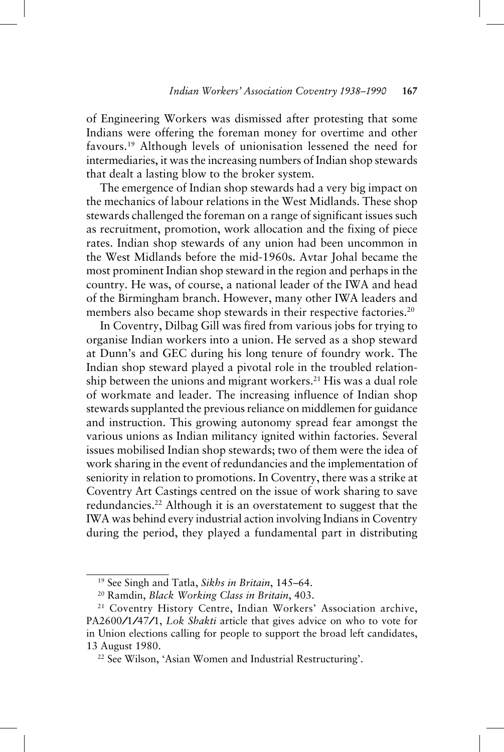of Engineering Workers was dismissed after protesting that some Indians were offering the foreman money for overtime and other favours.19 Although levels of unionisation lessened the need for intermediaries, it was the increasing numbers of Indian shop stewards that dealt a lasting blow to the broker system.

The emergence of Indian shop stewards had a very big impact on the mechanics of labour relations in the West Midlands. These shop stewards challenged the foreman on a range of significant issues such as recruitment, promotion, work allocation and the fixing of piece rates. Indian shop stewards of any union had been uncommon in the West Midlands before the mid-1960s. Avtar Johal became the most prominent Indian shop steward in the region and perhaps in the country. He was, of course, a national leader of the IWA and head of the Birmingham branch. However, many other IWA leaders and members also became shop stewards in their respective factories.<sup>20</sup>

In Coventry, Dilbag Gill was fired from various jobs for trying to organise Indian workers into a union. He served as a shop steward at Dunn's and GEC during his long tenure of foundry work. The Indian shop steward played a pivotal role in the troubled relationship between the unions and migrant workers.<sup>21</sup> His was a dual role of workmate and leader. The increasing influence of Indian shop stewards supplanted the previous reliance on middlemen for guidance and instruction. This growing autonomy spread fear amongst the various unions as Indian militancy ignited within factories. Several issues mobilised Indian shop stewards; two of them were the idea of work sharing in the event of redundancies and the implementation of seniority in relation to promotions. In Coventry, there was a strike at Coventry Art Castings centred on the issue of work sharing to save redundancies.22 Although it is an overstatement to suggest that the IWA was behind every industrial action involving Indians in Coventry during the period, they played a fundamental part in distributing

<sup>19</sup> See Singh and Tatla, *Sikhs in Britain*, 145–64.

<sup>20</sup> Ramdin, *Black Working Class in Britain*, 403.

<sup>21</sup> Coventry History Centre, Indian Workers' Association archive, PA2600*/*1*/*47*/*1, *Lok Shakti* article that gives advice on who to vote for in Union elections calling for people to support the broad left candidates, 13 August 1980.

<sup>22</sup> See Wilson, 'Asian Women and Industrial Restructuring'.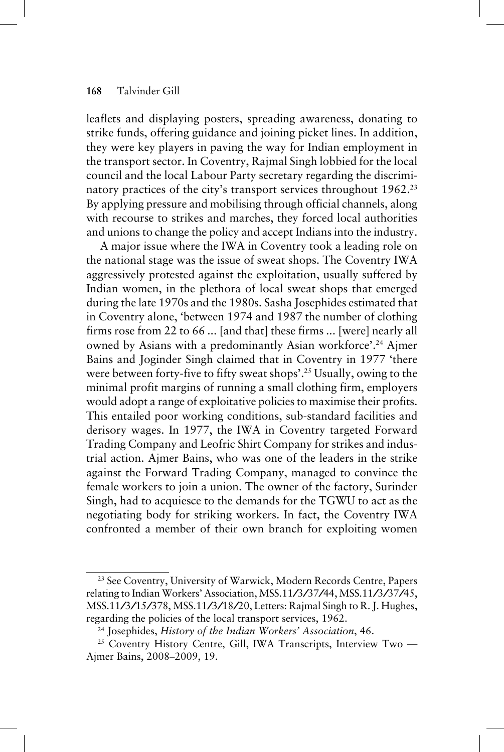### **168** Talvinder Gill

leaflets and displaying posters, spreading awareness, donating to strike funds, offering guidance and joining picket lines. In addition, they were key players in paving the way for Indian employment in the transport sector. In Coventry, Rajmal Singh lobbied for the local council and the local Labour Party secretary regarding the discriminatory practices of the city's transport services throughout 1962.<sup>23</sup> By applying pressure and mobilising through official channels, along with recourse to strikes and marches, they forced local authorities and unions to change the policy and accept Indians into the industry.

A major issue where the IWA in Coventry took a leading role on the national stage was the issue of sweat shops. The Coventry IWA aggressively protested against the exploitation, usually suffered by Indian women, in the plethora of local sweat shops that emerged during the late 1970s and the 1980s. Sasha Josephides estimated that in Coventry alone, 'between 1974 and 1987 the number of clothing firms rose from 22 to 66 *...* [and that] these firms *...* [were] nearly all owned by Asians with a predominantly Asian workforce'.24 Ajmer Bains and Joginder Singh claimed that in Coventry in 1977 'there were between forty-five to fifty sweat shops'.25 Usually, owing to the minimal profit margins of running a small clothing firm, employers would adopt a range of exploitative policies to maximise their profits. This entailed poor working conditions, sub-standard facilities and derisory wages. In 1977, the IWA in Coventry targeted Forward Trading Company and Leofric Shirt Company for strikes and industrial action. Ajmer Bains, who was one of the leaders in the strike against the Forward Trading Company, managed to convince the female workers to join a union. The owner of the factory, Surinder Singh, had to acquiesce to the demands for the TGWU to act as the negotiating body for striking workers. In fact, the Coventry IWA confronted a member of their own branch for exploiting women

<sup>&</sup>lt;sup>23</sup> See Coventry, University of Warwick, Modern Records Centre, Papers relating to Indian Workers' Association, MSS.11*/*3*/*37*/*44, MSS.11*/*3*/*37*/*45, MSS.11*/*3*/*15*/*378, MSS.11*/*3*/*18*/*20, Letters: Rajmal Singh to R. J. Hughes, regarding the policies of the local transport services, 1962.

<sup>24</sup> Josephides, *History of the Indian Workers' Association*, 46.

<sup>&</sup>lt;sup>25</sup> Coventry History Centre, Gill, IWA Transcripts, Interview Two -Ajmer Bains, 2008–2009, 19.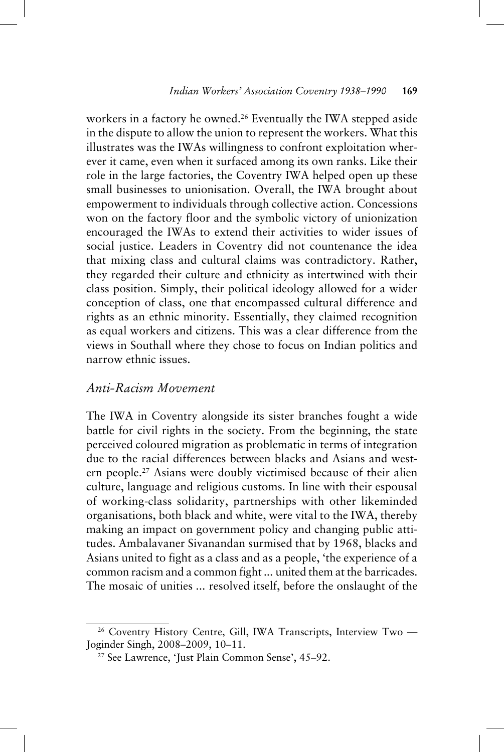workers in a factory he owned.<sup>26</sup> Eventually the IWA stepped aside in the dispute to allow the union to represent the workers. What this illustrates was the IWAs willingness to confront exploitation wherever it came, even when it surfaced among its own ranks. Like their role in the large factories, the Coventry IWA helped open up these small businesses to unionisation. Overall, the IWA brought about empowerment to individuals through collective action. Concessions won on the factory floor and the symbolic victory of unionization encouraged the IWAs to extend their activities to wider issues of social justice. Leaders in Coventry did not countenance the idea that mixing class and cultural claims was contradictory. Rather, they regarded their culture and ethnicity as intertwined with their class position. Simply, their political ideology allowed for a wider conception of class, one that encompassed cultural difference and rights as an ethnic minority. Essentially, they claimed recognition as equal workers and citizens. This was a clear difference from the views in Southall where they chose to focus on Indian politics and narrow ethnic issues.

### *Anti-Racism Movement*

The IWA in Coventry alongside its sister branches fought a wide battle for civil rights in the society. From the beginning, the state perceived coloured migration as problematic in terms of integration due to the racial differences between blacks and Asians and western people.27 Asians were doubly victimised because of their alien culture, language and religious customs. In line with their espousal of working-class solidarity, partnerships with other likeminded organisations, both black and white, were vital to the IWA, thereby making an impact on government policy and changing public attitudes. Ambalavaner Sivanandan surmised that by 1968, blacks and Asians united to fight as a class and as a people, 'the experience of a common racism and a common fight *...* united them at the barricades. The mosaic of unities *...* resolved itself, before the onslaught of the

<sup>&</sup>lt;sup>26</sup> Coventry History Centre, Gill, IWA Transcripts, Interview Two -Joginder Singh, 2008–2009, 10–11.

<sup>27</sup> See Lawrence, 'Just Plain Common Sense', 45–92.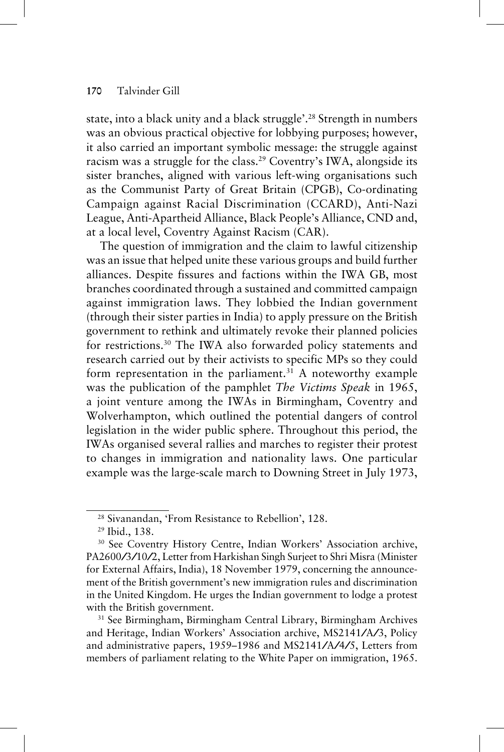### **170** Talvinder Gill

state, into a black unity and a black struggle'.28 Strength in numbers was an obvious practical objective for lobbying purposes; however, it also carried an important symbolic message: the struggle against racism was a struggle for the class.<sup>29</sup> Coventry's IWA, alongside its sister branches, aligned with various left-wing organisations such as the Communist Party of Great Britain (CPGB), Co-ordinating Campaign against Racial Discrimination (CCARD), Anti-Nazi League, Anti-Apartheid Alliance, Black People's Alliance, CND and, at a local level, Coventry Against Racism (CAR).

The question of immigration and the claim to lawful citizenship was an issue that helped unite these various groups and build further alliances. Despite fissures and factions within the IWA GB, most branches coordinated through a sustained and committed campaign against immigration laws. They lobbied the Indian government (through their sister parties in India) to apply pressure on the British government to rethink and ultimately revoke their planned policies for restrictions.30 The IWA also forwarded policy statements and research carried out by their activists to specific MPs so they could form representation in the parliament.<sup>31</sup> A noteworthy example was the publication of the pamphlet *The Victims Speak* in 1965, a joint venture among the IWAs in Birmingham, Coventry and Wolverhampton, which outlined the potential dangers of control legislation in the wider public sphere. Throughout this period, the IWAs organised several rallies and marches to register their protest to changes in immigration and nationality laws. One particular example was the large-scale march to Downing Street in July 1973,

31 See Birmingham, Birmingham Central Library, Birmingham Archives and Heritage, Indian Workers' Association archive, MS2141*/*A*/*3, Policy and administrative papers, 1959–1986 and MS2141*/*A*/*4*/*5, Letters from members of parliament relating to the White Paper on immigration, 1965.

<sup>28</sup> Sivanandan, 'From Resistance to Rebellion', 128.

<sup>29</sup> Ibid., 138.

<sup>&</sup>lt;sup>30</sup> See Coventry History Centre, Indian Workers' Association archive, PA2600*/*3*/*10*/*2, Letter from Harkishan Singh Surjeet to Shri Misra (Minister for External Affairs, India), 18 November 1979, concerning the announcement of the British government's new immigration rules and discrimination in the United Kingdom. He urges the Indian government to lodge a protest with the British government.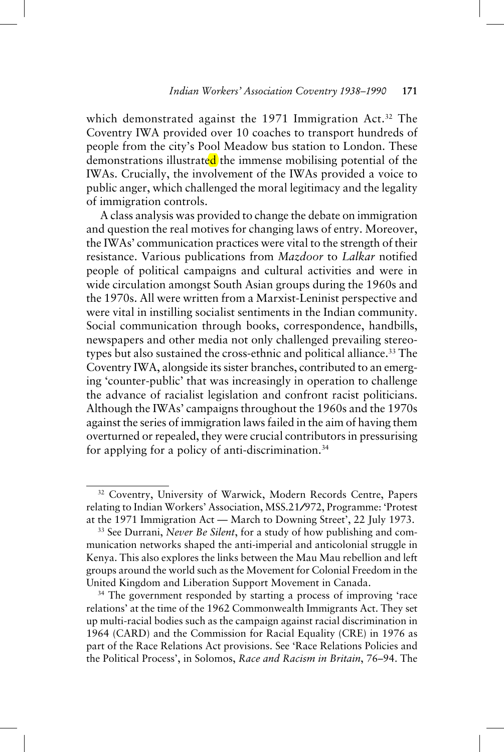which demonstrated against the 1971 Immigration Act.<sup>32</sup> The Coventry IWA provided over 10 coaches to transport hundreds of people from the city's Pool Meadow bus station to London. These demonstrations illustrated the immense mobilising potential of the IWAs. Crucially, the involvement of the IWAs provided a voice to public anger, which challenged the moral legitimacy and the legality of immigration controls.

A class analysis was provided to change the debate on immigration and question the real motives for changing laws of entry. Moreover, the IWAs' communication practices were vital to the strength of their resistance. Various publications from *Mazdoor* to *Lalkar* notified people of political campaigns and cultural activities and were in wide circulation amongst South Asian groups during the 1960s and the 1970s. All were written from a Marxist-Leninist perspective and were vital in instilling socialist sentiments in the Indian community. Social communication through books, correspondence, handbills, newspapers and other media not only challenged prevailing stereotypes but also sustained the cross-ethnic and political alliance.<sup>33</sup> The Coventry IWA, alongside its sister branches, contributed to an emerging 'counter-public' that was increasingly in operation to challenge the advance of racialist legislation and confront racist politicians. Although the IWAs' campaigns throughout the 1960s and the 1970s against the series of immigration laws failed in the aim of having them overturned or repealed, they were crucial contributors in pressurising for applying for a policy of anti-discrimination.34

<sup>&</sup>lt;sup>32</sup> Coventry, University of Warwick, Modern Records Centre, Papers relating to Indian Workers' Association, MSS.21*/*972, Programme: 'Protest at the 1971 Immigration Act — March to Downing Street', 22 July 1973.

<sup>33</sup> See Durrani, *Never Be Silent*, for a study of how publishing and communication networks shaped the anti-imperial and anticolonial struggle in Kenya. This also explores the links between the Mau Mau rebellion and left groups around the world such as the Movement for Colonial Freedom in the United Kingdom and Liberation Support Movement in Canada.

<sup>&</sup>lt;sup>34</sup> The government responded by starting a process of improving 'race relations' at the time of the 1962 Commonwealth Immigrants Act. They set up multi-racial bodies such as the campaign against racial discrimination in 1964 (CARD) and the Commission for Racial Equality (CRE) in 1976 as part of the Race Relations Act provisions. See 'Race Relations Policies and the Political Process', in Solomos, *Race and Racism in Britain*, 76–94. The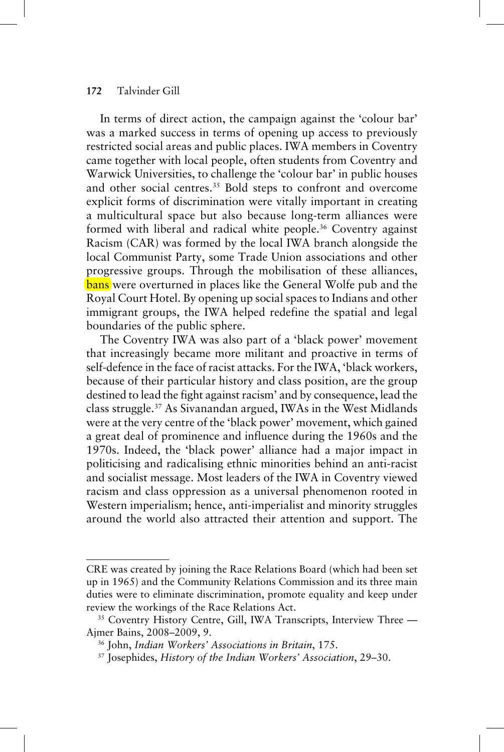In terms of direct action, the campaign against the 'colour bar' was a marked success in terms of opening up access to previously restricted social areas and public places. IWA members in Coventry came together with local people, often students from Coventry and Warwick Universities, to challenge the 'colour bar' in public houses and other social centres.<sup>35</sup> Bold steps to confront and overcome explicit forms of discrimination were vitally important in creating a multicultural space but also because long-term alliances were formed with liberal and radical white people.<sup>36</sup> Coventry against Racism (CAR) was formed by the local IWA branch alongside the local Communist Party, some Trade Union associations and other progressive groups. Through the mobilisation of these alliances, bans were overturned in places like the General Wolfe pub and the Royal Court Hotel. By opening up social spaces to Indians and other immigrant groups, the IWA helped redefine the spatial and legal boundaries of the public sphere.

The Coventry IWA was also part of a 'black power' movement that increasingly became more militant and proactive in terms of self-defence in the face of racist attacks. For the IWA, 'black workers, because of their particular history and class position, are the group destined to lead the fight against racism' and by consequence, lead the class struggle.37 As Sivanandan argued, IWAs in the West Midlands were at the very centre of the 'black power' movement, which gained a great deal of prominence and influence during the 1960s and the 1970s. Indeed, the 'black power' alliance had a major impact in politicising and radicalising ethnic minorities behind an anti-racist and socialist message. Most leaders of the IWA in Coventry viewed racism and class oppression as a universal phenomenon rooted in Western imperialism; hence, anti-imperialist and minority struggles around the world also attracted their attention and support. The

CRE was created by joining the Race Relations Board (which had been set up in 1965) and the Community Relations Commission and its three main duties were to eliminate discrimination, promote equality and keep under review the workings of the Race Relations Act.

<sup>&</sup>lt;sup>35</sup> Coventry History Centre, Gill, IWA Transcripts, Interview Three — Ajmer Bains, 2008–2009, 9.

<sup>36</sup> John, *Indian Workers' Associations in Britain*, 175.

<sup>37</sup> Josephides, *History of the Indian Workers' Association*, 29–30.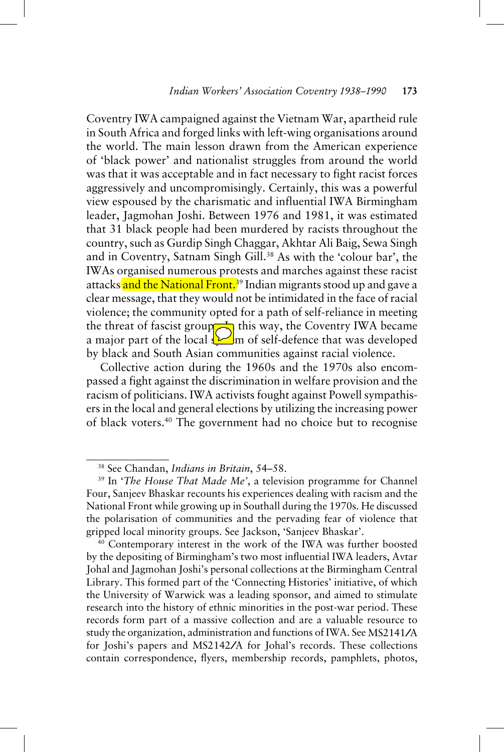Coventry IWA campaigned against the Vietnam War, apartheid rule in South Africa and forged links with left-wing organisations around the world. The main lesson drawn from the American experience of 'black power' and nationalist struggles from around the world was that it was acceptable and in fact necessary to fight racist forces aggressively and uncompromisingly. Certainly, this was a powerful view espoused by the charismatic and influential IWA Birmingham leader, Jagmohan Joshi. Between 1976 and 1981, it was estimated that 31 black people had been murdered by racists throughout the country, such as Gurdip Singh Chaggar, Akhtar Ali Baig, Sewa Singh and in Coventry, Satnam Singh Gill.<sup>38</sup> As with the 'colour bar', the IWAs organised numerous protests and marches against these racist attacks and the National Front.<sup>39</sup> Indian migrants stood up and gave a clear message, that they would not be intimidated in the face of racial violence; the community opted for a path of self-reliance in meeting the threat of fascist group $\Box$  this way, the Coventry IWA became a major part of the local  $\sum_{m=1}^{\infty}$  of self-defence that was developed by black and South Asian communities against racial violence.

Collective action during the 1960s and the 1970s also encompassed a fight against the discrimination in welfare provision and the racism of politicians. IWA activists fought against Powell sympathisers in the local and general elections by utilizing the increasing power of black voters.40 The government had no choice but to recognise

40 Contemporary interest in the work of the IWA was further boosted by the depositing of Birmingham's two most influential IWA leaders, Avtar Johal and Jagmohan Joshi's personal collections at the Birmingham Central Library. This formed part of the 'Connecting Histories' initiative, of which the University of Warwick was a leading sponsor, and aimed to stimulate research into the history of ethnic minorities in the post-war period. These records form part of a massive collection and are a valuable resource to study the organization, administration and functions of IWA. See MS2141*/*<sup>A</sup> for Joshi's papers and MS2142*/*A for Johal's records. These collections contain correspondence, flyers, membership records, pamphlets, photos,

<sup>38</sup> See Chandan, *Indians in Britain*, 54–58.

<sup>39</sup> In '*The House That Made Me'*, a television programme for Channel Four, Sanjeev Bhaskar recounts his experiences dealing with racism and the National Front while growing up in Southall during the 1970s. He discussed the polarisation of communities and the pervading fear of violence that gripped local minority groups. See Jackson, 'Sanjeev Bhaskar'.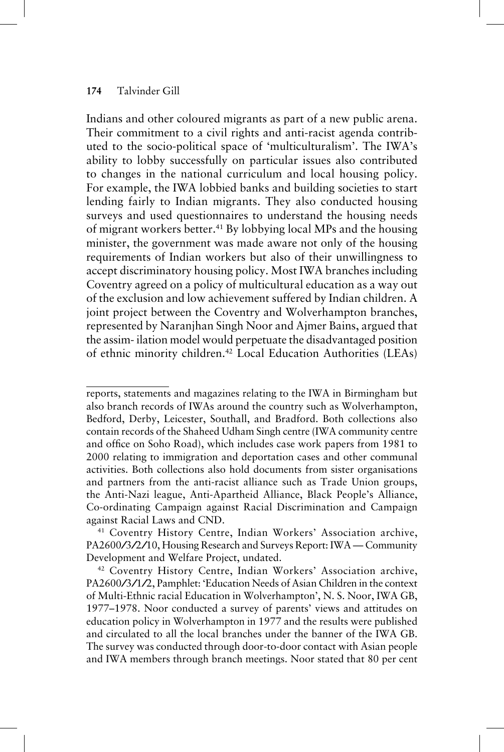Indians and other coloured migrants as part of a new public arena. Their commitment to a civil rights and anti-racist agenda contributed to the socio-political space of 'multiculturalism'. The IWA's ability to lobby successfully on particular issues also contributed to changes in the national curriculum and local housing policy. For example, the IWA lobbied banks and building societies to start lending fairly to Indian migrants. They also conducted housing surveys and used questionnaires to understand the housing needs of migrant workers better.41 By lobbying local MPs and the housing minister, the government was made aware not only of the housing requirements of Indian workers but also of their unwillingness to accept discriminatory housing policy. Most IWA branches including Coventry agreed on a policy of multicultural education as a way out of the exclusion and low achievement suffered by Indian children. A joint project between the Coventry and Wolverhampton branches, represented by Naranjhan Singh Noor and Ajmer Bains, argued that the assim- ilation model would perpetuate the disadvantaged position of ethnic minority children.42 Local Education Authorities (LEAs)

reports, statements and magazines relating to the IWA in Birmingham but also branch records of IWAs around the country such as Wolverhampton, Bedford, Derby, Leicester, Southall, and Bradford. Both collections also contain records of the Shaheed Udham Singh centre (IWA community centre and office on Soho Road), which includes case work papers from 1981 to 2000 relating to immigration and deportation cases and other communal activities. Both collections also hold documents from sister organisations and partners from the anti-racist alliance such as Trade Union groups, the Anti-Nazi league, Anti-Apartheid Alliance, Black People's Alliance, Co-ordinating Campaign against Racial Discrimination and Campaign against Racial Laws and CND.

<sup>41</sup> Coventry History Centre, Indian Workers' Association archive, PA2600*/*3*/*2*/*10, Housing Research and Surveys Report: IWA — Community Development and Welfare Project, undated.

<sup>42</sup> Coventry History Centre, Indian Workers' Association archive, PA2600*/*3*/*1*/*2, Pamphlet: 'Education Needs of Asian Children in the context of Multi-Ethnic racial Education in Wolverhampton', N. S. Noor, IWA GB, 1977–1978. Noor conducted a survey of parents' views and attitudes on education policy in Wolverhampton in 1977 and the results were published and circulated to all the local branches under the banner of the IWA GB. The survey was conducted through door-to-door contact with Asian people and IWA members through branch meetings. Noor stated that 80 per cent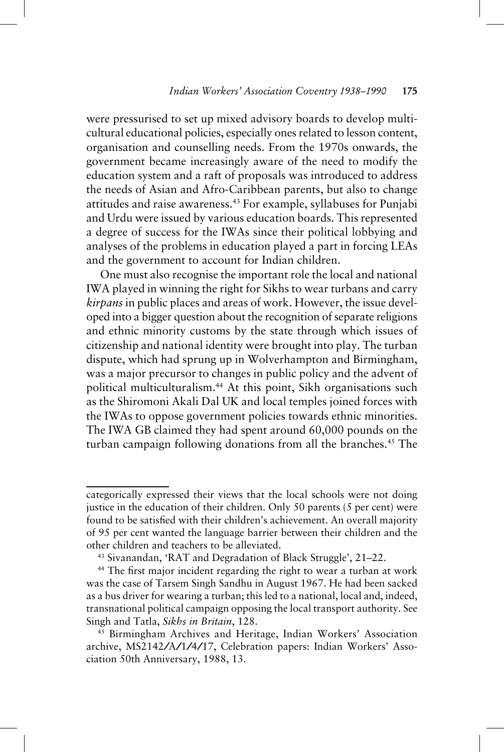were pressurised to set up mixed advisory boards to develop multicultural educational policies, especially ones related to lesson content, organisation and counselling needs. From the 1970s onwards, the government became increasingly aware of the need to modify the education system and a raft of proposals was introduced to address the needs of Asian and Afro-Caribbean parents, but also to change attitudes and raise awareness.43 For example, syllabuses for Punjabi and Urdu were issued by various education boards. This represented a degree of success for the IWAs since their political lobbying and analyses of the problems in education played a part in forcing LEAs and the government to account for Indian children.

One must also recognise the important role the local and national IWA played in winning the right for Sikhs to wear turbans and carry *kirpans* in public places and areas of work. However, the issue developed into a bigger question about the recognition of separate religions and ethnic minority customs by the state through which issues of citizenship and national identity were brought into play. The turban dispute, which had sprung up in Wolverhampton and Birmingham, was a major precursor to changes in public policy and the advent of political multiculturalism.44 At this point, Sikh organisations such as the Shiromoni Akali Dal UK and local temples joined forces with the IWAs to oppose government policies towards ethnic minorities. The IWA GB claimed they had spent around 60,000 pounds on the turban campaign following donations from all the branches.<sup>45</sup> The

categorically expressed their views that the local schools were not doing justice in the education of their children. Only 50 parents (5 per cent) were found to be satisfied with their children's achievement. An overall majority of 95 per cent wanted the language barrier between their children and the other children and teachers to be alleviated.

<sup>43</sup> Sivanandan, 'RAT and Degradation of Black Struggle', 21–22.

<sup>&</sup>lt;sup>44</sup> The first major incident regarding the right to wear a turban at work was the case of Tarsem Singh Sandhu in August 1967. He had been sacked as a bus driver for wearing a turban; this led to a national, local and, indeed, transnational political campaign opposing the local transport authority. See Singh and Tatla, *Sikhs in Britain*, 128.

<sup>45</sup> Birmingham Archives and Heritage, Indian Workers' Association archive, MS2142*/*A*/*1*/*4*/*17, Celebration papers: Indian Workers' Association 50th Anniversary, 1988, 13.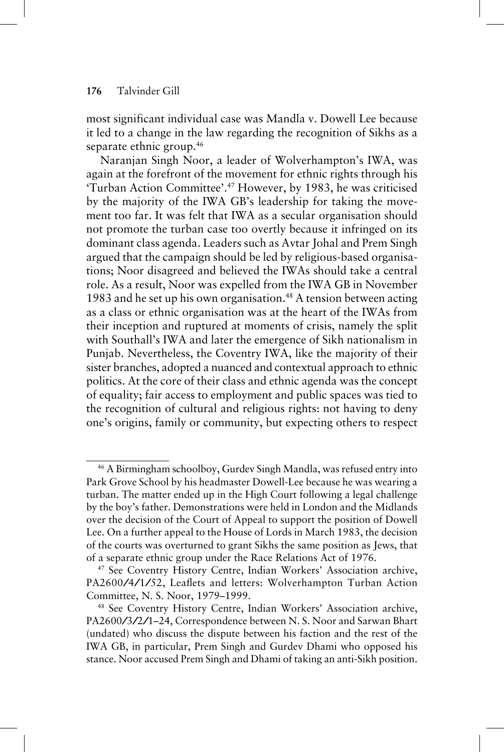most significant individual case was Mandla v. Dowell Lee because it led to a change in the law regarding the recognition of Sikhs as a separate ethnic group.<sup>46</sup>

Naranjan Singh Noor, a leader of Wolverhampton's IWA, was again at the forefront of the movement for ethnic rights through his 'Turban Action Committee'.47 However, by 1983, he was criticised by the majority of the IWA GB's leadership for taking the movement too far. It was felt that IWA as a secular organisation should not promote the turban case too overtly because it infringed on its dominant class agenda. Leaders such as Avtar Johal and Prem Singh argued that the campaign should be led by religious-based organisations; Noor disagreed and believed the IWAs should take a central role. As a result, Noor was expelled from the IWA GB in November 1983 and he set up his own organisation.<sup>48</sup> A tension between acting as a class or ethnic organisation was at the heart of the IWAs from their inception and ruptured at moments of crisis, namely the split with Southall's IWA and later the emergence of Sikh nationalism in Punjab. Nevertheless, the Coventry IWA, like the majority of their sister branches, adopted a nuanced and contextual approach to ethnic politics. At the core of their class and ethnic agenda was the concept of equality; fair access to employment and public spaces was tied to the recognition of cultural and religious rights: not having to deny one's origins, family or community, but expecting others to respect

<sup>46</sup> A Birmingham schoolboy, Gurdev Singh Mandla, was refused entry into Park Grove School by his headmaster Dowell-Lee because he was wearing a turban. The matter ended up in the High Court following a legal challenge by the boy's father. Demonstrations were held in London and the Midlands over the decision of the Court of Appeal to support the position of Dowell Lee. On a further appeal to the House of Lords in March 1983, the decision of the courts was overturned to grant Sikhs the same position as Jews, that of a separate ethnic group under the Race Relations Act of 1976.

<sup>47</sup> See Coventry History Centre, Indian Workers' Association archive, PA2600/4/1/52, Leaflets and letters: Wolverhampton Turban Action Committee, N. S. Noor, 1979–1999.

<sup>48</sup> See Coventry History Centre, Indian Workers' Association archive, PA2600*/*3*/*2*/*1–24, Correspondence between N. S. Noor and Sarwan Bhart (undated) who discuss the dispute between his faction and the rest of the IWA GB, in particular, Prem Singh and Gurdev Dhami who opposed his stance. Noor accused Prem Singh and Dhami of taking an anti-Sikh position.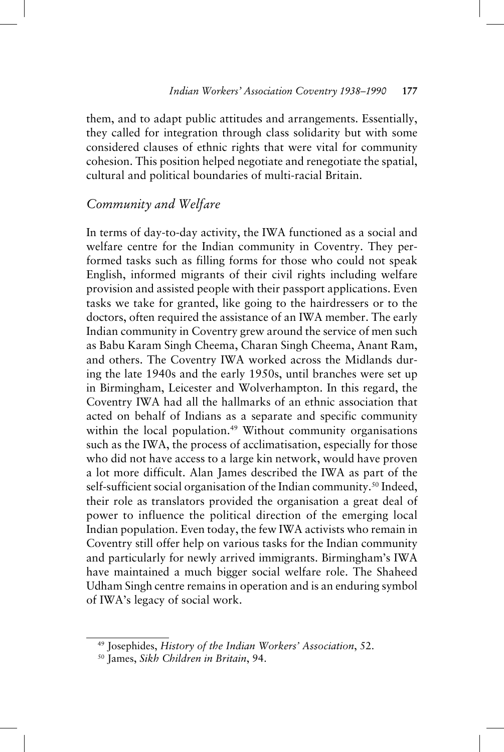them, and to adapt public attitudes and arrangements. Essentially, they called for integration through class solidarity but with some considered clauses of ethnic rights that were vital for community cohesion. This position helped negotiate and renegotiate the spatial, cultural and political boundaries of multi-racial Britain.

# *Community and Welfare*

In terms of day-to-day activity, the IWA functioned as a social and welfare centre for the Indian community in Coventry. They performed tasks such as filling forms for those who could not speak English, informed migrants of their civil rights including welfare provision and assisted people with their passport applications. Even tasks we take for granted, like going to the hairdressers or to the doctors, often required the assistance of an IWA member. The early Indian community in Coventry grew around the service of men such as Babu Karam Singh Cheema, Charan Singh Cheema, Anant Ram, and others. The Coventry IWA worked across the Midlands during the late 1940s and the early 1950s, until branches were set up in Birmingham, Leicester and Wolverhampton. In this regard, the Coventry IWA had all the hallmarks of an ethnic association that acted on behalf of Indians as a separate and specific community within the local population.<sup>49</sup> Without community organisations such as the IWA, the process of acclimatisation, especially for those who did not have access to a large kin network, would have proven a lot more difficult. Alan James described the IWA as part of the self-sufficient social organisation of the Indian community.<sup>50</sup> Indeed, their role as translators provided the organisation a great deal of power to influence the political direction of the emerging local Indian population. Even today, the few IWA activists who remain in Coventry still offer help on various tasks for the Indian community and particularly for newly arrived immigrants. Birmingham's IWA have maintained a much bigger social welfare role. The Shaheed Udham Singh centre remains in operation and is an enduring symbol of IWA's legacy of social work.

<sup>49</sup> Josephides, *History of the Indian Workers' Association*, 52.

<sup>50</sup> James, *Sikh Children in Britain*, 94.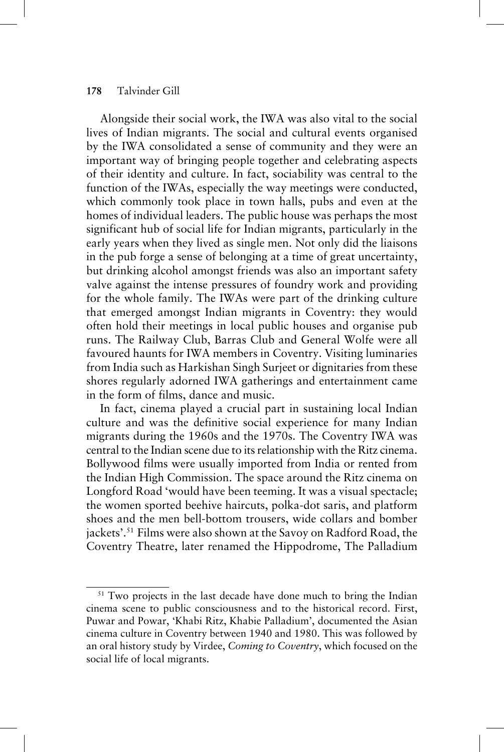Alongside their social work, the IWA was also vital to the social lives of Indian migrants. The social and cultural events organised by the IWA consolidated a sense of community and they were an important way of bringing people together and celebrating aspects of their identity and culture. In fact, sociability was central to the function of the IWAs, especially the way meetings were conducted, which commonly took place in town halls, pubs and even at the homes of individual leaders. The public house was perhaps the most significant hub of social life for Indian migrants, particularly in the early years when they lived as single men. Not only did the liaisons in the pub forge a sense of belonging at a time of great uncertainty, but drinking alcohol amongst friends was also an important safety valve against the intense pressures of foundry work and providing for the whole family. The IWAs were part of the drinking culture that emerged amongst Indian migrants in Coventry: they would often hold their meetings in local public houses and organise pub runs. The Railway Club, Barras Club and General Wolfe were all favoured haunts for IWA members in Coventry. Visiting luminaries from India such as Harkishan Singh Surjeet or dignitaries from these shores regularly adorned IWA gatherings and entertainment came in the form of films, dance and music.

In fact, cinema played a crucial part in sustaining local Indian culture and was the definitive social experience for many Indian migrants during the 1960s and the 1970s. The Coventry IWA was central to the Indian scene due to its relationship with the Ritz cinema. Bollywood films were usually imported from India or rented from the Indian High Commission. The space around the Ritz cinema on Longford Road 'would have been teeming. It was a visual spectacle; the women sported beehive haircuts, polka-dot saris, and platform shoes and the men bell-bottom trousers, wide collars and bomber jackets'.<sup>51</sup> Films were also shown at the Savoy on Radford Road, the Coventry Theatre, later renamed the Hippodrome, The Palladium

<sup>&</sup>lt;sup>51</sup> Two projects in the last decade have done much to bring the Indian cinema scene to public consciousness and to the historical record. First, Puwar and Powar, 'Khabi Ritz, Khabie Palladium', documented the Asian cinema culture in Coventry between 1940 and 1980. This was followed by an oral history study by Virdee, *Coming to Coventry*, which focused on the social life of local migrants.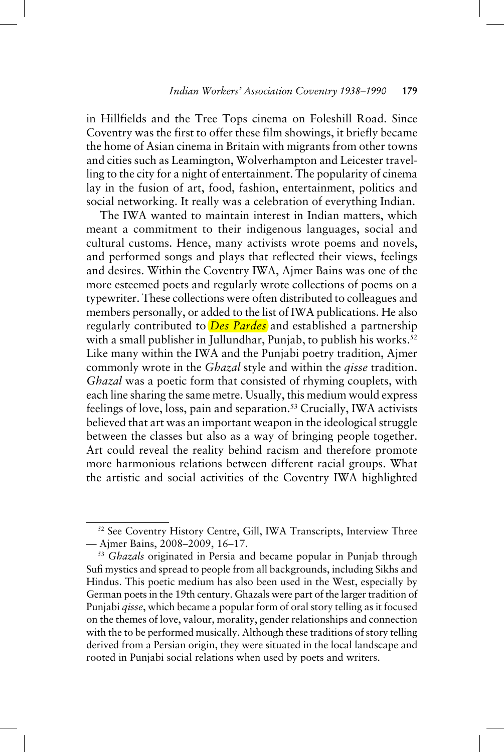in Hillfields and the Tree Tops cinema on Foleshill Road. Since Coventry was the first to offer these film showings, it briefly became the home of Asian cinema in Britain with migrants from other towns and cities such as Leamington, Wolverhampton and Leicester travelling to the city for a night of entertainment. The popularity of cinema lay in the fusion of art, food, fashion, entertainment, politics and social networking. It really was a celebration of everything Indian.

The IWA wanted to maintain interest in Indian matters, which meant a commitment to their indigenous languages, social and cultural customs. Hence, many activists wrote poems and novels, and performed songs and plays that reflected their views, feelings and desires. Within the Coventry IWA, Ajmer Bains was one of the more esteemed poets and regularly wrote collections of poems on a typewriter. These collections were often distributed to colleagues and members personally, or added to the list of IWA publications. He also regularly contributed to *Des Pardes* and established a partnership with a small publisher in Jullundhar, Punjab, to publish his works.<sup>52</sup> Like many within the IWA and the Punjabi poetry tradition, Ajmer commonly wrote in the *Ghazal* style and within the *qisse* tradition. *Ghazal* was a poetic form that consisted of rhyming couplets, with each line sharing the same metre. Usually, this medium would express feelings of love, loss, pain and separation.53 Crucially, IWA activists believed that art was an important weapon in the ideological struggle between the classes but also as a way of bringing people together. Art could reveal the reality behind racism and therefore promote more harmonious relations between different racial groups. What the artistic and social activities of the Coventry IWA highlighted

<sup>&</sup>lt;sup>52</sup> See Coventry History Centre, Gill, IWA Transcripts, Interview Three — Ajmer Bains, 2008–2009, 16–17.

<sup>53</sup> *Ghazals* originated in Persia and became popular in Punjab through Sufi mystics and spread to people from all backgrounds, including Sikhs and Hindus. This poetic medium has also been used in the West, especially by German poets in the 19th century. Ghazals were part of the larger tradition of Punjabi *qisse*, which became a popular form of oral story telling as it focused on the themes of love, valour, morality, gender relationships and connection with the to be performed musically. Although these traditions of story telling derived from a Persian origin, they were situated in the local landscape and rooted in Punjabi social relations when used by poets and writers.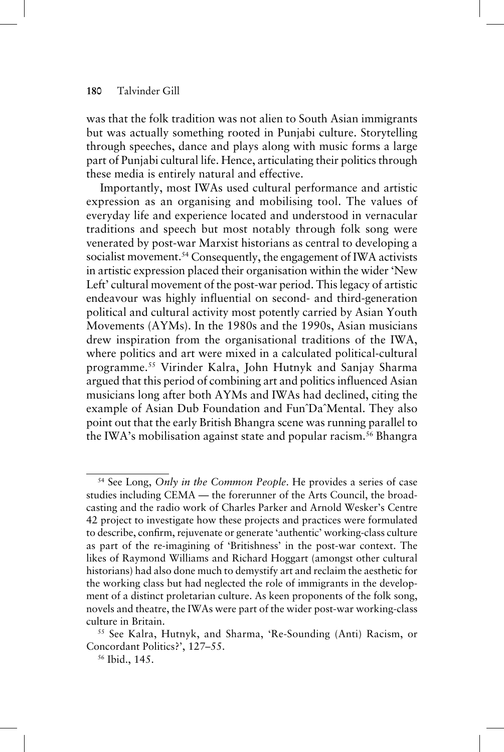was that the folk tradition was not alien to South Asian immigrants but was actually something rooted in Punjabi culture. Storytelling through speeches, dance and plays along with music forms a large part of Punjabi cultural life. Hence, articulating their politics through these media is entirely natural and effective.

Importantly, most IWAs used cultural performance and artistic expression as an organising and mobilising tool. The values of everyday life and experience located and understood in vernacular traditions and speech but most notably through folk song were venerated by post-war Marxist historians as central to developing a socialist movement.<sup>54</sup> Consequently, the engagement of IWA activists in artistic expression placed their organisation within the wider 'New Left' cultural movement of the post-war period. This legacy of artistic endeavour was highly influential on second- and third-generation political and cultural activity most potently carried by Asian Youth Movements (AYMs). In the 1980s and the 1990s, Asian musicians drew inspiration from the organisational traditions of the IWA, where politics and art were mixed in a calculated political-cultural programme.55 Virinder Kalra, John Hutnyk and Sanjay Sharma argued that this period of combining art and politics influenced Asian musicians long after both AYMs and IWAs had declined, citing the example of Asian Dub Foundation and FunˆDaˆMental. They also point out that the early British Bhangra scene was running parallel to the IWA's mobilisation against state and popular racism.<sup>56</sup> Bhangra

<sup>54</sup> See Long, *Only in the Common People*. He provides a series of case studies including CEMA — the forerunner of the Arts Council, the broadcasting and the radio work of Charles Parker and Arnold Wesker's Centre 42 project to investigate how these projects and practices were formulated to describe, confirm, rejuvenate or generate 'authentic' working-class culture as part of the re-imagining of 'Britishness' in the post-war context. The likes of Raymond Williams and Richard Hoggart (amongst other cultural historians) had also done much to demystify art and reclaim the aesthetic for the working class but had neglected the role of immigrants in the development of a distinct proletarian culture. As keen proponents of the folk song, novels and theatre, the IWAs were part of the wider post-war working-class culture in Britain.

<sup>55</sup> See Kalra, Hutnyk, and Sharma, 'Re-Sounding (Anti) Racism, or Concordant Politics?', 127–55.

<sup>56</sup> Ibid., 145.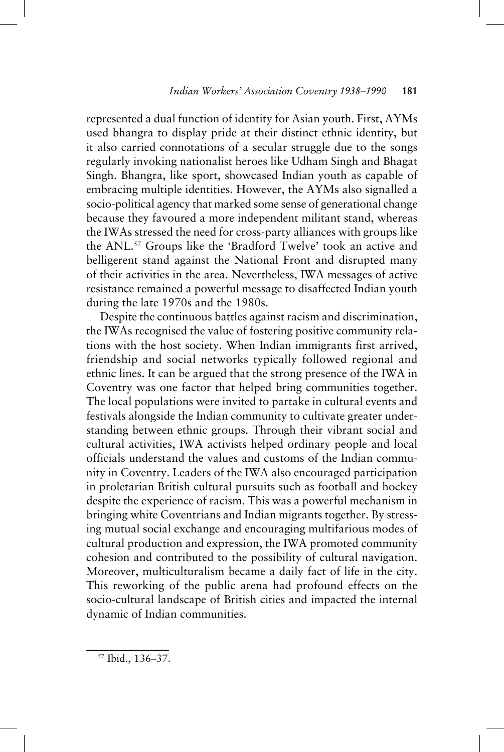represented a dual function of identity for Asian youth. First, AYMs used bhangra to display pride at their distinct ethnic identity, but it also carried connotations of a secular struggle due to the songs regularly invoking nationalist heroes like Udham Singh and Bhagat Singh. Bhangra, like sport, showcased Indian youth as capable of embracing multiple identities. However, the AYMs also signalled a socio-political agency that marked some sense of generational change because they favoured a more independent militant stand, whereas the IWAs stressed the need for cross-party alliances with groups like the ANL.57 Groups like the 'Bradford Twelve' took an active and belligerent stand against the National Front and disrupted many of their activities in the area. Nevertheless, IWA messages of active resistance remained a powerful message to disaffected Indian youth during the late 1970s and the 1980s.

Despite the continuous battles against racism and discrimination, the IWAs recognised the value of fostering positive community relations with the host society. When Indian immigrants first arrived, friendship and social networks typically followed regional and ethnic lines. It can be argued that the strong presence of the IWA in Coventry was one factor that helped bring communities together. The local populations were invited to partake in cultural events and festivals alongside the Indian community to cultivate greater understanding between ethnic groups. Through their vibrant social and cultural activities, IWA activists helped ordinary people and local officials understand the values and customs of the Indian community in Coventry. Leaders of the IWA also encouraged participation in proletarian British cultural pursuits such as football and hockey despite the experience of racism. This was a powerful mechanism in bringing white Coventrians and Indian migrants together. By stressing mutual social exchange and encouraging multifarious modes of cultural production and expression, the IWA promoted community cohesion and contributed to the possibility of cultural navigation. Moreover, multiculturalism became a daily fact of life in the city. This reworking of the public arena had profound effects on the socio-cultural landscape of British cities and impacted the internal dynamic of Indian communities.

57 Ibid., 136–37.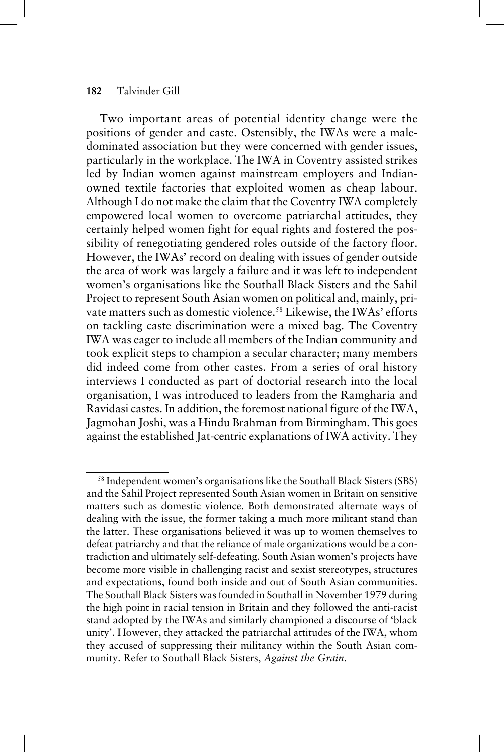Two important areas of potential identity change were the positions of gender and caste. Ostensibly, the IWAs were a maledominated association but they were concerned with gender issues, particularly in the workplace. The IWA in Coventry assisted strikes led by Indian women against mainstream employers and Indianowned textile factories that exploited women as cheap labour. Although I do not make the claim that the Coventry IWA completely empowered local women to overcome patriarchal attitudes, they certainly helped women fight for equal rights and fostered the possibility of renegotiating gendered roles outside of the factory floor. However, the IWAs' record on dealing with issues of gender outside the area of work was largely a failure and it was left to independent women's organisations like the Southall Black Sisters and the Sahil Project to represent South Asian women on political and, mainly, private matters such as domestic violence.58 Likewise, the IWAs' efforts on tackling caste discrimination were a mixed bag. The Coventry IWA was eager to include all members of the Indian community and took explicit steps to champion a secular character; many members did indeed come from other castes. From a series of oral history interviews I conducted as part of doctorial research into the local organisation, I was introduced to leaders from the Ramgharia and Ravidasi castes. In addition, the foremost national figure of the IWA, Jagmohan Joshi, was a Hindu Brahman from Birmingham. This goes against the established Jat-centric explanations of IWA activity. They

<sup>58</sup> Independent women's organisations like the Southall Black Sisters (SBS) and the Sahil Project represented South Asian women in Britain on sensitive matters such as domestic violence. Both demonstrated alternate ways of dealing with the issue, the former taking a much more militant stand than the latter. These organisations believed it was up to women themselves to defeat patriarchy and that the reliance of male organizations would be a contradiction and ultimately self-defeating. South Asian women's projects have become more visible in challenging racist and sexist stereotypes, structures and expectations, found both inside and out of South Asian communities. The Southall Black Sisters was founded in Southall in November 1979 during the high point in racial tension in Britain and they followed the anti-racist stand adopted by the IWAs and similarly championed a discourse of 'black unity'. However, they attacked the patriarchal attitudes of the IWA, whom they accused of suppressing their militancy within the South Asian community. Refer to Southall Black Sisters, *Against the Grain*.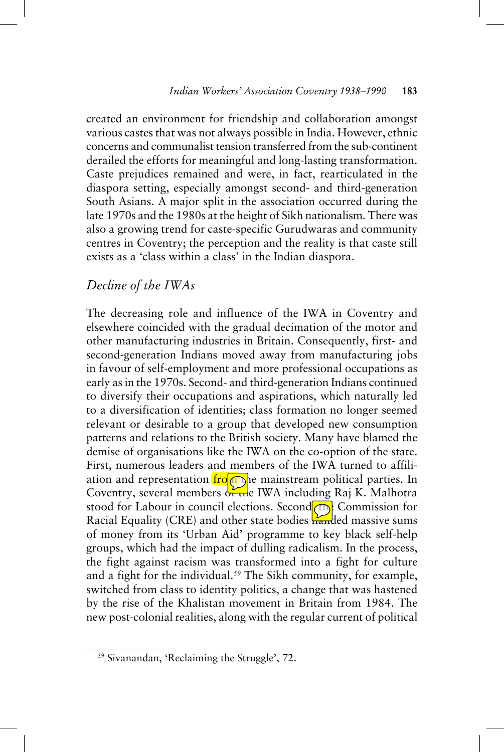created an environment for friendship and collaboration amongst various castes that was not always possible in India. However, ethnic concerns and communalist tension transferred from the sub-continent derailed the efforts for meaningful and long-lasting transformation. Caste prejudices remained and were, in fact, rearticulated in the diaspora setting, especially amongst second- and third-generation South Asians. A major split in the association occurred during the late 1970s and the 1980s at the height of Sikh nationalism. There was also a growing trend for caste-specific Gurudwaras and community centres in Coventry; the perception and the reality is that caste still exists as a 'class within a class' in the Indian diaspora.

# *Decline of the IWAs*

The decreasing role and influence of the IWA in Coventry and elsewhere coincided with the gradual decimation of the motor and other manufacturing industries in Britain. Consequently, first- and second-generation Indians moved away from manufacturing jobs in favour of self-employment and more professional occupations as early as in the 1970s. Second- and third-generation Indians continued to diversify their occupations and aspirations, which naturally led to a diversification of identities; class formation no longer seemed relevant or desirable to a group that developed new consumption patterns and relations to the British society. Many have blamed the demise of organisations like the IWA on the co-option of the state. First, numerous leaders and members of the IWA turned to affiliation and representation from the mainstream political parties. In Coventry, several members of the IWA including Raj K. Malhotra stood for Labour in council elections. Second<sub>(m)</sub> Commission for Racial Equality (CRE) and other state bodies handed massive sums of money from its 'Urban Aid' programme to key black self-help groups, which had the impact of dulling radicalism. In the process, the fight against racism was transformed into a fight for culture and a fight for the individual.<sup>59</sup> The Sikh community, for example, switched from class to identity politics, a change that was hastened by the rise of the Khalistan movement in Britain from 1984. The new post-colonial realities, along with the regular current of political

<sup>59</sup> Sivanandan, 'Reclaiming the Struggle', 72.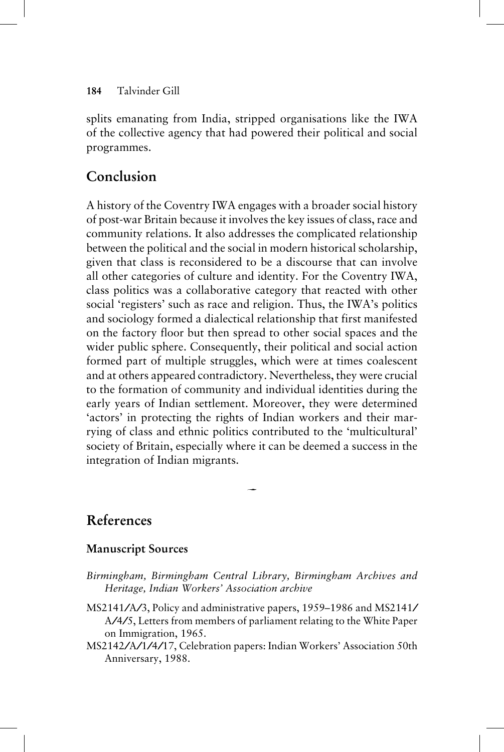splits emanating from India, stripped organisations like the IWA of the collective agency that had powered their political and social programmes.

# **Conclusion**

A history of the Coventry IWA engages with a broader social history of post-war Britain because it involves the key issues of class, race and community relations. It also addresses the complicated relationship between the political and the social in modern historical scholarship, given that class is reconsidered to be a discourse that can involve all other categories of culture and identity. For the Coventry IWA, class politics was a collaborative category that reacted with other social 'registers' such as race and religion. Thus, the IWA's politics and sociology formed a dialectical relationship that first manifested on the factory floor but then spread to other social spaces and the wider public sphere. Consequently, their political and social action formed part of multiple struggles, which were at times coalescent and at others appeared contradictory. Nevertheless, they were crucial to the formation of community and individual identities during the early years of Indian settlement. Moreover, they were determined 'actors' in protecting the rights of Indian workers and their marrying of class and ethnic politics contributed to the 'multicultural' society of Britain, especially where it can be deemed a success in the integration of Indian migrants.

# **References**

# **Manuscript Sources**

*Birmingham, Birmingham Central Library, Birmingham Archives and Heritage, Indian Workers' Association archive*

-

- MS2141*/*A*/*3, Policy and administrative papers, 1959–1986 and MS2141*/*  <sup>A</sup>*/*4*/*5, Letters from members of parliament relating to the White Paper on Immigration, 1965.
- MS2142*/*A*/*1*/*4*/*17, Celebration papers: Indian Workers' Association 50th Anniversary, 1988.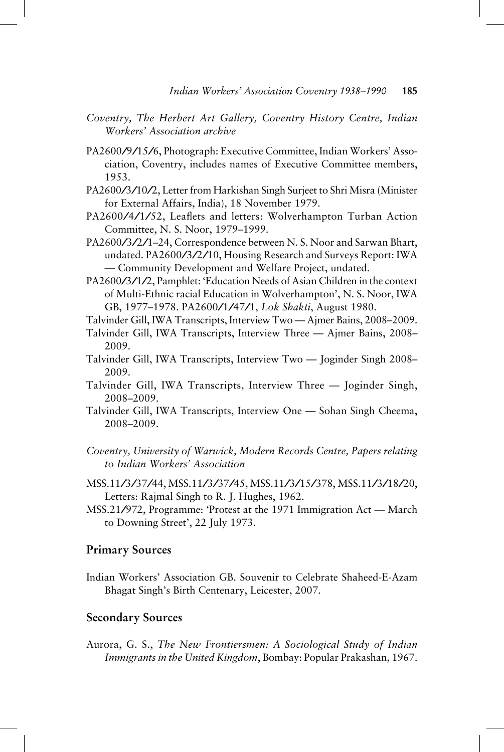- *Coventry, The Herbert Art Gallery, Coventry History Centre, Indian Workers' Association archive*
- PA2600*/*9*/*15*/*6, Photograph: Executive Committee, Indian Workers' Association, Coventry, includes names of Executive Committee members, 1953.
- PA2600*/*3*/*10*/*2, Letter from Harkishan Singh Surjeet to Shri Misra (Minister for External Affairs, India), 18 November 1979.
- PA2600/4/1/52, Leaflets and letters: Wolverhampton Turban Action Committee, N. S. Noor, 1979–1999.
- PA2600*/*3*/*2*/*1–24, Correspondence between N. S. Noor and Sarwan Bhart, undated. PA2600*/*3*/*2*/*10, Housing Research and Surveys Report: IWA — Community Development and Welfare Project, undated.
- PA2600*/*3*/*1*/*2, Pamphlet: 'Education Needs of Asian Children in the context of Multi-Ethnic racial Education in Wolverhampton', N. S. Noor, IWA GB, 1977–1978. PA2600*/*1*/*47*/*1, *Lok Shakti*, August 1980.

Talvinder Gill, IWA Transcripts, Interview Two — Ajmer Bains, 2008–2009.

- Talvinder Gill, IWA Transcripts, Interview Three Ajmer Bains, 2008– 2009.
- Talvinder Gill, IWA Transcripts, Interview Two Joginder Singh 2008– 2009.
- Talvinder Gill, IWA Transcripts, Interview Three Joginder Singh, 2008–2009.
- Talvinder Gill, IWA Transcripts, Interview One Sohan Singh Cheema, 2008–2009.
- *Coventry, University of Warwick, Modern Records Centre, Papers relating to Indian Workers' Association*
- MSS.11*/*3*/*37*/*44, MSS.11*/*3*/*37*/*45, MSS.11*/*3*/*15*/*378, MSS.11*/*3*/*18*/*20, Letters: Rajmal Singh to R. J. Hughes, 1962.
- MSS.21*/*972, Programme: 'Protest at the 1971 Immigration Act March to Downing Street', 22 July 1973.

## **Primary Sources**

Indian Workers' Association GB. Souvenir to Celebrate Shaheed-E-Azam Bhagat Singh's Birth Centenary, Leicester, 2007.

## **Secondary Sources**

Aurora, G. S., *The New Frontiersmen: A Sociological Study of Indian Immigrants in the United Kingdom*, Bombay: Popular Prakashan, 1967.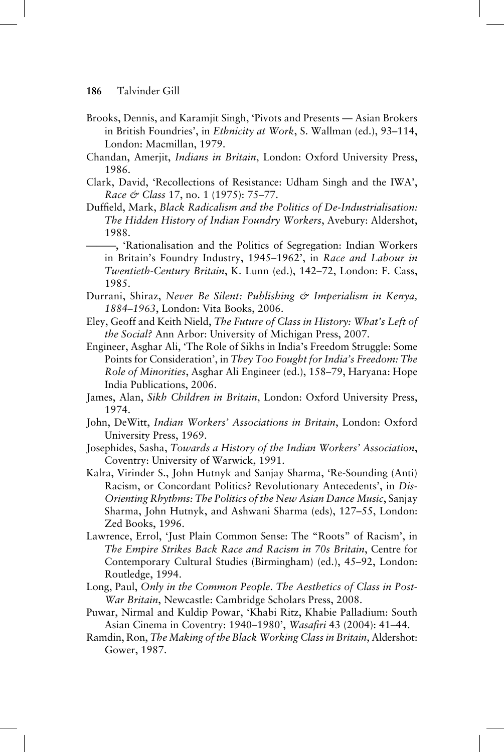- Brooks, Dennis, and Karamjit Singh, 'Pivots and Presents Asian Brokers in British Foundries', in *Ethnicity at Work*, S. Wallman (ed.), 93–114, London: Macmillan, 1979.
- Chandan, Amerjit, *Indians in Britain*, London: Oxford University Press, 1986.
- Clark, David, 'Recollections of Resistance: Udham Singh and the IWA', *Race & Class* 17, no. 1 (1975): 75–77.
- Duffield, Mark, *Black Radicalism and the Politics of De-Industrialisation*: *The Hidden History of Indian Foundry Workers*, Avebury: Aldershot, 1988.
	- ———, 'Rationalisation and the Politics of Segregation: Indian Workers in Britain's Foundry Industry, 1945–1962', in *Race and Labour in Twentieth-Century Britain*, K. Lunn (ed.), 142–72, London: F. Cass, 1985.
- Durrani, Shiraz, *Never Be Silent: Publishing & Imperialism in Kenya, 1884–1963*, London: Vita Books, 2006.
- Eley, Geoff and Keith Nield, *The Future of Class in History: What's Left of the Social?* Ann Arbor: University of Michigan Press, 2007.
- Engineer, Asghar Ali, 'The Role of Sikhs in India's Freedom Struggle: Some Points for Consideration', in *They Too Fought for India's Freedom: The Role of Minorities*, Asghar Ali Engineer (ed.), 158–79, Haryana: Hope India Publications, 2006.
- James, Alan, *Sikh Children in Britain*, London: Oxford University Press, 1974.
- John, DeWitt, *Indian Workers' Associations in Britain*, London: Oxford University Press, 1969.
- Josephides, Sasha, *Towards a History of the Indian Workers' Association*, Coventry: University of Warwick, 1991.
- Kalra, Virinder S., John Hutnyk and Sanjay Sharma, 'Re-Sounding (Anti) Racism, or Concordant Politics? Revolutionary Antecedents', in *Dis-Orienting Rhythms: The Politics of the New Asian Dance Music*, Sanjay Sharma, John Hutnyk, and Ashwani Sharma (eds), 127–55, London: Zed Books, 1996.
- Lawrence, Errol, 'Just Plain Common Sense: The "Roots" of Racism', in *The Empire Strikes Back Race and Racism in 70s Britain*, Centre for Contemporary Cultural Studies (Birmingham) (ed.), 45–92, London: Routledge, 1994.
- Long, Paul, *Only in the Common People*. *The Aesthetics of Class in Post-War Britain*, Newcastle: Cambridge Scholars Press, 2008.
- Puwar, Nirmal and Kuldip Powar, 'Khabi Ritz, Khabie Palladium: South Asian Cinema in Coventry: 1940–1980', *Wasafiri* 43 (2004): 41–44.
- Ramdin, Ron, *The Making of the Black Working Class in Britain*, Aldershot: Gower, 1987.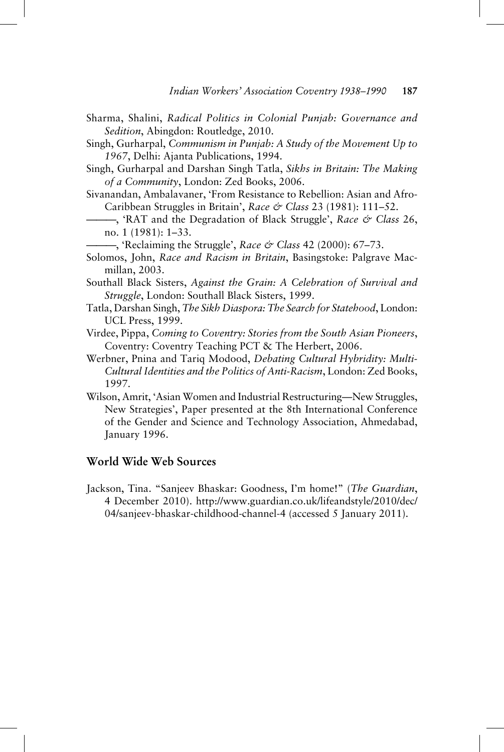- Sharma, Shalini, *Radical Politics in Colonial Punjab: Governance and Sedition*, Abingdon: Routledge, 2010.
- Singh, Gurharpal, *Communism in Punjab: A Study of the Movement Up to 1967*, Delhi: Ajanta Publications, 1994.
- Singh, Gurharpal and Darshan Singh Tatla, *Sikhs in Britain: The Making of a Community*, London: Zed Books, 2006.
- Sivanandan, Ambalavaner, 'From Resistance to Rebellion: Asian and Afro-Caribbean Struggles in Britain', *Race & Class* 23 (1981): 111–52.
	- ———, 'RAT and the Degradation of Black Struggle', *Race & Class* 26, no. 1 (1981): 1–33.
		- ———, 'Reclaiming the Struggle', *Race & Class* 42 (2000): 67–73.
- Solomos, John, *Race and Racism in Britain*, Basingstoke: Palgrave Macmillan, 2003.
- Southall Black Sisters, *Against the Grain: A Celebration of Survival and Struggle*, London: Southall Black Sisters, 1999.
- Tatla, Darshan Singh, *The Sikh Diaspora: The Search for Statehood*, London: UCL Press, 1999.
- Virdee, Pippa, *Coming to Coventry: Stories from the South Asian Pioneers*, Coventry: Coventry Teaching PCT & The Herbert, 2006.
- Werbner, Pnina and Tariq Modood, *Debating Cultural Hybridity: Multi-Cultural Identities and the Politics of Anti-Racism*, London: Zed Books, 1997.
- Wilson, Amrit, 'Asian Women and Industrial Restructuring—New Struggles, New Strategies', Paper presented at the 8th International Conference of the Gender and Science and Technology Association, Ahmedabad, January 1996.

## **World Wide Web Sources**

Jackson, Tina. "Sanjeev Bhaskar: Goodness, I'm home!" (*The Guardian*, 4 December 2010). http://www.guardian.co.uk/lifeandstyle/2010/dec/ 04/sanjeev-bhaskar-childhood-channel-4 (accessed 5 January 2011).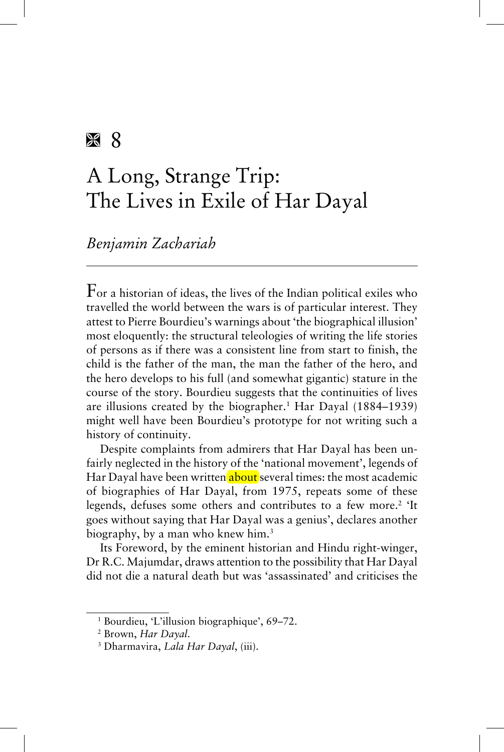# **88 R**

# A Long, Strange Trip: The Lives in Exile of Har Dayal

*Benjamin Zachariah*

For a historian of ideas, the lives of the Indian political exiles who travelled the world between the wars is of particular interest. They attest to Pierre Bourdieu's warnings about 'the biographical illusion' most eloquently: the structural teleologies of writing the life stories of persons as if there was a consistent line from start to finish, the child is the father of the man, the man the father of the hero, and the hero develops to his full (and somewhat gigantic) stature in the course of the story. Bourdieu suggests that the continuities of lives are illusions created by the biographer.<sup>1</sup> Har Dayal (1884–1939) might well have been Bourdieu's prototype for not writing such a history of continuity.

Despite complaints from admirers that Har Dayal has been unfairly neglected in the history of the 'national movement', legends of Har Dayal have been written about several times: the most academic of biographies of Har Dayal, from 1975, repeats some of these legends, defuses some others and contributes to a few more.<sup>2</sup> 'It goes without saying that Har Dayal was a genius', declares another biography, by a man who knew him.<sup>3</sup>

Its Foreword, by the eminent historian and Hindu right-winger, Dr R.C. Majumdar, draws attention to the possibility that Har Dayal did not die a natural death but was 'assassinated' and criticises the

<sup>1</sup> Bourdieu, 'L'illusion biographique', 69–72.

<sup>2</sup> Brown, *Har Dayal*.

<sup>&</sup>lt;sup>3</sup> Dharmavira, *Lala Har Dayal*, (iii).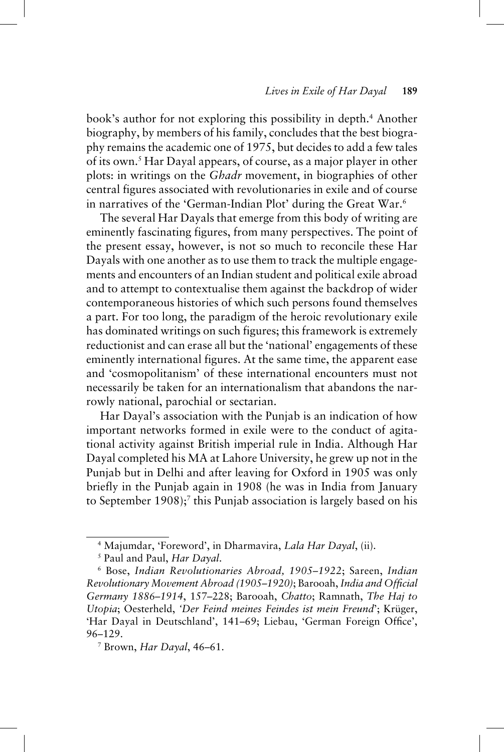#### *Lives in Exile of Har Dayal* **189**

book's author for not exploring this possibility in depth.<sup>4</sup> Another biography, by members of his family, concludes that the best biography remains the academic one of 1975, but decides to add a few tales of its own.5 Har Dayal appears, of course, as a major player in other plots: in writings on the *Ghadr* movement, in biographies of other central figures associated with revolutionaries in exile and of course in narratives of the 'German-Indian Plot' during the Great War.6

The several Har Dayals that emerge from this body of writing are eminently fascinating figures, from many perspectives. The point of the present essay, however, is not so much to reconcile these Har Dayals with one another as to use them to track the multiple engagements and encounters of an Indian student and political exile abroad and to attempt to contextualise them against the backdrop of wider contemporaneous histories of which such persons found themselves a part. For too long, the paradigm of the heroic revolutionary exile has dominated writings on such figures; this framework is extremely reductionist and can erase all but the 'national' engagements of these eminently international figures. At the same time, the apparent ease and 'cosmopolitanism' of these international encounters must not necessarily be taken for an internationalism that abandons the narrowly national, parochial or sectarian.

Har Dayal's association with the Punjab is an indication of how important networks formed in exile were to the conduct of agitational activity against British imperial rule in India. Although Har Dayal completed his MA at Lahore University, he grew up not in the Punjab but in Delhi and after leaving for Oxford in 1905 was only briefly in the Punjab again in 1908 (he was in India from January to September 1908);<sup>7</sup> this Punjab association is largely based on his

<sup>4</sup> Majumdar, 'Foreword', in Dharmavira, *Lala Har Dayal*, (ii).

<sup>5</sup> Paul and Paul, *Har Dayal*.

<sup>6</sup> Bose, *Indian Revolutionaries Abroad, 1905–1922*; Sareen, *Indian Revolutionary Movement Abroad (1905–1920)*; Barooah, *India and Official Germany 1886–1914*, 157–228; Barooah, *Chatto*; Ramnath, *The Haj to Utopia*; Oesterheld, *'Der Feind meines Feindes ist mein Freund*'; Krüger, 'Har Dayal in Deutschland', 141-69; Liebau, 'German Foreign Office', 96–129.

<sup>7</sup> Brown, *Har Dayal*, 46–61.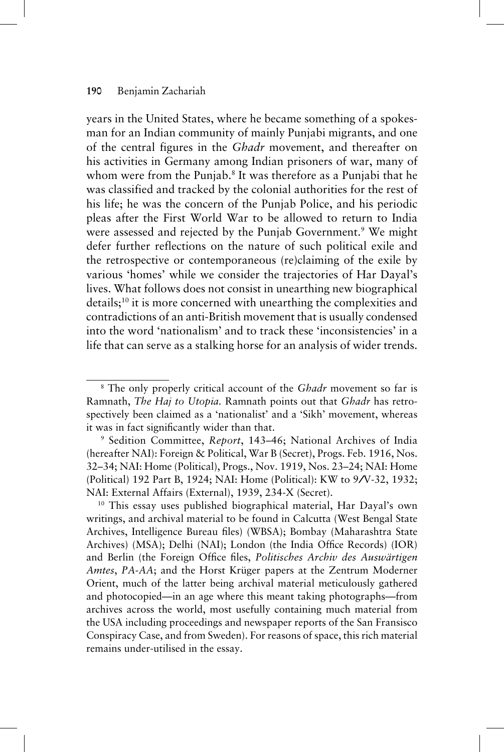years in the United States, where he became something of a spokesman for an Indian community of mainly Punjabi migrants, and one of the central figures in the *Ghadr* movement, and thereafter on his activities in Germany among Indian prisoners of war, many of whom were from the Punjab.8 It was therefore as a Punjabi that he was classified and tracked by the colonial authorities for the rest of his life; he was the concern of the Punjab Police, and his periodic pleas after the First World War to be allowed to return to India were assessed and rejected by the Punjab Government.<sup>9</sup> We might defer further reflections on the nature of such political exile and the retrospective or contemporaneous (re)claiming of the exile by various 'homes' while we consider the trajectories of Har Dayal's lives. What follows does not consist in unearthing new biographical details;10 it is more concerned with unearthing the complexities and contradictions of an anti-British movement that is usually condensed into the word 'nationalism' and to track these 'inconsistencies' in a life that can serve as a stalking horse for an analysis of wider trends.

 <sup>8</sup> The only properly critical account of the *Ghadr* movement so far is Ramnath, *The Haj to Utopia.* Ramnath points out that *Ghadr* has retrospectively been claimed as a 'nationalist' and a 'Sikh' movement, whereas it was in fact significantly wider than that.<br><sup>9</sup> Sedition Committee, *Report*, 143–46; National Archives of India

<sup>(</sup>hereafter NAI): Foreign & Political, War B (Secret), Progs. Feb. 1916, Nos. 32–34; NAI: Home (Political), Progs., Nov. 1919, Nos. 23–24; NAI: Home (Political) 192 Part B, 1924; NAI: Home (Political): KW to 9*/*V-32, 1932; NAI: External Affairs (External), 1939, 234-X (Secret).

<sup>10</sup> This essay uses published biographical material, Har Dayal's own writings, and archival material to be found in Calcutta (West Bengal State Archives, Intelligence Bureau files) (WBSA); Bombay (Maharashtra State Archives) (MSA); Delhi (NAI); London (the India Office Records) (IOR) and Berlin (the Foreign Office files, *Politisches Archiv des Auswärtigen Amtes*, *PA-AA*; and the Horst Krüger papers at the Zentrum Moderner Orient, much of the latter being archival material meticulously gathered and photocopied—in an age where this meant taking photographs—from archives across the world, most usefully containing much material from the USA including proceedings and newspaper reports of the San Fransisco Conspiracy Case, and from Sweden). For reasons of space, this rich material remains under-utilised in the essay.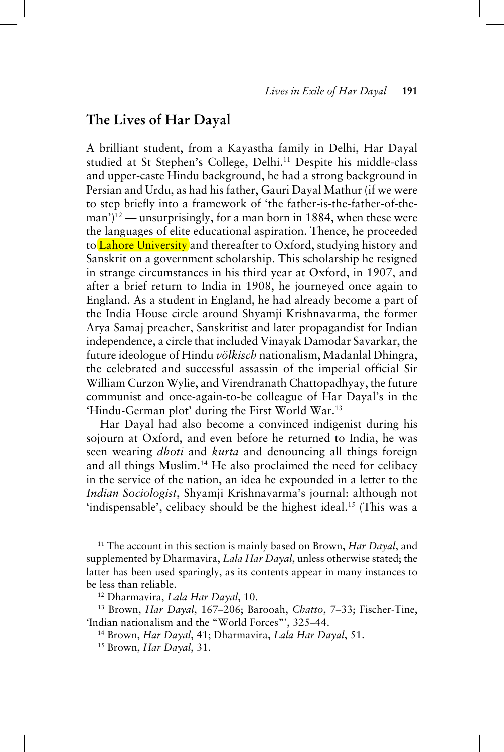# **The Lives of Har Dayal**

A brilliant student, from a Kayastha family in Delhi, Har Dayal studied at St Stephen's College, Delhi.<sup>11</sup> Despite his middle-class and upper-caste Hindu background, he had a strong background in Persian and Urdu, as had his father, Gauri Dayal Mathur (if we were to step briefly into a framework of 'the father-is-the-father-of-theman')<sup>12</sup> — unsurprisingly, for a man born in 1884, when these were the languages of elite educational aspiration. Thence, he proceeded to Lahore University and thereafter to Oxford, studying history and Sanskrit on a government scholarship. This scholarship he resigned in strange circumstances in his third year at Oxford, in 1907, and after a brief return to India in 1908, he journeyed once again to England. As a student in England, he had already become a part of the India House circle around Shyamji Krishnavarma, the former Arya Samaj preacher, Sanskritist and later propagandist for Indian independence, a circle that included Vinayak Damodar Savarkar, the future ideologue of Hindu *völkisch* nationalism, Madanlal Dhingra, the celebrated and successful assassin of the imperial official Sir William Curzon Wylie, and Virendranath Chattopadhyay, the future communist and once-again-to-be colleague of Har Dayal's in the 'Hindu-German plot' during the First World War.13

Har Dayal had also become a convinced indigenist during his sojourn at Oxford, and even before he returned to India, he was seen wearing *dhoti* and *kurta* and denouncing all things foreign and all things Muslim.14 He also proclaimed the need for celibacy in the service of the nation, an idea he expounded in a letter to the *Indian Sociologist*, Shyamji Krishnavarma's journal: although not 'indispensable', celibacy should be the highest ideal.<sup>15</sup> (This was a

<sup>11</sup> The account in this section is mainly based on Brown, *Har Dayal*, and supplemented by Dharmavira, *Lala Har Dayal*, unless otherwise stated; the latter has been used sparingly, as its contents appear in many instances to be less than reliable.

<sup>12</sup> Dharmavira, *Lala Har Dayal*, 10.

<sup>13</sup> Brown, *Har Dayal*, 167–206; Barooah, *Chatto*, 7–33; Fischer-Tine, 'Indian nationalism and the "World Forces"', 325–44.

<sup>14</sup> Brown, *Har Dayal*, 41; Dharmavira, *Lala Har Dayal*, 51.

<sup>15</sup> Brown, *Har Dayal*, 31.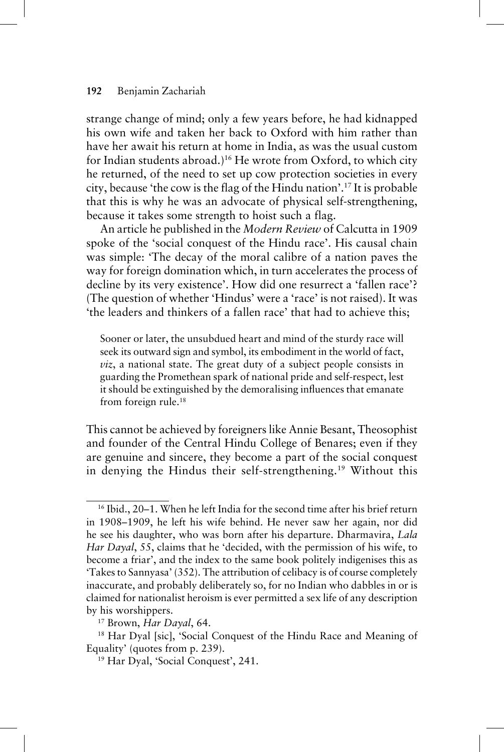strange change of mind; only a few years before, he had kidnapped his own wife and taken her back to Oxford with him rather than have her await his return at home in India, as was the usual custom for Indian students abroad.)<sup>16</sup> He wrote from Oxford, to which city he returned, of the need to set up cow protection societies in every city, because 'the cow is the flag of the Hindu nation'.17 It is probable that this is why he was an advocate of physical self-strengthening, because it takes some strength to hoist such a flag.

An article he published in the *Modern Review* of Calcutta in 1909 spoke of the 'social conquest of the Hindu race'. His causal chain was simple: 'The decay of the moral calibre of a nation paves the way for foreign domination which, in turn accelerates the process of decline by its very existence'. How did one resurrect a 'fallen race'? (The question of whether 'Hindus' were a 'race' is not raised). It was 'the leaders and thinkers of a fallen race' that had to achieve this;

Sooner or later, the unsubdued heart and mind of the sturdy race will seek its outward sign and symbol, its embodiment in the world of fact, *viz*, a national state. The great duty of a subject people consists in guarding the Promethean spark of national pride and self-respect, lest it should be extinguished by the demoralising influences that emanate from foreign rule.<sup>18</sup>

This cannot be achieved by foreigners like Annie Besant, Theosophist and founder of the Central Hindu College of Benares; even if they are genuine and sincere, they become a part of the social conquest in denying the Hindus their self-strengthening.19 Without this

<sup>16</sup> Ibid., 20–1. When he left India for the second time after his brief return in 1908–1909, he left his wife behind. He never saw her again, nor did he see his daughter, who was born after his departure. Dharmavira, *Lala Har Dayal*, 55, claims that he 'decided, with the permission of his wife, to become a friar', and the index to the same book politely indigenises this as 'Takes to Sannyasa' (352). The attribution of celibacy is of course completely inaccurate, and probably deliberately so, for no Indian who dabbles in or is claimed for nationalist heroism is ever permitted a sex life of any description by his worshippers.

<sup>17</sup> Brown, *Har Dayal*, 64.

<sup>18</sup> Har Dyal [sic], 'Social Conquest of the Hindu Race and Meaning of Equality' (quotes from p. 239).

<sup>19</sup> Har Dyal, 'Social Conquest', 241.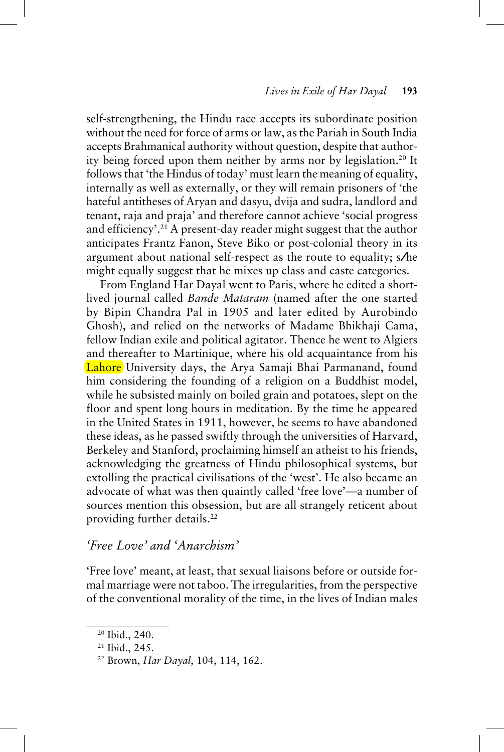self-strengthening, the Hindu race accepts its subordinate position without the need for force of arms or law, as the Pariah in South India accepts Brahmanical authority without question, despite that authority being forced upon them neither by arms nor by legislation.20 It follows that 'the Hindus of today' must learn the meaning of equality, internally as well as externally, or they will remain prisoners of 'the hateful antitheses of Aryan and dasyu, dvija and sudra, landlord and tenant, raja and praja' and therefore cannot achieve 'social progress and efficiency'.21 A present-day reader might suggest that the author anticipates Frantz Fanon, Steve Biko or post-colonial theory in its argument about national self-respect as the route to equality; s*/*he might equally suggest that he mixes up class and caste categories.

From England Har Dayal went to Paris, where he edited a shortlived journal called *Bande Mataram* (named after the one started by Bipin Chandra Pal in 1905 and later edited by Aurobindo Ghosh), and relied on the networks of Madame Bhikhaji Cama, fellow Indian exile and political agitator. Thence he went to Algiers and thereafter to Martinique, where his old acquaintance from his Lahore University days, the Arya Samaji Bhai Parmanand, found him considering the founding of a religion on a Buddhist model, while he subsisted mainly on boiled grain and potatoes, slept on the floor and spent long hours in meditation. By the time he appeared in the United States in 1911, however, he seems to have abandoned these ideas, as he passed swiftly through the universities of Harvard, Berkeley and Stanford, proclaiming himself an atheist to his friends, acknowledging the greatness of Hindu philosophical systems, but extolling the practical civilisations of the 'west'. He also became an advocate of what was then quaintly called 'free love'—a number of sources mention this obsession, but are all strangely reticent about providing further details.<sup>22</sup>

# *'Free Love' and 'Anarchism'*

'Free love' meant, at least, that sexual liaisons before or outside formal marriage were not taboo. The irregularities, from the perspective of the conventional morality of the time, in the lives of Indian males

<sup>20</sup> Ibid., 240.

<sup>21</sup> Ibid., 245.

<sup>22</sup> Brown, *Har Dayal*, 104, 114, 162.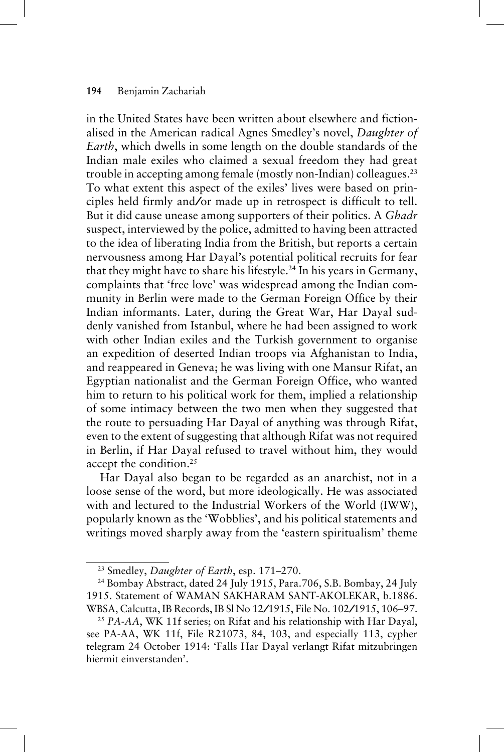in the United States have been written about elsewhere and fictionalised in the American radical Agnes Smedley's novel, *Daughter of Earth*, which dwells in some length on the double standards of the Indian male exiles who claimed a sexual freedom they had great trouble in accepting among female (mostly non-Indian) colleagues.23 To what extent this aspect of the exiles' lives were based on principles held firmly and*/*or made up in retrospect is difficult to tell. But it did cause unease among supporters of their politics. A *Ghadr*  suspect, interviewed by the police, admitted to having been attracted to the idea of liberating India from the British, but reports a certain nervousness among Har Dayal's potential political recruits for fear that they might have to share his lifestyle.24 In his years in Germany, complaints that 'free love' was widespread among the Indian community in Berlin were made to the German Foreign Office by their Indian informants. Later, during the Great War, Har Dayal suddenly vanished from Istanbul, where he had been assigned to work with other Indian exiles and the Turkish government to organise an expedition of deserted Indian troops via Afghanistan to India, and reappeared in Geneva; he was living with one Mansur Rifat, an Egyptian nationalist and the German Foreign Office, who wanted him to return to his political work for them, implied a relationship of some intimacy between the two men when they suggested that the route to persuading Har Dayal of anything was through Rifat, even to the extent of suggesting that although Rifat was not required in Berlin, if Har Dayal refused to travel without him, they would accept the condition.<sup>25</sup>

Har Dayal also began to be regarded as an anarchist, not in a loose sense of the word, but more ideologically. He was associated with and lectured to the Industrial Workers of the World (IWW), popularly known as the 'Wobblies', and his political statements and writings moved sharply away from the 'eastern spiritualism' theme

<sup>23</sup> Smedley, *Daughter of Earth*, esp. 171–270.

<sup>&</sup>lt;sup>24</sup> Bombay Abstract, dated 24 July 1915, Para.706, S.B. Bombay, 24 July 1915. Statement of WAMAN SAKHARAM SANT-AKOLEKAR, b.1886. WBSA, Calcutta, IB Records, IB Sl No 12*/*1915, File No. 102*/*1915, 106–97.

<sup>25</sup> *PA-AA*, WK 11f series; on Rifat and his relationship with Har Dayal, see PA-AA, WK 11f, File R21073, 84, 103, and especially 113, cypher telegram 24 October 1914: 'Falls Har Dayal verlangt Rifat mitzubringen hiermit einverstanden'.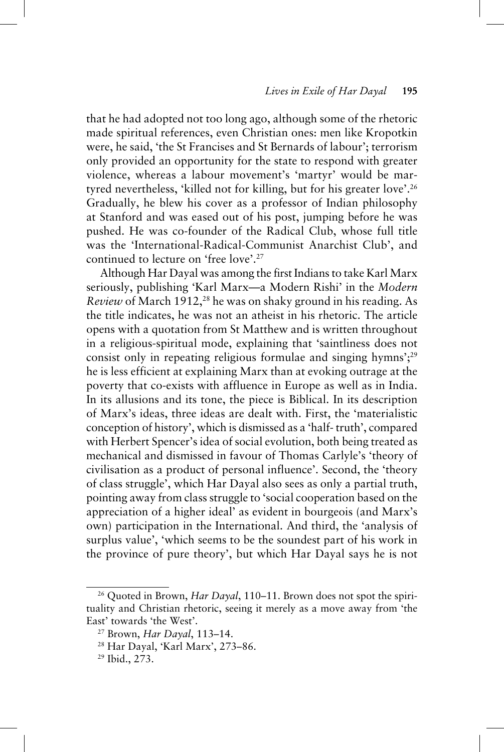that he had adopted not too long ago, although some of the rhetoric made spiritual references, even Christian ones: men like Kropotkin were, he said, 'the St Francises and St Bernards of labour'; terrorism only provided an opportunity for the state to respond with greater violence, whereas a labour movement's 'martyr' would be martyred nevertheless, 'killed not for killing, but for his greater love'.<sup>26</sup> Gradually, he blew his cover as a professor of Indian philosophy at Stanford and was eased out of his post, jumping before he was pushed. He was co-founder of the Radical Club, whose full title was the 'International-Radical-Communist Anarchist Club', and continued to lecture on 'free love'.27

Although Har Dayal was among the first Indians to take Karl Marx seriously, publishing 'Karl Marx—a Modern Rishi' in the *Modern Review* of March 1912,<sup>28</sup> he was on shaky ground in his reading. As the title indicates, he was not an atheist in his rhetoric. The article opens with a quotation from St Matthew and is written throughout in a religious-spiritual mode, explaining that 'saintliness does not consist only in repeating religious formulae and singing hymns';<sup>29</sup> he is less efficient at explaining Marx than at evoking outrage at the poverty that co-exists with affluence in Europe as well as in India. In its allusions and its tone, the piece is Biblical. In its description of Marx's ideas, three ideas are dealt with. First, the 'materialistic conception of history', which is dismissed as a 'half- truth', compared with Herbert Spencer's idea of social evolution, both being treated as mechanical and dismissed in favour of Thomas Carlyle's 'theory of civilisation as a product of personal influence'. Second, the 'theory of class struggle', which Har Dayal also sees as only a partial truth, pointing away from class struggle to 'social cooperation based on the appreciation of a higher ideal' as evident in bourgeois (and Marx's own) participation in the International. And third, the 'analysis of surplus value', 'which seems to be the soundest part of his work in the province of pure theory', but which Har Dayal says he is not

<sup>26</sup> Quoted in Brown, *Har Dayal*, 110–11. Brown does not spot the spirituality and Christian rhetoric, seeing it merely as a move away from 'the East' towards 'the West'.

<sup>27</sup> Brown, *Har Dayal*, 113–14.

<sup>28</sup> Har Dayal, 'Karl Marx', 273–86.

<sup>29</sup> Ibid., 273.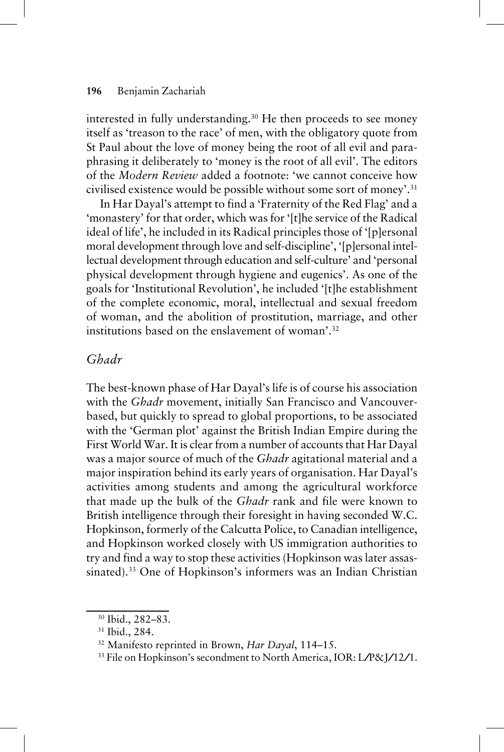interested in fully understanding.<sup>30</sup> He then proceeds to see money itself as 'treason to the race' of men, with the obligatory quote from St Paul about the love of money being the root of all evil and paraphrasing it deliberately to 'money is the root of all evil'. The editors of the *Modern Review* added a footnote: 'we cannot conceive how civilised existence would be possible without some sort of money'.31

In Har Dayal's attempt to find a 'Fraternity of the Red Flag' and a 'monastery' for that order, which was for '[t]he service of the Radical ideal of life', he included in its Radical principles those of '[p]ersonal moral development through love and self-discipline', '[p]ersonal intellectual development through education and self-culture' and 'personal physical development through hygiene and eugenics'. As one of the goals for 'Institutional Revolution', he included '[t]he establishment of the complete economic, moral, intellectual and sexual freedom of woman, and the abolition of prostitution, marriage, and other institutions based on the enslavement of woman'.32

# *Ghadr*

The best-known phase of Har Dayal's life is of course his association with the *Ghadr* movement, initially San Francisco and Vancouverbased, but quickly to spread to global proportions, to be associated with the 'German plot' against the British Indian Empire during the First World War. It is clear from a number of accounts that Har Dayal was a major source of much of the *Ghadr* agitational material and a major inspiration behind its early years of organisation. Har Dayal's activities among students and among the agricultural workforce that made up the bulk of the *Ghadr* rank and file were known to British intelligence through their foresight in having seconded W.C. Hopkinson, formerly of the Calcutta Police, to Canadian intelligence, and Hopkinson worked closely with US immigration authorities to try and find a way to stop these activities (Hopkinson was later assassinated).<sup>33</sup> One of Hopkinson's informers was an Indian Christian

<sup>30</sup> Ibid., 282–83.

<sup>31</sup> Ibid., 284.

<sup>32</sup> Manifesto reprinted in Brown, *Har Dayal*, 114–15.

<sup>33</sup> File on Hopkinson's secondment to North America, IOR: L*/*P&J*/*12*/*1.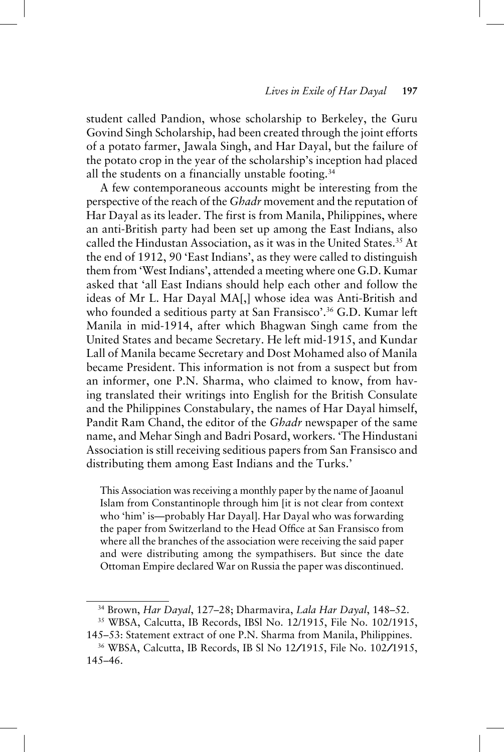student called Pandion, whose scholarship to Berkeley, the Guru Govind Singh Scholarship, had been created through the joint efforts of a potato farmer, Jawala Singh, and Har Dayal, but the failure of the potato crop in the year of the scholarship's inception had placed all the students on a financially unstable footing.34

A few contemporaneous accounts might be interesting from the perspective of the reach of the *Ghadr* movement and the reputation of Har Dayal as its leader. The first is from Manila, Philippines, where an anti-British party had been set up among the East Indians, also called the Hindustan Association, as it was in the United States.<sup>35</sup> At the end of 1912, 90 'East Indians', as they were called to distinguish them from 'West Indians', attended a meeting where one G.D. Kumar asked that 'all East Indians should help each other and follow the ideas of Mr L. Har Dayal MA[,] whose idea was Anti-British and who founded a seditious party at San Fransisco'.36 G.D. Kumar left Manila in mid-1914, after which Bhagwan Singh came from the United States and became Secretary. He left mid-1915, and Kundar Lall of Manila became Secretary and Dost Mohamed also of Manila became President. This information is not from a suspect but from an informer, one P.N. Sharma, who claimed to know, from having translated their writings into English for the British Consulate and the Philippines Constabulary, the names of Har Dayal himself, Pandit Ram Chand, the editor of the *Ghadr* newspaper of the same name, and Mehar Singh and Badri Posard, workers. 'The Hindustani Association is still receiving seditious papers from San Fransisco and distributing them among East Indians and the Turks.'

This Association was receiving a monthly paper by the name of Jaoanul Islam from Constantinople through him [it is not clear from context who 'him' is—probably Har Dayal]. Har Dayal who was forwarding the paper from Switzerland to the Head Office at San Fransisco from where all the branches of the association were receiving the said paper and were distributing among the sympathisers. But since the date Ottoman Empire declared War on Russia the paper was discontinued.

<sup>34</sup> Brown, *Har Dayal*, 127–28; Dharmavira, *Lala Har Dayal*, 148–52.

<sup>35</sup> WBSA, Calcutta, IB Records, IBSl No. 12/1915, File No. 102/1915,

<sup>145–53:</sup> Statement extract of one P.N. Sharma from Manila, Philippines. 36 WBSA, Calcutta, IB Records, IB Sl No 12*/*1915, File No. 102*/*1915,

<sup>145–46.</sup>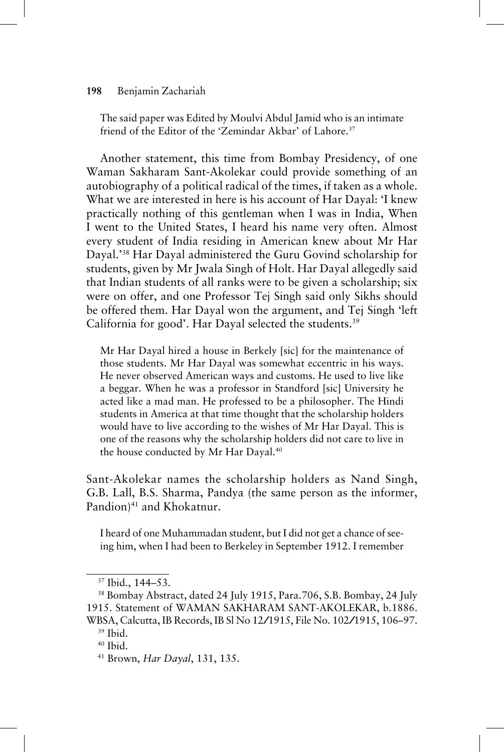The said paper was Edited by Moulvi Abdul Jamid who is an intimate friend of the Editor of the 'Zemindar Akbar' of Lahore.<sup>37</sup>

Another statement, this time from Bombay Presidency, of one Waman Sakharam Sant-Akolekar could provide something of an autobiography of a political radical of the times, if taken as a whole. What we are interested in here is his account of Har Dayal: 'I knew practically nothing of this gentleman when I was in India, When I went to the United States, I heard his name very often. Almost every student of India residing in American knew about Mr Har Dayal.'38 Har Dayal administered the Guru Govind scholarship for students, given by Mr Jwala Singh of Holt. Har Dayal allegedly said that Indian students of all ranks were to be given a scholarship; six were on offer, and one Professor Tej Singh said only Sikhs should be offered them. Har Dayal won the argument, and Tej Singh 'left California for good'. Har Dayal selected the students.<sup>39</sup>

Mr Har Dayal hired a house in Berkely [sic] for the maintenance of those students. Mr Har Dayal was somewhat eccentric in his ways. He never observed American ways and customs. He used to live like a beggar. When he was a professor in Standford [sic] University he acted like a mad man. He professed to be a philosopher. The Hindi students in America at that time thought that the scholarship holders would have to live according to the wishes of Mr Har Dayal. This is one of the reasons why the scholarship holders did not care to live in the house conducted by Mr Har Dayal.<sup>40</sup>

Sant-Akolekar names the scholarship holders as Nand Singh, G.B. Lall, B.S. Sharma, Pandya (the same person as the informer, Pandion)<sup>41</sup> and Khokatnur.

I heard of one Muhammadan student, but I did not get a chance of seeing him, when I had been to Berkeley in September 1912. I remember

<sup>37</sup> Ibid., 144–53.

<sup>38</sup> Bombay Abstract, dated 24 July 1915, Para.706, S.B. Bombay, 24 July 1915. Statement of WAMAN SAKHARAM SANT-AKOLEKAR, b.1886. WBSA, Calcutta, IB Records, IB Sl No 12*/*1915, File No. 102*/*1915, 106–97.

<sup>39</sup> Ibid.

<sup>40</sup> Ibid.

<sup>41</sup> Brown, *Har Dayal*, 131, 135.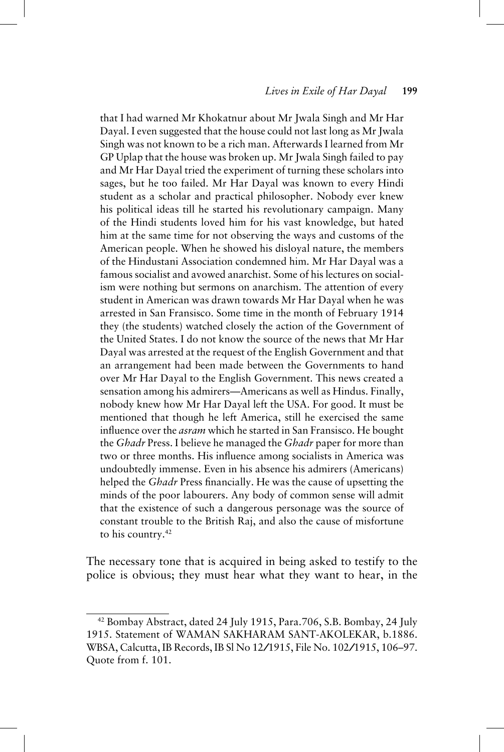that I had warned Mr Khokatnur about Mr Jwala Singh and Mr Har Dayal. I even suggested that the house could not last long as Mr Jwala Singh was not known to be a rich man. Afterwards I learned from Mr GP Uplap that the house was broken up. Mr Jwala Singh failed to pay and Mr Har Dayal tried the experiment of turning these scholars into sages, but he too failed. Mr Har Dayal was known to every Hindi student as a scholar and practical philosopher. Nobody ever knew his political ideas till he started his revolutionary campaign. Many of the Hindi students loved him for his vast knowledge, but hated him at the same time for not observing the ways and customs of the American people. When he showed his disloyal nature, the members of the Hindustani Association condemned him. Mr Har Dayal was a famous socialist and avowed anarchist. Some of his lectures on socialism were nothing but sermons on anarchism. The attention of every student in American was drawn towards Mr Har Dayal when he was arrested in San Fransisco. Some time in the month of February 1914 they (the students) watched closely the action of the Government of the United States. I do not know the source of the news that Mr Har Dayal was arrested at the request of the English Government and that an arrangement had been made between the Governments to hand over Mr Har Dayal to the English Government. This news created a sensation among his admirers—Americans as well as Hindus. Finally, nobody knew how Mr Har Dayal left the USA. For good. It must be mentioned that though he left America, still he exercised the same influence over the *asram* which he started in San Fransisco. He bought the *Ghadr* Press. I believe he managed the *Ghadr* paper for more than two or three months. His influence among socialists in America was undoubtedly immense. Even in his absence his admirers (Americans) helped the *Ghadr* Press financially. He was the cause of upsetting the minds of the poor labourers. Any body of common sense will admit that the existence of such a dangerous personage was the source of constant trouble to the British Raj, and also the cause of misfortune to his country.42

The necessary tone that is acquired in being asked to testify to the police is obvious; they must hear what they want to hear, in the

<sup>42</sup> Bombay Abstract, dated 24 July 1915, Para.706, S.B. Bombay, 24 July 1915. Statement of WAMAN SAKHARAM SANT-AKOLEKAR, b.1886. WBSA, Calcutta, IB Records, IB Sl No 12*/*1915, File No. 102*/*1915, 106–97. Quote from f. 101.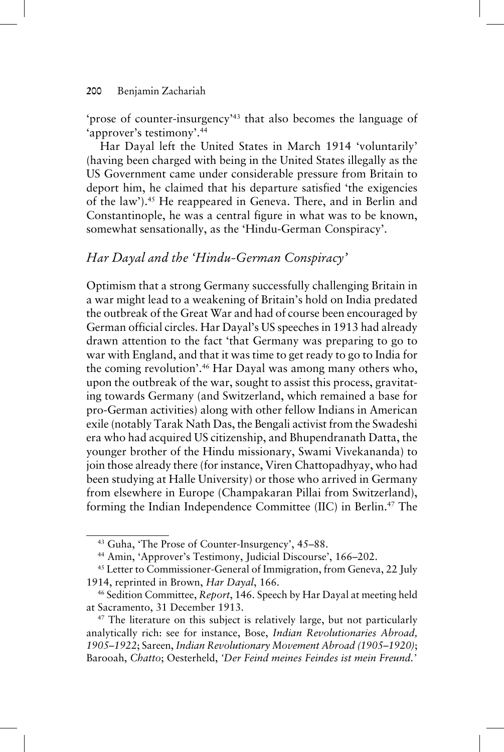'prose of counter-insurgency'43 that also becomes the language of 'approver's testimony'.44

Har Dayal left the United States in March 1914 'voluntarily' (having been charged with being in the United States illegally as the US Government came under considerable pressure from Britain to deport him, he claimed that his departure satisfied 'the exigencies of the law').45 He reappeared in Geneva. There, and in Berlin and Constantinople, he was a central figure in what was to be known, somewhat sensationally, as the 'Hindu-German Conspiracy'.

# *Har Dayal and the 'Hindu-German Conspiracy'*

Optimism that a strong Germany successfully challenging Britain in a war might lead to a weakening of Britain's hold on India predated the outbreak of the Great War and had of course been encouraged by German official circles. Har Dayal's US speeches in 1913 had already drawn attention to the fact 'that Germany was preparing to go to war with England, and that it was time to get ready to go to India for the coming revolution'.46 Har Dayal was among many others who, upon the outbreak of the war, sought to assist this process, gravitating towards Germany (and Switzerland, which remained a base for pro-German activities) along with other fellow Indians in American exile (notably Tarak Nath Das, the Bengali activist from the Swadeshi era who had acquired US citizenship, and Bhupendranath Datta, the younger brother of the Hindu missionary, Swami Vivekananda) to join those already there (for instance, Viren Chattopadhyay, who had been studying at Halle University) or those who arrived in Germany from elsewhere in Europe (Champakaran Pillai from Switzerland), forming the Indian Independence Committee (IIC) in Berlin.47 The

<sup>43</sup> Guha, 'The Prose of Counter-Insurgency', 45–88.

<sup>44</sup> Amin, 'Approver's Testimony, Judicial Discourse', 166–202.

<sup>45</sup> Letter to Commissioner-General of Immigration, from Geneva, 22 July 1914, reprinted in Brown, *Har Dayal*, 166.

<sup>46</sup> Sedition Committee, *Report*, 146. Speech by Har Dayal at meeting held at Sacramento, 31 December 1913.

<sup>&</sup>lt;sup>47</sup> The literature on this subject is relatively large, but not particularly analytically rich: see for instance, Bose, *Indian Revolutionaries Abroad, 1905–1922*; Sareen, *Indian Revolutionary Movement Abroad (1905–1920)*; Barooah, *Chatto*; Oesterheld, *'Der Feind meines Feindes ist mein Freund.'*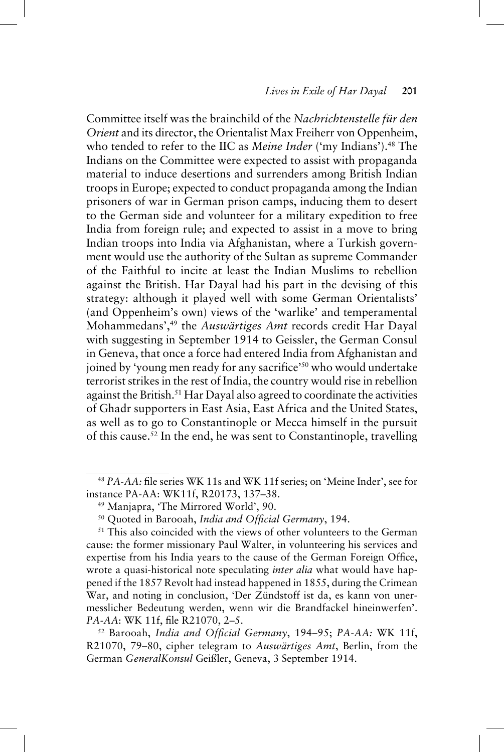## *Lives in Exile of Har Dayal* **201**

Committee itself was the brainchild of the *Nachrichtenstelle für den Orient* and its director, the Orientalist Max Freiherr von Oppenheim, who tended to refer to the IIC as *Meine Inder* ('my Indians').<sup>48</sup> The Indians on the Committee were expected to assist with propaganda material to induce desertions and surrenders among British Indian troops in Europe; expected to conduct propaganda among the Indian prisoners of war in German prison camps, inducing them to desert to the German side and volunteer for a military expedition to free India from foreign rule; and expected to assist in a move to bring Indian troops into India via Afghanistan, where a Turkish government would use the authority of the Sultan as supreme Commander of the Faithful to incite at least the Indian Muslims to rebellion against the British. Har Dayal had his part in the devising of this strategy: although it played well with some German Orientalists' (and Oppenheim's own) views of the 'warlike' and temperamental Mohammedans',49 the *Auswärtiges Amt* records credit Har Dayal with suggesting in September 1914 to Geissler, the German Consul in Geneva, that once a force had entered India from Afghanistan and joined by 'young men ready for any sacrifice'<sup>50</sup> who would undertake terrorist strikes in the rest of India, the country would rise in rebellion against the British.51 Har Dayal also agreed to coordinate the activities of Ghadr supporters in East Asia, East Africa and the United States, as well as to go to Constantinople or Mecca himself in the pursuit of this cause.52 In the end, he was sent to Constantinople, travelling

<sup>&</sup>lt;sup>48</sup> PA-AA: file series WK 11s and WK 11f series; on 'Meine Inder', see for instance PA-AA: WK11f, R20173, 137–38.

<sup>49</sup> Manjapra, 'The Mirrored World', 90.

<sup>&</sup>lt;sup>50</sup> Quoted in Barooah, *India and Official Germany*, 194.

<sup>&</sup>lt;sup>51</sup> This also coincided with the views of other volunteers to the German cause: the former missionary Paul Walter, in volunteering his services and expertise from his India years to the cause of the German Foreign Office, wrote a quasi-historical note speculating *inter alia* what would have happened if the 1857 Revolt had instead happened in 1855, during the Crimean War, and noting in conclusion, 'Der Zündstoff ist da, es kann von unermesslicher Bedeutung werden, wenn wir die Brandfackel hineinwerfen'. *PA-AA*: WK 11f, file R21070, 2-5.

<sup>&</sup>lt;sup>52</sup> Barooah, *India and Official Germany*, 194-95; *PA-AA*: WK 11f, R21070, 79–80, cipher telegram to *Auswärtiges Amt*, Berlin, from the German *GeneralKonsul* Geißler, Geneva, 3 September 1914.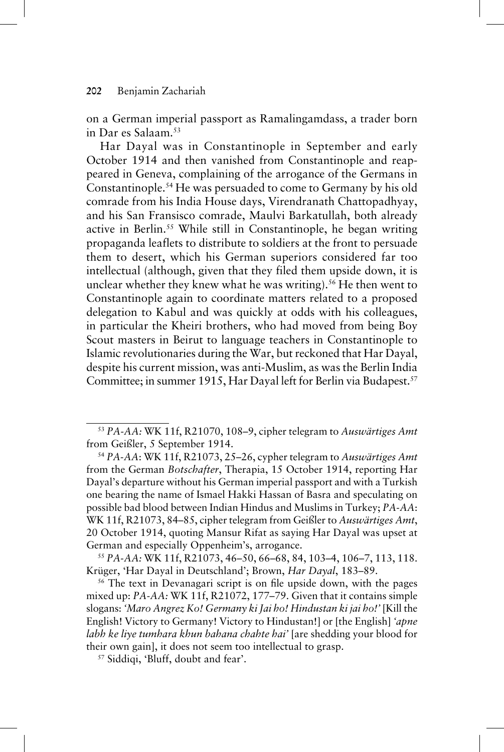on a German imperial passport as Ramalingamdass, a trader born in Dar es Salaam.53

Har Dayal was in Constantinople in September and early October 1914 and then vanished from Constantinople and reappeared in Geneva, complaining of the arrogance of the Germans in Constantinople.54 He was persuaded to come to Germany by his old comrade from his India House days, Virendranath Chattopadhyay, and his San Fransisco comrade, Maulvi Barkatullah, both already active in Berlin.<sup>55</sup> While still in Constantinople, he began writing propaganda leaflets to distribute to soldiers at the front to persuade them to desert, which his German superiors considered far too intellectual (although, given that they filed them upside down, it is unclear whether they knew what he was writing).<sup>56</sup> He then went to Constantinople again to coordinate matters related to a proposed delegation to Kabul and was quickly at odds with his colleagues, in particular the Kheiri brothers, who had moved from being Boy Scout masters in Beirut to language teachers in Constantinople to Islamic revolutionaries during the War, but reckoned that Har Dayal, despite his current mission, was anti-Muslim, as was the Berlin India Committee; in summer 1915, Har Dayal left for Berlin via Budapest.<sup>57</sup>

<sup>55</sup> *PA-AA:* WK 11f, R21073, 46–50, 66–68, 84, 103–4, 106–7, 113, 118. Krüger, 'Har Dayal in Deutschland'; Brown, *Har Dayal*, 183–89.

<sup>56</sup> The text in Devanagari script is on file upside down, with the pages mixed up: *PA-AA:* WK 11f, R21072, 177–79. Given that it contains simple slogans: *'Maro Angrez Ko! Germany ki Jai ho! Hindustan ki jai ho!'* [Kill the English! Victory to Germany! Victory to Hindustan!] or [the English] *'apne labh ke liye tumhara khun bahana chahte hai'* [are shedding your blood for their own gain], it does not seem too intellectual to grasp.

57 Siddiqi, 'Bluff, doubt and fear'.

<sup>53</sup> *PA-AA:* WK 11f, R21070, 108–9, cipher telegram to *Auswärtiges Amt*  from Geißler, 5 September 1914.

<sup>54</sup> *PA-AA*: WK 11f, R21073, 25–26, cypher telegram to *Auswärtiges Amt*  from the German *Botschafter*, Therapia, 15 October 1914, reporting Har Dayal's departure without his German imperial passport and with a Turkish one bearing the name of Ismael Hakki Hassan of Basra and speculating on possible bad blood between Indian Hindus and Muslims in Turkey; *PA-AA*: WK 11f, R21073, 84–85, cipher telegram from Geißler to *Auswärtiges Amt*, 20 October 1914, quoting Mansur Rifat as saying Har Dayal was upset at German and especially Oppenheim's, arrogance.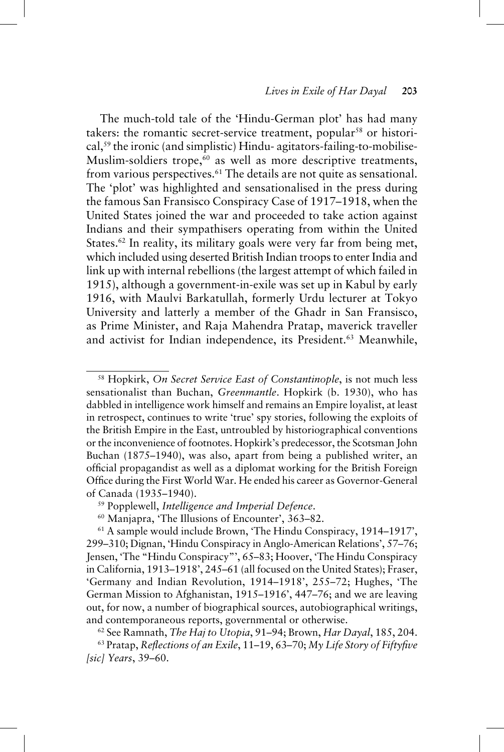The much-told tale of the 'Hindu-German plot' has had many takers: the romantic secret-service treatment, popular<sup>58</sup> or historical,59 the ironic (and simplistic) Hindu- agitators-failing-to-mobilise-Muslim-soldiers trope, $60$  as well as more descriptive treatments, from various perspectives.<sup>61</sup> The details are not quite as sensational. The 'plot' was highlighted and sensationalised in the press during the famous San Fransisco Conspiracy Case of 1917–1918, when the United States joined the war and proceeded to take action against Indians and their sympathisers operating from within the United States.<sup>62</sup> In reality, its military goals were very far from being met, which included using deserted British Indian troops to enter India and link up with internal rebellions (the largest attempt of which failed in 1915), although a government-in-exile was set up in Kabul by early 1916, with Maulvi Barkatullah, formerly Urdu lecturer at Tokyo University and latterly a member of the Ghadr in San Fransisco, as Prime Minister, and Raja Mahendra Pratap, maverick traveller and activist for Indian independence, its President.<sup>63</sup> Meanwhile,

<sup>58</sup> Hopkirk, *On Secret Service East of Constantinople*, is not much less sensationalist than Buchan, *Greenmantle*. Hopkirk (b. 1930), who has dabbled in intelligence work himself and remains an Empire loyalist, at least in retrospect, continues to write 'true' spy stories, following the exploits of the British Empire in the East, untroubled by historiographical conventions or the inconvenience of footnotes. Hopkirk's predecessor, the Scotsman John Buchan (1875–1940), was also, apart from being a published writer, an official propagandist as well as a diplomat working for the British Foreign Office during the First World War. He ended his career as Governor-General of Canada (1935–1940).

<sup>59</sup> Popplewell, *Intelligence and Imperial Defence*.

<sup>60</sup> Manjapra, 'The Illusions of Encounter', 363–82.

<sup>61</sup> A sample would include Brown, 'The Hindu Conspiracy, 1914–1917', 299–310; Dignan, 'Hindu Conspiracy in Anglo-American Relations', 57–76; Jensen, 'The "Hindu Conspiracy"', 65–83; Hoover, 'The Hindu Conspiracy in California, 1913–1918', 245–61 (all focused on the United States); Fraser, 'Germany and Indian Revolution, 1914–1918', 255–72; Hughes, 'The German Mission to Afghanistan, 1915–1916', 447–76; and we are leaving out, for now, a number of biographical sources, autobiographical writings, and contemporaneous reports, governmental or otherwise.

<sup>62</sup> See Ramnath, *The Haj to Utopia*, 91–94; Brown, *Har Dayal*, 185, 204.

<sup>63</sup> Pratap, *Refl ections of an Exile*, 11–19, 63–70; *My Life Story of Fiftyfi ve [sic] Years*, 39–60.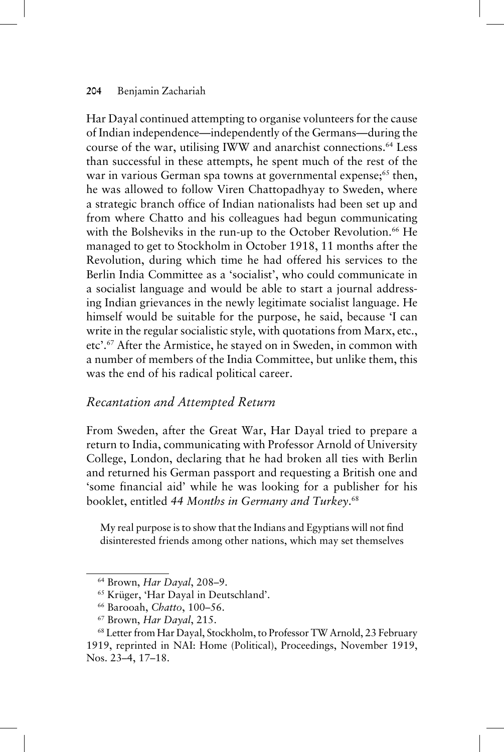Har Dayal continued attempting to organise volunteers for the cause of Indian independence—independently of the Germans—during the course of the war, utilising IWW and anarchist connections.<sup>64</sup> Less than successful in these attempts, he spent much of the rest of the war in various German spa towns at governmental expense;<sup>65</sup> then, he was allowed to follow Viren Chattopadhyay to Sweden, where a strategic branch office of Indian nationalists had been set up and from where Chatto and his colleagues had begun communicating with the Bolsheviks in the run-up to the October Revolution.<sup>66</sup> He managed to get to Stockholm in October 1918, 11 months after the Revolution, during which time he had offered his services to the Berlin India Committee as a 'socialist', who could communicate in a socialist language and would be able to start a journal addressing Indian grievances in the newly legitimate socialist language. He himself would be suitable for the purpose, he said, because 'I can write in the regular socialistic style, with quotations from Marx, etc., etc'.67 After the Armistice, he stayed on in Sweden, in common with a number of members of the India Committee, but unlike them, this was the end of his radical political career.

# *Recantation and Attempted Return*

From Sweden, after the Great War, Har Dayal tried to prepare a return to India, communicating with Professor Arnold of University College, London, declaring that he had broken all ties with Berlin and returned his German passport and requesting a British one and 'some financial aid' while he was looking for a publisher for his booklet, entitled *44 Months in Germany and Turkey*. 68

My real purpose is to show that the Indians and Egyptians will not find disinterested friends among other nations, which may set themselves

<sup>64</sup> Brown, *Har Dayal*, 208–9.

<sup>65</sup> Krüger, 'Har Dayal in Deutschland'.

<sup>66</sup> Barooah, *Chatto*, 100–56.

<sup>67</sup> Brown, *Har Dayal*, 215.

<sup>68</sup> Letter from Har Dayal, Stockholm, to Professor TW Arnold, 23 February 1919, reprinted in NAI: Home (Political), Proceedings, November 1919, Nos. 23–4, 17–18.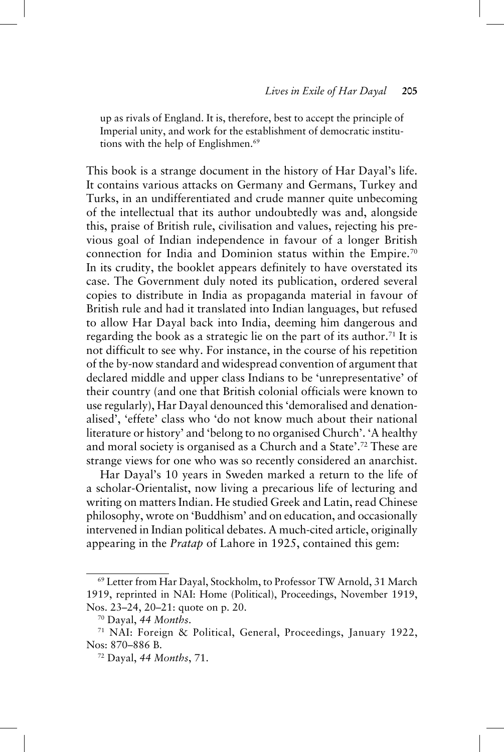up as rivals of England. It is, therefore, best to accept the principle of Imperial unity, and work for the establishment of democratic institutions with the help of Englishmen.<sup>69</sup>

This book is a strange document in the history of Har Dayal's life. It contains various attacks on Germany and Germans, Turkey and Turks, in an undifferentiated and crude manner quite unbecoming of the intellectual that its author undoubtedly was and, alongside this, praise of British rule, civilisation and values, rejecting his previous goal of Indian independence in favour of a longer British connection for India and Dominion status within the Empire.70 In its crudity, the booklet appears definitely to have overstated its case. The Government duly noted its publication, ordered several copies to distribute in India as propaganda material in favour of British rule and had it translated into Indian languages, but refused to allow Har Dayal back into India, deeming him dangerous and regarding the book as a strategic lie on the part of its author.<sup>71</sup> It is not difficult to see why. For instance, in the course of his repetition of the by-now standard and widespread convention of argument that declared middle and upper class Indians to be 'unrepresentative' of their country (and one that British colonial officials were known to use regularly), Har Dayal denounced this 'demoralised and denationalised', 'effete' class who 'do not know much about their national literature or history' and 'belong to no organised Church'. 'A healthy and moral society is organised as a Church and a State'.72 These are strange views for one who was so recently considered an anarchist.

Har Dayal's 10 years in Sweden marked a return to the life of a scholar-Orientalist, now living a precarious life of lecturing and writing on matters Indian. He studied Greek and Latin, read Chinese philosophy, wrote on 'Buddhism' and on education, and occasionally intervened in Indian political debates. A much-cited article, originally appearing in the *Pratap* of Lahore in 1925, contained this gem:

<sup>69</sup> Letter from Har Dayal, Stockholm, to Professor TW Arnold, 31 March 1919, reprinted in NAI: Home (Political), Proceedings, November 1919, Nos. 23–24, 20–21: quote on p. 20.

<sup>70</sup> Dayal, *44 Months*.

<sup>71</sup> NAI: Foreign & Political, General, Proceedings, January 1922, Nos: 870–886 B.

<sup>72</sup> Dayal, *44 Months*, 71.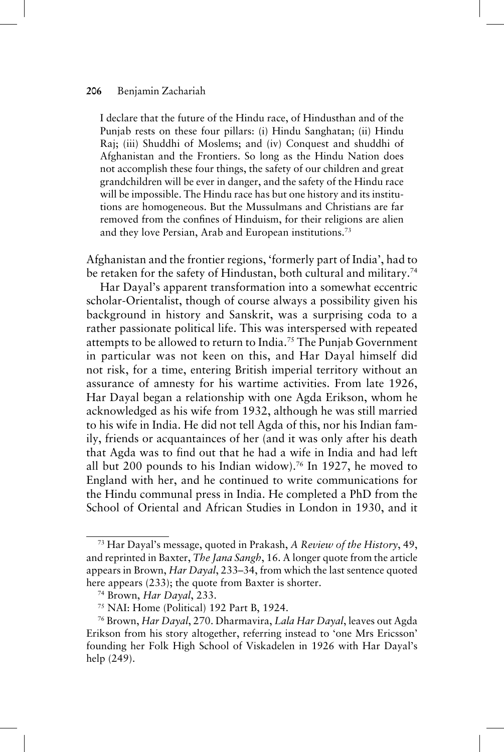I declare that the future of the Hindu race, of Hindusthan and of the Punjab rests on these four pillars: (i) Hindu Sanghatan; (ii) Hindu Raj; (iii) Shuddhi of Moslems; and (iv) Conquest and shuddhi of Afghanistan and the Frontiers. So long as the Hindu Nation does not accomplish these four things, the safety of our children and great grandchildren will be ever in danger, and the safety of the Hindu race will be impossible. The Hindu race has but one history and its institutions are homogeneous. But the Mussulmans and Christians are far removed from the confines of Hinduism, for their religions are alien and they love Persian, Arab and European institutions.73

Afghanistan and the frontier regions, 'formerly part of India', had to be retaken for the safety of Hindustan, both cultural and military.<sup>74</sup>

Har Dayal's apparent transformation into a somewhat eccentric scholar-Orientalist, though of course always a possibility given his background in history and Sanskrit, was a surprising coda to a rather passionate political life. This was interspersed with repeated attempts to be allowed to return to India.<sup>75</sup> The Punjab Government in particular was not keen on this, and Har Dayal himself did not risk, for a time, entering British imperial territory without an assurance of amnesty for his wartime activities. From late 1926, Har Dayal began a relationship with one Agda Erikson, whom he acknowledged as his wife from 1932, although he was still married to his wife in India. He did not tell Agda of this, nor his Indian family, friends or acquantainces of her (and it was only after his death that Agda was to find out that he had a wife in India and had left all but 200 pounds to his Indian widow).<sup>76</sup> In 1927, he moved to England with her, and he continued to write communications for the Hindu communal press in India. He completed a PhD from the School of Oriental and African Studies in London in 1930, and it

<sup>73</sup> Har Dayal's message, quoted in Prakash, *A Review of the History*, 49, and reprinted in Baxter, *The Jana Sangh*, 16. A longer quote from the article appears in Brown, *Har Dayal*, 233–34, from which the last sentence quoted here appears (233); the quote from Baxter is shorter.

<sup>74</sup> Brown, *Har Dayal*, 233.

<sup>75</sup> NAI: Home (Political) 192 Part B, 1924.

<sup>76</sup> Brown, *Har Dayal*, 270. Dharmavira, *Lala Har Dayal*, leaves out Agda Erikson from his story altogether, referring instead to 'one Mrs Ericsson' founding her Folk High School of Viskadelen in 1926 with Har Dayal's help (249).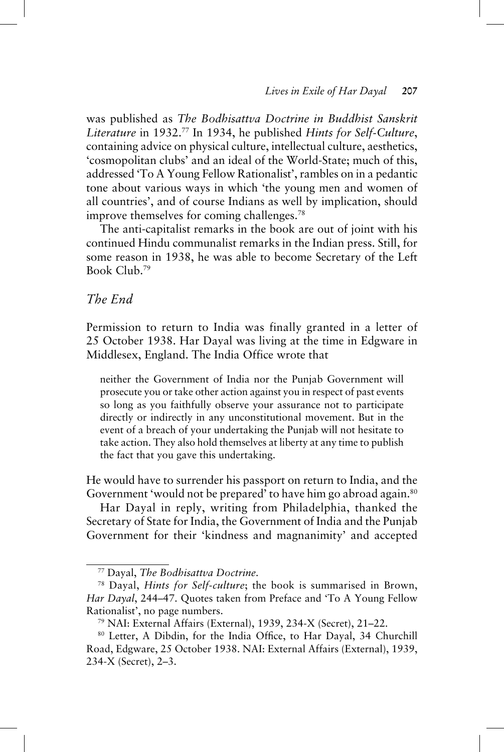was published as *The Bodhisattva Doctrine in Buddhist Sanskrit Literature* in 1932.77 In 1934, he published *Hints for Self-Culture*, containing advice on physical culture, intellectual culture, aesthetics, 'cosmopolitan clubs' and an ideal of the World-State; much of this, addressed 'To A Young Fellow Rationalist', rambles on in a pedantic tone about various ways in which 'the young men and women of all countries', and of course Indians as well by implication, should improve themselves for coming challenges.78

The anti-capitalist remarks in the book are out of joint with his continued Hindu communalist remarks in the Indian press. Still, for some reason in 1938, he was able to become Secretary of the Left Book Club.79

# *The End*

Permission to return to India was finally granted in a letter of 25 October 1938. Har Dayal was living at the time in Edgware in Middlesex, England. The India Office wrote that

neither the Government of India nor the Punjab Government will prosecute you or take other action against you in respect of past events so long as you faithfully observe your assurance not to participate directly or indirectly in any unconstitutional movement. But in the event of a breach of your undertaking the Punjab will not hesitate to take action. They also hold themselves at liberty at any time to publish the fact that you gave this undertaking.

He would have to surrender his passport on return to India, and the Government 'would not be prepared' to have him go abroad again.<sup>80</sup>

Har Dayal in reply, writing from Philadelphia, thanked the Secretary of State for India, the Government of India and the Punjab Government for their 'kindness and magnanimity' and accepted

<sup>77</sup> Dayal, *The Bodhisattva Doctrine*.

<sup>78</sup> Dayal, *Hints for Self-culture*; the book is summarised in Brown, *Har Dayal*, 244–47. Quotes taken from Preface and 'To A Young Fellow Rationalist', no page numbers.

<sup>79</sup> NAI: External Affairs (External), 1939, 234-X (Secret), 21–22.

<sup>&</sup>lt;sup>80</sup> Letter, A Dibdin, for the India Office, to Har Dayal, 34 Churchill Road, Edgware, 25 October 1938. NAI: External Affairs (External), 1939, 234-X (Secret), 2–3.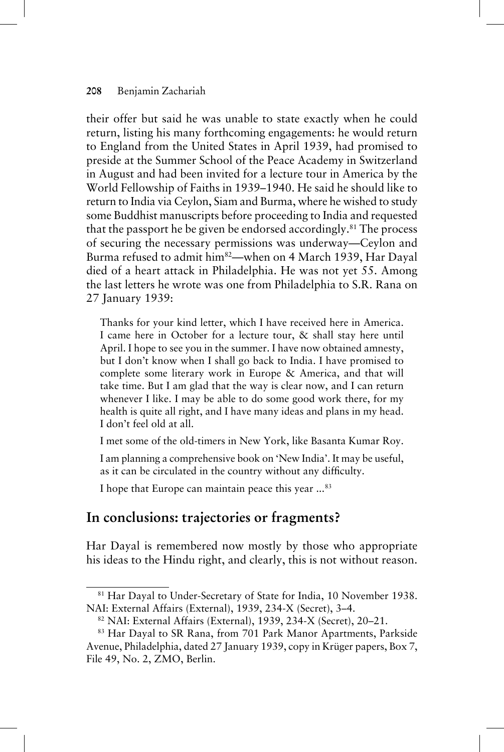#### **208** Benjamin Zachariah

their offer but said he was unable to state exactly when he could return, listing his many forthcoming engagements: he would return to England from the United States in April 1939, had promised to preside at the Summer School of the Peace Academy in Switzerland in August and had been invited for a lecture tour in America by the World Fellowship of Faiths in 1939–1940. He said he should like to return to India via Ceylon, Siam and Burma, where he wished to study some Buddhist manuscripts before proceeding to India and requested that the passport he be given be endorsed accordingly.81 The process of securing the necessary permissions was underway—Ceylon and Burma refused to admit him82—when on 4 March 1939, Har Dayal died of a heart attack in Philadelphia. He was not yet 55. Among the last letters he wrote was one from Philadelphia to S.R. Rana on 27 January 1939:

Thanks for your kind letter, which I have received here in America. I came here in October for a lecture tour, & shall stay here until April. I hope to see you in the summer. I have now obtained amnesty, but I don't know when I shall go back to India. I have promised to complete some literary work in Europe & America, and that will take time. But I am glad that the way is clear now, and I can return whenever I like. I may be able to do some good work there, for my health is quite all right, and I have many ideas and plans in my head. I don't feel old at all.

I met some of the old-timers in New York, like Basanta Kumar Roy.

I am planning a comprehensive book on 'New India'. It may be useful, as it can be circulated in the country without any difficulty.

I hope that Europe can maintain peace this year *...*<sup>83</sup>

# **In conclusions: trajectories or fragments?**

Har Dayal is remembered now mostly by those who appropriate his ideas to the Hindu right, and clearly, this is not without reason.

<sup>81</sup> Har Dayal to Under-Secretary of State for India, 10 November 1938. NAI: External Affairs (External), 1939, 234-X (Secret), 3–4.

<sup>82</sup> NAI: External Affairs (External), 1939, 234-X (Secret), 20–21.

<sup>83</sup> Har Dayal to SR Rana, from 701 Park Manor Apartments, Parkside Avenue, Philadelphia, dated 27 January 1939, copy in Krüger papers, Box 7, File 49, No. 2, ZMO, Berlin.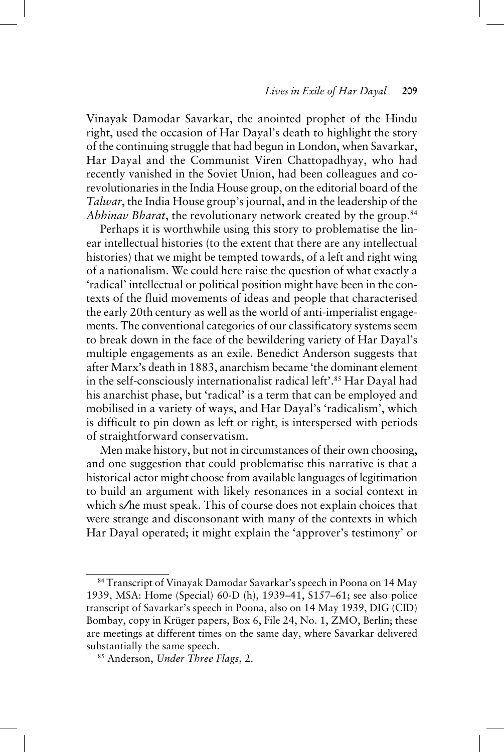Vinayak Damodar Savarkar, the anointed prophet of the Hindu right, used the occasion of Har Dayal's death to highlight the story of the continuing struggle that had begun in London, when Savarkar, Har Dayal and the Communist Viren Chattopadhyay, who had recently vanished in the Soviet Union, had been colleagues and corevolutionaries in the India House group, on the editorial board of the *Talwar*, the India House group's journal, and in the leadership of the *Abhinav Bharat*, the revolutionary network created by the group.<sup>84</sup>

Perhaps it is worthwhile using this story to problematise the linear intellectual histories (to the extent that there are any intellectual histories) that we might be tempted towards, of a left and right wing of a nationalism. We could here raise the question of what exactly a 'radical' intellectual or political position might have been in the contexts of the fluid movements of ideas and people that characterised the early 20th century as well as the world of anti-imperialist engagements. The conventional categories of our classificatory systems seem to break down in the face of the bewildering variety of Har Dayal's multiple engagements as an exile. Benedict Anderson suggests that after Marx's death in 1883, anarchism became 'the dominant element in the self-consciously internationalist radical left'.85 Har Dayal had his anarchist phase, but 'radical' is a term that can be employed and mobilised in a variety of ways, and Har Dayal's 'radicalism', which is difficult to pin down as left or right, is interspersed with periods of straightforward conservatism.

Men make history, but not in circumstances of their own choosing, and one suggestion that could problematise this narrative is that a historical actor might choose from available languages of legitimation to build an argument with likely resonances in a social context in which s*/*he must speak. This of course does not explain choices that were strange and disconsonant with many of the contexts in which Har Dayal operated; it might explain the 'approver's testimony' or

<sup>84</sup> Transcript of Vinayak Damodar Savarkar's speech in Poona on 14 May 1939, MSA: Home (Special) 60-D (h), 1939–41, S157–61; see also police transcript of Savarkar's speech in Poona, also on 14 May 1939, DIG (CID) Bombay, copy in Krüger papers, Box 6, File 24, No. 1, ZMO, Berlin; these are meetings at different times on the same day, where Savarkar delivered substantially the same speech.

<sup>85</sup> Anderson, *Under Three Flags*, 2.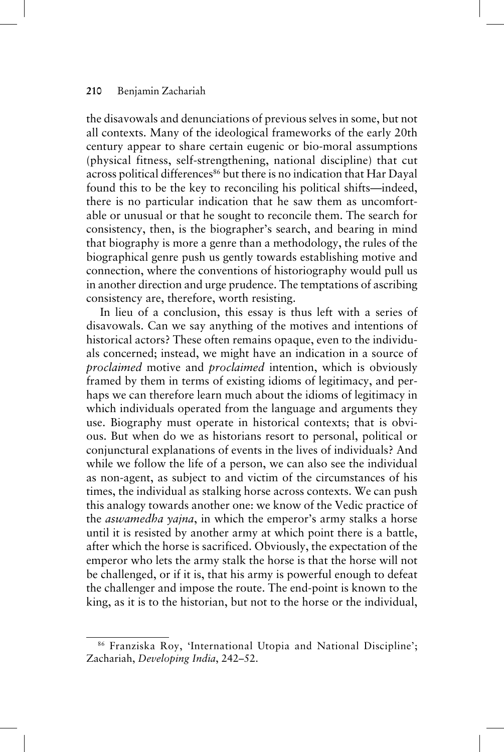#### **210** Benjamin Zachariah

the disavowals and denunciations of previous selves in some, but not all contexts. Many of the ideological frameworks of the early 20th century appear to share certain eugenic or bio-moral assumptions (physical fitness, self-strengthening, national discipline) that cut across political differences<sup>86</sup> but there is no indication that Har Dayal found this to be the key to reconciling his political shifts—indeed, there is no particular indication that he saw them as uncomfortable or unusual or that he sought to reconcile them. The search for consistency, then, is the biographer's search, and bearing in mind that biography is more a genre than a methodology, the rules of the biographical genre push us gently towards establishing motive and connection, where the conventions of historiography would pull us in another direction and urge prudence. The temptations of ascribing consistency are, therefore, worth resisting.

In lieu of a conclusion, this essay is thus left with a series of disavowals. Can we say anything of the motives and intentions of historical actors? These often remains opaque, even to the individuals concerned; instead, we might have an indication in a source of *proclaimed* motive and *proclaimed* intention, which is obviously framed by them in terms of existing idioms of legitimacy, and perhaps we can therefore learn much about the idioms of legitimacy in which individuals operated from the language and arguments they use. Biography must operate in historical contexts; that is obvious. But when do we as historians resort to personal, political or conjunctural explanations of events in the lives of individuals? And while we follow the life of a person, we can also see the individual as non-agent, as subject to and victim of the circumstances of his times, the individual as stalking horse across contexts. We can push this analogy towards another one: we know of the Vedic practice of the *aswamedha yajna*, in which the emperor's army stalks a horse until it is resisted by another army at which point there is a battle, after which the horse is sacrificed. Obviously, the expectation of the emperor who lets the army stalk the horse is that the horse will not be challenged, or if it is, that his army is powerful enough to defeat the challenger and impose the route. The end-point is known to the king, as it is to the historian, but not to the horse or the individual,

<sup>86</sup> Franziska Roy, 'International Utopia and National Discipline'; Zachariah, *Developing India*, 242–52.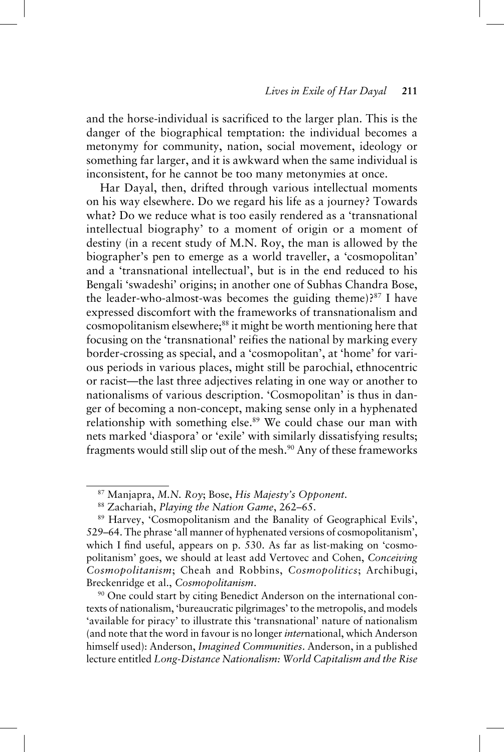and the horse-individual is sacrificed to the larger plan. This is the danger of the biographical temptation: the individual becomes a metonymy for community, nation, social movement, ideology or something far larger, and it is awkward when the same individual is inconsistent, for he cannot be too many metonymies at once.

Har Dayal, then, drifted through various intellectual moments on his way elsewhere. Do we regard his life as a journey? Towards what? Do we reduce what is too easily rendered as a 'transnational intellectual biography' to a moment of origin or a moment of destiny (in a recent study of M.N. Roy, the man is allowed by the biographer's pen to emerge as a world traveller, a 'cosmopolitan' and a 'transnational intellectual', but is in the end reduced to his Bengali 'swadeshi' origins; in another one of Subhas Chandra Bose, the leader-who-almost-was becomes the guiding theme)?87 I have expressed discomfort with the frameworks of transnationalism and cosmopolitanism elsewhere;<sup>88</sup> it might be worth mentioning here that focusing on the 'transnational' reifies the national by marking every border-crossing as special, and a 'cosmopolitan', at 'home' for various periods in various places, might still be parochial, ethnocentric or racist—the last three adjectives relating in one way or another to nationalisms of various description. 'Cosmopolitan' is thus in danger of becoming a non-concept, making sense only in a hyphenated relationship with something else.<sup>89</sup> We could chase our man with nets marked 'diaspora' or 'exile' with similarly dissatisfying results; fragments would still slip out of the mesh.90 Any of these frameworks

<sup>90</sup> One could start by citing Benedict Anderson on the international contexts of nationalism, 'bureaucratic pilgrimages' to the metropolis, and models 'available for piracy' to illustrate this 'transnational' nature of nationalism (and note that the word in favour is no longer *inter*national, which Anderson himself used): Anderson, *Imagined Communities*. Anderson, in a published lecture entitled *Long-Distance Nationalism: World Capitalism and the Rise* 

<sup>87</sup> Manjapra, *M.N. Roy*; Bose, *His Majesty's Opponent*.

<sup>88</sup> Zachariah, *Playing the Nation Game*, 262–65.

<sup>89</sup> Harvey, 'Cosmopolitanism and the Banality of Geographical Evils', 529–64. The phrase 'all manner of hyphenated versions of cosmopolitanism', which I find useful, appears on p. 530. As far as list-making on 'cosmopolitanism' goes, we should at least add Vertovec and Cohen, *Conceiving Cosmopolitanism*; Cheah and Robbins, *Cosmopolitics*; Archibugi, Breckenridge et al., *Cosmopolitanism*.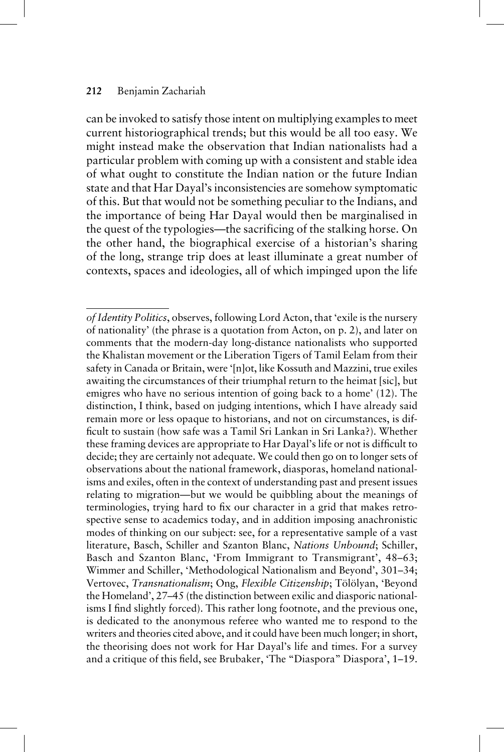#### **212** Benjamin Zachariah

can be invoked to satisfy those intent on multiplying examples to meet current historiographical trends; but this would be all too easy. We might instead make the observation that Indian nationalists had a particular problem with coming up with a consistent and stable idea of what ought to constitute the Indian nation or the future Indian state and that Har Dayal's inconsistencies are somehow symptomatic of this. But that would not be something peculiar to the Indians, and the importance of being Har Dayal would then be marginalised in the quest of the typologies—the sacrificing of the stalking horse. On the other hand, the biographical exercise of a historian's sharing of the long, strange trip does at least illuminate a great number of contexts, spaces and ideologies, all of which impinged upon the life

*of Identity Politics*, observes, following Lord Acton, that 'exile is the nursery of nationality' (the phrase is a quotation from Acton, on p. 2), and later on comments that the modern-day long-distance nationalists who supported the Khalistan movement or the Liberation Tigers of Tamil Eelam from their safety in Canada or Britain, were '[n]ot, like Kossuth and Mazzini, true exiles awaiting the circumstances of their triumphal return to the heimat [sic], but emigres who have no serious intention of going back to a home' (12). The distinction, I think, based on judging intentions, which I have already said remain more or less opaque to historians, and not on circumstances, is difficult to sustain (how safe was a Tamil Sri Lankan in Sri Lanka?). Whether these framing devices are appropriate to Har Dayal's life or not is difficult to decide; they are certainly not adequate. We could then go on to longer sets of observations about the national framework, diasporas, homeland nationalisms and exiles, often in the context of understanding past and present issues relating to migration—but we would be quibbling about the meanings of terminologies, trying hard to fix our character in a grid that makes retrospective sense to academics today, and in addition imposing anachronistic modes of thinking on our subject: see, for a representative sample of a vast literature, Basch, Schiller and Szanton Blanc, *Nations Unbound*; Schiller, Basch and Szanton Blanc, 'From Immigrant to Transmigrant', 48–63; Wimmer and Schiller, 'Methodological Nationalism and Beyond', 301–34; Vertovec, *Transnationalism*; Ong, *Flexible Citizenship*; Tölölyan, 'Beyond the Homeland', 27–45 (the distinction between exilic and diasporic nationalisms I find slightly forced). This rather long footnote, and the previous one, is dedicated to the anonymous referee who wanted me to respond to the writers and theories cited above, and it could have been much longer; in short, the theorising does not work for Har Dayal's life and times. For a survey and a critique of this field, see Brubaker, 'The "Diaspora" Diaspora', 1–19.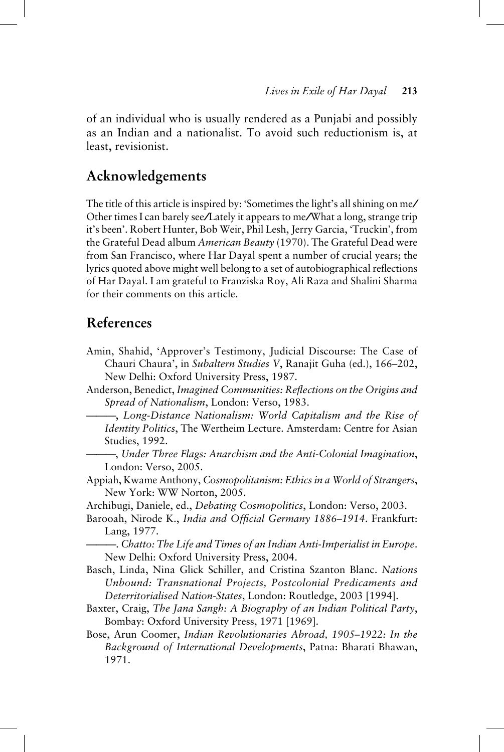of an individual who is usually rendered as a Punjabi and possibly as an Indian and a nationalist. To avoid such reductionism is, at least, revisionist.

# **Acknowledgements**

The title of this article is inspired by: 'Sometimes the light's all shining on me*/* Other times I can barely see*/*Lately it appears to me*/*What a long, strange trip it's been'. Robert Hunter, Bob Weir, Phil Lesh, Jerry Garcia, 'Truckin', from the Grateful Dead album *American Beauty* (1970). The Grateful Dead were from San Francisco, where Har Dayal spent a number of crucial years; the lyrics quoted above might well belong to a set of autobiographical reflections of Har Dayal. I am grateful to Franziska Roy, Ali Raza and Shalini Sharma for their comments on this article.

# **References**

- Amin, Shahid, 'Approver's Testimony, Judicial Discourse: The Case of Chauri Chaura', in *Subaltern Studies V*, Ranajit Guha (ed.), 166–202, New Delhi: Oxford University Press, 1987.
- Anderson, Benedict, *Imagined Communities: Reflections on the Origins and Spread of Nationalism*, London: Verso, 1983.
	- ———, *Long-Distance Nationalism: World Capitalism and the Rise of Identity Politics*, The Wertheim Lecture. Amsterdam: Centre for Asian Studies, 1992.
	- ———, *Under Three Flags: Anarchism and the Anti-Colonial Imagination*, London: Verso, 2005.
- Appiah, Kwame Anthony, *Cosmopolitanism: Ethics in a World of Strangers*, New York: WW Norton, 2005.
- Archibugi, Daniele, ed., *Debating Cosmopolitics*, London: Verso, 2003.
- Barooah, Nirode K., *India and Official Germany 1886–1914*. Frankfurt: Lang, 1977.

———. *Chatto: The Life and Times of an Indian Anti-Imperialist in Europe*. New Delhi: Oxford University Press, 2004.

- Basch, Linda, Nina Glick Schiller, and Cristina Szanton Blanc. *Nations Unbound: Transnational Projects, Postcolonial Predicaments and Deterritorialised Nation-States*, London: Routledge, 2003 [1994].
- Baxter, Craig, *The Jana Sangh: A Biography of an Indian Political Party*, Bombay: Oxford University Press, 1971 [1969].
- Bose, Arun Coomer, *Indian Revolutionaries Abroad, 1905–1922: In the Background of International Developments*, Patna: Bharati Bhawan, 1971.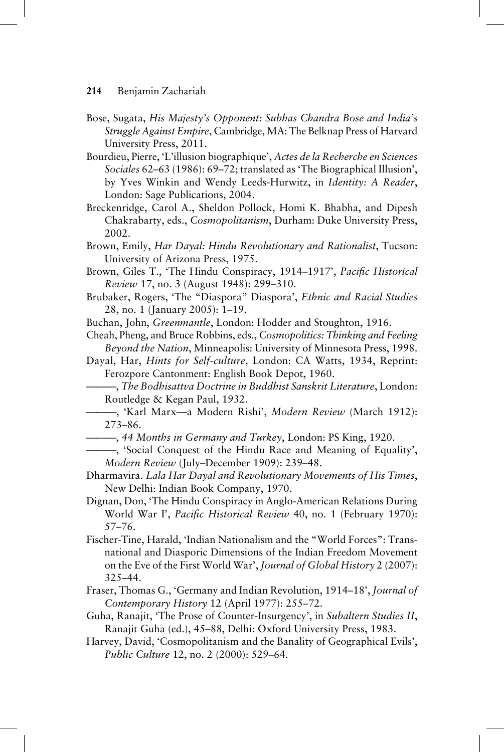**214** Benjamin Zachariah

- Bose, Sugata, *His Majesty's Opponent: Subhas Chandra Bose and India's Struggle Against Empire*, Cambridge, MA: The Belknap Press of Harvard University Press, 2011.
- Bourdieu, Pierre, 'L'illusion biographique', *Actes de la Recherche en Sciences Sociales* 62–63 (1986): 69–72; translated as 'The Biographical Illusion', by Yves Winkin and Wendy Leeds-Hurwitz, in *Identity: A Reader*, London: Sage Publications, 2004.
- Breckenridge, Carol A., Sheldon Pollock, Homi K. Bhabha, and Dipesh Chakrabarty, eds., *Cosmopolitanism*, Durham: Duke University Press, 2002.
- Brown, Emily, *Har Dayal: Hindu Revolutionary and Rationalist*, Tucson: University of Arizona Press, 1975.
- Brown, Giles T., 'The Hindu Conspiracy, 1914–1917', *Pacific Historical Review* 17, no. 3 (August 1948): 299–310.
- Brubaker, Rogers, 'The "Diaspora" Diaspora', *Ethnic and Racial Studies*  28, no. 1 (January 2005): 1–19.

Buchan, John, *Greenmantle*, London: Hodder and Stoughton, 1916.

- Cheah, Pheng, and Bruce Robbins, eds., *Cosmopolitics: Thinking and Feeling Beyond the Nation*, Minneapolis: University of Minnesota Press, 1998.
- Dayal, Har, *Hints for Self-culture*, London: CA Watts, 1934, Reprint: Ferozpore Cantonment: English Book Depot, 1960.
	- ———, *The Bodhisattva Doctrine in Buddhist Sanskrit Literature*, London: Routledge & Kegan Paul, 1932.
- ———, 'Karl Marx—a Modern Rishi', *Modern Review* (March 1912): 273–86.
- ———, *44 Months in Germany and Turkey*, London: PS King, 1920.
- ———, 'Social Conquest of the Hindu Race and Meaning of Equality', *Modern Review* (July–December 1909): 239–48.
- Dharmavira. *Lala Har Dayal and Revolutionary Movements of His Times*, New Delhi: Indian Book Company, 1970.
- Dignan, Don, 'The Hindu Conspiracy in Anglo-American Relations During World War I', *Pacific Historical Review* 40, no. 1 (February 1970): 57–76.
- Fischer-Tine, Harald, 'Indian Nationalism and the "World Forces": Transnational and Diasporic Dimensions of the Indian Freedom Movement on the Eve of the First World War', *Journal of Global History* 2 (2007): 325–44.
- Fraser, Thomas G., 'Germany and Indian Revolution, 1914–18', *Journal of Contemporary History* 12 (April 1977): 255–72.
- Guha, Ranajit, 'The Prose of Counter-Insurgency', in *Subaltern Studies II*, Ranajit Guha (ed.), 45–88, Delhi: Oxford University Press, 1983.
- Harvey, David, 'Cosmopolitanism and the Banality of Geographical Evils', *Public Culture* 12, no. 2 (2000): 529–64.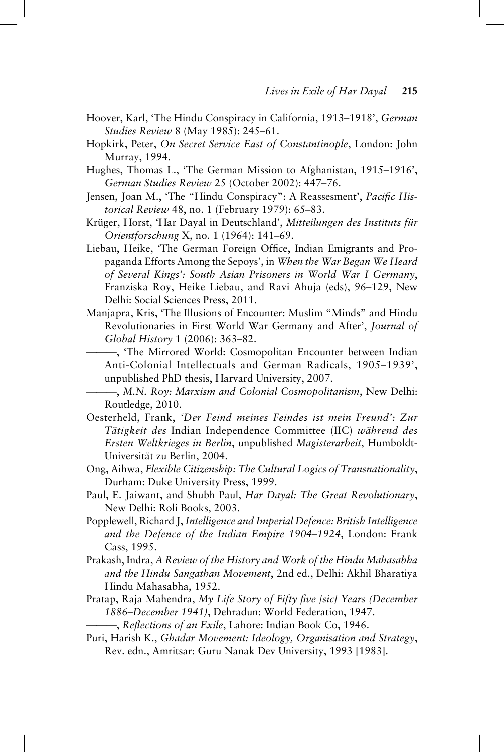- Hoover, Karl, 'The Hindu Conspiracy in California, 1913–1918', *German Studies Review* 8 (May 1985): 245–61.
- Hopkirk, Peter, *On Secret Service East of Constantinople*, London: John Murray, 1994.
- Hughes, Thomas L., 'The German Mission to Afghanistan, 1915–1916', *German Studies Review* 25 (October 2002): 447–76.
- Jensen, Joan M., 'The "Hindu Conspiracy": A Reassesment', *Pacific Historical Review* 48, no. 1 (February 1979): 65–83.
- Krüger, Horst, 'Har Dayal in Deutschland', *Mitteilungen des Instituts für Orientforschung* X, no. 1 (1964): 141–69.
- Liebau, Heike, 'The German Foreign Office, Indian Emigrants and Propaganda Efforts Among the Sepoys', in *When the War Began We Heard of Several Kings': South Asian Prisoners in World War I Germany*, Franziska Roy, Heike Liebau, and Ravi Ahuja (eds), 96–129, New Delhi: Social Sciences Press, 2011.
- Manjapra, Kris, 'The Illusions of Encounter: Muslim "Minds" and Hindu Revolutionaries in First World War Germany and After', *Journal of Global History* 1 (2006): 363–82.
	- ———, 'The Mirrored World: Cosmopolitan Encounter between Indian Anti-Colonial Intellectuals and German Radicals, 1905–1939', unpublished PhD thesis, Harvard University, 2007.
	- ———, *M.N. Roy: Marxism and Colonial Cosmopolitanism*, New Delhi: Routledge, 2010.
- Oesterheld, Frank, *'Der Feind meines Feindes ist mein Freund': Zur Tätigkeit des* Indian Independence Committee (IIC) *während des Ersten Weltkrieges in Berlin*, unpublished *Magisterarbeit*, Humboldt-Universität zu Berlin, 2004.
- Ong, Aihwa, *Flexible Citizenship: The Cultural Logics of Transnationality*, Durham: Duke University Press, 1999.
- Paul, E. Jaiwant, and Shubh Paul, *Har Dayal: The Great Revolutionary*, New Delhi: Roli Books, 2003.
- Popplewell, Richard J, *Intelligence and Imperial Defence: British Intelligence and the Defence of the Indian Empire 1904–1924*, London: Frank Cass, 1995.
- Prakash, Indra, *A Review of the History and Work of the Hindu Mahasabha and the Hindu Sangathan Movement*, 2nd ed., Delhi: Akhil Bharatiya Hindu Mahasabha, 1952.
- Pratap, Raja Mahendra, *My Life Story of Fifty five [sic] Years (December 1886–December 1941)*, Dehradun: World Federation, 1947.
	- ——, *Reflections of an Exile*, Lahore: Indian Book Co, 1946.
- Puri, Harish K., *Ghadar Movement: Ideology, Organisation and Strategy*, Rev. edn., Amritsar: Guru Nanak Dev University, 1993 [1983].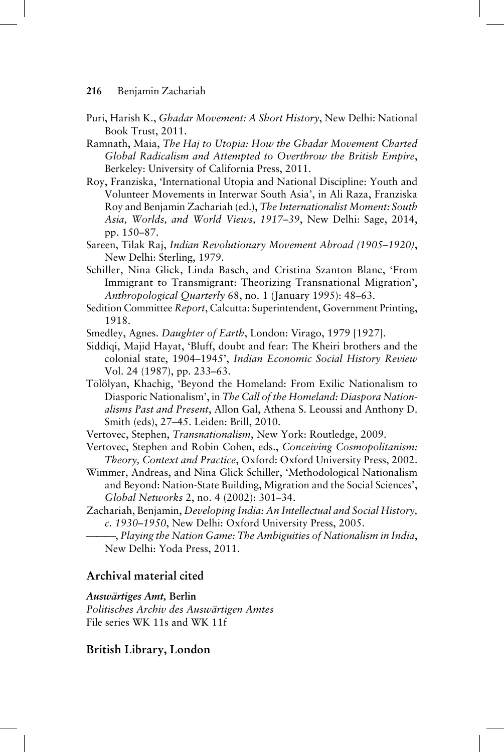- **216** Benjamin Zachariah
- Puri, Harish K., *Ghadar Movement: A Short History*, New Delhi: National Book Trust, 2011.
- Ramnath, Maia, *The Haj to Utopia: How the Ghadar Movement Charted Global Radicalism and Attempted to Overthrow the British Empire*, Berkeley: University of California Press, 2011.
- Roy, Franziska, 'International Utopia and National Discipline: Youth and Volunteer Movements in Interwar South Asia', in Ali Raza, Franziska Roy and Benjamin Zachariah (ed.), *The Internationalist Moment: South Asia, Worlds, and World Views, 1917–39*, New Delhi: Sage, 2014, pp. 150–87.
- Sareen, Tilak Raj, *Indian Revolutionary Movement Abroad (1905–1920)*, New Delhi: Sterling, 1979.
- Schiller, Nina Glick, Linda Basch, and Cristina Szanton Blanc, 'From Immigrant to Transmigrant: Theorizing Transnational Migration', *Anthropological Quarterly* 68, no. 1 (January 1995): 48–63.
- Sedition Committee *Report*, Calcutta: Superintendent, Government Printing, 1918.
- Smedley, Agnes. *Daughter of Earth*, London: Virago, 1979 [1927].
- Siddiqi, Majid Hayat, 'Bluff, doubt and fear: The Kheiri brothers and the colonial state, 1904–1945', *Indian Economic Social History Review* Vol. 24 (1987), pp. 233–63.
- Tölölyan, Khachig, 'Beyond the Homeland: From Exilic Nationalism to Diasporic Nationalism', in *The Call of the Homeland: Diaspora Nationalisms Past and Present*, Allon Gal, Athena S. Leoussi and Anthony D. Smith (eds), 27–45. Leiden: Brill, 2010.
- Vertovec, Stephen, *Transnationalism*, New York: Routledge, 2009.
- Vertovec, Stephen and Robin Cohen, eds., *Conceiving Cosmopolitanism: Theory, Context and Practice*, Oxford: Oxford University Press, 2002.
- Wimmer, Andreas, and Nina Glick Schiller, 'Methodological Nationalism and Beyond: Nation-State Building, Migration and the Social Sciences', *Global Networks* 2, no. 4 (2002): 301–34.
- Zachariah, Benjamin, *Developing India: An Intellectual and Social History, c. 1930–1950*, New Delhi: Oxford University Press, 2005.
	- ———, *Playing the Nation Game: The Ambiguities of Nationalism in India*, New Delhi: Yoda Press, 2011.

# **Archival material cited**

*Auswärtiges Amt,* **Berlin**

*Politisches Archiv des Auswärtigen Amtes* File series WK 11s and WK 11f

## **British Library, London**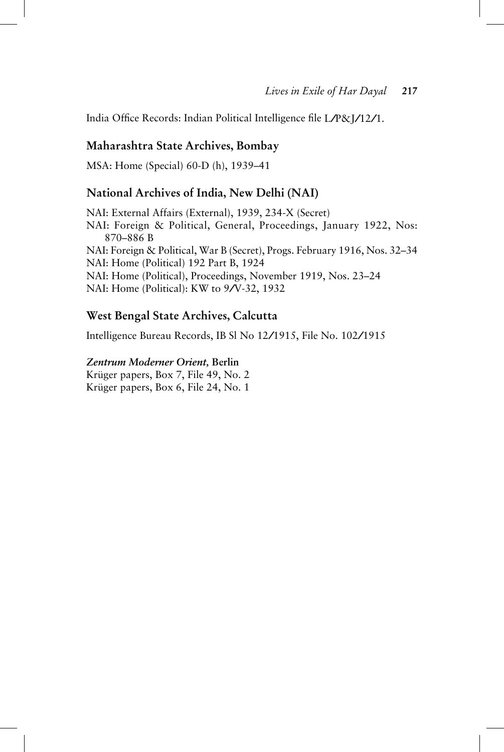India Office Records: Indian Political Intelligence file L/P&J/12/1.

# **Maharashtra State Archives, Bombay**

MSA: Home (Special) 60-D (h), 1939–41

#### **National Archives of India, New Delhi (NAI)**

NAI: External Affairs (External), 1939, 234-X (Secret) NAI: Foreign & Political, General, Proceedings, January 1922, Nos: 870–886 B NAI: Foreign & Political, War B (Secret), Progs. February 1916, Nos. 32–34 NAI: Home (Political) 192 Part B, 1924 NAI: Home (Political), Proceedings, November 1919, Nos. 23–24 NAI: Home (Political): KW to 9*/*V-32, 1932

#### **West Bengal State Archives, Calcutta**

Intelligence Bureau Records, IB Sl No 12*/*1915, File No. 102*/*<sup>1915</sup>

## *Zentrum Moderner Orient,* **Berlin**

Krüger papers, Box 7, File 49, No. 2 Krüger papers, Box 6, File 24, No. 1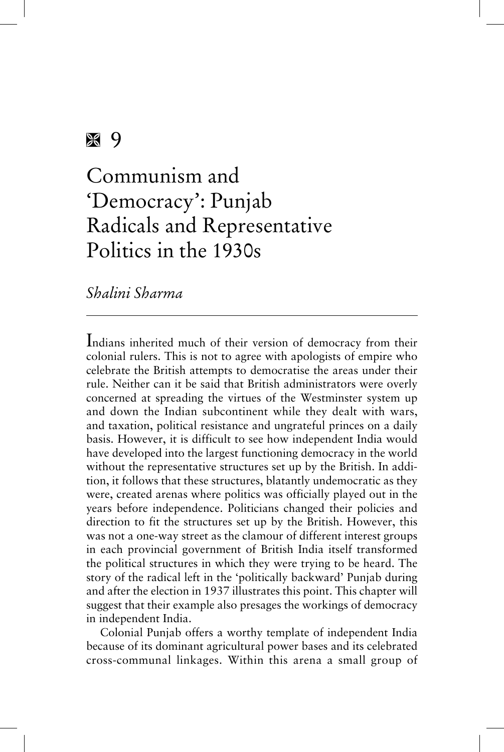# **989**

# Communism and 'Democracy': Punjab Radicals and Representative Politics in the 1930s

*Shalini Sharma*

Indians inherited much of their version of democracy from their colonial rulers. This is not to agree with apologists of empire who celebrate the British attempts to democratise the areas under their rule. Neither can it be said that British administrators were overly concerned at spreading the virtues of the Westminster system up and down the Indian subcontinent while they dealt with wars, and taxation, political resistance and ungrateful princes on a daily basis. However, it is difficult to see how independent India would have developed into the largest functioning democracy in the world without the representative structures set up by the British. In addition, it follows that these structures, blatantly undemocratic as they were, created arenas where politics was officially played out in the years before independence. Politicians changed their policies and direction to fit the structures set up by the British. However, this was not a one-way street as the clamour of different interest groups in each provincial government of British India itself transformed the political structures in which they were trying to be heard. The story of the radical left in the 'politically backward' Punjab during and after the election in 1937 illustrates this point. This chapter will suggest that their example also presages the workings of democracy in independent India.

cross-communal linkages. Within this arena a small group of Colonial Punjab offers a worthy template of independent India because of its dominant agricultural power bases and its celebrated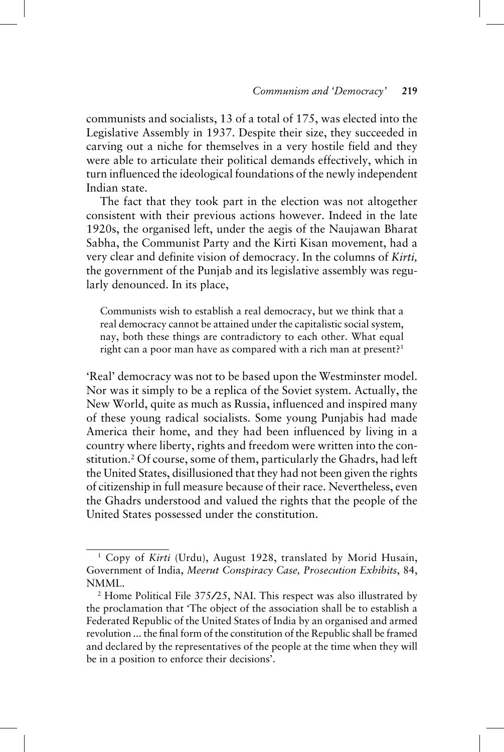communists and socialists, 13 of a total of 175, was elected into the Legislative Assembly in 1937. Despite their size, they succeeded in carving out a niche for themselves in a very hostile field and they were able to articulate their political demands effectively, which in turn influenced the ideological foundations of the newly independent Indian state.

The fact that they took part in the election was not altogether consistent with their previous actions however. Indeed in the late 1920s, the organised left, under the aegis of the Naujawan Bharat Sabha, the Communist Party and the Kirti Kisan movement, had a very clear and definite vision of democracy. In the columns of *Kirti,*  the government of the Punjab and its legislative assembly was regularly denounced. In its place,

Communists wish to establish a real democracy, but we think that a real democracy cannot be attained under the capitalistic social system, nay, both these things are contradictory to each other. What equal right can a poor man have as compared with a rich man at present?<sup>1</sup>

'Real' democracy was not to be based upon the Westminster model. Nor was it simply to be a replica of the Soviet system. Actually, the New World, quite as much as Russia, influenced and inspired many of these young radical socialists. Some young Punjabis had made America their home, and they had been influenced by living in a country where liberty, rights and freedom were written into the constitution.2 Of course, some of them, particularly the Ghadrs, had left the United States, disillusioned that they had not been given the rights of citizenship in full measure because of their race. Nevertheless, even the Ghadrs understood and valued the rights that the people of the United States possessed under the constitution.

<sup>&</sup>lt;sup>1</sup> Copy of *Kirti* (Urdu), August 1928, translated by Morid Husain, Government of India, *Meerut Conspiracy Case, Prosecution Exhibits*, 84, NMML.

<sup>2</sup> Home Political File 375*/*25, NAI. This respect was also illustrated by the proclamation that 'The object of the association shall be to establish a Federated Republic of the United States of India by an organised and armed revolution ... the final form of the constitution of the Republic shall be framed and declared by the representatives of the people at the time when they will be in a position to enforce their decisions'.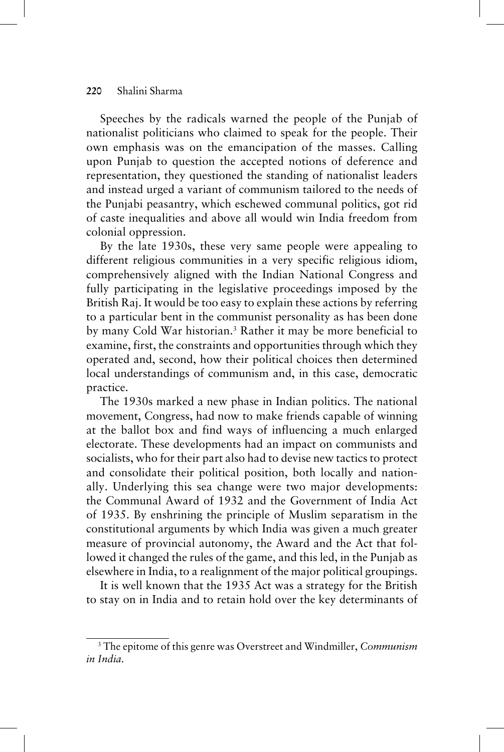Speeches by the radicals warned the people of the Punjab of nationalist politicians who claimed to speak for the people. Their own emphasis was on the emancipation of the masses. Calling upon Punjab to question the accepted notions of deference and representation, they questioned the standing of nationalist leaders and instead urged a variant of communism tailored to the needs of the Punjabi peasantry, which eschewed communal politics, got rid of caste inequalities and above all would win India freedom from colonial oppression.

By the late 1930s, these very same people were appealing to different religious communities in a very specific religious idiom, comprehensively aligned with the Indian National Congress and fully participating in the legislative proceedings imposed by the British Raj. It would be too easy to explain these actions by referring to a particular bent in the communist personality as has been done by many Cold War historian.<sup>3</sup> Rather it may be more beneficial to examine, first, the constraints and opportunities through which they operated and, second, how their political choices then determined local understandings of communism and, in this case, democratic practice.

The 1930s marked a new phase in Indian politics. The national movement, Congress, had now to make friends capable of winning at the ballot box and find ways of influencing a much enlarged electorate. These developments had an impact on communists and socialists, who for their part also had to devise new tactics to protect and consolidate their political position, both locally and nationally. Underlying this sea change were two major developments: the Communal Award of 1932 and the Government of India Act of 1935. By enshrining the principle of Muslim separatism in the constitutional arguments by which India was given a much greater measure of provincial autonomy, the Award and the Act that followed it changed the rules of the game, and this led, in the Punjab as elsewhere in India, to a realignment of the major political groupings.

It is well known that the 1935 Act was a strategy for the British to stay on in India and to retain hold over the key determinants of

<sup>3</sup> The epitome of this genre was Overstreet and Windmiller, *Communism in India.*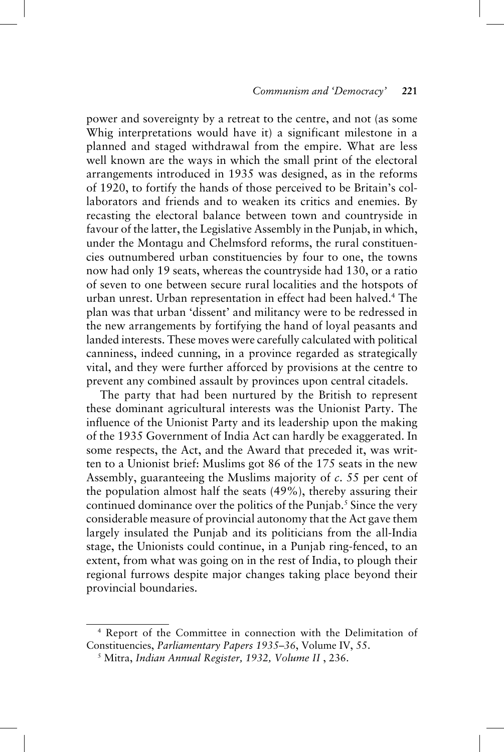#### *Communism and 'Democracy'* **221**

power and sovereignty by a retreat to the centre, and not (as some Whig interpretations would have it) a significant milestone in a planned and staged withdrawal from the empire. What are less well known are the ways in which the small print of the electoral arrangements introduced in 1935 was designed, as in the reforms of 1920, to fortify the hands of those perceived to be Britain's collaborators and friends and to weaken its critics and enemies. By recasting the electoral balance between town and countryside in favour of the latter, the Legislative Assembly in the Punjab, in which, under the Montagu and Chelmsford reforms, the rural constituencies outnumbered urban constituencies by four to one, the towns now had only 19 seats, whereas the countryside had 130, or a ratio of seven to one between secure rural localities and the hotspots of urban unrest. Urban representation in effect had been halved.4 The plan was that urban 'dissent' and militancy were to be redressed in the new arrangements by fortifying the hand of loyal peasants and landed interests. These moves were carefully calculated with political canniness, indeed cunning, in a province regarded as strategically vital, and they were further afforced by provisions at the centre to prevent any combined assault by provinces upon central citadels.

The party that had been nurtured by the British to represent these dominant agricultural interests was the Unionist Party. The influence of the Unionist Party and its leadership upon the making of the 1935 Government of India Act can hardly be exaggerated. In some respects, the Act, and the Award that preceded it, was written to a Unionist brief: Muslims got 86 of the 175 seats in the new Assembly, guaranteeing the Muslims majority of *c*. 55 per cent of the population almost half the seats (49%), thereby assuring their continued dominance over the politics of the Punjab.<sup>5</sup> Since the very considerable measure of provincial autonomy that the Act gave them largely insulated the Punjab and its politicians from the all-India stage, the Unionists could continue, in a Punjab ring-fenced, to an extent, from what was going on in the rest of India, to plough their regional furrows despite major changes taking place beyond their provincial boundaries.

<sup>4</sup> Report of the Committee in connection with the Delimitation of Constituencies, *Parliamentary Papers 1935–36*, Volume IV, 55.

<sup>5</sup> Mitra, *Indian Annual Register, 1932, Volume II* , 236.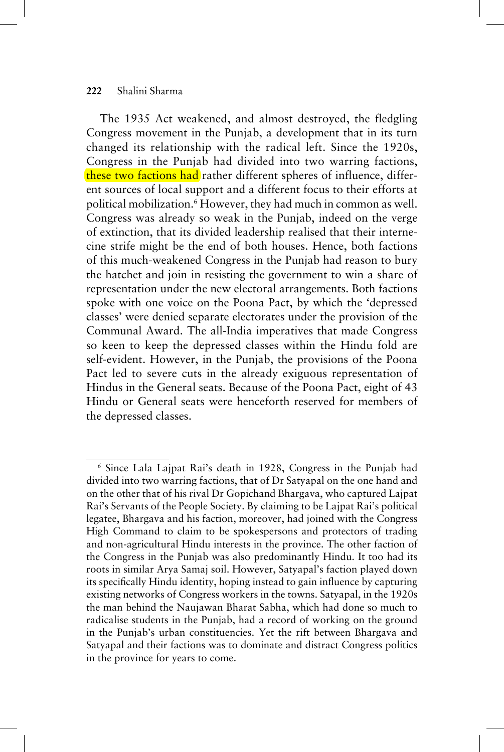The 1935 Act weakened, and almost destroyed, the fledgling Congress movement in the Punjab, a development that in its turn changed its relationship with the radical left. Since the 1920s, Congress in the Punjab had divided into two warring factions, these two factions had rather different spheres of influence, different sources of local support and a different focus to their efforts at political mobilization.6 However, they had much in common as well. Congress was already so weak in the Punjab, indeed on the verge of extinction, that its divided leadership realised that their internecine strife might be the end of both houses. Hence, both factions of this much-weakened Congress in the Punjab had reason to bury the hatchet and join in resisting the government to win a share of representation under the new electoral arrangements. Both factions spoke with one voice on the Poona Pact, by which the 'depressed classes' were denied separate electorates under the provision of the Communal Award. The all-India imperatives that made Congress so keen to keep the depressed classes within the Hindu fold are self-evident. However, in the Punjab, the provisions of the Poona Pact led to severe cuts in the already exiguous representation of Hindus in the General seats. Because of the Poona Pact, eight of 43 Hindu or General seats were henceforth reserved for members of the depressed classes.

<sup>6</sup> Since Lala Lajpat Rai's death in 1928, Congress in the Punjab had divided into two warring factions, that of Dr Satyapal on the one hand and on the other that of his rival Dr Gopichand Bhargava, who captured Lajpat Rai's Servants of the People Society. By claiming to be Lajpat Rai's political legatee, Bhargava and his faction, moreover, had joined with the Congress High Command to claim to be spokespersons and protectors of trading and non-agricultural Hindu interests in the province. The other faction of the Congress in the Punjab was also predominantly Hindu. It too had its roots in similar Arya Samaj soil. However, Satyapal's faction played down its specifically Hindu identity, hoping instead to gain influence by capturing existing networks of Congress workers in the towns. Satyapal, in the 1920s the man behind the Naujawan Bharat Sabha, which had done so much to radicalise students in the Punjab, had a record of working on the ground in the Punjab's urban constituencies. Yet the rift between Bhargava and Satyapal and their factions was to dominate and distract Congress politics in the province for years to come.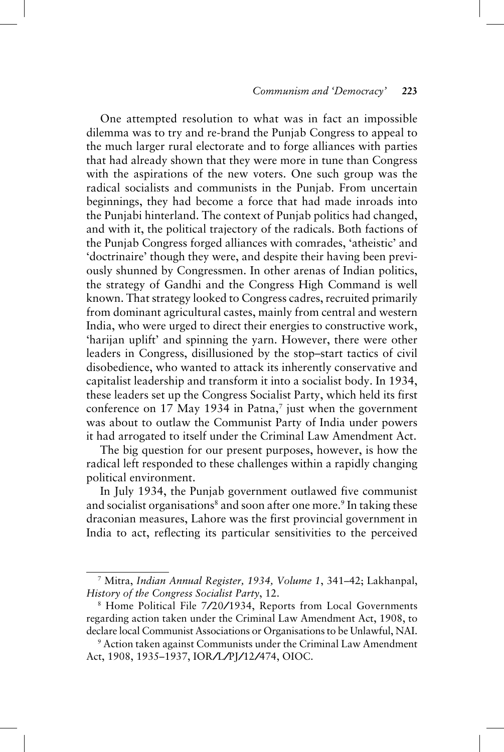#### *Communism and 'Democracy'* **223**

One attempted resolution to what was in fact an impossible dilemma was to try and re-brand the Punjab Congress to appeal to the much larger rural electorate and to forge alliances with parties that had already shown that they were more in tune than Congress with the aspirations of the new voters. One such group was the radical socialists and communists in the Punjab. From uncertain beginnings, they had become a force that had made inroads into the Punjabi hinterland. The context of Punjab politics had changed, and with it, the political trajectory of the radicals. Both factions of the Punjab Congress forged alliances with comrades, 'atheistic' and 'doctrinaire' though they were, and despite their having been previously shunned by Congressmen. In other arenas of Indian politics, the strategy of Gandhi and the Congress High Command is well known. That strategy looked to Congress cadres, recruited primarily from dominant agricultural castes, mainly from central and western India, who were urged to direct their energies to constructive work, 'harijan uplift' and spinning the yarn. However, there were other leaders in Congress, disillusioned by the stop–start tactics of civil disobedience, who wanted to attack its inherently conservative and capitalist leadership and transform it into a socialist body. In 1934, these leaders set up the Congress Socialist Party, which held its first conference on 17 May 1934 in Patna, $^7$  just when the government was about to outlaw the Communist Party of India under powers it had arrogated to itself under the Criminal Law Amendment Act.

The big question for our present purposes, however, is how the radical left responded to these challenges within a rapidly changing political environment.

In July 1934, the Punjab government outlawed five communist and socialist organisations<sup>8</sup> and soon after one more.<sup>9</sup> In taking these draconian measures, Lahore was the first provincial government in India to act, reflecting its particular sensitivities to the perceived

<sup>7</sup> Mitra, *Indian Annual Register, 1934, Volume 1*, 341–42; Lakhanpal, *History of the Congress Socialist Party*, 12.

<sup>8</sup> Home Political File 7*/*20*/*1934, Reports from Local Governments regarding action taken under the Criminal Law Amendment Act, 1908, to declare local Communist Associations or Organisations to be Unlawful, NAI.

<sup>9</sup> Action taken against Communists under the Criminal Law Amendment Act, 1908, 1935–1937, IOR*/*L*/*PJ*/*12*/*474, OIOC.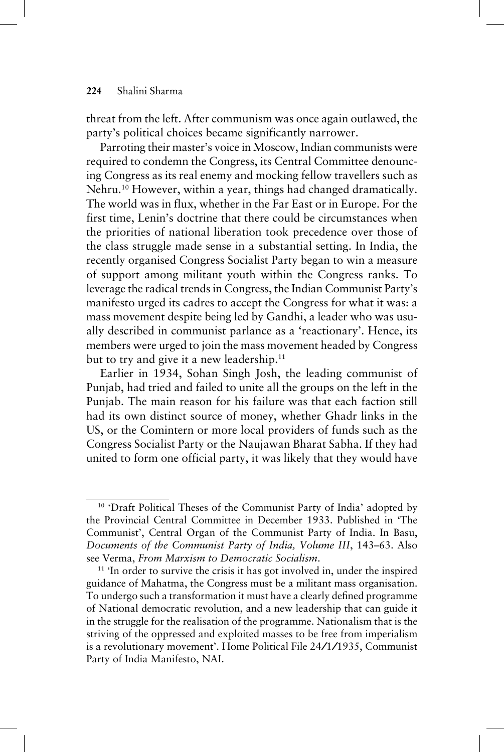threat from the left. After communism was once again outlawed, the party's political choices became significantly narrower.

Parroting their master's voice in Moscow, Indian communists were required to condemn the Congress, its Central Committee denouncing Congress as its real enemy and mocking fellow travellers such as Nehru.10 However, within a year, things had changed dramatically. The world was in flux, whether in the Far East or in Europe. For the first time, Lenin's doctrine that there could be circumstances when the priorities of national liberation took precedence over those of the class struggle made sense in a substantial setting. In India, the recently organised Congress Socialist Party began to win a measure of support among militant youth within the Congress ranks. To leverage the radical trends in Congress, the Indian Communist Party's manifesto urged its cadres to accept the Congress for what it was: a mass movement despite being led by Gandhi, a leader who was usually described in communist parlance as a 'reactionary'. Hence, its members were urged to join the mass movement headed by Congress but to try and give it a new leadership.<sup>11</sup>

Earlier in 1934, Sohan Singh Josh, the leading communist of Punjab, had tried and failed to unite all the groups on the left in the Punjab. The main reason for his failure was that each faction still had its own distinct source of money, whether Ghadr links in the US, or the Comintern or more local providers of funds such as the Congress Socialist Party or the Naujawan Bharat Sabha. If they had united to form one official party, it was likely that they would have

<sup>10 &#</sup>x27;Draft Political Theses of the Communist Party of India' adopted by the Provincial Central Committee in December 1933. Published in 'The Communist', Central Organ of the Communist Party of India. In Basu, *Documents of the Communist Party of India, Volume III*, 143–63. Also see Verma, *From Marxism to Democratic Socialism*.

<sup>&</sup>lt;sup>11</sup> 'In order to survive the crisis it has got involved in, under the inspired guidance of Mahatma, the Congress must be a militant mass organisation. To undergo such a transformation it must have a clearly defined programme of National democratic revolution, and a new leadership that can guide it in the struggle for the realisation of the programme. Nationalism that is the striving of the oppressed and exploited masses to be free from imperialism is a revolutionary movement'. Home Political File 24*/*1*/*1935, Communist Party of India Manifesto, NAI.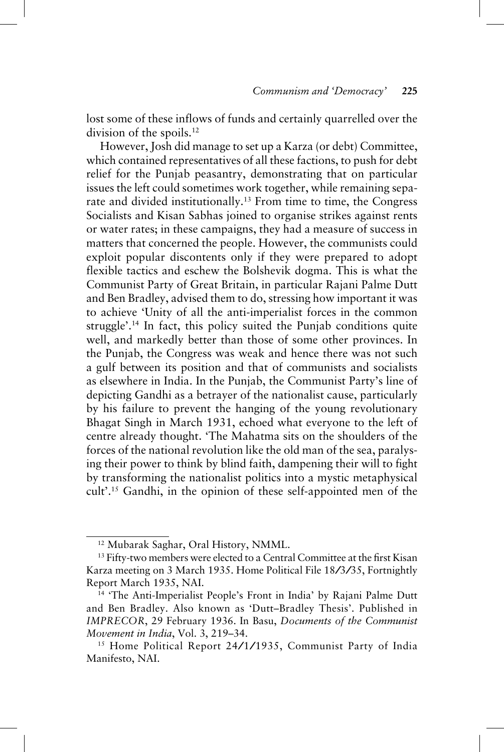lost some of these inflows of funds and certainly quarrelled over the division of the spoils.<sup>12</sup>

However, Josh did manage to set up a Karza (or debt) Committee, which contained representatives of all these factions, to push for debt relief for the Punjab peasantry, demonstrating that on particular issues the left could sometimes work together, while remaining separate and divided institutionally.13 From time to time, the Congress Socialists and Kisan Sabhas joined to organise strikes against rents or water rates; in these campaigns, they had a measure of success in matters that concerned the people. However, the communists could exploit popular discontents only if they were prepared to adopt flexible tactics and eschew the Bolshevik dogma. This is what the Communist Party of Great Britain, in particular Rajani Palme Dutt and Ben Bradley, advised them to do, stressing how important it was to achieve 'Unity of all the anti-imperialist forces in the common struggle'.14 In fact, this policy suited the Punjab conditions quite well, and markedly better than those of some other provinces. In the Punjab, the Congress was weak and hence there was not such a gulf between its position and that of communists and socialists as elsewhere in India. In the Punjab, the Communist Party's line of depicting Gandhi as a betrayer of the nationalist cause, particularly by his failure to prevent the hanging of the young revolutionary Bhagat Singh in March 1931, echoed what everyone to the left of centre already thought. 'The Mahatma sits on the shoulders of the forces of the national revolution like the old man of the sea, paralysing their power to think by blind faith, dampening their will to fight by transforming the nationalist politics into a mystic metaphysical cult'.15 Gandhi, in the opinion of these self-appointed men of the

<sup>12</sup> Mubarak Saghar, Oral History, NMML.

<sup>&</sup>lt;sup>13</sup> Fifty-two members were elected to a Central Committee at the first Kisan Karza meeting on 3 March 1935. Home Political File 18*/*3*/*35, Fortnightly Report March 1935, NAI.

<sup>&</sup>lt;sup>14</sup> 'The Anti-Imperialist People's Front in India' by Rajani Palme Dutt and Ben Bradley. Also known as 'Dutt–Bradley Thesis'. Published in *IMPRECOR*, 29 February 1936. In Basu, *Documents of the Communist Movement in India*, Vol. 3, 219–34.

<sup>15</sup> Home Political Report 24*/*1*/*1935, Communist Party of India Manifesto, NAI.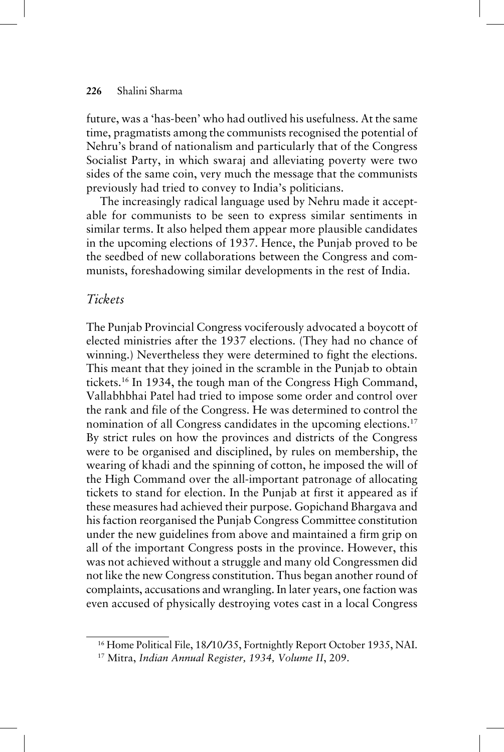future, was a 'has-been' who had outlived his usefulness. At the same time, pragmatists among the communists recognised the potential of Nehru's brand of nationalism and particularly that of the Congress Socialist Party, in which swaraj and alleviating poverty were two sides of the same coin, very much the message that the communists previously had tried to convey to India's politicians.

The increasingly radical language used by Nehru made it acceptable for communists to be seen to express similar sentiments in similar terms. It also helped them appear more plausible candidates in the upcoming elections of 1937. Hence, the Punjab proved to be the seedbed of new collaborations between the Congress and communists, foreshadowing similar developments in the rest of India.

# *Tickets*

The Punjab Provincial Congress vociferously advocated a boycott of elected ministries after the 1937 elections. (They had no chance of winning.) Nevertheless they were determined to fight the elections. This meant that they joined in the scramble in the Punjab to obtain tickets.16 In 1934, the tough man of the Congress High Command, Vallabhbhai Patel had tried to impose some order and control over the rank and file of the Congress. He was determined to control the nomination of all Congress candidates in the upcoming elections.<sup>17</sup> By strict rules on how the provinces and districts of the Congress were to be organised and disciplined, by rules on membership, the wearing of khadi and the spinning of cotton, he imposed the will of the High Command over the all-important patronage of allocating tickets to stand for election. In the Punjab at first it appeared as if these measures had achieved their purpose. Gopichand Bhargava and his faction reorganised the Punjab Congress Committee constitution under the new guidelines from above and maintained a firm grip on all of the important Congress posts in the province. However, this was not achieved without a struggle and many old Congressmen did not like the new Congress constitution. Thus began another round of complaints, accusations and wrangling. In later years, one faction was even accused of physically destroying votes cast in a local Congress

<sup>16</sup> Home Political File, 18*/*10*/*35, Fortnightly Report October 1935, NAI.

<sup>17</sup> Mitra, *Indian Annual Register, 1934, Volume II*, 209.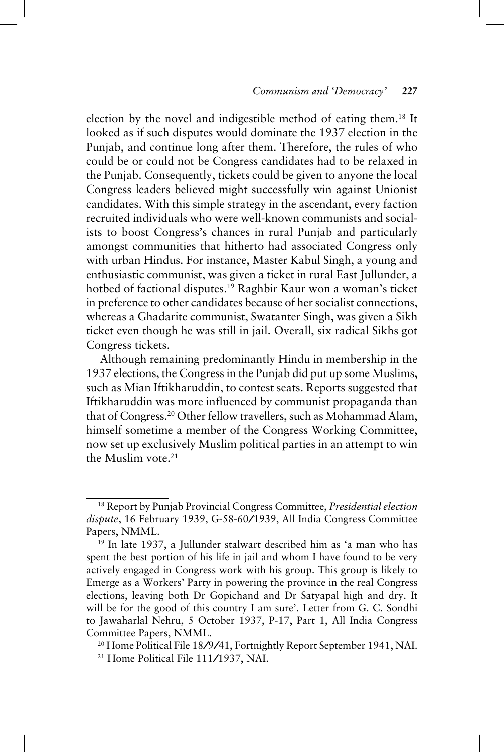election by the novel and indigestible method of eating them.18 It looked as if such disputes would dominate the 1937 election in the Punjab, and continue long after them. Therefore, the rules of who could be or could not be Congress candidates had to be relaxed in the Punjab. Consequently, tickets could be given to anyone the local Congress leaders believed might successfully win against Unionist candidates. With this simple strategy in the ascendant, every faction recruited individuals who were well-known communists and socialists to boost Congress's chances in rural Punjab and particularly amongst communities that hitherto had associated Congress only with urban Hindus. For instance, Master Kabul Singh, a young and enthusiastic communist, was given a ticket in rural East Jullunder, a hotbed of factional disputes.<sup>19</sup> Raghbir Kaur won a woman's ticket in preference to other candidates because of her socialist connections, whereas a Ghadarite communist, Swatanter Singh, was given a Sikh ticket even though he was still in jail. Overall, six radical Sikhs got Congress tickets.

Although remaining predominantly Hindu in membership in the 1937 elections, the Congress in the Punjab did put up some Muslims, such as Mian Iftikharuddin, to contest seats. Reports suggested that Iftikharuddin was more influenced by communist propaganda than that of Congress.20 Other fellow travellers, such as Mohammad Alam, himself sometime a member of the Congress Working Committee, now set up exclusively Muslim political parties in an attempt to win the Muslim vote.<sup>21</sup>

20 Home Political File 18*/*9*/*41, Fortnightly Report September 1941, NAI.

<sup>18</sup> Report by Punjab Provincial Congress Committee, *Presidential election dispute*, 16 February 1939, G-58-60*/*1939, All India Congress Committee Papers, NMML.

<sup>19</sup> In late 1937, a Jullunder stalwart described him as 'a man who has spent the best portion of his life in jail and whom I have found to be very actively engaged in Congress work with his group. This group is likely to Emerge as a Workers' Party in powering the province in the real Congress elections, leaving both Dr Gopichand and Dr Satyapal high and dry. It will be for the good of this country I am sure'. Letter from G. C. Sondhi to Jawaharlal Nehru, 5 October 1937, P-17, Part 1, All India Congress Committee Papers, NMML.

<sup>21</sup> Home Political File 111*/*1937, NAI.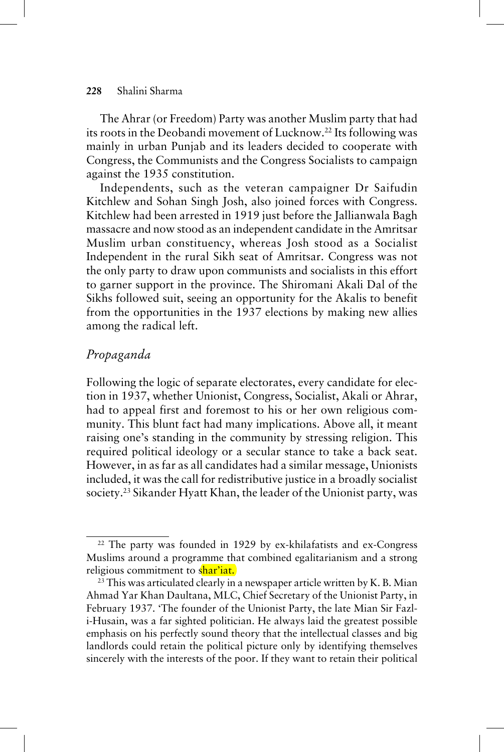The Ahrar (or Freedom) Party was another Muslim party that had its roots in the Deobandi movement of Lucknow.22 Its following was mainly in urban Punjab and its leaders decided to cooperate with Congress, the Communists and the Congress Socialists to campaign against the 1935 constitution.

Independents, such as the veteran campaigner Dr Saifudin Kitchlew and Sohan Singh Josh, also joined forces with Congress. Kitchlew had been arrested in 1919 just before the Jallianwala Bagh massacre and now stood as an independent candidate in the Amritsar Muslim urban constituency, whereas Josh stood as a Socialist Independent in the rural Sikh seat of Amritsar. Congress was not the only party to draw upon communists and socialists in this effort to garner support in the province. The Shiromani Akali Dal of the Sikhs followed suit, seeing an opportunity for the Akalis to benefit from the opportunities in the 1937 elections by making new allies among the radical left.

## *Propaganda*

Following the logic of separate electorates, every candidate for election in 1937, whether Unionist, Congress, Socialist, Akali or Ahrar, had to appeal first and foremost to his or her own religious community. This blunt fact had many implications. Above all, it meant raising one's standing in the community by stressing religion. This required political ideology or a secular stance to take a back seat. However, in as far as all candidates had a similar message, Unionists included, it was the call for redistributive justice in a broadly socialist society.<sup>23</sup> Sikander Hyatt Khan, the leader of the Unionist party, was

<sup>22</sup> The party was founded in 1929 by ex-khilafatists and ex-Congress Muslims around a programme that combined egalitarianism and a strong religious commitment to shar'iat.

 $23$  This was articulated clearly in a newspaper article written by K. B. Mian Ahmad Yar Khan Daultana, MLC, Chief Secretary of the Unionist Party, in February 1937. 'The founder of the Unionist Party, the late Mian Sir Fazli-Husain, was a far sighted politician. He always laid the greatest possible emphasis on his perfectly sound theory that the intellectual classes and big landlords could retain the political picture only by identifying themselves sincerely with the interests of the poor. If they want to retain their political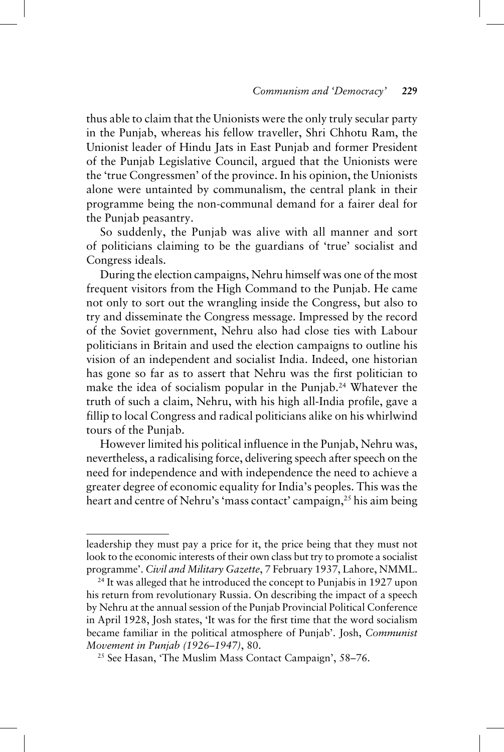thus able to claim that the Unionists were the only truly secular party in the Punjab, whereas his fellow traveller, Shri Chhotu Ram, the Unionist leader of Hindu Jats in East Punjab and former President of the Punjab Legislative Council, argued that the Unionists were the 'true Congressmen' of the province. In his opinion, the Unionists alone were untainted by communalism, the central plank in their programme being the non-communal demand for a fairer deal for the Punjab peasantry.

So suddenly, the Punjab was alive with all manner and sort of politicians claiming to be the guardians of 'true' socialist and Congress ideals.

During the election campaigns, Nehru himself was one of the most frequent visitors from the High Command to the Punjab. He came not only to sort out the wrangling inside the Congress, but also to try and disseminate the Congress message. Impressed by the record of the Soviet government, Nehru also had close ties with Labour politicians in Britain and used the election campaigns to outline his vision of an independent and socialist India. Indeed, one historian has gone so far as to assert that Nehru was the first politician to make the idea of socialism popular in the Punjab.24 Whatever the truth of such a claim, Nehru, with his high all-India profile, gave a fillip to local Congress and radical politicians alike on his whirlwind tours of the Punjab.

However limited his political influence in the Punjab, Nehru was, nevertheless, a radicalising force, delivering speech after speech on the need for independence and with independence the need to achieve a greater degree of economic equality for India's peoples. This was the heart and centre of Nehru's 'mass contact' campaign,<sup>25</sup> his aim being

leadership they must pay a price for it, the price being that they must not look to the economic interests of their own class but try to promote a socialist programme'. *Civil and Military Gazette*, 7 February 1937, Lahore, NMML.

<sup>&</sup>lt;sup>24</sup> It was alleged that he introduced the concept to Punjabis in 1927 upon his return from revolutionary Russia. On describing the impact of a speech by Nehru at the annual session of the Punjab Provincial Political Conference in April 1928, Josh states, 'It was for the first time that the word socialism became familiar in the political atmosphere of Punjab'. Josh, *Communist Movement in Punjab (1926–1947)*, 80.

<sup>25</sup> See Hasan, 'The Muslim Mass Contact Campaign', 58–76.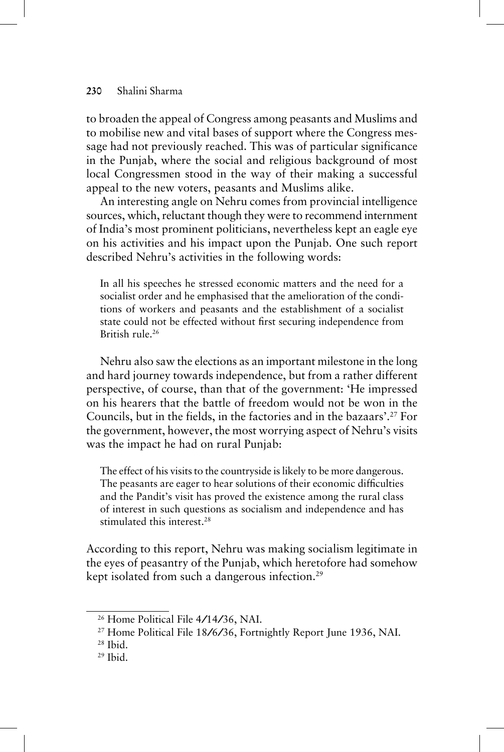to broaden the appeal of Congress among peasants and Muslims and to mobilise new and vital bases of support where the Congress message had not previously reached. This was of particular significance in the Punjab, where the social and religious background of most local Congressmen stood in the way of their making a successful appeal to the new voters, peasants and Muslims alike.

An interesting angle on Nehru comes from provincial intelligence sources, which, reluctant though they were to recommend internment of India's most prominent politicians, nevertheless kept an eagle eye on his activities and his impact upon the Punjab. One such report described Nehru's activities in the following words:

In all his speeches he stressed economic matters and the need for a socialist order and he emphasised that the amelioration of the conditions of workers and peasants and the establishment of a socialist state could not be effected without first securing independence from British rule.26

Nehru also saw the elections as an important milestone in the long and hard journey towards independence, but from a rather different perspective, of course, than that of the government: 'He impressed on his hearers that the battle of freedom would not be won in the Councils, but in the fields, in the factories and in the bazaars'.27 For the government, however, the most worrying aspect of Nehru's visits was the impact he had on rural Punjab:

The effect of his visits to the countryside is likely to be more dangerous. The peasants are eager to hear solutions of their economic difficulties and the Pandit's visit has proved the existence among the rural class of interest in such questions as socialism and independence and has stimulated this interest.28

According to this report, Nehru was making socialism legitimate in the eyes of peasantry of the Punjab, which heretofore had somehow kept isolated from such a dangerous infection.29

<sup>26</sup> Home Political File 4*/*14*/*36, NAI.

<sup>27</sup> Home Political File 18*/*6*/*36, Fortnightly Report June 1936, NAI.

<sup>28</sup> Ibid.

 $29$  Ibid.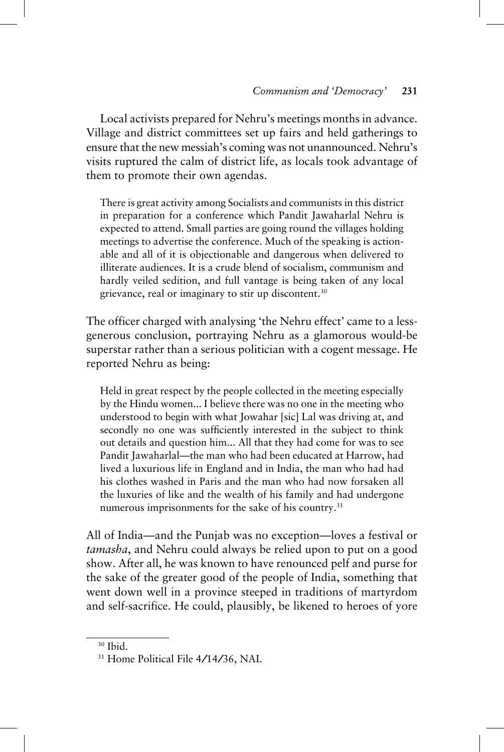Local activists prepared for Nehru's meetings months in advance. Village and district committees set up fairs and held gatherings to ensure that the new messiah's coming was not unannounced. Nehru's visits ruptured the calm of district life, as locals took advantage of them to promote their own agendas.

There is great activity among Socialists and communists in this district in preparation for a conference which Pandit Jawaharlal Nehru is expected to attend. Small parties are going round the villages holding meetings to advertise the conference. Much of the speaking is actionable and all of it is objectionable and dangerous when delivered to illiterate audiences. It is a crude blend of socialism, communism and hardly veiled sedition, and full vantage is being taken of any local grievance, real or imaginary to stir up discontent.30

The officer charged with analysing 'the Nehru effect' came to a lessgenerous conclusion, portraying Nehru as a glamorous would-be superstar rather than a serious politician with a cogent message. He reported Nehru as being:

Held in great respect by the people collected in the meeting especially by the Hindu women... I believe there was no one in the meeting who understood to begin with what Jowahar [sic] Lal was driving at, and secondly no one was sufficiently interested in the subject to think out details and question him... All that they had come for was to see Pandit Jawaharlal—the man who had been educated at Harrow, had lived a luxurious life in England and in India, the man who had had his clothes washed in Paris and the man who had now forsaken all the luxuries of like and the wealth of his family and had undergone numerous imprisonments for the sake of his country.<sup>31</sup>

All of India—and the Punjab was no exception—loves a festival or *tamasha*, and Nehru could always be relied upon to put on a good show. After all, he was known to have renounced pelf and purse for the sake of the greater good of the people of India, something that went down well in a province steeped in traditions of martyrdom and self-sacrifice. He could, plausibly, be likened to heroes of yore

<sup>30</sup> Ibid.

<sup>31</sup> Home Political File 4*/*14*/*36, NAI.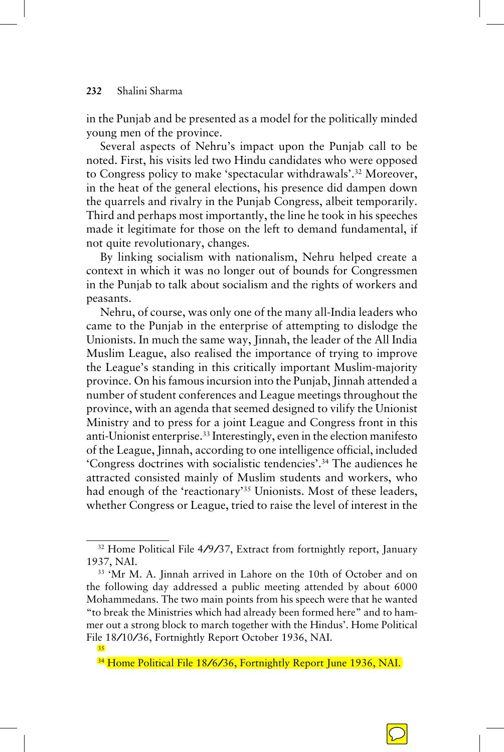in the Punjab and be presented as a model for the politically minded young men of the province.

Several aspects of Nehru's impact upon the Punjab call to be noted. First, his visits led two Hindu candidates who were opposed to Congress policy to make 'spectacular withdrawals'.32 Moreover, in the heat of the general elections, his presence did dampen down the quarrels and rivalry in the Punjab Congress, albeit temporarily. Third and perhaps most importantly, the line he took in his speeches made it legitimate for those on the left to demand fundamental, if not quite revolutionary, changes.

By linking socialism with nationalism, Nehru helped create a context in which it was no longer out of bounds for Congressmen in the Punjab to talk about socialism and the rights of workers and peasants.

Nehru, of course, was only one of the many all-India leaders who came to the Punjab in the enterprise of attempting to dislodge the Unionists. In much the same way, Jinnah, the leader of the All India Muslim League, also realised the importance of trying to improve the League's standing in this critically important Muslim-majority province. On his famous incursion into the Punjab, Jinnah attended a number of student conferences and League meetings throughout the province, with an agenda that seemed designed to vilify the Unionist Ministry and to press for a joint League and Congress front in this anti-Unionist enterprise.33 Interestingly, even in the election manifesto of the League, Jinnah, according to one intelligence official, included 'Congress doctrines with socialistic tendencies'.34 The audiences he attracted consisted mainly of Muslim students and workers, who had enough of the 'reactionary'<sup>35</sup> Unionists. Most of these leaders, whether Congress or League, tried to raise the level of interest in the

<sup>32</sup> Home Political File 4*/*9*/*37, Extract from fortnightly report, January 1937, NAI.

<sup>33 &#</sup>x27;Mr M. A. Jinnah arrived in Lahore on the 10th of October and on the following day addressed a public meeting attended by about 6000 Mohammedans. The two main points from his speech were that he wanted "to break the Ministries which had already been formed here" and to hammer out a strong block to march together with the Hindus'. Home Political File 18*/*10*/*36, Fortnightly Report October 1936, NAI. 35

<sup>&</sup>lt;sup>34</sup> Home Political File 18/6/36, Fortnightly Report June 1936, NAI.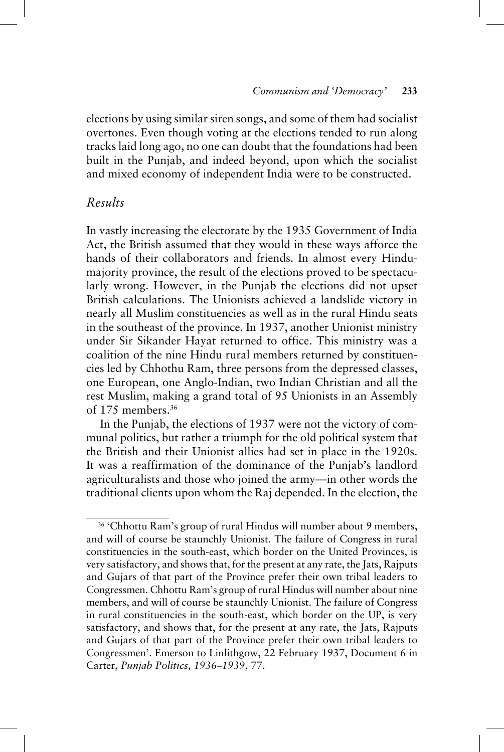elections by using similar siren songs, and some of them had socialist overtones. Even though voting at the elections tended to run along tracks laid long ago, no one can doubt that the foundations had been built in the Punjab, and indeed beyond, upon which the socialist and mixed economy of independent India were to be constructed.

# *Results*

In vastly increasing the electorate by the 1935 Government of India Act, the British assumed that they would in these ways afforce the hands of their collaborators and friends. In almost every Hindumajority province, the result of the elections proved to be spectacularly wrong. However, in the Punjab the elections did not upset British calculations. The Unionists achieved a landslide victory in nearly all Muslim constituencies as well as in the rural Hindu seats in the southeast of the province. In 1937, another Unionist ministry under Sir Sikander Hayat returned to office. This ministry was a coalition of the nine Hindu rural members returned by constituencies led by Chhothu Ram, three persons from the depressed classes, one European, one Anglo-Indian, two Indian Christian and all the rest Muslim, making a grand total of 95 Unionists in an Assembly of 175 members.36

In the Punjab, the elections of 1937 were not the victory of communal politics, but rather a triumph for the old political system that the British and their Unionist allies had set in place in the 1920s. It was a reaffirmation of the dominance of the Punjab's landlord agriculturalists and those who joined the army—in other words the traditional clients upon whom the Raj depended. In the election, the

<sup>36 &#</sup>x27;Chhottu Ram's group of rural Hindus will number about 9 members, and will of course be staunchly Unionist. The failure of Congress in rural constituencies in the south-east, which border on the United Provinces, is very satisfactory, and shows that, for the present at any rate, the Jats, Rajputs and Gujars of that part of the Province prefer their own tribal leaders to Congressmen. Chhottu Ram's group of rural Hindus will number about nine members, and will of course be staunchly Unionist. The failure of Congress in rural constituencies in the south-east, which border on the UP, is very satisfactory, and shows that, for the present at any rate, the Jats, Rajputs and Gujars of that part of the Province prefer their own tribal leaders to Congressmen'. Emerson to Linlithgow, 22 February 1937, Document 6 in Carter, *Punjab Politics, 1936–1939*, 77.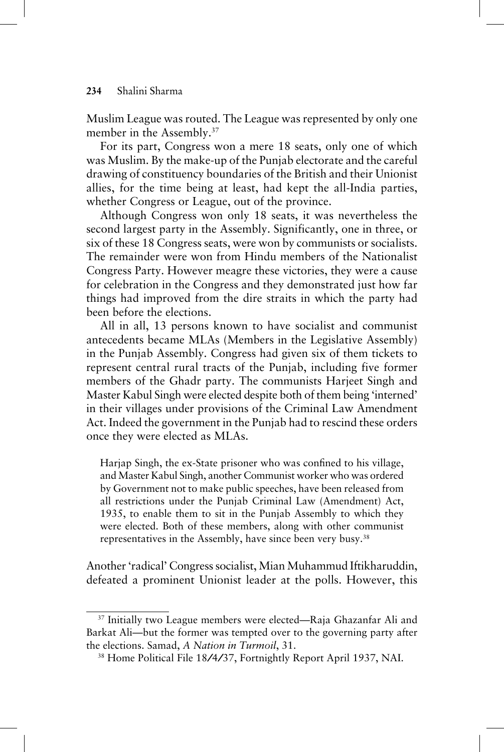Muslim League was routed. The League was represented by only one member in the Assembly.<sup>37</sup>

For its part, Congress won a mere 18 seats, only one of which was Muslim. By the make-up of the Punjab electorate and the careful drawing of constituency boundaries of the British and their Unionist allies, for the time being at least, had kept the all-India parties, whether Congress or League, out of the province.

Although Congress won only 18 seats, it was nevertheless the second largest party in the Assembly. Significantly, one in three, or six of these 18 Congress seats, were won by communists or socialists. The remainder were won from Hindu members of the Nationalist Congress Party. However meagre these victories, they were a cause for celebration in the Congress and they demonstrated just how far things had improved from the dire straits in which the party had been before the elections.

All in all, 13 persons known to have socialist and communist antecedents became MLAs (Members in the Legislative Assembly) in the Punjab Assembly. Congress had given six of them tickets to represent central rural tracts of the Punjab, including five former members of the Ghadr party. The communists Harjeet Singh and Master Kabul Singh were elected despite both of them being 'interned' in their villages under provisions of the Criminal Law Amendment Act. Indeed the government in the Punjab had to rescind these orders once they were elected as MLAs.

Harjap Singh, the ex-State prisoner who was confined to his village, and Master Kabul Singh, another Communist worker who was ordered by Government not to make public speeches, have been released from all restrictions under the Punjab Criminal Law (Amendment) Act, 1935, to enable them to sit in the Punjab Assembly to which they were elected. Both of these members, along with other communist representatives in the Assembly, have since been very busy.38

Another 'radical' Congress socialist, Mian Muhammud Iftikharuddin, defeated a prominent Unionist leader at the polls. However, this

<sup>&</sup>lt;sup>37</sup> Initially two League members were elected—Raja Ghazanfar Ali and Barkat Ali—but the former was tempted over to the governing party after the elections. Samad, *A Nation in Turmoil*, 31.

<sup>38</sup> Home Political File 18*/*4*/*37, Fortnightly Report April 1937, NAI.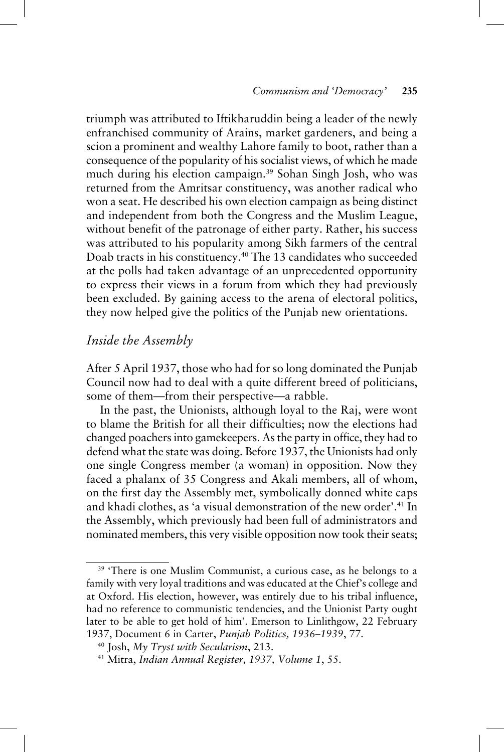#### *Communism and 'Democracy'* **235**

triumph was attributed to Iftikharuddin being a leader of the newly enfranchised community of Arains, market gardeners, and being a scion a prominent and wealthy Lahore family to boot, rather than a consequence of the popularity of his socialist views, of which he made much during his election campaign.39 Sohan Singh Josh, who was returned from the Amritsar constituency, was another radical who won a seat. He described his own election campaign as being distinct and independent from both the Congress and the Muslim League, without benefit of the patronage of either party. Rather, his success was attributed to his popularity among Sikh farmers of the central Doab tracts in his constituency.40 The 13 candidates who succeeded at the polls had taken advantage of an unprecedented opportunity to express their views in a forum from which they had previously been excluded. By gaining access to the arena of electoral politics, they now helped give the politics of the Punjab new orientations.

## *Inside the Assembly*

After 5 April 1937, those who had for so long dominated the Punjab Council now had to deal with a quite different breed of politicians, some of them—from their perspective—a rabble.

In the past, the Unionists, although loyal to the Raj, were wont to blame the British for all their difficulties; now the elections had changed poachers into gamekeepers. As the party in office, they had to defend what the state was doing. Before 1937, the Unionists had only one single Congress member (a woman) in opposition. Now they faced a phalanx of 35 Congress and Akali members, all of whom, on the first day the Assembly met, symbolically donned white caps and khadi clothes, as 'a visual demonstration of the new order'.<sup>41</sup> In the Assembly, which previously had been full of administrators and nominated members, this very visible opposition now took their seats;

<sup>&</sup>lt;sup>39</sup> 'There is one Muslim Communist, a curious case, as he belongs to a family with very loyal traditions and was educated at the Chief's college and at Oxford. His election, however, was entirely due to his tribal influence, had no reference to communistic tendencies, and the Unionist Party ought later to be able to get hold of him'. Emerson to Linlithgow, 22 February 1937, Document 6 in Carter, *Punjab Politics, 1936–1939*, 77.

<sup>40</sup> Josh, *My Tryst with Secularism*, 213.

<sup>41</sup> Mitra, *Indian Annual Register, 1937, Volume 1*, 55.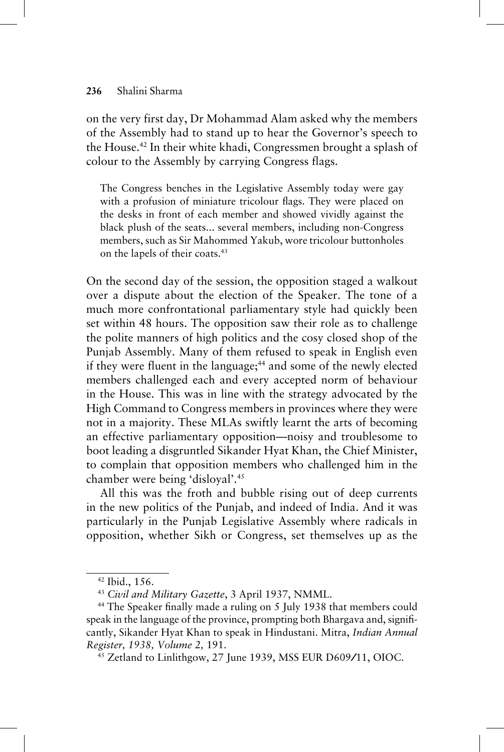on the very first day, Dr Mohammad Alam asked why the members of the Assembly had to stand up to hear the Governor's speech to the House.42 In their white khadi, Congressmen brought a splash of colour to the Assembly by carrying Congress flags.

The Congress benches in the Legislative Assembly today were gay with a profusion of miniature tricolour flags. They were placed on the desks in front of each member and showed vividly against the black plush of the seats... several members, including non-Congress members, such as Sir Mahommed Yakub, wore tricolour buttonholes on the lapels of their coats.43

On the second day of the session, the opposition staged a walkout over a dispute about the election of the Speaker. The tone of a much more confrontational parliamentary style had quickly been set within 48 hours. The opposition saw their role as to challenge the polite manners of high politics and the cosy closed shop of the Punjab Assembly. Many of them refused to speak in English even if they were fluent in the language;<sup>44</sup> and some of the newly elected members challenged each and every accepted norm of behaviour in the House. This was in line with the strategy advocated by the High Command to Congress members in provinces where they were not in a majority. These MLAs swiftly learnt the arts of becoming an effective parliamentary opposition—noisy and troublesome to boot leading a disgruntled Sikander Hyat Khan, the Chief Minister, to complain that opposition members who challenged him in the chamber were being 'disloyal'.45

All this was the froth and bubble rising out of deep currents in the new politics of the Punjab, and indeed of India. And it was particularly in the Punjab Legislative Assembly where radicals in opposition, whether Sikh or Congress, set themselves up as the

<sup>42</sup> Ibid., 156.

<sup>43</sup> *Civil and Military Gazette*, 3 April 1937, NMML.

 $44$  The Speaker finally made a ruling on 5 July 1938 that members could speak in the language of the province, prompting both Bhargava and, significantly, Sikander Hyat Khan to speak in Hindustani. Mitra, *Indian Annual Register, 1938, Volume 2,* 191.

<sup>45</sup> Zetland to Linlithgow, 27 June 1939, MSS EUR D609*/*11, OIOC.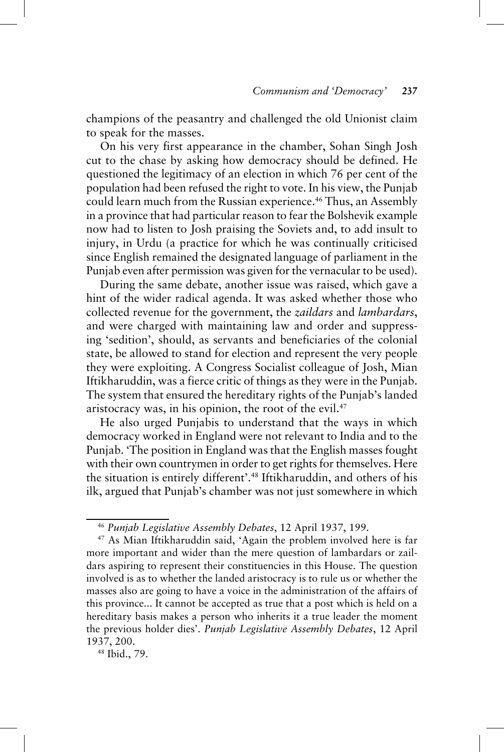champions of the peasantry and challenged the old Unionist claim to speak for the masses.

On his very first appearance in the chamber, Sohan Singh Josh cut to the chase by asking how democracy should be defined. He questioned the legitimacy of an election in which 76 per cent of the population had been refused the right to vote. In his view, the Punjab could learn much from the Russian experience.<sup>46</sup> Thus, an Assembly in a province that had particular reason to fear the Bolshevik example now had to listen to Josh praising the Soviets and, to add insult to injury, in Urdu (a practice for which he was continually criticised since English remained the designated language of parliament in the Punjab even after permission was given for the vernacular to be used).

During the same debate, another issue was raised, which gave a hint of the wider radical agenda. It was asked whether those who collected revenue for the government, the *zaildars* and *lambardars*, and were charged with maintaining law and order and suppressing 'sedition', should, as servants and beneficiaries of the colonial state, be allowed to stand for election and represent the very people they were exploiting. A Congress Socialist colleague of Josh, Mian Iftikharuddin, was a fierce critic of things as they were in the Punjab. The system that ensured the hereditary rights of the Punjab's landed aristocracy was, in his opinion, the root of the evil.<sup>47</sup>

He also urged Punjabis to understand that the ways in which democracy worked in England were not relevant to India and to the Punjab. 'The position in England was that the English masses fought with their own countrymen in order to get rights for themselves. Here the situation is entirely different'.48 Iftikharuddin, and others of his ilk, argued that Punjab's chamber was not just somewhere in which

48 Ibid., 79.

<sup>46</sup> *Punjab Legislative Assembly Debates*, 12 April 1937, 199.

<sup>47</sup> As Mian Iftikharuddin said, 'Again the problem involved here is far more important and wider than the mere question of lambardars or zaildars aspiring to represent their constituencies in this House. The question involved is as to whether the landed aristocracy is to rule us or whether the masses also are going to have a voice in the administration of the affairs of this province... It cannot be accepted as true that a post which is held on a hereditary basis makes a person who inherits it a true leader the moment the previous holder dies'. *Punjab Legislative Assembly Debates*, 12 April 1937, 200.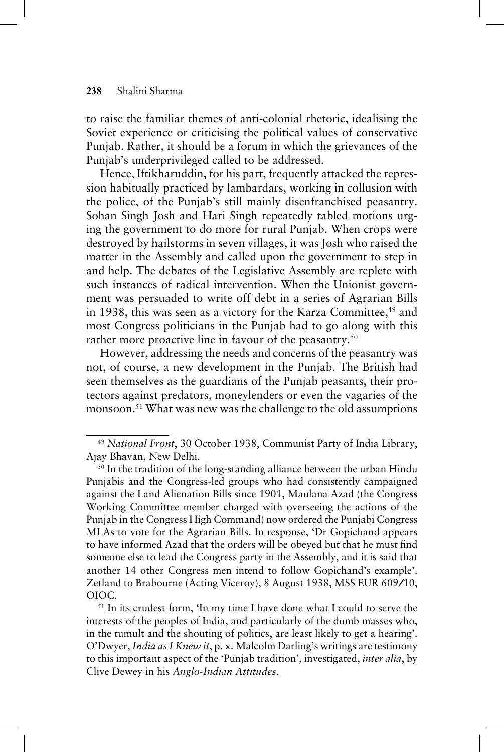to raise the familiar themes of anti-colonial rhetoric, idealising the Soviet experience or criticising the political values of conservative Punjab. Rather, it should be a forum in which the grievances of the Punjab's underprivileged called to be addressed.

Hence, Iftikharuddin, for his part, frequently attacked the repression habitually practiced by lambardars, working in collusion with the police, of the Punjab's still mainly disenfranchised peasantry. Sohan Singh Josh and Hari Singh repeatedly tabled motions urging the government to do more for rural Punjab. When crops were destroyed by hailstorms in seven villages, it was Josh who raised the matter in the Assembly and called upon the government to step in and help. The debates of the Legislative Assembly are replete with such instances of radical intervention. When the Unionist government was persuaded to write off debt in a series of Agrarian Bills in 1938, this was seen as a victory for the Karza Committee,<sup>49</sup> and most Congress politicians in the Punjab had to go along with this rather more proactive line in favour of the peasantry.<sup>50</sup>

However, addressing the needs and concerns of the peasantry was not, of course, a new development in the Punjab. The British had seen themselves as the guardians of the Punjab peasants, their protectors against predators, moneylenders or even the vagaries of the monsoon.51 What was new was the challenge to the old assumptions

<sup>49</sup> *National Front*, 30 October 1938, Communist Party of India Library, Ajay Bhavan, New Delhi.

<sup>&</sup>lt;sup>50</sup> In the tradition of the long-standing alliance between the urban Hindu Punjabis and the Congress-led groups who had consistently campaigned against the Land Alienation Bills since 1901, Maulana Azad (the Congress Working Committee member charged with overseeing the actions of the Punjab in the Congress High Command) now ordered the Punjabi Congress MLAs to vote for the Agrarian Bills. In response, 'Dr Gopichand appears to have informed Azad that the orders will be obeyed but that he must find someone else to lead the Congress party in the Assembly, and it is said that another 14 other Congress men intend to follow Gopichand's example'. Zetland to Brabourne (Acting Viceroy), 8 August 1938, MSS EUR 609*/*10, OIOC.

<sup>&</sup>lt;sup>51</sup> In its crudest form, 'In my time I have done what I could to serve the interests of the peoples of India, and particularly of the dumb masses who, in the tumult and the shouting of politics, are least likely to get a hearing'. O'Dwyer, *India as I Knew it*, p. x. Malcolm Darling's writings are testimony to this important aspect of the 'Punjab tradition', investigated, *inter alia*, by Clive Dewey in his *Anglo-Indian Attitudes*.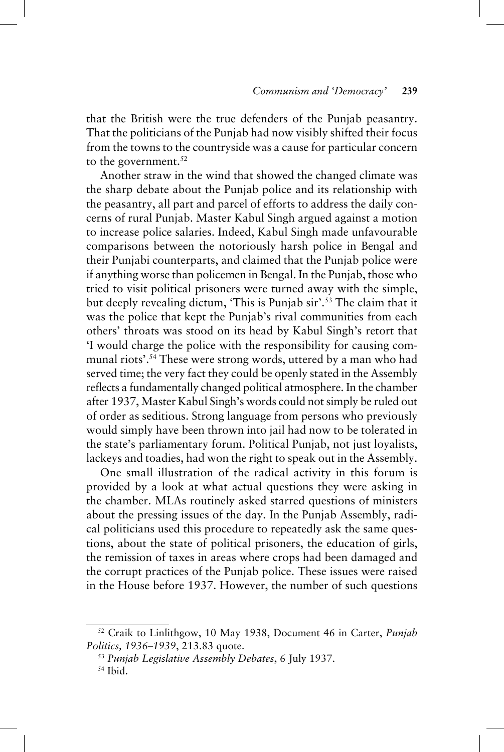that the British were the true defenders of the Punjab peasantry. That the politicians of the Punjab had now visibly shifted their focus from the towns to the countryside was a cause for particular concern to the government.<sup>52</sup>

Another straw in the wind that showed the changed climate was the sharp debate about the Punjab police and its relationship with the peasantry, all part and parcel of efforts to address the daily concerns of rural Punjab. Master Kabul Singh argued against a motion to increase police salaries. Indeed, Kabul Singh made unfavourable comparisons between the notoriously harsh police in Bengal and their Punjabi counterparts, and claimed that the Punjab police were if anything worse than policemen in Bengal. In the Punjab, those who tried to visit political prisoners were turned away with the simple, but deeply revealing dictum, 'This is Punjab sir'.53 The claim that it was the police that kept the Punjab's rival communities from each others' throats was stood on its head by Kabul Singh's retort that 'I would charge the police with the responsibility for causing communal riots'.<sup>54</sup> These were strong words, uttered by a man who had served time; the very fact they could be openly stated in the Assembly reflects a fundamentally changed political atmosphere. In the chamber after 1937, Master Kabul Singh's words could not simply be ruled out of order as seditious. Strong language from persons who previously would simply have been thrown into jail had now to be tolerated in the state's parliamentary forum. Political Punjab, not just loyalists, lackeys and toadies, had won the right to speak out in the Assembly.

One small illustration of the radical activity in this forum is provided by a look at what actual questions they were asking in the chamber. MLAs routinely asked starred questions of ministers about the pressing issues of the day. In the Punjab Assembly, radical politicians used this procedure to repeatedly ask the same questions, about the state of political prisoners, the education of girls, the remission of taxes in areas where crops had been damaged and the corrupt practices of the Punjab police. These issues were raised in the House before 1937. However, the number of such questions

<sup>52</sup> Craik to Linlithgow, 10 May 1938, Document 46 in Carter, *Punjab Politics, 1936–1939*, 213.83 quote.

<sup>53</sup> *Punjab Legislative Assembly Debates*, 6 July 1937. 54 Ibid.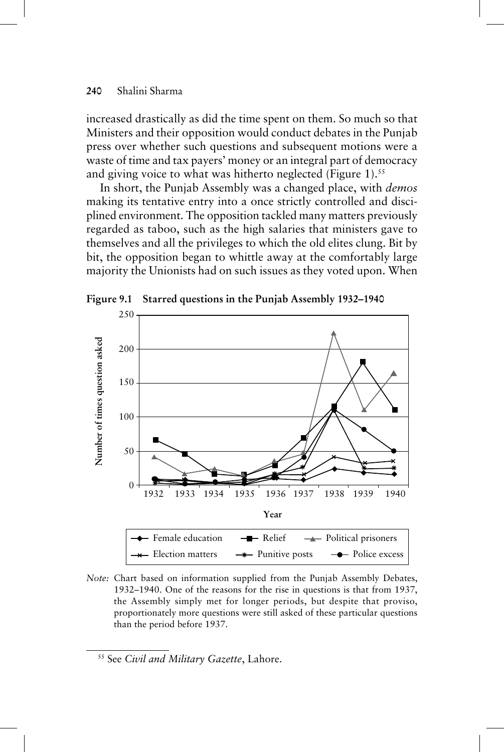increased drastically as did the time spent on them. So much so that Ministers and their opposition would conduct debates in the Punjab press over whether such questions and subsequent motions were a waste of time and tax payers' money or an integral part of democracy and giving voice to what was hitherto neglected (Figure 1).<sup>55</sup>

In short, the Punjab Assembly was a changed place, with *demos*  making its tentative entry into a once strictly controlled and disciplined environment. The opposition tackled many matters previously regarded as taboo, such as the high salaries that ministers gave to themselves and all the privileges to which the old elites clung. Bit by bit, the opposition began to whittle away at the comfortably large majority the Unionists had on such issues as they voted upon. When



**Figure 9.1 Starred questions in the Punjab Assembly 1932–1940**

*Note:* Chart based on information supplied from the Punjab Assembly Debates, 1932–1940. One of the reasons for the rise in questions is that from 1937, the Assembly simply met for longer periods, but despite that proviso, proportionately more questions were still asked of these particular questions than the period before 1937.

<sup>55</sup> See *Civil and Military Gazette*, Lahore.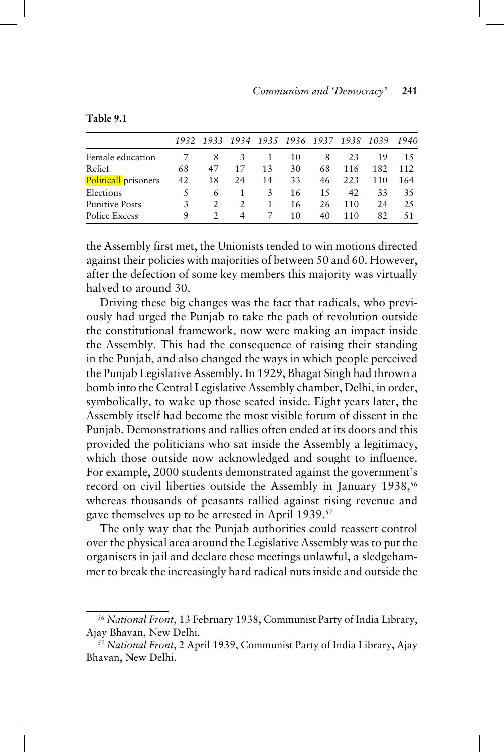|                             | 1932          |    |               | 1933 1934 1935 1936 1937 1938 |    |     |     | 1039 | 1940 |
|-----------------------------|---------------|----|---------------|-------------------------------|----|-----|-----|------|------|
| Female education            | $\mathcal{I}$ | 8  | 3             | 1                             | 10 | 8   | 23  | 19   | -15  |
| Relief                      | 68            | 47 | 17            | 13                            | 30 | 68  | 116 | 182  | 112  |
| <b>Politicall</b> prisoners | 42            | 18 | 24            | 14                            | 33 | 46  | 223 | 110  | 164  |
| Elections                   |               | 6  |               | 3                             | 16 | 1.5 | 42  | 33   | 35   |
| <b>Punitive Posts</b>       | 3             |    | $\mathcal{P}$ | 1                             | 16 | 26  | 110 | 24   | 25   |
| Police Excess               | 9             |    |               | 7                             | 10 | 40  | 110 | 82   | -51  |

| Table 9.1 |  |  |
|-----------|--|--|
|-----------|--|--|

the Assembly first met, the Unionists tended to win motions directed against their policies with majorities of between 50 and 60. However, after the defection of some key members this majority was virtually halved to around 30.

Driving these big changes was the fact that radicals, who previously had urged the Punjab to take the path of revolution outside the constitutional framework, now were making an impact inside the Assembly. This had the consequence of raising their standing in the Punjab, and also changed the ways in which people perceived the Punjab Legislative Assembly. In 1929, Bhagat Singh had thrown a bomb into the Central Legislative Assembly chamber, Delhi, in order, symbolically, to wake up those seated inside. Eight years later, the Assembly itself had become the most visible forum of dissent in the Punjab. Demonstrations and rallies often ended at its doors and this provided the politicians who sat inside the Assembly a legitimacy, which those outside now acknowledged and sought to influence. For example, 2000 students demonstrated against the government's record on civil liberties outside the Assembly in January 1938,<sup>56</sup> whereas thousands of peasants rallied against rising revenue and gave themselves up to be arrested in April 1939.57

The only way that the Punjab authorities could reassert control over the physical area around the Legislative Assembly was to put the organisers in jail and declare these meetings unlawful, a sledgehammer to break the increasingly hard radical nuts inside and outside the

<sup>56</sup> *National Front*, 13 February 1938, Communist Party of India Library, Ajay Bhavan, New Delhi.

<sup>57</sup> *National Front*, 2 April 1939, Communist Party of India Library, Ajay Bhavan, New Delhi.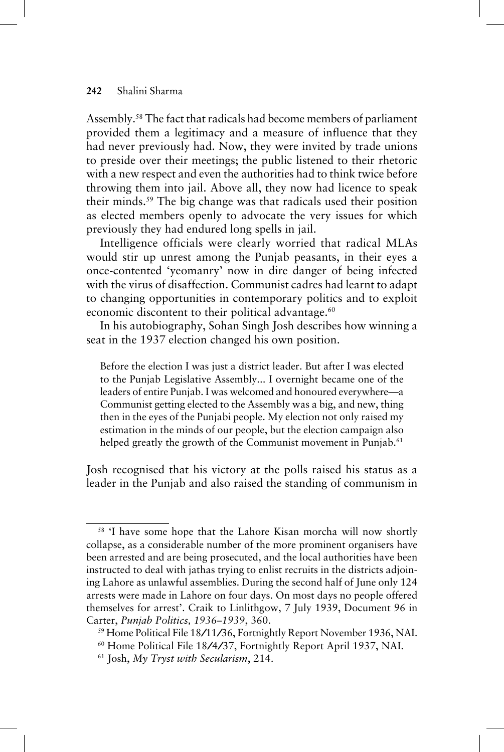Assembly.58 The fact that radicals had become members of parliament provided them a legitimacy and a measure of influence that they had never previously had. Now, they were invited by trade unions to preside over their meetings; the public listened to their rhetoric with a new respect and even the authorities had to think twice before throwing them into jail. Above all, they now had licence to speak their minds.59 The big change was that radicals used their position as elected members openly to advocate the very issues for which previously they had endured long spells in jail.

Intelligence officials were clearly worried that radical MLAs would stir up unrest among the Punjab peasants, in their eyes a once-contented 'yeomanry' now in dire danger of being infected with the virus of disaffection. Communist cadres had learnt to adapt to changing opportunities in contemporary politics and to exploit economic discontent to their political advantage.<sup>60</sup>

In his autobiography, Sohan Singh Josh describes how winning a seat in the 1937 election changed his own position.

Before the election I was just a district leader. But after I was elected to the Punjab Legislative Assembly... I overnight became one of the leaders of entire Punjab. I was welcomed and honoured everywhere—a Communist getting elected to the Assembly was a big, and new, thing then in the eyes of the Punjabi people. My election not only raised my estimation in the minds of our people, but the election campaign also helped greatly the growth of the Communist movement in Punjab.<sup>61</sup>

Josh recognised that his victory at the polls raised his status as a leader in the Punjab and also raised the standing of communism in

<sup>58 &#</sup>x27;I have some hope that the Lahore Kisan morcha will now shortly collapse, as a considerable number of the more prominent organisers have been arrested and are being prosecuted, and the local authorities have been instructed to deal with jathas trying to enlist recruits in the districts adjoining Lahore as unlawful assemblies. During the second half of June only 124 arrests were made in Lahore on four days. On most days no people offered themselves for arrest'. Craik to Linlithgow, 7 July 1939, Document 96 in Carter, *Punjab Politics, 1936–1939*, 360.

<sup>59</sup> Home Political File 18*/*11*/*36, Fortnightly Report November 1936, NAI.

<sup>60</sup> Home Political File 18*/*4*/*37, Fortnightly Report April 1937, NAI.

<sup>61</sup> Josh, *My Tryst with Secularism*, 214.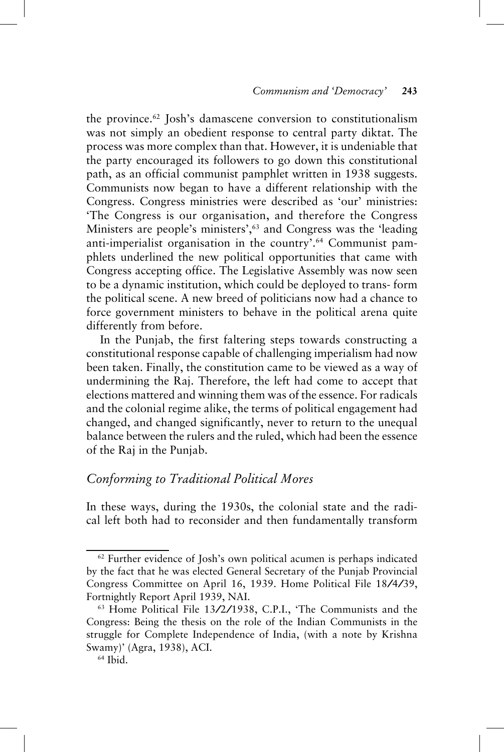the province.62 Josh's damascene conversion to constitutionalism was not simply an obedient response to central party diktat. The process was more complex than that. However, it is undeniable that the party encouraged its followers to go down this constitutional path, as an official communist pamphlet written in 1938 suggests. Communists now began to have a different relationship with the Congress. Congress ministries were described as 'our' ministries: 'The Congress is our organisation, and therefore the Congress Ministers are people's ministers',<sup>63</sup> and Congress was the 'leading anti-imperialist organisation in the country'.64 Communist pamphlets underlined the new political opportunities that came with Congress accepting office. The Legislative Assembly was now seen to be a dynamic institution, which could be deployed to trans- form the political scene. A new breed of politicians now had a chance to force government ministers to behave in the political arena quite differently from before.

In the Punjab, the first faltering steps towards constructing a constitutional response capable of challenging imperialism had now been taken. Finally, the constitution came to be viewed as a way of undermining the Raj. Therefore, the left had come to accept that elections mattered and winning them was of the essence. For radicals and the colonial regime alike, the terms of political engagement had changed, and changed significantly, never to return to the unequal balance between the rulers and the ruled, which had been the essence of the Raj in the Punjab.

## *Conforming to Traditional Political Mores*

In these ways, during the 1930s, the colonial state and the radical left both had to reconsider and then fundamentally transform

<sup>&</sup>lt;sup>62</sup> Further evidence of Josh's own political acumen is perhaps indicated by the fact that he was elected General Secretary of the Punjab Provincial Congress Committee on April 16, 1939. Home Political File 18*/*4*/*39, Fortnightly Report April 1939, NAI.

<sup>63</sup> Home Political File 13*/*2*/*1938, C.P.I., 'The Communists and the Congress: Being the thesis on the role of the Indian Communists in the struggle for Complete Independence of India, (with a note by Krishna Swamy)' (Agra, 1938), ACI.

 $64$  Ibid.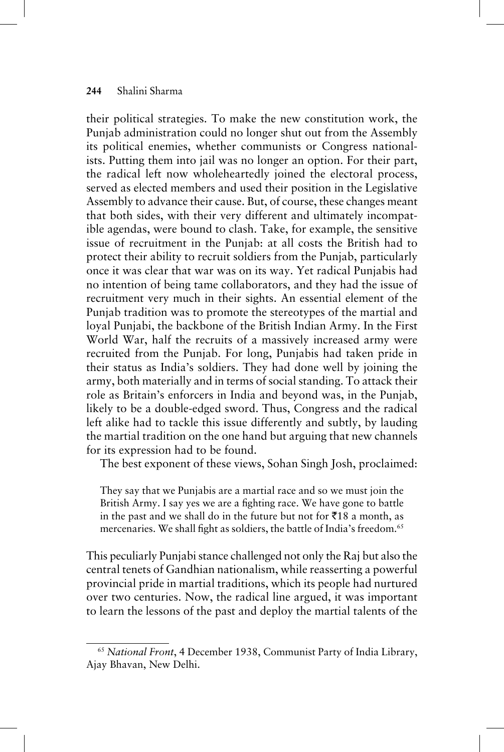their political strategies. To make the new constitution work, the Punjab administration could no longer shut out from the Assembly its political enemies, whether communists or Congress nationalists. Putting them into jail was no longer an option. For their part, the radical left now wholeheartedly joined the electoral process, served as elected members and used their position in the Legislative Assembly to advance their cause. But, of course, these changes meant that both sides, with their very different and ultimately incompatible agendas, were bound to clash. Take, for example, the sensitive issue of recruitment in the Punjab: at all costs the British had to protect their ability to recruit soldiers from the Punjab, particularly once it was clear that war was on its way. Yet radical Punjabis had no intention of being tame collaborators, and they had the issue of recruitment very much in their sights. An essential element of the Punjab tradition was to promote the stereotypes of the martial and loyal Punjabi, the backbone of the British Indian Army. In the First World War, half the recruits of a massively increased army were recruited from the Punjab. For long, Punjabis had taken pride in their status as India's soldiers. They had done well by joining the army, both materially and in terms of social standing. To attack their role as Britain's enforcers in India and beyond was, in the Punjab, likely to be a double-edged sword. Thus, Congress and the radical left alike had to tackle this issue differently and subtly, by lauding the martial tradition on the one hand but arguing that new channels for its expression had to be found.

The best exponent of these views, Sohan Singh Josh, proclaimed:

They say that we Punjabis are a martial race and so we must join the British Army. I say yes we are a fighting race. We have gone to battle in the past and we shall do in the future but not for  $\bar{z}18$  a month, as mercenaries. We shall fight as soldiers, the battle of India's freedom.<sup>65</sup>

This peculiarly Punjabi stance challenged not only the Raj but also the central tenets of Gandhian nationalism, while reasserting a powerful provincial pride in martial traditions, which its people had nurtured over two centuries. Now, the radical line argued, it was important to learn the lessons of the past and deploy the martial talents of the

<sup>65</sup> *National Front*, 4 December 1938, Communist Party of India Library, Ajay Bhavan, New Delhi.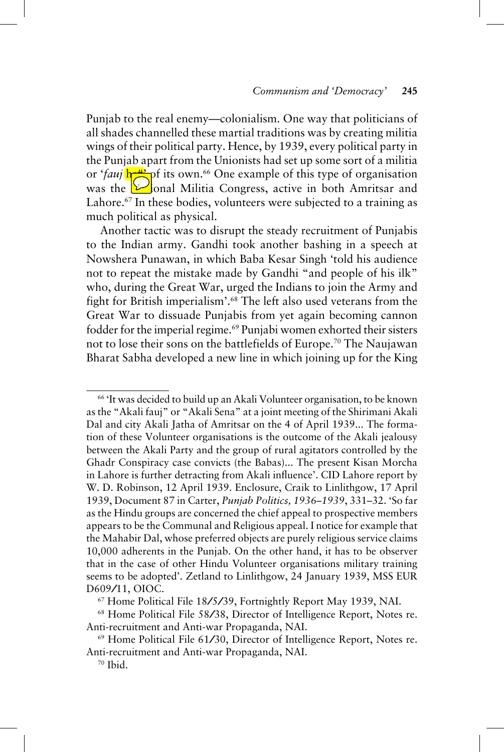Punjab to the real enemy—colonialism. One way that politicians of all shades channelled these martial traditions was by creating militia wings of their political party. Hence, by 1939, every political party in the Punjab apart from the Unionists had set up some sort of a militia or '*fauj*  $h \rightarrow 0$  its own.<sup>66</sup> One example of this type of organisation was the  $\bigcirc$  onal Militia Congress, active in both Amritsar and Lahore.<sup>67</sup> In these bodies, volunteers were subjected to a training as much political as physical.

Another tactic was to disrupt the steady recruitment of Punjabis to the Indian army. Gandhi took another bashing in a speech at Nowshera Punawan, in which Baba Kesar Singh 'told his audience not to repeat the mistake made by Gandhi "and people of his ilk" who, during the Great War, urged the Indians to join the Army and fight for British imperialism'.68 The left also used veterans from the Great War to dissuade Punjabis from yet again becoming cannon fodder for the imperial regime.<sup>69</sup> Punjabi women exhorted their sisters not to lose their sons on the battlefields of Europe.70 The Naujawan Bharat Sabha developed a new line in which joining up for the King

<sup>66 &#</sup>x27;It was decided to build up an Akali Volunteer organisation, to be known as the "Akali fauj" or "Akali Sena" at a joint meeting of the Shirimani Akali Dal and city Akali Jatha of Amritsar on the 4 of April 1939... The formation of these Volunteer organisations is the outcome of the Akali jealousy between the Akali Party and the group of rural agitators controlled by the Ghadr Conspiracy case convicts (the Babas)... The present Kisan Morcha in Lahore is further detracting from Akali influence'. CID Lahore report by W. D. Robinson, 12 April 1939. Enclosure, Craik to Linlithgow, 17 April 1939, Document 87 in Carter, *Punjab Politics, 1936–1939*, 331–32. 'So far as the Hindu groups are concerned the chief appeal to prospective members appears to be the Communal and Religious appeal. I notice for example that the Mahabir Dal, whose preferred objects are purely religious service claims 10,000 adherents in the Punjab. On the other hand, it has to be observer that in the case of other Hindu Volunteer organisations military training seems to be adopted'. Zetland to Linlithgow, 24 January 1939, MSS EUR D609*/*11, OIOC.

<sup>67</sup> Home Political File 18*/*5*/*39, Fortnightly Report May 1939, NAI.

<sup>68</sup> Home Political File 58*/*38, Director of Intelligence Report, Notes re. Anti-recruitment and Anti-war Propaganda, NAI.

<sup>69</sup> Home Political File 61*/*30, Director of Intelligence Report, Notes re. Anti-recruitment and Anti-war Propaganda, NAI.

<sup>70</sup> Ibid.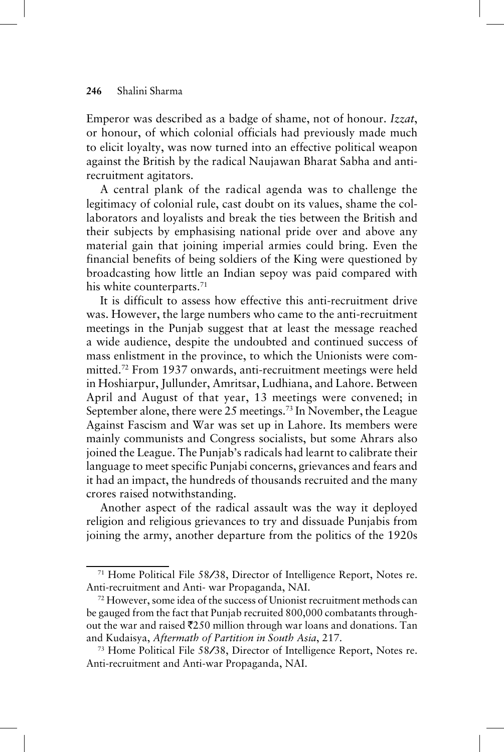Emperor was described as a badge of shame, not of honour. *Izzat*, or honour, of which colonial officials had previously made much to elicit loyalty, was now turned into an effective political weapon against the British by the radical Naujawan Bharat Sabha and antirecruitment agitators.

A central plank of the radical agenda was to challenge the legitimacy of colonial rule, cast doubt on its values, shame the collaborators and loyalists and break the ties between the British and their subjects by emphasising national pride over and above any material gain that joining imperial armies could bring. Even the financial benefits of being soldiers of the King were questioned by broadcasting how little an Indian sepoy was paid compared with his white counterparts.<sup>71</sup>

It is difficult to assess how effective this anti-recruitment drive was. However, the large numbers who came to the anti-recruitment meetings in the Punjab suggest that at least the message reached a wide audience, despite the undoubted and continued success of mass enlistment in the province, to which the Unionists were committed.72 From 1937 onwards, anti-recruitment meetings were held in Hoshiarpur, Jullunder, Amritsar, Ludhiana, and Lahore. Between April and August of that year, 13 meetings were convened; in September alone, there were 25 meetings.<sup>73</sup> In November, the League Against Fascism and War was set up in Lahore. Its members were mainly communists and Congress socialists, but some Ahrars also joined the League. The Punjab's radicals had learnt to calibrate their language to meet specific Punjabi concerns, grievances and fears and it had an impact, the hundreds of thousands recruited and the many crores raised notwithstanding.

Another aspect of the radical assault was the way it deployed religion and religious grievances to try and dissuade Punjabis from joining the army, another departure from the politics of the 1920s

<sup>71</sup> Home Political File 58*/*38, Director of Intelligence Report, Notes re. Anti-recruitment and Anti- war Propaganda, NAI.

<sup>72</sup> However, some idea of the success of Unionist recruitment methods can be gauged from the fact that Punjab recruited 800,000 combatants throughout the war and raised  $\bar{z}$ 250 million through war loans and donations. Tan and Kudaisya, *Aftermath of Partition in South Asia*, 217.

<sup>73</sup> Home Political File 58*/*38, Director of Intelligence Report, Notes re. Anti-recruitment and Anti-war Propaganda, NAI.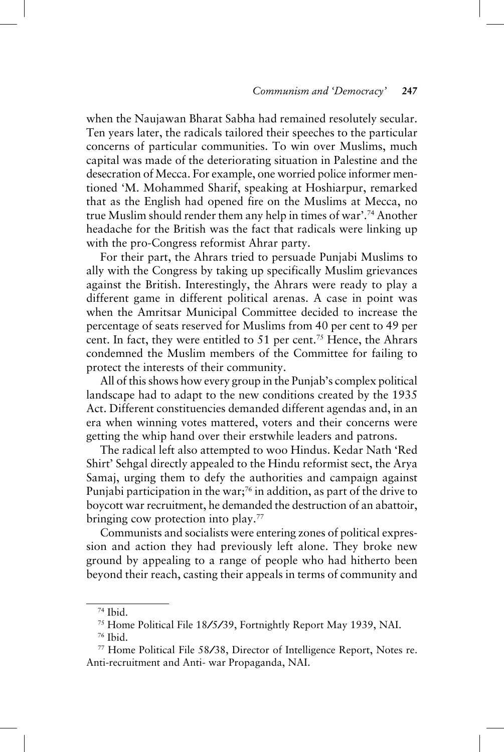### *Communism and 'Democracy'* **247**

when the Naujawan Bharat Sabha had remained resolutely secular. Ten years later, the radicals tailored their speeches to the particular concerns of particular communities. To win over Muslims, much capital was made of the deteriorating situation in Palestine and the desecration of Mecca. For example, one worried police informer mentioned 'M. Mohammed Sharif, speaking at Hoshiarpur, remarked that as the English had opened fire on the Muslims at Mecca, no true Muslim should render them any help in times of war'.74 Another headache for the British was the fact that radicals were linking up with the pro-Congress reformist Ahrar party.

For their part, the Ahrars tried to persuade Punjabi Muslims to ally with the Congress by taking up specifically Muslim grievances against the British. Interestingly, the Ahrars were ready to play a different game in different political arenas. A case in point was when the Amritsar Municipal Committee decided to increase the percentage of seats reserved for Muslims from 40 per cent to 49 per cent. In fact, they were entitled to 51 per cent.<sup>75</sup> Hence, the Ahrars condemned the Muslim members of the Committee for failing to protect the interests of their community.

All of this shows how every group in the Punjab's complex political landscape had to adapt to the new conditions created by the 1935 Act. Different constituencies demanded different agendas and, in an era when winning votes mattered, voters and their concerns were getting the whip hand over their erstwhile leaders and patrons.

The radical left also attempted to woo Hindus. Kedar Nath 'Red Shirt' Sehgal directly appealed to the Hindu reformist sect, the Arya Samaj, urging them to defy the authorities and campaign against Punjabi participation in the war;<sup>76</sup> in addition, as part of the drive to boycott war recruitment, he demanded the destruction of an abattoir, bringing cow protection into play.<sup>77</sup>

Communists and socialists were entering zones of political expression and action they had previously left alone. They broke new ground by appealing to a range of people who had hitherto been beyond their reach, casting their appeals in terms of community and

<sup>74</sup> Ibid.

<sup>75</sup> Home Political File 18*/*5*/*39, Fortnightly Report May 1939, NAI.

<sup>76</sup> Ibid.

<sup>77</sup> Home Political File 58*/*38, Director of Intelligence Report, Notes re. Anti-recruitment and Anti- war Propaganda, NAI.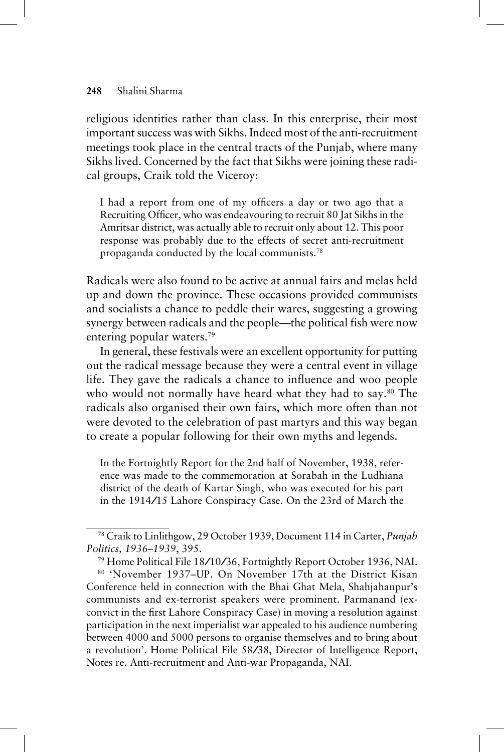religious identities rather than class. In this enterprise, their most important success was with Sikhs. Indeed most of the anti-recruitment meetings took place in the central tracts of the Punjab, where many Sikhs lived. Concerned by the fact that Sikhs were joining these radical groups, Craik told the Viceroy:

I had a report from one of my officers a day or two ago that a Recruiting Officer, who was endeavouring to recruit 80 Jat Sikhs in the Amritsar district, was actually able to recruit only about 12. This poor response was probably due to the effects of secret anti-recruitment propaganda conducted by the local communists.78

Radicals were also found to be active at annual fairs and melas held up and down the province. These occasions provided communists and socialists a chance to peddle their wares, suggesting a growing synergy between radicals and the people—the political fish were now entering popular waters.79

In general, these festivals were an excellent opportunity for putting out the radical message because they were a central event in village life. They gave the radicals a chance to influence and woo people who would not normally have heard what they had to say.<sup>80</sup> The radicals also organised their own fairs, which more often than not were devoted to the celebration of past martyrs and this way began to create a popular following for their own myths and legends.

In the Fortnightly Report for the 2nd half of November, 1938, reference was made to the commemoration at Sorabah in the Ludhiana district of the death of Kartar Singh, who was executed for his part in the 1914*/*15 Lahore Conspiracy Case. On the 23rd of March the

<sup>78</sup> Craik to Linlithgow, 29 October 1939, Document 114 in Carter, *Punjab Politics, 1936–1939*, 395.

<sup>79</sup> Home Political File 18*/*10*/*36, Fortnightly Report October 1936, NAI.

<sup>80 &#</sup>x27;November 1937–UP. On November 17th at the District Kisan Conference held in connection with the Bhai Ghat Mela, Shahjahanpur's communists and ex-terrorist speakers were prominent. Parmanand (exconvict in the first Lahore Conspiracy Case) in moving a resolution against participation in the next imperialist war appealed to his audience numbering between 4000 and 5000 persons to organise themselves and to bring about a revolution'. Home Political File 58*/*38, Director of Intelligence Report, Notes re. Anti-recruitment and Anti-war Propaganda, NAI.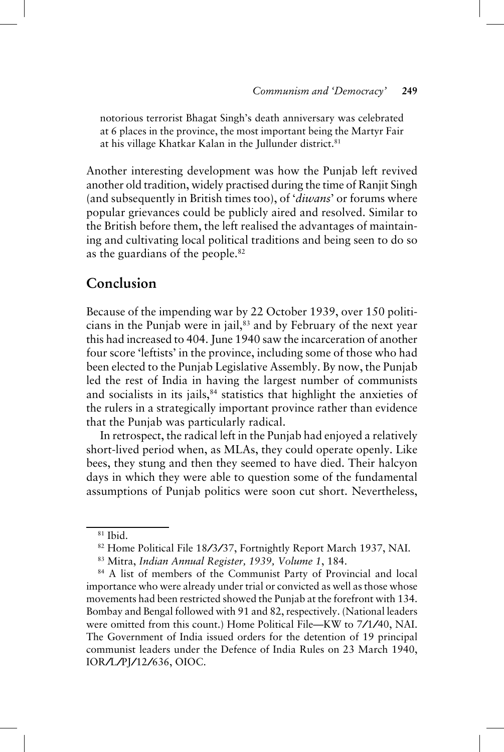notorious terrorist Bhagat Singh's death anniversary was celebrated at 6 places in the province, the most important being the Martyr Fair at his village Khatkar Kalan in the Jullunder district.<sup>81</sup>

Another interesting development was how the Punjab left revived another old tradition, widely practised during the time of Ranjit Singh (and subsequently in British times too), of '*diwans*' or forums where popular grievances could be publicly aired and resolved. Similar to the British before them, the left realised the advantages of maintaining and cultivating local political traditions and being seen to do so as the guardians of the people.82

# **Conclusion**

Because of the impending war by 22 October 1939, over 150 politicians in the Punjab were in jail,<sup>83</sup> and by February of the next year this had increased to 404. June 1940 saw the incarceration of another four score 'leftists' in the province, including some of those who had been elected to the Punjab Legislative Assembly. By now, the Punjab led the rest of India in having the largest number of communists and socialists in its jails, <sup>84</sup> statistics that highlight the anxieties of the rulers in a strategically important province rather than evidence that the Punjab was particularly radical.

In retrospect, the radical left in the Punjab had enjoyed a relatively short-lived period when, as MLAs, they could operate openly. Like bees, they stung and then they seemed to have died. Their halcyon days in which they were able to question some of the fundamental assumptions of Punjab politics were soon cut short. Nevertheless,

 $81$  Ibid.

<sup>82</sup> Home Political File 18*/*3*/*37, Fortnightly Report March 1937, NAI.

<sup>83</sup> Mitra, *Indian Annual Register, 1939, Volume 1*, 184.

<sup>84</sup> A list of members of the Communist Party of Provincial and local importance who were already under trial or convicted as well as those whose movements had been restricted showed the Punjab at the forefront with 134. Bombay and Bengal followed with 91 and 82, respectively. (National leaders were omitted from this count.) Home Political File—KW to 7*/*1*/*40, NAI. The Government of India issued orders for the detention of 19 principal communist leaders under the Defence of India Rules on 23 March 1940, IOR*/*L*/*PJ*/*12*/*636, OIOC.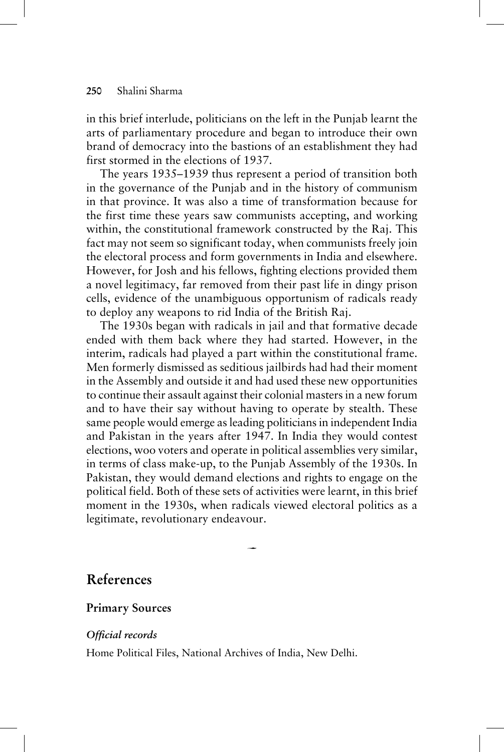in this brief interlude, politicians on the left in the Punjab learnt the arts of parliamentary procedure and began to introduce their own brand of democracy into the bastions of an establishment they had first stormed in the elections of 1937.

The years 1935–1939 thus represent a period of transition both in the governance of the Punjab and in the history of communism in that province. It was also a time of transformation because for the first time these years saw communists accepting, and working within, the constitutional framework constructed by the Raj. This fact may not seem so significant today, when communists freely join the electoral process and form governments in India and elsewhere. However, for Josh and his fellows, fighting elections provided them a novel legitimacy, far removed from their past life in dingy prison cells, evidence of the unambiguous opportunism of radicals ready to deploy any weapons to rid India of the British Raj.

The 1930s began with radicals in jail and that formative decade ended with them back where they had started. However, in the interim, radicals had played a part within the constitutional frame. Men formerly dismissed as seditious jailbirds had had their moment in the Assembly and outside it and had used these new opportunities to continue their assault against their colonial masters in a new forum and to have their say without having to operate by stealth. These same people would emerge as leading politicians in independent India and Pakistan in the years after 1947. In India they would contest elections, woo voters and operate in political assemblies very similar, in terms of class make-up, to the Punjab Assembly of the 1930s. In Pakistan, they would demand elections and rights to engage on the political field. Both of these sets of activities were learnt, in this brief moment in the 1930s, when radicals viewed electoral politics as a legitimate, revolutionary endeavour.

-

# **References**

## **Primary Sources**

#### *Offi cial records*

Home Political Files, National Archives of India, New Delhi.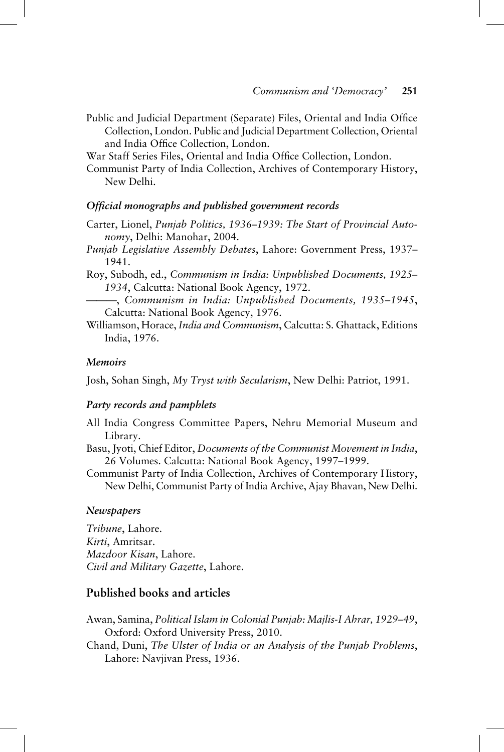Public and Judicial Department (Separate) Files, Oriental and India Office Collection, London. Public and Judicial Department Collection, Oriental and India Office Collection, London.

War Staff Series Files, Oriental and India Office Collection, London.

Communist Party of India Collection, Archives of Contemporary History, New Delhi.

## *Offi cial monographs and published government records*

- Carter, Lionel, *Punjab Politics, 1936–1939: The Start of Provincial Autonomy*, Delhi: Manohar, 2004.
- *Punjab Legislative Assembly Debates*, Lahore: Government Press, 1937– 1941.
- Roy, Subodh, ed., *Communism in India: Unpublished Documents, 1925– 1934*, Calcutta: National Book Agency, 1972.
	- ———, *Communism in India: Unpublished Documents, 1935–1945*, Calcutta: National Book Agency, 1976.
- Williamson, Horace, *India and Communism*, Calcutta: S. Ghattack, Editions India, 1976.

## *Memoirs*

Josh, Sohan Singh, *My Tryst with Secularism*, New Delhi: Patriot, 1991.

### *Party records and pamphlets*

- All India Congress Committee Papers, Nehru Memorial Museum and Library.
- Basu, Jyoti, Chief Editor, *Documents of the Communist Movement in India*, 26 Volumes. Calcutta: National Book Agency, 1997–1999.
- Communist Party of India Collection, Archives of Contemporary History, New Delhi, Communist Party of India Archive, Ajay Bhavan, New Delhi.

#### *Newspapers*

*Tribune*, Lahore. *Kirti*, Amritsar. *Mazdoor Kisan*, Lahore. *Civil and Military Gazette*, Lahore.

## **Published books and articles**

- Awan, Samina, *Political Islam in Colonial Punjab: Majlis-I Ahrar, 1929–49*, Oxford: Oxford University Press, 2010.
- Chand, Duni, *The Ulster of India or an Analysis of the Punjab Problems*, Lahore: Navjivan Press, 1936.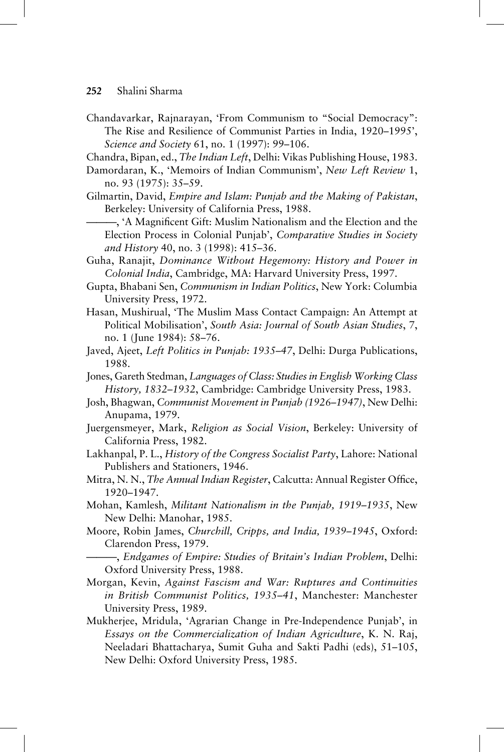Chandavarkar, Rajnarayan, 'From Communism to "Social Democracy": The Rise and Resilience of Communist Parties in India, 1920–1995', *Science and Society* 61, no. 1 (1997): 99–106.

Chandra, Bipan, ed., *The Indian Left*, Delhi: Vikas Publishing House, 1983.

- Damordaran, K., 'Memoirs of Indian Communism', *New Left Review* 1, no. 93 (1975): 35–59.
- Gilmartin, David, *Empire and Islam: Punjab and the Making of Pakistan*, Berkeley: University of California Press, 1988.
	- –, 'A Magnificent Gift: Muslim Nationalism and the Election and the Election Process in Colonial Punjab', *Comparative Studies in Society and History* 40, no. 3 (1998): 415–36.
- Guha, Ranajit, *Dominance Without Hegemony: History and Power in Colonial India*, Cambridge, MA: Harvard University Press, 1997.
- Gupta, Bhabani Sen, *Communism in Indian Politics*, New York: Columbia University Press, 1972.
- Hasan, Mushirual, 'The Muslim Mass Contact Campaign: An Attempt at Political Mobilisation', *South Asia: Journal of South Asian Studies*, 7, no. 1 (June 1984): 58–76.
- Javed, Ajeet, *Left Politics in Punjab: 1935–47*, Delhi: Durga Publications, 1988.
- Jones, Gareth Stedman, *Languages of Class: Studies in English Working Class History, 1832–1932*, Cambridge: Cambridge University Press, 1983.
- Josh, Bhagwan, *Communist Movement in Punjab (1926–1947)*, New Delhi: Anupama, 1979.
- Juergensmeyer, Mark, *Religion as Social Vision*, Berkeley: University of California Press, 1982.
- Lakhanpal, P. L., *History of the Congress Socialist Party*, Lahore: National Publishers and Stationers, 1946.
- Mitra, N. N., *The Annual Indian Register*, Calcutta: Annual Register Office, 1920–1947.
- Mohan, Kamlesh, *Militant Nationalism in the Punjab, 1919–1935*, New New Delhi: Manohar, 1985.
- Moore, Robin James, *Churchill, Cripps, and India, 1939–1945*, Oxford: Clarendon Press, 1979.

———, *Endgames of Empire: Studies of Britain's Indian Problem*, Delhi: Oxford University Press, 1988.

- Morgan, Kevin, *Against Fascism and War: Ruptures and Continuities in British Communist Politics, 1935–41*, Manchester: Manchester University Press, 1989.
- Mukherjee, Mridula, 'Agrarian Change in Pre-Independence Punjab', in *Essays on the Commercialization of Indian Agriculture*, K. N. Raj, Neeladari Bhattacharya, Sumit Guha and Sakti Padhi (eds), 51–105, New Delhi: Oxford University Press, 1985.